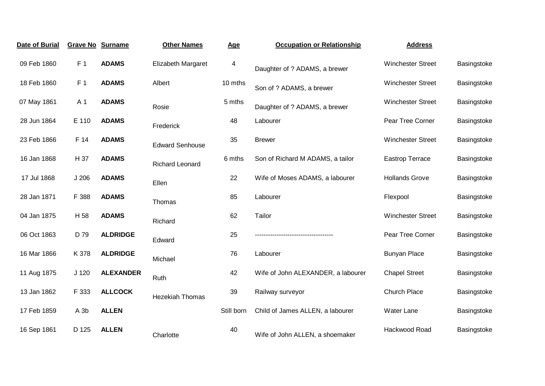| Date of Burial | <b>Grave No Surname</b> |                  | <b>Other Names</b>     | Age        | <b>Occupation or Relationship</b>  | <b>Address</b>           |             |
|----------------|-------------------------|------------------|------------------------|------------|------------------------------------|--------------------------|-------------|
| 09 Feb 1860    | F <sub>1</sub>          | <b>ADAMS</b>     | Elizabeth Margaret     | 4          | Daughter of ? ADAMS, a brewer      | <b>Winchester Street</b> | Basingstoke |
| 18 Feb 1860    | F <sub>1</sub>          | <b>ADAMS</b>     | Albert                 | 10 mths    | Son of ? ADAMS, a brewer           | <b>Winchester Street</b> | Basingstoke |
| 07 May 1861    | A 1                     | <b>ADAMS</b>     | Rosie                  | 5 mths     | Daughter of ? ADAMS, a brewer      | <b>Winchester Street</b> | Basingstoke |
| 28 Jun 1864    | E 110                   | <b>ADAMS</b>     | Frederick              | 48         | Labourer                           | Pear Tree Corner         | Basingstoke |
| 23 Feb 1866    | F 14                    | <b>ADAMS</b>     | <b>Edward Senhouse</b> | 35         | <b>Brewer</b>                      | <b>Winchester Street</b> | Basingstoke |
| 16 Jan 1868    | H 37                    | <b>ADAMS</b>     | <b>Richard Leonard</b> | 6 mths     | Son of Richard M ADAMS, a tailor   | <b>Eastrop Terrace</b>   | Basingstoke |
| 17 Jul 1868    | J <sub>206</sub>        | <b>ADAMS</b>     | Ellen                  | 22         | Wife of Moses ADAMS, a labourer    | <b>Hollands Grove</b>    | Basingstoke |
| 28 Jan 1871    | F 388                   | <b>ADAMS</b>     | Thomas                 | 85         | Labourer                           | Flexpool                 | Basingstoke |
| 04 Jan 1875    | H 58                    | <b>ADAMS</b>     | Richard                | 62         | Tailor                             | <b>Winchester Street</b> | Basingstoke |
| 06 Oct 1863    | D 79                    | <b>ALDRIDGE</b>  | Edward                 | 25         |                                    | Pear Tree Corner         | Basingstoke |
| 16 Mar 1866    | K 378                   | <b>ALDRIDGE</b>  | Michael                | 76         | Labourer                           | <b>Bunyan Place</b>      | Basingstoke |
| 11 Aug 1875    | J <sub>120</sub>        | <b>ALEXANDER</b> | Ruth                   | 42         | Wife of John ALEXANDER, a labourer | <b>Chapel Street</b>     | Basingstoke |
| 13 Jan 1862    | F 333                   | <b>ALLCOCK</b>   | <b>Hezekiah Thomas</b> | 39         | Railway surveyor                   | <b>Church Place</b>      | Basingstoke |
| 17 Feb 1859    | A 3b                    | <b>ALLEN</b>     |                        | Still born | Child of James ALLEN, a labourer   | <b>Water Lane</b>        | Basingstoke |
| 16 Sep 1861    | D 125                   | <b>ALLEN</b>     | Charlotte              | 40         | Wife of John ALLEN, a shoemaker    | Hackwood Road            | Basingstoke |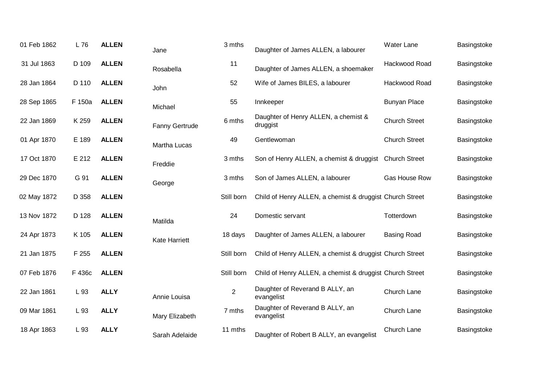| 01 Feb 1862 | L 76   | <b>ALLEN</b> | Jane                  | 3 mths         | Daughter of James ALLEN, a labourer                      | Water Lane           | Basingstoke |
|-------------|--------|--------------|-----------------------|----------------|----------------------------------------------------------|----------------------|-------------|
| 31 Jul 1863 | D 109  | <b>ALLEN</b> | Rosabella             | 11             | Daughter of James ALLEN, a shoemaker                     | Hackwood Road        | Basingstoke |
| 28 Jan 1864 | D 110  | <b>ALLEN</b> | John                  | 52             | Wife of James BILES, a labourer                          | Hackwood Road        | Basingstoke |
| 28 Sep 1865 | F 150a | <b>ALLEN</b> | Michael               | 55             | Innkeeper                                                | <b>Bunyan Place</b>  | Basingstoke |
| 22 Jan 1869 | K 259  | <b>ALLEN</b> | <b>Fanny Gertrude</b> | 6 mths         | Daughter of Henry ALLEN, a chemist &<br>druggist         | <b>Church Street</b> | Basingstoke |
| 01 Apr 1870 | E 189  | <b>ALLEN</b> | Martha Lucas          | 49             | Gentlewoman                                              | <b>Church Street</b> | Basingstoke |
| 17 Oct 1870 | E 212  | <b>ALLEN</b> | Freddie               | 3 mths         | Son of Henry ALLEN, a chemist & druggist Church Street   |                      | Basingstoke |
| 29 Dec 1870 | G 91   | <b>ALLEN</b> | George                | 3 mths         | Son of James ALLEN, a labourer                           | Gas House Row        | Basingstoke |
| 02 May 1872 | D 358  | <b>ALLEN</b> |                       | Still born     | Child of Henry ALLEN, a chemist & druggist Church Street |                      | Basingstoke |
| 13 Nov 1872 | D 128  | <b>ALLEN</b> | Matilda               | 24             | Domestic servant                                         | Totterdown           | Basingstoke |
| 24 Apr 1873 | K 105  | <b>ALLEN</b> | <b>Kate Harriett</b>  | 18 days        | Daughter of James ALLEN, a labourer                      | <b>Basing Road</b>   | Basingstoke |
| 21 Jan 1875 | F 255  | <b>ALLEN</b> |                       | Still born     | Child of Henry ALLEN, a chemist & druggist Church Street |                      | Basingstoke |
| 07 Feb 1876 | F 436c | <b>ALLEN</b> |                       | Still born     | Child of Henry ALLEN, a chemist & druggist Church Street |                      | Basingstoke |
| 22 Jan 1861 | L 93   | <b>ALLY</b>  | Annie Louisa          | $\overline{2}$ | Daughter of Reverand B ALLY, an<br>evangelist            | Church Lane          | Basingstoke |
| 09 Mar 1861 | L 93   | <b>ALLY</b>  | Mary Elizabeth        | 7 mths         | Daughter of Reverand B ALLY, an<br>evangelist            | Church Lane          | Basingstoke |
| 18 Apr 1863 | L 93   | <b>ALLY</b>  | Sarah Adelaide        | 11 mths        | Daughter of Robert B ALLY, an evangelist                 | Church Lane          | Basingstoke |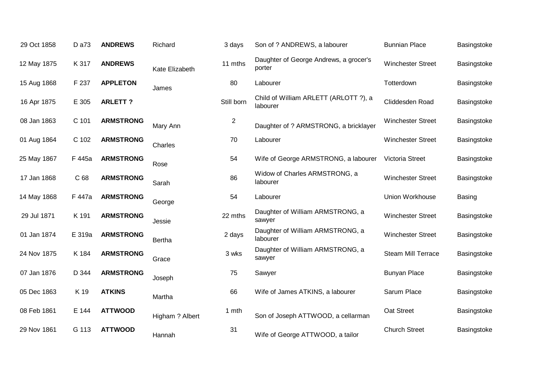| 29 Oct 1858 | D a73  | <b>ANDREWS</b>   | Richard         | 3 days     | Son of ? ANDREWS, a labourer                      | <b>Bunnian Place</b>      | Basingstoke |
|-------------|--------|------------------|-----------------|------------|---------------------------------------------------|---------------------------|-------------|
| 12 May 1875 | K 317  | <b>ANDREWS</b>   | Kate Elizabeth  | 11 mths    | Daughter of George Andrews, a grocer's<br>porter  | <b>Winchester Street</b>  | Basingstoke |
| 15 Aug 1868 | F 237  | <b>APPLETON</b>  | James           | 80         | Labourer                                          | Totterdown                | Basingstoke |
| 16 Apr 1875 | E 305  | <b>ARLETT?</b>   |                 | Still born | Child of William ARLETT (ARLOTT ?), a<br>labourer | Cliddesden Road           | Basingstoke |
| 08 Jan 1863 | C 101  | <b>ARMSTRONG</b> | Mary Ann        | 2          | Daughter of ? ARMSTRONG, a bricklayer             | <b>Winchester Street</b>  | Basingstoke |
| 01 Aug 1864 | C 102  | <b>ARMSTRONG</b> | Charles         | 70         | Labourer                                          | Winchester Street         | Basingstoke |
| 25 May 1867 | F 445a | <b>ARMSTRONG</b> | Rose            | 54         | Wife of George ARMSTRONG, a labourer              | <b>Victoria Street</b>    | Basingstoke |
| 17 Jan 1868 | C 68   | <b>ARMSTRONG</b> | Sarah           | 86         | Widow of Charles ARMSTRONG, a<br>labourer         | <b>Winchester Street</b>  | Basingstoke |
| 14 May 1868 | F 447a | <b>ARMSTRONG</b> | George          | 54         | Labourer                                          | Union Workhouse           | Basing      |
| 29 Jul 1871 | K 191  | <b>ARMSTRONG</b> | Jessie          | 22 mths    | Daughter of William ARMSTRONG, a<br>sawyer        | <b>Winchester Street</b>  | Basingstoke |
| 01 Jan 1874 | E 319a | <b>ARMSTRONG</b> | Bertha          | 2 days     | Daughter of William ARMSTRONG, a<br>labourer      | <b>Winchester Street</b>  | Basingstoke |
| 24 Nov 1875 | K 184  | <b>ARMSTRONG</b> | Grace           | 3 wks      | Daughter of William ARMSTRONG, a<br>sawyer        | <b>Steam Mill Terrace</b> | Basingstoke |
| 07 Jan 1876 | D 344  | <b>ARMSTRONG</b> | Joseph          | 75         | Sawyer                                            | <b>Bunyan Place</b>       | Basingstoke |
| 05 Dec 1863 | K 19   | <b>ATKINS</b>    | Martha          | 66         | Wife of James ATKINS, a labourer                  | Sarum Place               | Basingstoke |
| 08 Feb 1861 | E 144  | <b>ATTWOOD</b>   | Higham ? Albert | 1 mth      | Son of Joseph ATTWOOD, a cellarman                | Oat Street                | Basingstoke |
| 29 Nov 1861 | G 113  | <b>ATTWOOD</b>   | Hannah          | 31         | Wife of George ATTWOOD, a tailor                  | <b>Church Street</b>      | Basingstoke |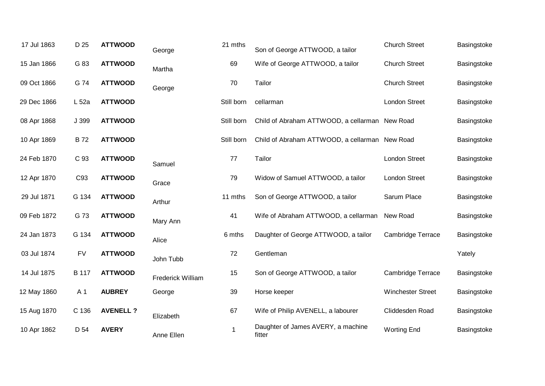| 17 Jul 1863 | D 25         | <b>ATTWOOD</b>   | George            | 21 mths    | Son of George ATTWOOD, a tailor                | <b>Church Street</b>     | Basingstoke |
|-------------|--------------|------------------|-------------------|------------|------------------------------------------------|--------------------------|-------------|
| 15 Jan 1866 | G 83         | <b>ATTWOOD</b>   | Martha            | 69         | Wife of George ATTWOOD, a tailor               | <b>Church Street</b>     | Basingstoke |
| 09 Oct 1866 | G 74         | <b>ATTWOOD</b>   | George            | 70         | Tailor                                         | <b>Church Street</b>     | Basingstoke |
| 29 Dec 1866 | L 52a        | <b>ATTWOOD</b>   |                   | Still born | cellarman                                      | <b>London Street</b>     | Basingstoke |
| 08 Apr 1868 | J 399        | <b>ATTWOOD</b>   |                   | Still born | Child of Abraham ATTWOOD, a cellarman New Road |                          | Basingstoke |
| 10 Apr 1869 | <b>B72</b>   | <b>ATTWOOD</b>   |                   | Still born | Child of Abraham ATTWOOD, a cellarman New Road |                          | Basingstoke |
| 24 Feb 1870 | C 93         | <b>ATTWOOD</b>   | Samuel            | 77         | Tailor                                         | <b>London Street</b>     | Basingstoke |
| 12 Apr 1870 | C93          | <b>ATTWOOD</b>   | Grace             | 79         | Widow of Samuel ATTWOOD, a tailor              | <b>London Street</b>     | Basingstoke |
| 29 Jul 1871 | G 134        | <b>ATTWOOD</b>   | Arthur            | 11 mths    | Son of George ATTWOOD, a tailor                | Sarum Place              | Basingstoke |
| 09 Feb 1872 | G 73         | <b>ATTWOOD</b>   | Mary Ann          | 41         | Wife of Abraham ATTWOOD, a cellarman           | New Road                 | Basingstoke |
| 24 Jan 1873 | G 134        | <b>ATTWOOD</b>   | Alice             | 6 mths     | Daughter of George ATTWOOD, a tailor           | Cambridge Terrace        | Basingstoke |
| 03 Jul 1874 | <b>FV</b>    | <b>ATTWOOD</b>   | John Tubb         | 72         | Gentleman                                      |                          | Yately      |
| 14 Jul 1875 | <b>B</b> 117 | <b>ATTWOOD</b>   | Frederick William | 15         | Son of George ATTWOOD, a tailor                | <b>Cambridge Terrace</b> | Basingstoke |
| 12 May 1860 | A 1          | <b>AUBREY</b>    | George            | 39         | Horse keeper                                   | <b>Winchester Street</b> | Basingstoke |
| 15 Aug 1870 | C 136        | <b>AVENELL ?</b> | Elizabeth         | 67         | Wife of Philip AVENELL, a labourer             | Cliddesden Road          | Basingstoke |
| 10 Apr 1862 | D 54         | <b>AVERY</b>     | Anne Ellen        | 1          | Daughter of James AVERY, a machine<br>fitter   | <b>Worting End</b>       | Basingstoke |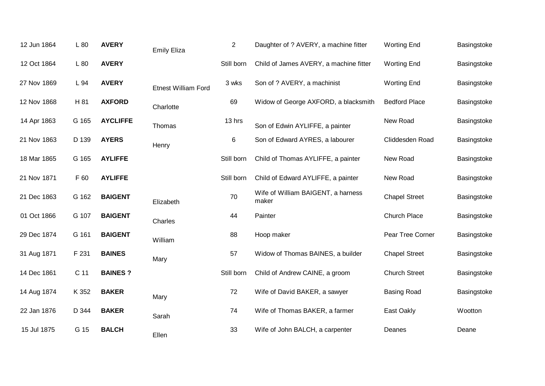| 12 Jun 1864 | L80             | <b>AVERY</b>    | <b>Emily Eliza</b>         | $\overline{2}$ | Daughter of ? AVERY, a machine fitter       | <b>Worting End</b>   | Basingstoke |
|-------------|-----------------|-----------------|----------------------------|----------------|---------------------------------------------|----------------------|-------------|
| 12 Oct 1864 | L 80            | <b>AVERY</b>    |                            | Still born     | Child of James AVERY, a machine fitter      | <b>Worting End</b>   | Basingstoke |
| 27 Nov 1869 | L 94            | <b>AVERY</b>    | <b>Etnest William Ford</b> | 3 wks          | Son of ? AVERY, a machinist                 | <b>Worting End</b>   | Basingstoke |
| 12 Nov 1868 | H 81            | <b>AXFORD</b>   | Charlotte                  | 69             | Widow of George AXFORD, a blacksmith        | <b>Bedford Place</b> | Basingstoke |
| 14 Apr 1863 | G 165           | <b>AYCLIFFE</b> | Thomas                     | 13 hrs         | Son of Edwin AYLIFFE, a painter             | New Road             | Basingstoke |
| 21 Nov 1863 | D 139           | <b>AYERS</b>    | Henry                      | 6              | Son of Edward AYRES, a labourer             | Cliddesden Road      | Basingstoke |
| 18 Mar 1865 | G 165           | <b>AYLIFFE</b>  |                            | Still born     | Child of Thomas AYLIFFE, a painter          | New Road             | Basingstoke |
| 21 Nov 1871 | F 60            | <b>AYLIFFE</b>  |                            | Still born     | Child of Edward AYLIFFE, a painter          | New Road             | Basingstoke |
| 21 Dec 1863 | G 162           | <b>BAIGENT</b>  | Elizabeth                  | 70             | Wife of William BAIGENT, a harness<br>maker | <b>Chapel Street</b> | Basingstoke |
| 01 Oct 1866 | G 107           | <b>BAIGENT</b>  | Charles                    | 44             | Painter                                     | Church Place         | Basingstoke |
| 29 Dec 1874 | G 161           | <b>BAIGENT</b>  | William                    | 88             | Hoop maker                                  | Pear Tree Corner     | Basingstoke |
| 31 Aug 1871 | F 231           | <b>BAINES</b>   | Mary                       | 57             | Widow of Thomas BAINES, a builder           | <b>Chapel Street</b> | Basingstoke |
| 14 Dec 1861 | C <sub>11</sub> | <b>BAINES?</b>  |                            | Still born     | Child of Andrew CAINE, a groom              | <b>Church Street</b> | Basingstoke |
| 14 Aug 1874 | K 352           | <b>BAKER</b>    | Mary                       | 72             | Wife of David BAKER, a sawyer               | <b>Basing Road</b>   | Basingstoke |
| 22 Jan 1876 | D 344           | <b>BAKER</b>    | Sarah                      | 74             | Wife of Thomas BAKER, a farmer              | East Oakly           | Wootton     |
| 15 Jul 1875 | G 15            | <b>BALCH</b>    | Ellen                      | 33             | Wife of John BALCH, a carpenter             | Deanes               | Deane       |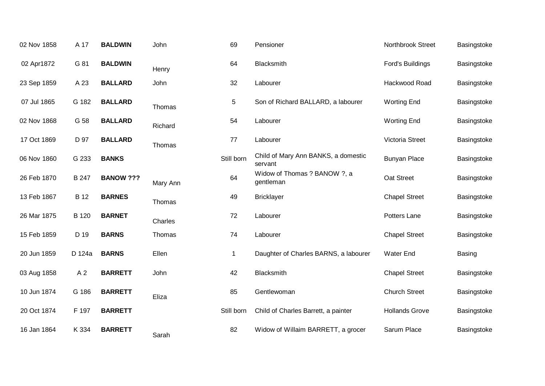| 02 Nov 1858 | A 17           | <b>BALDWIN</b>   | John     | 69         | Pensioner                                      | Northbrook Street     | Basingstoke   |
|-------------|----------------|------------------|----------|------------|------------------------------------------------|-----------------------|---------------|
| 02 Apr1872  | G 81           | <b>BALDWIN</b>   | Henry    | 64         | Blacksmith                                     | Ford's Buildings      | Basingstoke   |
| 23 Sep 1859 | A 23           | <b>BALLARD</b>   | John     | 32         | Labourer                                       | Hackwood Road         | Basingstoke   |
| 07 Jul 1865 | G 182          | <b>BALLARD</b>   | Thomas   | 5          | Son of Richard BALLARD, a labourer             | <b>Worting End</b>    | Basingstoke   |
| 02 Nov 1868 | G 58           | <b>BALLARD</b>   | Richard  | 54         | Labourer                                       | <b>Worting End</b>    | Basingstoke   |
| 17 Oct 1869 | D 97           | <b>BALLARD</b>   | Thomas   | 77         | Labourer                                       | Victoria Street       | Basingstoke   |
| 06 Nov 1860 | G 233          | <b>BANKS</b>     |          | Still born | Child of Mary Ann BANKS, a domestic<br>servant | <b>Bunyan Place</b>   | Basingstoke   |
| 26 Feb 1870 | B 247          | <b>BANOW ???</b> | Mary Ann | 64         | Widow of Thomas ? BANOW ?, a<br>gentleman      | Oat Street            | Basingstoke   |
| 13 Feb 1867 | <b>B</b> 12    | <b>BARNES</b>    | Thomas   | 49         | <b>Bricklayer</b>                              | <b>Chapel Street</b>  | Basingstoke   |
| 26 Mar 1875 | B 120          | <b>BARNET</b>    | Charles  | 72         | Labourer                                       | Potters Lane          | Basingstoke   |
| 15 Feb 1859 | D 19           | <b>BARNS</b>     | Thomas   | 74         | Labourer                                       | <b>Chapel Street</b>  | Basingstoke   |
| 20 Jun 1859 | D 124a         | <b>BARNS</b>     | Ellen    | 1          | Daughter of Charles BARNS, a labourer          | <b>Water End</b>      | <b>Basing</b> |
| 03 Aug 1858 | A <sub>2</sub> | <b>BARRETT</b>   | John     | 42         | Blacksmith                                     | <b>Chapel Street</b>  | Basingstoke   |
| 10 Jun 1874 | G 186          | <b>BARRETT</b>   | Eliza    | 85         | Gentlewoman                                    | <b>Church Street</b>  | Basingstoke   |
| 20 Oct 1874 | F 197          | <b>BARRETT</b>   |          | Still born | Child of Charles Barrett, a painter            | <b>Hollands Grove</b> | Basingstoke   |
| 16 Jan 1864 | K 334          | <b>BARRETT</b>   | Sarah    | 82         | Widow of Willaim BARRETT, a grocer             | Sarum Place           | Basingstoke   |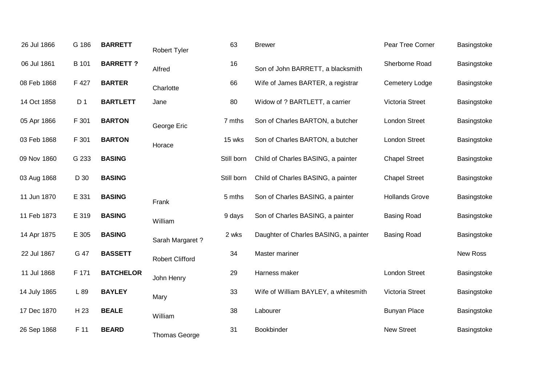| 26 Jul 1866  | G 186          | <b>BARRETT</b>   | Robert Tyler           | 63         | <b>Brewer</b>                         | Pear Tree Corner      | Basingstoke |
|--------------|----------------|------------------|------------------------|------------|---------------------------------------|-----------------------|-------------|
| 06 Jul 1861  | B 101          | <b>BARRETT?</b>  | Alfred                 | 16         | Son of John BARRETT, a blacksmith     | Sherborne Road        | Basingstoke |
| 08 Feb 1868  | F 427          | <b>BARTER</b>    | Charlotte              | 66         | Wife of James BARTER, a registrar     | <b>Cemetery Lodge</b> | Basingstoke |
| 14 Oct 1858  | D <sub>1</sub> | <b>BARTLETT</b>  | Jane                   | 80         | Widow of ? BARTLETT, a carrier        | Victoria Street       | Basingstoke |
| 05 Apr 1866  | F 301          | <b>BARTON</b>    | George Eric            | 7 mths     | Son of Charles BARTON, a butcher      | <b>London Street</b>  | Basingstoke |
| 03 Feb 1868  | F 301          | <b>BARTON</b>    | Horace                 | 15 wks     | Son of Charles BARTON, a butcher      | <b>London Street</b>  | Basingstoke |
| 09 Nov 1860  | G 233          | <b>BASING</b>    |                        | Still born | Child of Charles BASING, a painter    | <b>Chapel Street</b>  | Basingstoke |
| 03 Aug 1868  | D 30           | <b>BASING</b>    |                        | Still born | Child of Charles BASING, a painter    | <b>Chapel Street</b>  | Basingstoke |
| 11 Jun 1870  | E 331          | <b>BASING</b>    | Frank                  | 5 mths     | Son of Charles BASING, a painter      | <b>Hollands Grove</b> | Basingstoke |
| 11 Feb 1873  | E 319          | <b>BASING</b>    | William                | 9 days     | Son of Charles BASING, a painter      | <b>Basing Road</b>    | Basingstoke |
| 14 Apr 1875  | E 305          | <b>BASING</b>    | Sarah Margaret?        | 2 wks      | Daughter of Charles BASING, a painter | <b>Basing Road</b>    | Basingstoke |
| 22 Jul 1867  | G 47           | <b>BASSETT</b>   | <b>Robert Clifford</b> | 34         | Master mariner                        |                       | New Ross    |
| 11 Jul 1868  | F 171          | <b>BATCHELOR</b> | John Henry             | 29         | Harness maker                         | <b>London Street</b>  | Basingstoke |
| 14 July 1865 | L 89           | <b>BAYLEY</b>    | Mary                   | 33         | Wife of William BAYLEY, a whitesmith  | Victoria Street       | Basingstoke |
| 17 Dec 1870  | H 23           | <b>BEALE</b>     | William                | 38         | Labourer                              | <b>Bunyan Place</b>   | Basingstoke |
| 26 Sep 1868  | F 11           | <b>BEARD</b>     | <b>Thomas George</b>   | 31         | Bookbinder                            | <b>New Street</b>     | Basingstoke |
|              |                |                  |                        |            |                                       |                       |             |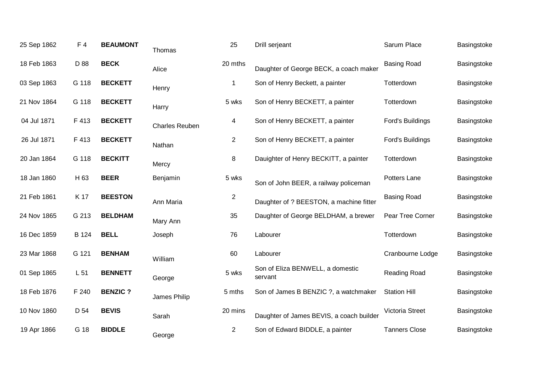| 25 Sep 1862 | F <sub>4</sub>  | <b>BEAUMONT</b> | Thomas                | 25             | Drill serjeant                              | Sarum Place          | Basingstoke |
|-------------|-----------------|-----------------|-----------------------|----------------|---------------------------------------------|----------------------|-------------|
| 18 Feb 1863 | D 88            | <b>BECK</b>     | Alice                 | 20 mths        | Daughter of George BECK, a coach maker      | <b>Basing Road</b>   | Basingstoke |
| 03 Sep 1863 | G 118           | <b>BECKETT</b>  | Henry                 | $\mathbf{1}$   | Son of Henry Beckett, a painter             | Totterdown           | Basingstoke |
| 21 Nov 1864 | G 118           | <b>BECKETT</b>  | Harry                 | 5 wks          | Son of Henry BECKETT, a painter             | Totterdown           | Basingstoke |
| 04 Jul 1871 | F 413           | <b>BECKETT</b>  | <b>Charles Reuben</b> | 4              | Son of Henry BECKETT, a painter             | Ford's Buildings     | Basingstoke |
| 26 Jul 1871 | F 413           | <b>BECKETT</b>  | Nathan                | $\overline{2}$ | Son of Henry BECKETT, a painter             | Ford's Buildings     | Basingstoke |
| 20 Jan 1864 | G 118           | <b>BECKITT</b>  | Mercy                 | 8              | Dauighter of Henry BECKITT, a painter       | Totterdown           | Basingstoke |
| 18 Jan 1860 | H 63            | <b>BEER</b>     | Benjamin              | 5 wks          | Son of John BEER, a railway policeman       | Potters Lane         | Basingstoke |
| 21 Feb 1861 | K 17            | <b>BEESTON</b>  | Ann Maria             | $\sqrt{2}$     | Daughter of ? BEESTON, a machine fitter     | <b>Basing Road</b>   | Basingstoke |
| 24 Nov 1865 | G 213           | <b>BELDHAM</b>  | Mary Ann              | 35             | Daughter of George BELDHAM, a brewer        | Pear Tree Corner     | Basingstoke |
| 16 Dec 1859 | B 124           | <b>BELL</b>     | Joseph                | 76             | Labourer                                    | Totterdown           | Basingstoke |
| 23 Mar 1868 | G 121           | <b>BENHAM</b>   | William               | 60             | Labourer                                    | Cranbourne Lodge     | Basingstoke |
| 01 Sep 1865 | L <sub>51</sub> | <b>BENNETT</b>  | George                | 5 wks          | Son of Eliza BENWELL, a domestic<br>servant | Reading Road         | Basingstoke |
| 18 Feb 1876 | F 240           | <b>BENZIC?</b>  | James Philip          | 5 mths         | Son of James B BENZIC ?, a watchmaker       | <b>Station Hill</b>  | Basingstoke |
| 10 Nov 1860 | D 54            | <b>BEVIS</b>    | Sarah                 | 20 mins        | Daughter of James BEVIS, a coach builder    | Victoria Street      | Basingstoke |
| 19 Apr 1866 | G 18            | <b>BIDDLE</b>   | George                | $\overline{2}$ | Son of Edward BIDDLE, a painter             | <b>Tanners Close</b> | Basingstoke |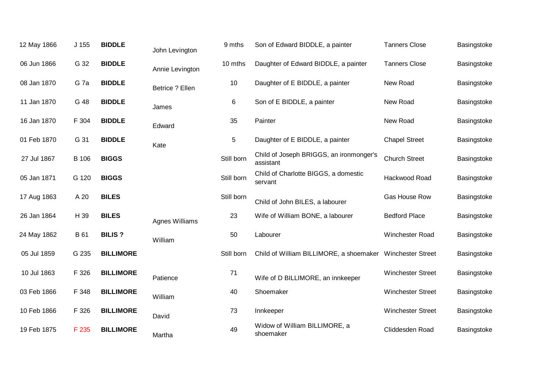| 12 May 1866 | J <sub>155</sub> | <b>BIDDLE</b>    | John Levington        | 9 mths     | Son of Edward BIDDLE, a painter                           | <b>Tanners Close</b>     | Basingstoke |
|-------------|------------------|------------------|-----------------------|------------|-----------------------------------------------------------|--------------------------|-------------|
| 06 Jun 1866 | G 32             | <b>BIDDLE</b>    | Annie Levington       | 10 mths    | Daughter of Edward BIDDLE, a painter                      | <b>Tanners Close</b>     | Basingstoke |
| 08 Jan 1870 | G <sub>7a</sub>  | <b>BIDDLE</b>    | Betrice ? Ellen       | 10         | Daughter of E BIDDLE, a painter                           | New Road                 | Basingstoke |
| 11 Jan 1870 | G 48             | <b>BIDDLE</b>    | James                 | 6          | Son of E BIDDLE, a painter                                | New Road                 | Basingstoke |
| 16 Jan 1870 | F 304            | <b>BIDDLE</b>    | Edward                | 35         | Painter                                                   | New Road                 | Basingstoke |
| 01 Feb 1870 | G 31             | <b>BIDDLE</b>    | Kate                  | 5          | Daughter of E BIDDLE, a painter                           | <b>Chapel Street</b>     | Basingstoke |
| 27 Jul 1867 | <b>B</b> 106     | <b>BIGGS</b>     |                       | Still born | Child of Joseph BRIGGS, an ironmonger's<br>assistant      | <b>Church Street</b>     | Basingstoke |
| 05 Jan 1871 | G 120            | <b>BIGGS</b>     |                       | Still born | Child of Charlotte BIGGS, a domestic<br>servant           | Hackwood Road            | Basingstoke |
| 17 Aug 1863 | A 20             | <b>BILES</b>     |                       | Still born | Child of John BILES, a labourer                           | Gas House Row            | Basingstoke |
| 26 Jan 1864 | H 39             | <b>BILES</b>     | <b>Agnes Williams</b> | 23         | Wife of William BONE, a labourer                          | <b>Bedford Place</b>     | Basingstoke |
| 24 May 1862 | B 61             | <b>BILIS?</b>    | William               | 50         | Labourer                                                  | Winchester Road          | Basingstoke |
| 05 Jul 1859 | G 235            | <b>BILLIMORE</b> |                       | Still born | Child of William BILLIMORE, a shoemaker Winchester Street |                          | Basingstoke |
| 10 Jul 1863 | F 326            | <b>BILLIMORE</b> | Patience              | 71         | Wife of D BILLIMORE, an innkeeper                         | <b>Winchester Street</b> | Basingstoke |
| 03 Feb 1866 | F 348            | <b>BILLIMORE</b> | William               | 40         | Shoemaker                                                 | <b>Winchester Street</b> | Basingstoke |
| 10 Feb 1866 | F 326            | <b>BILLIMORE</b> | David                 | 73         | Innkeeper                                                 | <b>Winchester Street</b> | Basingstoke |
| 19 Feb 1875 | F 235            | <b>BILLIMORE</b> | Martha                | 49         | Widow of William BILLIMORE, a<br>shoemaker                | Cliddesden Road          | Basingstoke |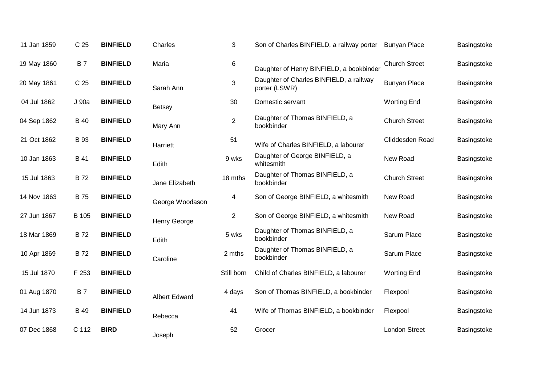| 11 Jan 1859 | C <sub>25</sub> | <b>BINFIELD</b> | Charles              | 3              | Son of Charles BINFIELD, a railway porter                | <b>Bunyan Place</b>  | Basingstoke |
|-------------|-----------------|-----------------|----------------------|----------------|----------------------------------------------------------|----------------------|-------------|
| 19 May 1860 | <b>B7</b>       | <b>BINFIELD</b> | Maria                | $\,6\,$        | Daughter of Henry BINFIELD, a bookbinder                 | <b>Church Street</b> | Basingstoke |
| 20 May 1861 | C <sub>25</sub> | <b>BINFIELD</b> | Sarah Ann            | 3              | Daughter of Charles BINFIELD, a railway<br>porter (LSWR) | <b>Bunyan Place</b>  | Basingstoke |
| 04 Jul 1862 | J 90a           | <b>BINFIELD</b> | <b>Betsey</b>        | 30             | Domestic servant                                         | <b>Worting End</b>   | Basingstoke |
| 04 Sep 1862 | <b>B</b> 40     | <b>BINFIELD</b> | Mary Ann             | $\overline{2}$ | Daughter of Thomas BINFIELD, a<br>bookbinder             | <b>Church Street</b> | Basingstoke |
| 21 Oct 1862 | <b>B</b> 93     | <b>BINFIELD</b> | Harriett             | 51             | Wife of Charles BINFIELD, a labourer                     | Cliddesden Road      | Basingstoke |
| 10 Jan 1863 | <b>B</b> 41     | <b>BINFIELD</b> | Edith                | 9 wks          | Daughter of George BINFIELD, a<br>whitesmith             | New Road             | Basingstoke |
| 15 Jul 1863 | <b>B72</b>      | <b>BINFIELD</b> | Jane Elizabeth       | 18 mths        | Daughter of Thomas BINFIELD, a<br>bookbinder             | <b>Church Street</b> | Basingstoke |
| 14 Nov 1863 | <b>B</b> 75     | <b>BINFIELD</b> | George Woodason      | 4              | Son of George BINFIELD, a whitesmith                     | New Road             | Basingstoke |
| 27 Jun 1867 | B 105           | <b>BINFIELD</b> | <b>Henry George</b>  | $\overline{2}$ | Son of George BINFIELD, a whitesmith                     | New Road             | Basingstoke |
| 18 Mar 1869 | <b>B72</b>      | <b>BINFIELD</b> | Edith                | 5 wks          | Daughter of Thomas BINFIELD, a<br>bookbinder             | Sarum Place          | Basingstoke |
| 10 Apr 1869 | <b>B72</b>      | <b>BINFIELD</b> | Caroline             | 2 mths         | Daughter of Thomas BINFIELD, a<br>bookbinder             | Sarum Place          | Basingstoke |
| 15 Jul 1870 | F 253           | <b>BINFIELD</b> |                      | Still born     | Child of Charles BINFIELD, a labourer                    | <b>Worting End</b>   | Basingstoke |
| 01 Aug 1870 | <b>B7</b>       | <b>BINFIELD</b> | <b>Albert Edward</b> | 4 days         | Son of Thomas BINFIELD, a bookbinder                     | Flexpool             | Basingstoke |
| 14 Jun 1873 | <b>B</b> 49     | <b>BINFIELD</b> | Rebecca              | 41             | Wife of Thomas BINFIELD, a bookbinder                    | Flexpool             | Basingstoke |
| 07 Dec 1868 | C 112           | <b>BIRD</b>     | Joseph               | 52             | Grocer                                                   | <b>London Street</b> | Basingstoke |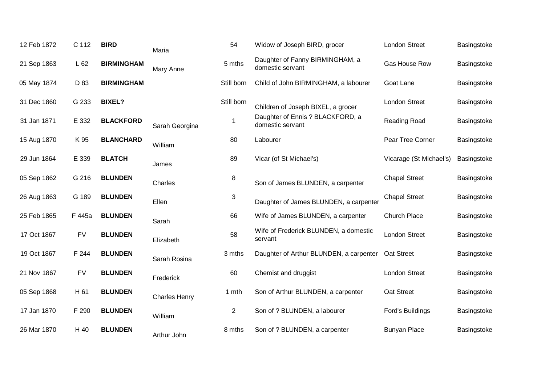| 12 Feb 1872 | C 112     | <b>BIRD</b>       | Maria                | 54             | Widow of Joseph BIRD, grocer                         | <b>London Street</b>    | Basingstoke |
|-------------|-----------|-------------------|----------------------|----------------|------------------------------------------------------|-------------------------|-------------|
| 21 Sep 1863 | L62       | <b>BIRMINGHAM</b> | Mary Anne            | 5 mths         | Daughter of Fanny BIRMINGHAM, a<br>domestic servant  | Gas House Row           | Basingstoke |
| 05 May 1874 | D 83      | <b>BIRMINGHAM</b> |                      | Still born     | Child of John BIRMINGHAM, a labourer                 | Goat Lane               | Basingstoke |
| 31 Dec 1860 | G 233     | <b>BIXEL?</b>     |                      | Still born     | Children of Joseph BIXEL, a grocer                   | <b>London Street</b>    | Basingstoke |
| 31 Jan 1871 | E 332     | <b>BLACKFORD</b>  | Sarah Georgina       |                | Daughter of Ennis ? BLACKFORD, a<br>domestic servant | Reading Road            | Basingstoke |
| 15 Aug 1870 | K 95      | <b>BLANCHARD</b>  | William              | 80             | Labourer                                             | Pear Tree Corner        | Basingstoke |
| 29 Jun 1864 | E 339     | <b>BLATCH</b>     | James                | 89             | Vicar (of St Michael's)                              | Vicarage (St Michael's) | Basingstoke |
| 05 Sep 1862 | G 216     | <b>BLUNDEN</b>    | Charles              | 8              | Son of James BLUNDEN, a carpenter                    | <b>Chapel Street</b>    | Basingstoke |
| 26 Aug 1863 | G 189     | <b>BLUNDEN</b>    | Ellen                | $\sqrt{3}$     | Daughter of James BLUNDEN, a carpenter               | <b>Chapel Street</b>    | Basingstoke |
| 25 Feb 1865 | F 445a    | <b>BLUNDEN</b>    | Sarah                | 66             | Wife of James BLUNDEN, a carpenter                   | Church Place            | Basingstoke |
| 17 Oct 1867 | <b>FV</b> | <b>BLUNDEN</b>    | Elizabeth            | 58             | Wife of Frederick BLUNDEN, a domestic<br>servant     | <b>London Street</b>    | Basingstoke |
| 19 Oct 1867 | F 244     | <b>BLUNDEN</b>    | Sarah Rosina         | 3 mths         | Daughter of Arthur BLUNDEN, a carpenter              | Oat Street              | Basingstoke |
| 21 Nov 1867 | <b>FV</b> | <b>BLUNDEN</b>    | Frederick            | 60             | Chemist and druggist                                 | <b>London Street</b>    | Basingstoke |
| 05 Sep 1868 | H 61      | <b>BLUNDEN</b>    | <b>Charles Henry</b> | 1 mth          | Son of Arthur BLUNDEN, a carpenter                   | Oat Street              | Basingstoke |
| 17 Jan 1870 | F 290     | <b>BLUNDEN</b>    | William              | $\overline{2}$ | Son of ? BLUNDEN, a labourer                         | Ford's Buildings        | Basingstoke |
| 26 Mar 1870 | H 40      | <b>BLUNDEN</b>    | Arthur John          | 8 mths         | Son of ? BLUNDEN, a carpenter                        | <b>Bunyan Place</b>     | Basingstoke |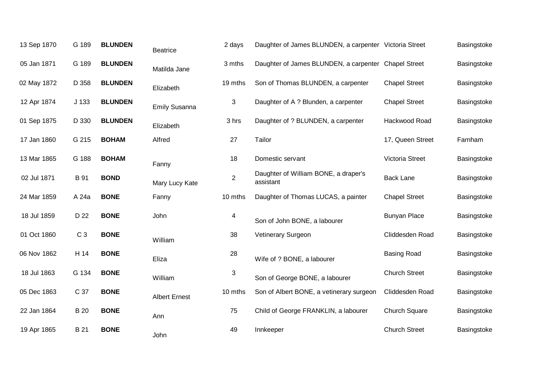| 13 Sep 1870 | G 189            | <b>BLUNDEN</b> | <b>Beatrice</b>      | 2 days         | Daughter of James BLUNDEN, a carpenter Victoria Street |                      | Basingstoke |
|-------------|------------------|----------------|----------------------|----------------|--------------------------------------------------------|----------------------|-------------|
| 05 Jan 1871 | G 189            | <b>BLUNDEN</b> | Matilda Jane         | 3 mths         | Daughter of James BLUNDEN, a carpenter Chapel Street   |                      | Basingstoke |
| 02 May 1872 | D 358            | <b>BLUNDEN</b> | Elizabeth            | 19 mths        | Son of Thomas BLUNDEN, a carpenter                     | <b>Chapel Street</b> | Basingstoke |
| 12 Apr 1874 | J <sub>133</sub> | <b>BLUNDEN</b> | <b>Emily Susanna</b> | 3              | Daughter of A? Blunden, a carpenter                    | <b>Chapel Street</b> | Basingstoke |
| 01 Sep 1875 | D 330            | <b>BLUNDEN</b> | Elizabeth            | 3 hrs          | Daughter of ? BLUNDEN, a carpenter                     | Hackwood Road        | Basingstoke |
| 17 Jan 1860 | G 215            | <b>BOHAM</b>   | Alfred               | 27             | Tailor                                                 | 17, Queen Street     | Farnham     |
| 13 Mar 1865 | G 188            | <b>BOHAM</b>   | Fanny                | 18             | Domestic servant                                       | Victoria Street      | Basingstoke |
| 02 Jul 1871 | B 91             | <b>BOND</b>    | Mary Lucy Kate       | $\overline{2}$ | Daughter of William BONE, a draper's<br>assistant      | <b>Back Lane</b>     | Basingstoke |
| 24 Mar 1859 | A 24a            | <b>BONE</b>    | Fanny                | 10 mths        | Daughter of Thomas LUCAS, a painter                    | <b>Chapel Street</b> | Basingstoke |
| 18 Jul 1859 | D 22             | <b>BONE</b>    | John                 | 4              | Son of John BONE, a labourer                           | <b>Bunyan Place</b>  | Basingstoke |
| 01 Oct 1860 | C <sub>3</sub>   | <b>BONE</b>    | William              | 38             | Vetinerary Surgeon                                     | Cliddesden Road      | Basingstoke |
| 06 Nov 1862 | H 14             | <b>BONE</b>    | Eliza                | 28             | Wife of ? BONE, a labourer                             | <b>Basing Road</b>   | Basingstoke |
| 18 Jul 1863 | G 134            | <b>BONE</b>    | William              | 3              | Son of George BONE, a labourer                         | <b>Church Street</b> | Basingstoke |
| 05 Dec 1863 | C 37             | <b>BONE</b>    | <b>Albert Ernest</b> | 10 mths        | Son of Albert BONE, a vetinerary surgeon               | Cliddesden Road      | Basingstoke |
| 22 Jan 1864 | <b>B</b> 20      | <b>BONE</b>    | Ann                  | 75             | Child of George FRANKLIN, a labourer                   | Church Square        | Basingstoke |
| 19 Apr 1865 | B 21             | <b>BONE</b>    | John                 | 49             | Innkeeper                                              | <b>Church Street</b> | Basingstoke |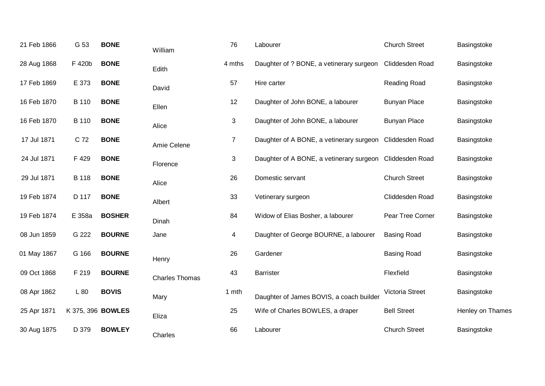| 21 Feb 1866 | G 53                     | <b>BONE</b>   | William               | 76             | Labourer                                                 | <b>Church Street</b>   | Basingstoke      |
|-------------|--------------------------|---------------|-----------------------|----------------|----------------------------------------------------------|------------------------|------------------|
| 28 Aug 1868 | F 420b                   | <b>BONE</b>   | Edith                 | 4 mths         | Daughter of ? BONE, a vetinerary surgeon                 | Cliddesden Road        | Basingstoke      |
| 17 Feb 1869 | E 373                    | <b>BONE</b>   | David                 | 57             | Hire carter                                              | Reading Road           | Basingstoke      |
| 16 Feb 1870 | <b>B</b> 110             | <b>BONE</b>   | Ellen                 | 12             | Daughter of John BONE, a labourer                        | <b>Bunyan Place</b>    | Basingstoke      |
| 16 Feb 1870 | <b>B</b> 110             | <b>BONE</b>   | Alice                 | 3              | Daughter of John BONE, a labourer                        | <b>Bunyan Place</b>    | Basingstoke      |
| 17 Jul 1871 | C 72                     | <b>BONE</b>   | Amie Celene           | $\overline{7}$ | Daughter of A BONE, a vetinerary surgeon                 | Cliddesden Road        | Basingstoke      |
| 24 Jul 1871 | F 429                    | <b>BONE</b>   | Florence              | 3              | Daughter of A BONE, a vetinerary surgeon Cliddesden Road |                        | Basingstoke      |
| 29 Jul 1871 | <b>B</b> 118             | <b>BONE</b>   | Alice                 | 26             | Domestic servant                                         | <b>Church Street</b>   | Basingstoke      |
| 19 Feb 1874 | D 117                    | <b>BONE</b>   | Albert                | 33             | Vetinerary surgeon                                       | Cliddesden Road        | Basingstoke      |
| 19 Feb 1874 | E 358a                   | <b>BOSHER</b> | Dinah                 | 84             | Widow of Elias Bosher, a labourer                        | Pear Tree Corner       | Basingstoke      |
| 08 Jun 1859 | G 222                    | <b>BOURNE</b> | Jane                  | 4              | Daughter of George BOURNE, a labourer                    | <b>Basing Road</b>     | Basingstoke      |
| 01 May 1867 | G 166                    | <b>BOURNE</b> | Henry                 | 26             | Gardener                                                 | <b>Basing Road</b>     | Basingstoke      |
| 09 Oct 1868 | F 219                    | <b>BOURNE</b> | <b>Charles Thomas</b> | 43             | <b>Barrister</b>                                         | Flexfield              | Basingstoke      |
| 08 Apr 1862 | L 80                     | <b>BOVIS</b>  | Mary                  | 1 mth          | Daughter of James BOVIS, a coach builder                 | <b>Victoria Street</b> | Basingstoke      |
| 25 Apr 1871 | K 375, 396 <b>BOWLES</b> |               | Eliza                 | 25             | Wife of Charles BOWLES, a draper                         | <b>Bell Street</b>     | Henley on Thames |
| 30 Aug 1875 | D 379                    | <b>BOWLEY</b> | Charles               | 66             | Labourer                                                 | <b>Church Street</b>   | Basingstoke      |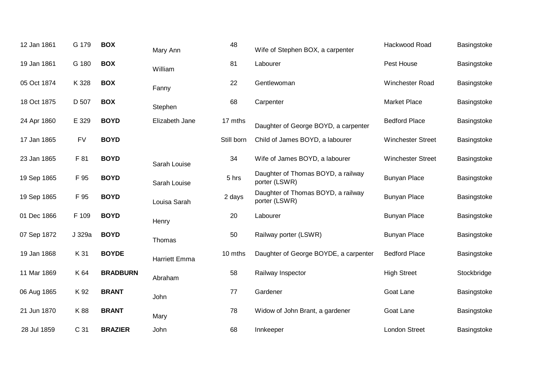| 12 Jan 1861 | G 179     | <b>BOX</b>      | Mary Ann             | 48         | Wife of Stephen BOX, a carpenter                    | Hackwood Road            | Basingstoke |
|-------------|-----------|-----------------|----------------------|------------|-----------------------------------------------------|--------------------------|-------------|
| 19 Jan 1861 | G 180     | <b>BOX</b>      | William              | 81         | Labourer                                            | Pest House               | Basingstoke |
| 05 Oct 1874 | K 328     | <b>BOX</b>      | Fanny                | 22         | Gentlewoman                                         | Winchester Road          | Basingstoke |
| 18 Oct 1875 | D 507     | <b>BOX</b>      | Stephen              | 68         | Carpenter                                           | <b>Market Place</b>      | Basingstoke |
| 24 Apr 1860 | E 329     | <b>BOYD</b>     | Elizabeth Jane       | 17 mths    | Daughter of George BOYD, a carpenter                | <b>Bedford Place</b>     | Basingstoke |
| 17 Jan 1865 | <b>FV</b> | <b>BOYD</b>     |                      | Still born | Child of James BOYD, a labourer                     | <b>Winchester Street</b> | Basingstoke |
| 23 Jan 1865 | F 81      | <b>BOYD</b>     | Sarah Louise         | 34         | Wife of James BOYD, a labourer                      | <b>Winchester Street</b> | Basingstoke |
| 19 Sep 1865 | F 95      | <b>BOYD</b>     | Sarah Louise         | 5 hrs      | Daughter of Thomas BOYD, a railway<br>porter (LSWR) | <b>Bunyan Place</b>      | Basingstoke |
| 19 Sep 1865 | F 95      | <b>BOYD</b>     | Louisa Sarah         | 2 days     | Daughter of Thomas BOYD, a railway<br>porter (LSWR) | <b>Bunyan Place</b>      | Basingstoke |
| 01 Dec 1866 | F 109     | <b>BOYD</b>     | Henry                | 20         | Labourer                                            | <b>Bunyan Place</b>      | Basingstoke |
| 07 Sep 1872 | J 329a    | <b>BOYD</b>     | Thomas               | 50         | Railway porter (LSWR)                               | <b>Bunyan Place</b>      | Basingstoke |
| 19 Jan 1868 | K 31      | <b>BOYDE</b>    | <b>Harriett Emma</b> | 10 mths    | Daughter of George BOYDE, a carpenter               | <b>Bedford Place</b>     | Basingstoke |
| 11 Mar 1869 | K 64      | <b>BRADBURN</b> | Abraham              | 58         | Railway Inspector                                   | <b>High Street</b>       | Stockbridge |
| 06 Aug 1865 | K 92      | <b>BRANT</b>    | John                 | 77         | Gardener                                            | Goat Lane                | Basingstoke |
| 21 Jun 1870 | K 88      | <b>BRANT</b>    | Mary                 | 78         | Widow of John Brant, a gardener                     | Goat Lane                | Basingstoke |
| 28 Jul 1859 | C 31      | <b>BRAZIER</b>  | John                 | 68         | Innkeeper                                           | <b>London Street</b>     | Basingstoke |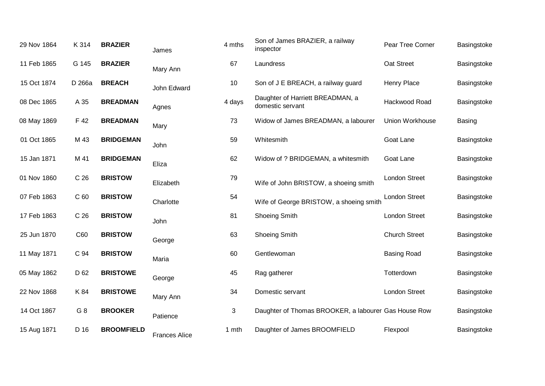| 29 Nov 1864 | K 314           | <b>BRAZIER</b>    | James                | 4 mths | Son of James BRAZIER, a railway<br>inspector         | Pear Tree Corner     | Basingstoke   |
|-------------|-----------------|-------------------|----------------------|--------|------------------------------------------------------|----------------------|---------------|
| 11 Feb 1865 | G 145           | <b>BRAZIER</b>    | Mary Ann             | 67     | Laundress                                            | Oat Street           | Basingstoke   |
| 15 Oct 1874 | D 266a          | <b>BREACH</b>     | John Edward          | 10     | Son of J E BREACH, a railway guard                   | Henry Place          | Basingstoke   |
| 08 Dec 1865 | A 35            | <b>BREADMAN</b>   | Agnes                | 4 days | Daughter of Harriett BREADMAN, a<br>domestic servant | Hackwood Road        | Basingstoke   |
| 08 May 1869 | F 42            | <b>BREADMAN</b>   | Mary                 | 73     | Widow of James BREADMAN, a labourer                  | Union Workhouse      | <b>Basing</b> |
| 01 Oct 1865 | M 43            | <b>BRIDGEMAN</b>  | John                 | 59     | Whitesmith                                           | Goat Lane            | Basingstoke   |
| 15 Jan 1871 | M 41            | <b>BRIDGEMAN</b>  | Eliza                | 62     | Widow of ? BRIDGEMAN, a whitesmith                   | Goat Lane            | Basingstoke   |
| 01 Nov 1860 | C <sub>26</sub> | <b>BRISTOW</b>    | Elizabeth            | 79     | Wife of John BRISTOW, a shoeing smith                | <b>London Street</b> | Basingstoke   |
| 07 Feb 1863 | C <sub>60</sub> | <b>BRISTOW</b>    | Charlotte            | 54     | Wife of George BRISTOW, a shoeing smith              | <b>London Street</b> | Basingstoke   |
| 17 Feb 1863 | C <sub>26</sub> | <b>BRISTOW</b>    | John                 | 81     | <b>Shoeing Smith</b>                                 | <b>London Street</b> | Basingstoke   |
| 25 Jun 1870 | C60             | <b>BRISTOW</b>    | George               | 63     | <b>Shoeing Smith</b>                                 | <b>Church Street</b> | Basingstoke   |
| 11 May 1871 | C 94            | <b>BRISTOW</b>    | Maria                | 60     | Gentlewoman                                          | <b>Basing Road</b>   | Basingstoke   |
| 05 May 1862 | D 62            | <b>BRISTOWE</b>   | George               | 45     | Rag gatherer                                         | Totterdown           | Basingstoke   |
| 22 Nov 1868 | K 84            | <b>BRISTOWE</b>   | Mary Ann             | 34     | Domestic servant                                     | <b>London Street</b> | Basingstoke   |
| 14 Oct 1867 | G <sub>8</sub>  | <b>BROOKER</b>    | Patience             | 3      | Daughter of Thomas BROOKER, a labourer Gas House Row |                      | Basingstoke   |
| 15 Aug 1871 | D 16            | <b>BROOMFIELD</b> | <b>Frances Alice</b> | 1 mth  | Daughter of James BROOMFIELD                         | Flexpool             | Basingstoke   |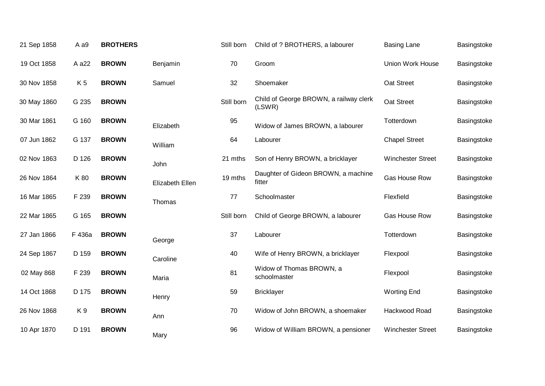| 21 Sep 1858 | A a9           | <b>BROTHERS</b> |                 | Still born | Child of ? BROTHERS, a labourer                  | <b>Basing Lane</b>       | Basingstoke |
|-------------|----------------|-----------------|-----------------|------------|--------------------------------------------------|--------------------------|-------------|
| 19 Oct 1858 | A a22          | <b>BROWN</b>    | Benjamin        | 70         | Groom                                            | <b>Union Work House</b>  | Basingstoke |
| 30 Nov 1858 | K <sub>5</sub> | <b>BROWN</b>    | Samuel          | 32         | Shoemaker                                        | Oat Street               | Basingstoke |
| 30 May 1860 | G 235          | <b>BROWN</b>    |                 | Still born | Child of George BROWN, a railway clerk<br>(LSWR) | Oat Street               | Basingstoke |
| 30 Mar 1861 | G 160          | <b>BROWN</b>    | Elizabeth       | 95         | Widow of James BROWN, a labourer                 | Totterdown               | Basingstoke |
| 07 Jun 1862 | G 137          | <b>BROWN</b>    | William         | 64         | Labourer                                         | <b>Chapel Street</b>     | Basingstoke |
| 02 Nov 1863 | D 126          | <b>BROWN</b>    | John            | 21 mths    | Son of Henry BROWN, a bricklayer                 | <b>Winchester Street</b> | Basingstoke |
| 26 Nov 1864 | K 80           | <b>BROWN</b>    | Elizabeth Ellen | 19 mths    | Daughter of Gideon BROWN, a machine<br>fitter    | <b>Gas House Row</b>     | Basingstoke |
| 16 Mar 1865 | F 239          | <b>BROWN</b>    | Thomas          | 77         | Schoolmaster                                     | Flexfield                | Basingstoke |
| 22 Mar 1865 | G 165          | <b>BROWN</b>    |                 | Still born | Child of George BROWN, a labourer                | Gas House Row            | Basingstoke |
| 27 Jan 1866 | F 436a         | <b>BROWN</b>    | George          | 37         | Labourer                                         | Totterdown               | Basingstoke |
| 24 Sep 1867 | D 159          | <b>BROWN</b>    | Caroline        | 40         | Wife of Henry BROWN, a bricklayer                | Flexpool                 | Basingstoke |
| 02 May 868  | F 239          | <b>BROWN</b>    | Maria           | 81         | Widow of Thomas BROWN, a<br>schoolmaster         | Flexpool                 | Basingstoke |
| 14 Oct 1868 | D 175          | <b>BROWN</b>    | Henry           | 59         | <b>Bricklayer</b>                                | <b>Worting End</b>       | Basingstoke |
| 26 Nov 1868 | K9             | <b>BROWN</b>    | Ann             | 70         | Widow of John BROWN, a shoemaker                 | Hackwood Road            | Basingstoke |
| 10 Apr 1870 | D 191          | <b>BROWN</b>    | Mary            | 96         | Widow of William BROWN, a pensioner              | <b>Winchester Street</b> | Basingstoke |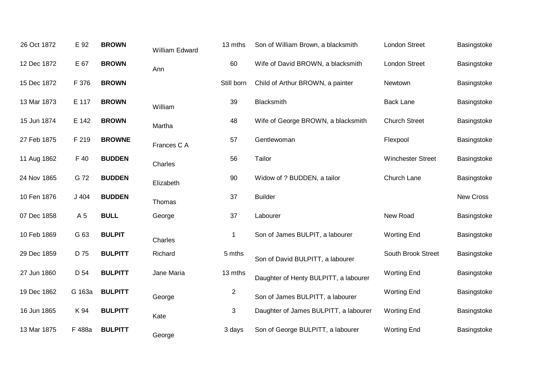| 26 Oct 1872 | E 92   | <b>BROWN</b>   | William Edward | 13 mths        | Son of William Brown, a blacksmith    | London Street            | Basingstoke      |
|-------------|--------|----------------|----------------|----------------|---------------------------------------|--------------------------|------------------|
| 12 Dec 1872 | E 67   | <b>BROWN</b>   | Ann            | 60             | Wife of David BROWN, a blacksmith     | <b>London Street</b>     | Basingstoke      |
| 15 Dec 1872 | F 376  | <b>BROWN</b>   |                | Still born     | Child of Arthur BROWN, a painter      | Newtown                  | Basingstoke      |
| 13 Mar 1873 | E 117  | <b>BROWN</b>   | William        | 39             | Blacksmith                            | <b>Back Lane</b>         | Basingstoke      |
| 15 Jun 1874 | E 142  | <b>BROWN</b>   | Martha         | 48             | Wife of George BROWN, a blacksmith    | <b>Church Street</b>     | Basingstoke      |
| 27 Feb 1875 | F 219  | <b>BROWNE</b>  | Frances C A    | 57             | Gentlewoman                           | Flexpool                 | Basingstoke      |
| 11 Aug 1862 | F 40   | <b>BUDDEN</b>  | Charles        | 56             | Tailor                                | <b>Winchester Street</b> | Basingstoke      |
| 24 Nov 1865 | G 72   | <b>BUDDEN</b>  | Elizabeth      | 90             | Widow of ? BUDDEN, a tailor           | Church Lane              | Basingstoke      |
| 10 Fen 1876 | J 404  | <b>BUDDEN</b>  | Thomas         | 37             | <b>Builder</b>                        |                          | <b>New Cross</b> |
| 07 Dec 1858 | A 5    | <b>BULL</b>    | George         | 37             | Labourer                              | New Road                 | Basingstoke      |
| 10 Feb 1869 | G 63   | <b>BULPIT</b>  | Charles        | $\mathbf 1$    | Son of James BULPIT, a labourer       | <b>Worting End</b>       | Basingstoke      |
| 29 Dec 1859 | D 75   | <b>BULPITT</b> | Richard        | 5 mths         | Son of David BULPITT, a labourer      | South Brook Street       | Basingstoke      |
| 27 Jun 1860 | D 54   | <b>BULPITT</b> | Jane Maria     | 13 mths        | Daughter of Henty BULPITT, a labourer | <b>Worting End</b>       | Basingstoke      |
| 19 Dec 1862 | G 163a | <b>BULPITT</b> | George         | $\overline{c}$ | Son of James BULPITT, a labourer      | <b>Worting End</b>       | Basingstoke      |
| 16 Jun 1865 | K 94   | <b>BULPITT</b> | Kate           | 3              | Daughter of James BULPITT, a labourer | <b>Worting End</b>       | Basingstoke      |
| 13 Mar 1875 | F 488a | <b>BULPITT</b> | George         | 3 days         | Son of George BULPITT, a labourer     | <b>Worting End</b>       | Basingstoke      |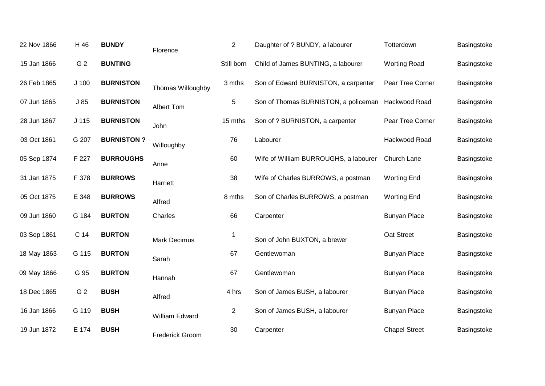| 22 Nov 1866 | H 46             | <b>BUNDY</b>      | Florence               | $\overline{2}$ | Daughter of ? BUNDY, a labourer                    | Totterdown           | Basingstoke |
|-------------|------------------|-------------------|------------------------|----------------|----------------------------------------------------|----------------------|-------------|
| 15 Jan 1866 | G <sub>2</sub>   | <b>BUNTING</b>    |                        | Still born     | Child of James BUNTING, a labourer                 | <b>Worting Road</b>  | Basingstoke |
| 26 Feb 1865 | J <sub>100</sub> | <b>BURNISTON</b>  | Thomas Willoughby      | 3 mths         | Son of Edward BURNISTON, a carpenter               | Pear Tree Corner     | Basingstoke |
| 07 Jun 1865 | J85              | <b>BURNISTON</b>  | Albert Tom             | 5              | Son of Thomas BURNISTON, a policeman Hackwood Road |                      | Basingstoke |
| 28 Jun 1867 | J <sub>115</sub> | <b>BURNISTON</b>  | John                   | 15 mths        | Son of ? BURNISTON, a carpenter                    | Pear Tree Corner     | Basingstoke |
| 03 Oct 1861 | G 207            | <b>BURNISTON?</b> | Willoughby             | 76             | Labourer                                           | Hackwood Road        | Basingstoke |
| 05 Sep 1874 | F 227            | <b>BURROUGHS</b>  | Anne                   | 60             | Wife of William BURROUGHS, a labourer              | Church Lane          | Basingstoke |
| 31 Jan 1875 | F 378            | <b>BURROWS</b>    | Harriett               | 38             | Wife of Charles BURROWS, a postman                 | <b>Worting End</b>   | Basingstoke |
| 05 Oct 1875 | E 348            | <b>BURROWS</b>    | Alfred                 | 8 mths         | Son of Charles BURROWS, a postman                  | <b>Worting End</b>   | Basingstoke |
| 09 Jun 1860 | G 184            | <b>BURTON</b>     | Charles                | 66             | Carpenter                                          | <b>Bunyan Place</b>  | Basingstoke |
| 03 Sep 1861 | C 14             | <b>BURTON</b>     | <b>Mark Decimus</b>    | $\mathbf 1$    | Son of John BUXTON, a brewer                       | Oat Street           | Basingstoke |
| 18 May 1863 | G 115            | <b>BURTON</b>     | Sarah                  | 67             | Gentlewoman                                        | <b>Bunyan Place</b>  | Basingstoke |
| 09 May 1866 | G 95             | <b>BURTON</b>     | Hannah                 | 67             | Gentlewoman                                        | <b>Bunyan Place</b>  | Basingstoke |
| 18 Dec 1865 | G <sub>2</sub>   | <b>BUSH</b>       | Alfred                 | 4 hrs          | Son of James BUSH, a labourer                      | <b>Bunyan Place</b>  | Basingstoke |
| 16 Jan 1866 | G 119            | <b>BUSH</b>       | William Edward         | $\overline{2}$ | Son of James BUSH, a labourer                      | <b>Bunyan Place</b>  | Basingstoke |
| 19 Jun 1872 | E 174            | <b>BUSH</b>       | <b>Frederick Groom</b> | 30             | Carpenter                                          | <b>Chapel Street</b> | Basingstoke |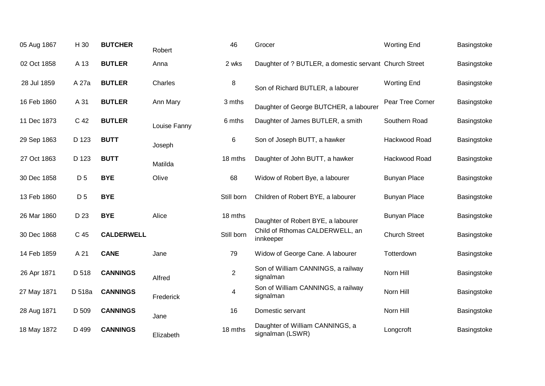| 05 Aug 1867 | H 30           | <b>BUTCHER</b>    | Robert       | 46             | Grocer                                                 | <b>Worting End</b>   | Basingstoke |
|-------------|----------------|-------------------|--------------|----------------|--------------------------------------------------------|----------------------|-------------|
| 02 Oct 1858 | A 13           | <b>BUTLER</b>     | Anna         | 2 wks          | Daughter of ? BUTLER, a domestic servant Church Street |                      | Basingstoke |
| 28 Jul 1859 | A 27a          | <b>BUTLER</b>     | Charles      | 8              | Son of Richard BUTLER, a labourer                      | <b>Worting End</b>   | Basingstoke |
| 16 Feb 1860 | A 31           | <b>BUTLER</b>     | Ann Mary     | 3 mths         | Daughter of George BUTCHER, a labourer                 | Pear Tree Corner     | Basingstoke |
| 11 Dec 1873 | C 42           | <b>BUTLER</b>     | Louise Fanny | 6 mths         | Daughter of James BUTLER, a smith                      | Southern Road        | Basingstoke |
| 29 Sep 1863 | D 123          | <b>BUTT</b>       | Joseph       | 6              | Son of Joseph BUTT, a hawker                           | Hackwood Road        | Basingstoke |
| 27 Oct 1863 | D 123          | <b>BUTT</b>       | Matilda      | 18 mths        | Daughter of John BUTT, a hawker                        | Hackwood Road        | Basingstoke |
| 30 Dec 1858 | D <sub>5</sub> | <b>BYE</b>        | Olive        | 68             | Widow of Robert Bye, a labourer                        | <b>Bunyan Place</b>  | Basingstoke |
| 13 Feb 1860 | D <sub>5</sub> | <b>BYE</b>        |              | Still born     | Children of Robert BYE, a labourer                     | <b>Bunyan Place</b>  | Basingstoke |
| 26 Mar 1860 | D 23           | <b>BYE</b>        | Alice        | 18 mths        | Daughter of Robert BYE, a labourer                     | <b>Bunyan Place</b>  | Basingstoke |
| 30 Dec 1868 | C 45           | <b>CALDERWELL</b> |              | Still born     | Child of Rthomas CALDERWELL, an<br>innkeeper           | <b>Church Street</b> | Basingstoke |
| 14 Feb 1859 | A 21           | <b>CANE</b>       | Jane         | 79             | Widow of George Cane. A labourer                       | Totterdown           | Basingstoke |
| 26 Apr 1871 | D 518          | <b>CANNINGS</b>   | Alfred       | $\overline{2}$ | Son of William CANNINGS, a railway<br>signalman        | Norn Hill            | Basingstoke |
| 27 May 1871 | D 518a         | <b>CANNINGS</b>   | Frederick    | 4              | Son of William CANNINGS, a railway<br>signalman        | Norn Hill            | Basingstoke |
| 28 Aug 1871 | D 509          | <b>CANNINGS</b>   | Jane         | 16             | Domestic servant                                       | Norn Hill            | Basingstoke |
| 18 May 1872 | D 499          | <b>CANNINGS</b>   | Elizabeth    | 18 mths        | Daughter of William CANNINGS, a<br>signalman (LSWR)    | Longcroft            | Basingstoke |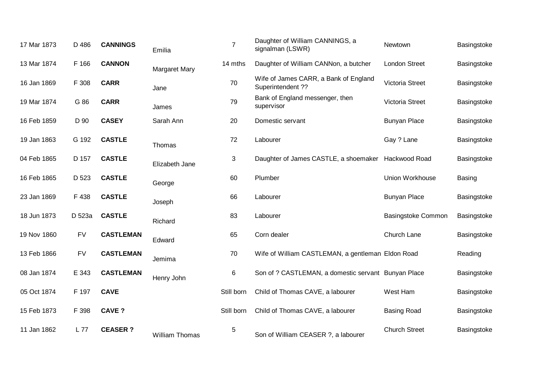| 17 Mar 1873 | D 486     | <b>CANNINGS</b>  | Emilia                | $\overline{7}$ | Daughter of William CANNINGS, a<br>signalman (LSWR)        | Newtown                   | Basingstoke |
|-------------|-----------|------------------|-----------------------|----------------|------------------------------------------------------------|---------------------------|-------------|
| 13 Mar 1874 | F 166     | <b>CANNON</b>    | Margaret Mary         | 14 mths        | Daughter of William CANNon, a butcher                      | <b>London Street</b>      | Basingstoke |
| 16 Jan 1869 | F 308     | <b>CARR</b>      | Jane                  | 70             | Wife of James CARR, a Bank of England<br>Superintendent ?? | <b>Victoria Street</b>    | Basingstoke |
| 19 Mar 1874 | G 86      | <b>CARR</b>      | James                 | 79             | Bank of England messenger, then<br>supervisor              | <b>Victoria Street</b>    | Basingstoke |
| 16 Feb 1859 | D 90      | <b>CASEY</b>     | Sarah Ann             | 20             | Domestic servant                                           | <b>Bunyan Place</b>       | Basingstoke |
| 19 Jan 1863 | G 192     | <b>CASTLE</b>    | Thomas                | 72             | Labourer                                                   | Gay ? Lane                | Basingstoke |
| 04 Feb 1865 | D 157     | <b>CASTLE</b>    | Elizabeth Jane        | 3              | Daughter of James CASTLE, a shoemaker Hackwood Road        |                           | Basingstoke |
| 16 Feb 1865 | D 523     | <b>CASTLE</b>    | George                | 60             | Plumber                                                    | Union Workhouse           | Basing      |
| 23 Jan 1869 | F 438     | <b>CASTLE</b>    | Joseph                | 66             | Labourer                                                   | <b>Bunyan Place</b>       | Basingstoke |
| 18 Jun 1873 | D 523a    | <b>CASTLE</b>    | Richard               | 83             | Labourer                                                   | <b>Basingstoke Common</b> | Basingstoke |
| 19 Nov 1860 | <b>FV</b> | <b>CASTLEMAN</b> | Edward                | 65             | Corn dealer                                                | Church Lane               | Basingstoke |
| 13 Feb 1866 | <b>FV</b> | <b>CASTLEMAN</b> | Jemima                | 70             | Wife of William CASTLEMAN, a gentleman Eldon Road          |                           | Reading     |
| 08 Jan 1874 | E 343     | <b>CASTLEMAN</b> | Henry John            | 6              | Son of ? CASTLEMAN, a domestic servant Bunyan Place        |                           | Basingstoke |
| 05 Oct 1874 | F 197     | <b>CAVE</b>      |                       | Still born     | Child of Thomas CAVE, a labourer                           | West Ham                  | Basingstoke |
| 15 Feb 1873 | F 398     | <b>CAVE?</b>     |                       | Still born     | Child of Thomas CAVE, a labourer                           | <b>Basing Road</b>        | Basingstoke |
| 11 Jan 1862 | L 77      | <b>CEASER?</b>   | <b>William Thomas</b> | $\sqrt{5}$     | Son of William CEASER ?, a labourer                        | <b>Church Street</b>      | Basingstoke |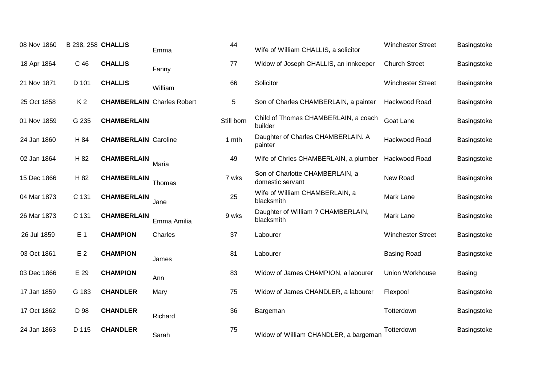| 08 Nov 1860 | <b>B 238, 258 CHALLIS</b> |                                   | Emma        | 44         | Wife of William CHALLIS, a solicitor                | <b>Winchester Street</b> | Basingstoke |
|-------------|---------------------------|-----------------------------------|-------------|------------|-----------------------------------------------------|--------------------------|-------------|
| 18 Apr 1864 | C 46                      | <b>CHALLIS</b>                    | Fanny       | 77         | Widow of Joseph CHALLIS, an innkeeper               | <b>Church Street</b>     | Basingstoke |
| 21 Nov 1871 | D 101                     | <b>CHALLIS</b>                    | William     | 66         | Solicitor                                           | <b>Winchester Street</b> | Basingstoke |
| 25 Oct 1858 | K <sub>2</sub>            | <b>CHAMBERLAIN</b> Charles Robert |             | 5          | Son of Charles CHAMBERLAIN, a painter               | Hackwood Road            | Basingstoke |
| 01 Nov 1859 | G 235                     | <b>CHAMBERLAIN</b>                |             | Still born | Child of Thomas CHAMBERLAIN, a coach<br>builder     | Goat Lane                | Basingstoke |
| 24 Jan 1860 | H 84                      | <b>CHAMBERLAIN Caroline</b>       |             | 1 mth      | Daughter of Charles CHAMBERLAIN. A<br>painter       | Hackwood Road            | Basingstoke |
| 02 Jan 1864 | H 82                      | <b>CHAMBERLAIN</b>                | Maria       | 49         | Wife of Chrles CHAMBERLAIN, a plumber               | Hackwood Road            | Basingstoke |
| 15 Dec 1866 | H 82                      | <b>CHAMBERLAIN</b>                | Thomas      | 7 wks      | Son of Charlotte CHAMBERLAIN, a<br>domestic servant | New Road                 | Basingstoke |
| 04 Mar 1873 | C 131                     | <b>CHAMBERLAIN</b>                | Jane        | 25         | Wife of William CHAMBERLAIN, a<br>blacksmith        | Mark Lane                | Basingstoke |
| 26 Mar 1873 | C 131                     | <b>CHAMBERLAIN</b>                | Emma Amilia | 9 wks      | Daughter of William ? CHAMBERLAIN,<br>blacksmith    | Mark Lane                | Basingstoke |
| 26 Jul 1859 | E 1                       | <b>CHAMPION</b>                   | Charles     | 37         | Labourer                                            | <b>Winchester Street</b> | Basingstoke |
| 03 Oct 1861 | E <sub>2</sub>            | <b>CHAMPION</b>                   | James       | 81         | Labourer                                            | <b>Basing Road</b>       | Basingstoke |
| 03 Dec 1866 | E 29                      | <b>CHAMPION</b>                   | Ann         | 83         | Widow of James CHAMPION, a labourer                 | Union Workhouse          | Basing      |
| 17 Jan 1859 | G 183                     | <b>CHANDLER</b>                   | Mary        | 75         | Widow of James CHANDLER, a labourer                 | Flexpool                 | Basingstoke |
| 17 Oct 1862 | D 98                      | <b>CHANDLER</b>                   | Richard     | 36         | Bargeman                                            | Totterdown               | Basingstoke |
| 24 Jan 1863 | D 115                     | <b>CHANDLER</b>                   | Sarah       | 75         | Widow of William CHANDLER, a bargeman               | Totterdown               | Basingstoke |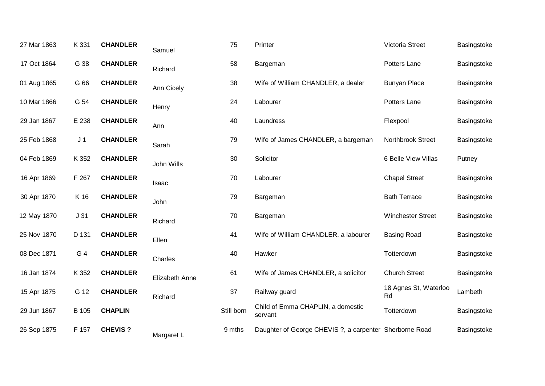| 27 Mar 1863 | K 331           | <b>CHANDLER</b> | Samuel         | 75         | Printer                                                 | Victoria Street             | Basingstoke |
|-------------|-----------------|-----------------|----------------|------------|---------------------------------------------------------|-----------------------------|-------------|
| 17 Oct 1864 | G 38            | <b>CHANDLER</b> | Richard        | 58         | Bargeman                                                | Potters Lane                | Basingstoke |
| 01 Aug 1865 | G 66            | <b>CHANDLER</b> | Ann Cicely     | 38         | Wife of William CHANDLER, a dealer                      | <b>Bunyan Place</b>         | Basingstoke |
| 10 Mar 1866 | G 54            | <b>CHANDLER</b> | Henry          | 24         | Labourer                                                | Potters Lane                | Basingstoke |
| 29 Jan 1867 | E 238           | <b>CHANDLER</b> | Ann            | 40         | Laundress                                               | Flexpool                    | Basingstoke |
| 25 Feb 1868 | J <sub>1</sub>  | <b>CHANDLER</b> | Sarah          | 79         | Wife of James CHANDLER, a bargeman                      | Northbrook Street           | Basingstoke |
| 04 Feb 1869 | K 352           | <b>CHANDLER</b> | John Wills     | 30         | Solicitor                                               | 6 Belle View Villas         | Putney      |
| 16 Apr 1869 | F 267           | <b>CHANDLER</b> | Isaac          | 70         | Labourer                                                | <b>Chapel Street</b>        | Basingstoke |
| 30 Apr 1870 | K 16            | <b>CHANDLER</b> | John           | 79         | Bargeman                                                | <b>Bath Terrace</b>         | Basingstoke |
| 12 May 1870 | J <sub>31</sub> | <b>CHANDLER</b> | Richard        | 70         | Bargeman                                                | <b>Winchester Street</b>    | Basingstoke |
| 25 Nov 1870 | D 131           | <b>CHANDLER</b> | Ellen          | 41         | Wife of William CHANDLER, a labourer                    | <b>Basing Road</b>          | Basingstoke |
| 08 Dec 1871 | G 4             | <b>CHANDLER</b> | Charles        | 40         | Hawker                                                  | Totterdown                  | Basingstoke |
| 16 Jan 1874 | K 352           | <b>CHANDLER</b> | Elizabeth Anne | 61         | Wife of James CHANDLER, a solicitor                     | <b>Church Street</b>        | Basingstoke |
| 15 Apr 1875 | G 12            | <b>CHANDLER</b> | Richard        | 37         | Railway guard                                           | 18 Agnes St, Waterloo<br>Rd | Lambeth     |
| 29 Jun 1867 | B 105           | <b>CHAPLIN</b>  |                | Still born | Child of Emma CHAPLIN, a domestic<br>servant            | Totterdown                  | Basingstoke |
| 26 Sep 1875 | F 157           | <b>CHEVIS?</b>  | Margaret L     | 9 mths     | Daughter of George CHEVIS ?, a carpenter Sherborne Road |                             | Basingstoke |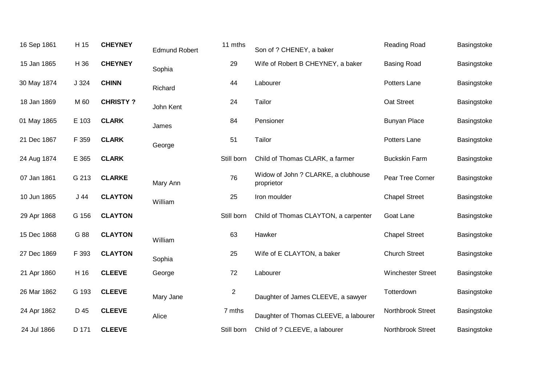| 16 Sep 1861 | H 15  | <b>CHEYNEY</b>  | <b>Edmund Robert</b> | 11 mths          | Son of ? CHENEY, a baker                          | Reading Road             | Basingstoke |
|-------------|-------|-----------------|----------------------|------------------|---------------------------------------------------|--------------------------|-------------|
| 15 Jan 1865 | H 36  | <b>CHEYNEY</b>  | Sophia               | 29               | Wife of Robert B CHEYNEY, a baker                 | <b>Basing Road</b>       | Basingstoke |
| 30 May 1874 | J 324 | <b>CHINN</b>    | Richard              | 44               | Labourer                                          | Potters Lane             | Basingstoke |
| 18 Jan 1869 | M 60  | <b>CHRISTY?</b> | John Kent            | 24               | Tailor                                            | Oat Street               | Basingstoke |
| 01 May 1865 | E 103 | <b>CLARK</b>    | James                | 84               | Pensioner                                         | <b>Bunyan Place</b>      | Basingstoke |
| 21 Dec 1867 | F 359 | <b>CLARK</b>    | George               | 51               | Tailor                                            | Potters Lane             | Basingstoke |
| 24 Aug 1874 | E 365 | <b>CLARK</b>    |                      | Still born       | Child of Thomas CLARK, a farmer                   | <b>Buckskin Farm</b>     | Basingstoke |
| 07 Jan 1861 | G 213 | <b>CLARKE</b>   | Mary Ann             | 76               | Widow of John ? CLARKE, a clubhouse<br>proprietor | Pear Tree Corner         | Basingstoke |
| 10 Jun 1865 | J 44  | <b>CLAYTON</b>  | William              | 25               | Iron moulder                                      | <b>Chapel Street</b>     | Basingstoke |
| 29 Apr 1868 | G 156 | <b>CLAYTON</b>  |                      | Still born       | Child of Thomas CLAYTON, a carpenter              | Goat Lane                | Basingstoke |
| 15 Dec 1868 | G 88  | <b>CLAYTON</b>  | William              | 63               | Hawker                                            | <b>Chapel Street</b>     | Basingstoke |
| 27 Dec 1869 | F 393 | <b>CLAYTON</b>  | Sophia               | 25               | Wife of E CLAYTON, a baker                        | <b>Church Street</b>     | Basingstoke |
| 21 Apr 1860 | H 16  | <b>CLEEVE</b>   | George               | 72               | Labourer                                          | <b>Winchester Street</b> | Basingstoke |
| 26 Mar 1862 | G 193 | <b>CLEEVE</b>   | Mary Jane            | $\boldsymbol{2}$ | Daughter of James CLEEVE, a sawyer                | Totterdown               | Basingstoke |
| 24 Apr 1862 | D 45  | <b>CLEEVE</b>   | Alice                | 7 mths           | Daughter of Thomas CLEEVE, a labourer             | Northbrook Street        | Basingstoke |
| 24 Jul 1866 | D 171 | <b>CLEEVE</b>   |                      | Still born       | Child of ? CLEEVE, a labourer                     | Northbrook Street        | Basingstoke |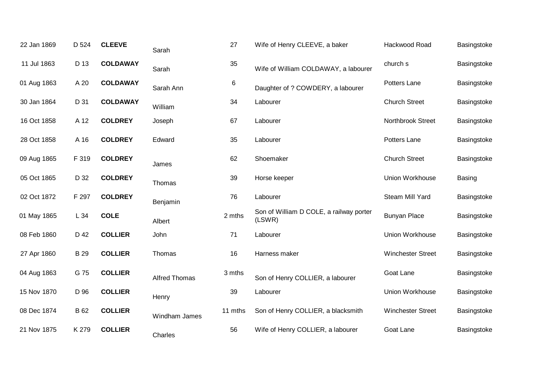| 22 Jan 1869 | D 524       | <b>CLEEVE</b>   | Sarah                | 27      | Wife of Henry CLEEVE, a baker                     | Hackwood Road            | Basingstoke |
|-------------|-------------|-----------------|----------------------|---------|---------------------------------------------------|--------------------------|-------------|
| 11 Jul 1863 | D 13        | <b>COLDAWAY</b> | Sarah                | 35      | Wife of William COLDAWAY, a labourer              | church s                 | Basingstoke |
| 01 Aug 1863 | A 20        | <b>COLDAWAY</b> | Sarah Ann            | 6       | Daughter of ? COWDERY, a labourer                 | Potters Lane             | Basingstoke |
| 30 Jan 1864 | D 31        | <b>COLDAWAY</b> | William              | 34      | Labourer                                          | <b>Church Street</b>     | Basingstoke |
| 16 Oct 1858 | A 12        | <b>COLDREY</b>  | Joseph               | 67      | Labourer                                          | Northbrook Street        | Basingstoke |
| 28 Oct 1858 | A 16        | <b>COLDREY</b>  | Edward               | 35      | Labourer                                          | Potters Lane             | Basingstoke |
| 09 Aug 1865 | F 319       | <b>COLDREY</b>  | James                | 62      | Shoemaker                                         | <b>Church Street</b>     | Basingstoke |
| 05 Oct 1865 | D 32        | <b>COLDREY</b>  | Thomas               | 39      | Horse keeper                                      | Union Workhouse          | Basing      |
| 02 Oct 1872 | F 297       | <b>COLDREY</b>  | Benjamin             | 76      | Labourer                                          | Steam Mill Yard          | Basingstoke |
| 01 May 1865 | L 34        | <b>COLE</b>     | Albert               | 2 mths  | Son of William D COLE, a railway porter<br>(LSWR) | <b>Bunyan Place</b>      | Basingstoke |
| 08 Feb 1860 | D 42        | <b>COLLIER</b>  | John                 | 71      | Labourer                                          | Union Workhouse          | Basingstoke |
| 27 Apr 1860 | <b>B</b> 29 | <b>COLLIER</b>  | Thomas               | 16      | Harness maker                                     | <b>Winchester Street</b> | Basingstoke |
| 04 Aug 1863 | G 75        | <b>COLLIER</b>  | <b>Alfred Thomas</b> | 3 mths  | Son of Henry COLLIER, a labourer                  | Goat Lane                | Basingstoke |
| 15 Nov 1870 | D 96        | <b>COLLIER</b>  | Henry                | 39      | Labourer                                          | Union Workhouse          | Basingstoke |
| 08 Dec 1874 | B 62        | <b>COLLIER</b>  | Windham James        | 11 mths | Son of Henry COLLIER, a blacksmith                | <b>Winchester Street</b> | Basingstoke |
| 21 Nov 1875 | K 279       | <b>COLLIER</b>  | Charles              | 56      | Wife of Henry COLLIER, a labourer                 | Goat Lane                | Basingstoke |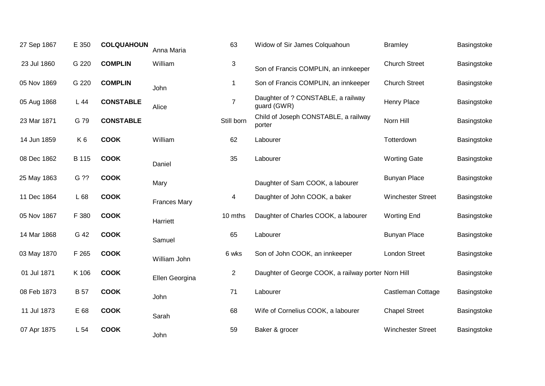| 27 Sep 1867 | E 350          | <b>COLQUAHOUN</b> | Anna Maria          | 63                        | Widow of Sir James Colquahoun                       | <b>Bramley</b>           | Basingstoke |
|-------------|----------------|-------------------|---------------------|---------------------------|-----------------------------------------------------|--------------------------|-------------|
| 23 Jul 1860 | G 220          | <b>COMPLIN</b>    | William             | $\ensuremath{\mathsf{3}}$ | Son of Francis COMPLIN, an innkeeper                | <b>Church Street</b>     | Basingstoke |
| 05 Nov 1869 | G 220          | <b>COMPLIN</b>    | John                | 1                         | Son of Francis COMPLIN, an innkeeper                | <b>Church Street</b>     | Basingstoke |
| 05 Aug 1868 | L 44           | <b>CONSTABLE</b>  | Alice               | $\overline{7}$            | Daughter of ? CONSTABLE, a railway<br>guard (GWR)   | <b>Henry Place</b>       | Basingstoke |
| 23 Mar 1871 | G 79           | <b>CONSTABLE</b>  |                     | Still born                | Child of Joseph CONSTABLE, a railway<br>porter      | Norn Hill                | Basingstoke |
| 14 Jun 1859 | K <sub>6</sub> | <b>COOK</b>       | William             | 62                        | Labourer                                            | Totterdown               | Basingstoke |
| 08 Dec 1862 | B 115          | <b>COOK</b>       | Daniel              | 35                        | Labourer                                            | <b>Worting Gate</b>      | Basingstoke |
| 25 May 1863 | G ??           | <b>COOK</b>       | Mary                |                           | Daughter of Sam COOK, a labourer                    | <b>Bunyan Place</b>      | Basingstoke |
| 11 Dec 1864 | L 68           | <b>COOK</b>       | <b>Frances Mary</b> | 4                         | Daughter of John COOK, a baker                      | <b>Winchester Street</b> | Basingstoke |
| 05 Nov 1867 | F 380          | <b>COOK</b>       | Harriett            | 10 mths                   | Daughter of Charles COOK, a labourer                | <b>Worting End</b>       | Basingstoke |
| 14 Mar 1868 | G 42           | <b>COOK</b>       | Samuel              | 65                        | Labourer                                            | <b>Bunyan Place</b>      | Basingstoke |
| 03 May 1870 | F 265          | <b>COOK</b>       | William John        | 6 wks                     | Son of John COOK, an innkeeper                      | <b>London Street</b>     | Basingstoke |
| 01 Jul 1871 | K 106          | <b>COOK</b>       | Ellen Georgina      | $\overline{2}$            | Daughter of George COOK, a railway porter Norn Hill |                          | Basingstoke |
| 08 Feb 1873 | <b>B</b> 57    | <b>COOK</b>       | John                | 71                        | Labourer                                            | Castleman Cottage        | Basingstoke |
| 11 Jul 1873 | E 68           | <b>COOK</b>       | Sarah               | 68                        | Wife of Cornelius COOK, a labourer                  | <b>Chapel Street</b>     | Basingstoke |
| 07 Apr 1875 | L 54           | <b>COOK</b>       | John                | 59                        | Baker & grocer                                      | <b>Winchester Street</b> | Basingstoke |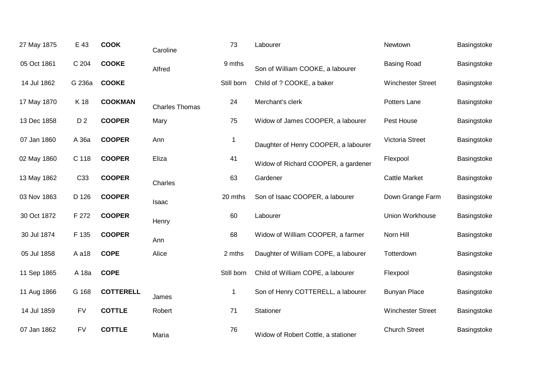| 27 May 1875 | E 43            | <b>COOK</b>      | Caroline              | 73          | Labourer                             | Newtown                  | Basingstoke |
|-------------|-----------------|------------------|-----------------------|-------------|--------------------------------------|--------------------------|-------------|
| 05 Oct 1861 | C 204           | <b>COOKE</b>     | Alfred                | 9 mths      | Son of William COOKE, a labourer     | <b>Basing Road</b>       | Basingstoke |
| 14 Jul 1862 | G 236a          | <b>COOKE</b>     |                       | Still born  | Child of ? COOKE, a baker            | <b>Winchester Street</b> | Basingstoke |
| 17 May 1870 | K 18            | <b>COOKMAN</b>   | <b>Charles Thomas</b> | 24          | Merchant's clerk                     | Potters Lane             | Basingstoke |
| 13 Dec 1858 | D <sub>2</sub>  | <b>COOPER</b>    | Mary                  | 75          | Widow of James COOPER, a labourer    | Pest House               | Basingstoke |
| 07 Jan 1860 | A 36a           | <b>COOPER</b>    | Ann                   | $\mathbf 1$ | Daughter of Henry COOPER, a labourer | Victoria Street          | Basingstoke |
| 02 May 1860 | C 118           | <b>COOPER</b>    | Eliza                 | 41          | Widow of Richard COOPER, a gardener  | Flexpool                 | Basingstoke |
| 13 May 1862 | C <sub>33</sub> | <b>COOPER</b>    | Charles               | 63          | Gardener                             | <b>Cattle Market</b>     | Basingstoke |
| 03 Nov 1863 | D 126           | <b>COOPER</b>    | Isaac                 | 20 mths     | Son of Isaac COOPER, a labourer      | Down Grange Farm         | Basingstoke |
| 30 Oct 1872 | F 272           | <b>COOPER</b>    | Henry                 | 60          | Labourer                             | Union Workhouse          | Basingstoke |
| 30 Jul 1874 | F 135           | <b>COOPER</b>    | Ann                   | 68          | Widow of William COOPER, a farmer    | Norn Hill                | Basingstoke |
| 05 Jul 1858 | A a18           | <b>COPE</b>      | Alice                 | 2 mths      | Daughter of William COPE, a labourer | Totterdown               | Basingstoke |
| 11 Sep 1865 | A 18a           | <b>COPE</b>      |                       | Still born  | Child of William COPE, a labourer    | Flexpool                 | Basingstoke |
| 11 Aug 1866 | G 168           | <b>COTTERELL</b> | James                 | $\mathbf 1$ | Son of Henry COTTERELL, a labourer   | <b>Bunyan Place</b>      | Basingstoke |
| 14 Jul 1859 | <b>FV</b>       | <b>COTTLE</b>    | Robert                | 71          | Stationer                            | Winchester Street        | Basingstoke |
| 07 Jan 1862 | <b>FV</b>       | <b>COTTLE</b>    | Maria                 | 76          | Widow of Robert Cottle, a stationer  | <b>Church Street</b>     | Basingstoke |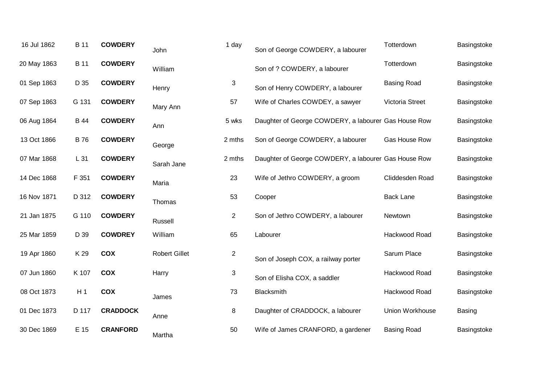| 16 Jul 1862 | <b>B</b> 11    | <b>COWDERY</b>  | John                 | 1 day          | Son of George COWDERY, a labourer                    | Totterdown             | Basingstoke |
|-------------|----------------|-----------------|----------------------|----------------|------------------------------------------------------|------------------------|-------------|
| 20 May 1863 | <b>B</b> 11    | <b>COWDERY</b>  | William              |                | Son of ? COWDERY, a labourer                         | Totterdown             | Basingstoke |
| 01 Sep 1863 | D 35           | <b>COWDERY</b>  | Henry                | $\mathbf{3}$   | Son of Henry COWDERY, a labourer                     | <b>Basing Road</b>     | Basingstoke |
| 07 Sep 1863 | G 131          | <b>COWDERY</b>  | Mary Ann             | 57             | Wife of Charles COWDEY, a sawyer                     | <b>Victoria Street</b> | Basingstoke |
| 06 Aug 1864 | <b>B</b> 44    | <b>COWDERY</b>  | Ann                  | 5 wks          | Daughter of George COWDERY, a labourer Gas House Row |                        | Basingstoke |
| 13 Oct 1866 | <b>B</b> 76    | <b>COWDERY</b>  | George               | 2 mths         | Son of George COWDERY, a labourer                    | Gas House Row          | Basingstoke |
| 07 Mar 1868 | L 31           | <b>COWDERY</b>  | Sarah Jane           | 2 mths         | Daughter of George COWDERY, a labourer Gas House Row |                        | Basingstoke |
| 14 Dec 1868 | F 351          | <b>COWDERY</b>  | Maria                | 23             | Wife of Jethro COWDERY, a groom                      | Cliddesden Road        | Basingstoke |
| 16 Nov 1871 | D 312          | <b>COWDERY</b>  | Thomas               | 53             | Cooper                                               | <b>Back Lane</b>       | Basingstoke |
| 21 Jan 1875 | G 110          | <b>COWDERY</b>  | Russell              | $\overline{2}$ | Son of Jethro COWDERY, a labourer                    | Newtown                | Basingstoke |
| 25 Mar 1859 | D 39           | <b>COWDREY</b>  | William              | 65             | Labourer                                             | Hackwood Road          | Basingstoke |
| 19 Apr 1860 | K 29           | <b>COX</b>      | <b>Robert Gillet</b> | $\overline{2}$ | Son of Joseph COX, a railway porter                  | Sarum Place            | Basingstoke |
| 07 Jun 1860 | K 107          | <b>COX</b>      | Harry                | 3              | Son of Elisha COX, a saddler                         | Hackwood Road          | Basingstoke |
| 08 Oct 1873 | H <sub>1</sub> | <b>COX</b>      | James                | 73             | Blacksmith                                           | Hackwood Road          | Basingstoke |
| 01 Dec 1873 | D 117          | <b>CRADDOCK</b> | Anne                 | 8              | Daughter of CRADDOCK, a labourer                     | Union Workhouse        | Basing      |
| 30 Dec 1869 | E 15           | <b>CRANFORD</b> | Martha               | 50             | Wife of James CRANFORD, a gardener                   | <b>Basing Road</b>     | Basingstoke |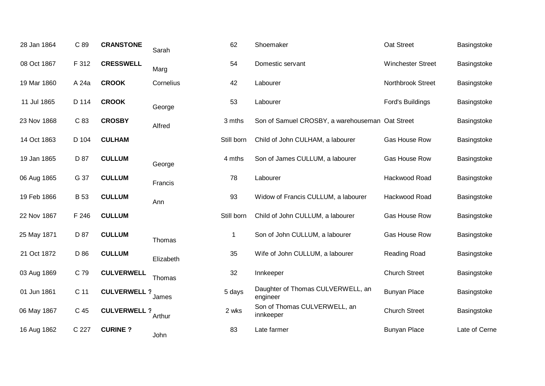| C 89        | <b>CRANSTONE</b>  | Sarah     | 62                                        | Shoemaker                                     | Oat Street               | Basingstoke                                     |
|-------------|-------------------|-----------|-------------------------------------------|-----------------------------------------------|--------------------------|-------------------------------------------------|
| F 312       | <b>CRESSWELL</b>  | Marg      | 54                                        | Domestic servant                              | <b>Winchester Street</b> | Basingstoke                                     |
| A 24a       | <b>CROOK</b>      | Cornelius | 42                                        | Labourer                                      | Northbrook Street        | Basingstoke                                     |
| D 114       | <b>CROOK</b>      | George    | 53                                        | Labourer                                      | Ford's Buildings         | Basingstoke                                     |
| C 83        | <b>CROSBY</b>     | Alfred    | 3 mths                                    |                                               |                          | Basingstoke                                     |
| D 104       | <b>CULHAM</b>     |           | Still born                                | Child of John CULHAM, a labourer              | Gas House Row            | Basingstoke                                     |
| D 87        | <b>CULLUM</b>     | George    | 4 mths                                    | Son of James CULLUM, a labourer               | Gas House Row            | Basingstoke                                     |
| G 37        | <b>CULLUM</b>     | Francis   | 78                                        | Labourer                                      | Hackwood Road            | Basingstoke                                     |
| <b>B</b> 53 | <b>CULLUM</b>     | Ann       | 93                                        | Widow of Francis CULLUM, a labourer           | Hackwood Road            | Basingstoke                                     |
| F 246       | <b>CULLUM</b>     |           | Still born                                | Child of John CULLUM, a labourer              | Gas House Row            | Basingstoke                                     |
| D 87        | <b>CULLUM</b>     | Thomas    | $\mathbf 1$                               | Son of John CULLUM, a labourer                | Gas House Row            | Basingstoke                                     |
| D 86        | <b>CULLUM</b>     | Elizabeth | 35                                        | Wife of John CULLUM, a labourer               | Reading Road             | Basingstoke                                     |
| C 79        | <b>CULVERWELL</b> | Thomas    | 32                                        | Innkeeper                                     | <b>Church Street</b>     | Basingstoke                                     |
| C 11        |                   | James     | 5 days                                    | Daughter of Thomas CULVERWELL, an<br>engineer | <b>Bunyan Place</b>      | Basingstoke                                     |
| C 45        |                   | Arthur    | 2 wks                                     | Son of Thomas CULVERWELL, an<br>innkeeper     | <b>Church Street</b>     | Basingstoke                                     |
| C 227       | <b>CURINE?</b>    | John      | 83                                        | Late farmer                                   | <b>Bunyan Place</b>      | Late of Cerne                                   |
|             |                   |           | <b>CULVERWELL ?</b><br><b>CULVERWELL?</b> |                                               |                          | Son of Samuel CROSBY, a warehouseman Oat Street |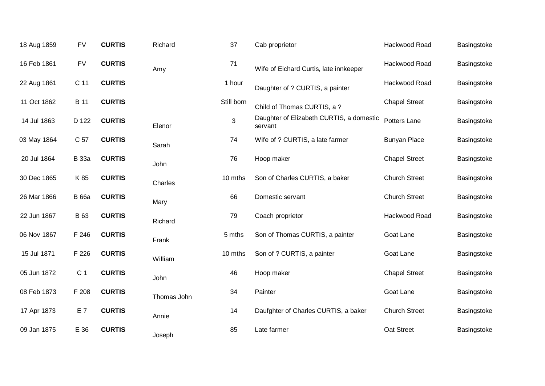| 18 Aug 1859 | <b>FV</b>       | <b>CURTIS</b> | Richard     | 37         | Cab proprietor                                      | Hackwood Road        | Basingstoke |
|-------------|-----------------|---------------|-------------|------------|-----------------------------------------------------|----------------------|-------------|
| 16 Feb 1861 | <b>FV</b>       | <b>CURTIS</b> | Amy         | 71         | Wife of Eichard Curtis, late innkeeper              | Hackwood Road        | Basingstoke |
| 22 Aug 1861 | C <sub>11</sub> | <b>CURTIS</b> |             | 1 hour     | Daughter of ? CURTIS, a painter                     | Hackwood Road        | Basingstoke |
| 11 Oct 1862 | <b>B</b> 11     | <b>CURTIS</b> |             | Still born | Child of Thomas CURTIS, a ?                         | <b>Chapel Street</b> | Basingstoke |
| 14 Jul 1863 | D 122           | <b>CURTIS</b> | Elenor      | 3          | Daughter of Elizabeth CURTIS, a domestic<br>servant | Potters Lane         | Basingstoke |
| 03 May 1864 | C 57            | <b>CURTIS</b> | Sarah       | 74         | Wife of ? CURTIS, a late farmer                     | <b>Bunyan Place</b>  | Basingstoke |
| 20 Jul 1864 | <b>B</b> 33a    | <b>CURTIS</b> | John        | 76         | Hoop maker                                          | <b>Chapel Street</b> | Basingstoke |
| 30 Dec 1865 | K 85            | <b>CURTIS</b> | Charles     | 10 mths    | Son of Charles CURTIS, a baker                      | <b>Church Street</b> | Basingstoke |
| 26 Mar 1866 | <b>B</b> 66a    | <b>CURTIS</b> | Mary        | 66         | Domestic servant                                    | <b>Church Street</b> | Basingstoke |
| 22 Jun 1867 | <b>B</b> 63     | <b>CURTIS</b> | Richard     | 79         | Coach proprietor                                    | Hackwood Road        | Basingstoke |
| 06 Nov 1867 | F 246           | <b>CURTIS</b> | Frank       | 5 mths     | Son of Thomas CURTIS, a painter                     | Goat Lane            | Basingstoke |
| 15 Jul 1871 | F 226           | <b>CURTIS</b> | William     | 10 mths    | Son of ? CURTIS, a painter                          | Goat Lane            | Basingstoke |
| 05 Jun 1872 | C <sub>1</sub>  | <b>CURTIS</b> | John        | 46         | Hoop maker                                          | <b>Chapel Street</b> | Basingstoke |
| 08 Feb 1873 | F 208           | <b>CURTIS</b> | Thomas John | 34         | Painter                                             | Goat Lane            | Basingstoke |
| 17 Apr 1873 | E 7             | <b>CURTIS</b> | Annie       | 14         | Daufghter of Charles CURTIS, a baker                | <b>Church Street</b> | Basingstoke |
| 09 Jan 1875 | E 36            | <b>CURTIS</b> | Joseph      | 85         | Late farmer                                         | Oat Street           | Basingstoke |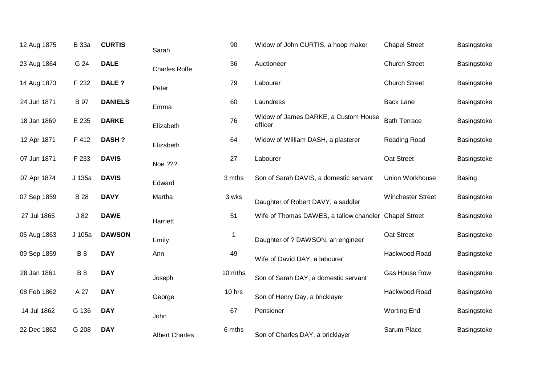| 12 Aug 1875 | <b>B</b> 33a | <b>CURTIS</b>  | Sarah                 | 90          | Widow of John CURTIS, a hoop maker                    | <b>Chapel Street</b>     | Basingstoke |
|-------------|--------------|----------------|-----------------------|-------------|-------------------------------------------------------|--------------------------|-------------|
| 23 Aug 1864 | G 24         | <b>DALE</b>    | <b>Charles Rolfe</b>  | 36          | Auctioneer                                            | <b>Church Street</b>     | Basingstoke |
| 14 Aug 1873 | F 232        | DALE ?         | Peter                 | 79          | Labourer                                              | <b>Church Street</b>     | Basingstoke |
| 24 Jun 1871 | <b>B</b> 97  | <b>DANIELS</b> | Emma                  | 60          | Laundress                                             | <b>Back Lane</b>         | Basingstoke |
| 18 Jan 1869 | E 235        | <b>DARKE</b>   | Elizabeth             | 76          | Widow of James DARKE, a Custom House<br>officer       | <b>Bath Terrace</b>      | Basingstoke |
| 12 Apr 1871 | F 412        | <b>DASH?</b>   | Elizabeth             | 64          | Widow of William DASH, a plasterer                    | Reading Road             | Basingstoke |
| 07 Jun 1871 | F 233        | <b>DAVIS</b>   | Noe ???               | 27          | Labourer                                              | Oat Street               | Basingstoke |
| 07 Apr 1874 | J 135a       | <b>DAVIS</b>   | Edward                | 3 mths      | Son of Sarah DAVIS, a domestic servant                | Union Workhouse          | Basing      |
| 07 Sep 1859 | <b>B</b> 28  | <b>DAVY</b>    | Martha                | 3 wks       | Daughter of Robert DAVY, a saddler                    | <b>Winchester Street</b> | Basingstoke |
| 27 Jul 1865 | J82          | <b>DAWE</b>    | Harriett              | 51          | Wife of Thomas DAWES, a tallow chandler Chapel Street |                          | Basingstoke |
| 05 Aug 1863 | J 105a       | <b>DAWSON</b>  | Emily                 | $\mathbf 1$ | Daughter of ? DAWSON, an engineer                     | Oat Street               | Basingstoke |
| 09 Sep 1859 | <b>B</b> 8   | <b>DAY</b>     | Ann                   | 49          | Wife of David DAY, a labourer                         | Hackwood Road            | Basingstoke |
| 28 Jan 1861 | <b>B</b> 8   | <b>DAY</b>     | Joseph                | 10 mths     | Son of Sarah DAY, a domestic servant                  | Gas House Row            | Basingstoke |
| 08 Feb 1862 | A 27         | <b>DAY</b>     | George                | 10 hrs      | Son of Henry Day, a bricklayer                        | Hackwood Road            | Basingstoke |
| 14 Jul 1862 | G 136        | <b>DAY</b>     | John                  | 67          | Pensioner                                             | <b>Worting End</b>       | Basingstoke |
| 22 Dec 1862 | G 208        | <b>DAY</b>     | <b>Albert Charles</b> | 6 mths      | Son of Charles DAY, a bricklayer                      | Sarum Place              | Basingstoke |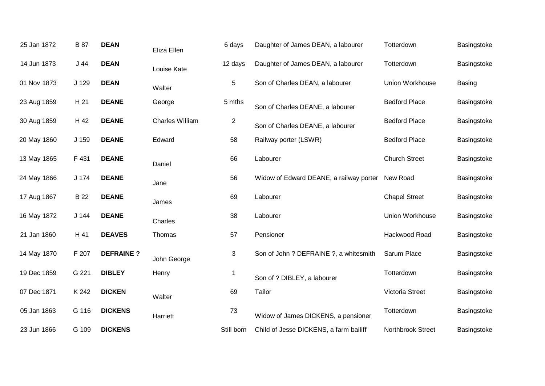| 25 Jan 1872 | <b>B</b> 87 | <b>DEAN</b>      | Eliza Ellen            | 6 days         | Daughter of James DEAN, a labourer      | Totterdown           | Basingstoke   |
|-------------|-------------|------------------|------------------------|----------------|-----------------------------------------|----------------------|---------------|
| 14 Jun 1873 | J44         | <b>DEAN</b>      | Louise Kate            | 12 days        | Daughter of James DEAN, a labourer      | Totterdown           | Basingstoke   |
| 01 Nov 1873 | J 129       | <b>DEAN</b>      | Walter                 | 5              | Son of Charles DEAN, a labourer         | Union Workhouse      | <b>Basing</b> |
| 23 Aug 1859 | H 21        | <b>DEANE</b>     | George                 | 5 mths         | Son of Charles DEANE, a labourer        | <b>Bedford Place</b> | Basingstoke   |
| 30 Aug 1859 | H 42        | <b>DEANE</b>     | <b>Charles William</b> | $\overline{c}$ | Son of Charles DEANE, a labourer        | <b>Bedford Place</b> | Basingstoke   |
| 20 May 1860 | J 159       | <b>DEANE</b>     | Edward                 | 58             | Railway porter (LSWR)                   | <b>Bedford Place</b> | Basingstoke   |
| 13 May 1865 | F 431       | <b>DEANE</b>     | Daniel                 | 66             | Labourer                                | <b>Church Street</b> | Basingstoke   |
| 24 May 1866 | J 174       | <b>DEANE</b>     | Jane                   | 56             | Widow of Edward DEANE, a railway porter | New Road             | Basingstoke   |
| 17 Aug 1867 | <b>B</b> 22 | <b>DEANE</b>     | James                  | 69             | Labourer                                | <b>Chapel Street</b> | Basingstoke   |
| 16 May 1872 | $J$ 144     | <b>DEANE</b>     | Charles                | 38             | Labourer                                | Union Workhouse      | Basingstoke   |
| 21 Jan 1860 | H 41        | <b>DEAVES</b>    | Thomas                 | 57             | Pensioner                               | Hackwood Road        | Basingstoke   |
| 14 May 1870 | F 207       | <b>DEFRAINE?</b> | John George            | 3              | Son of John ? DEFRAINE ?, a whitesmith  | Sarum Place          | Basingstoke   |
| 19 Dec 1859 | G 221       | <b>DIBLEY</b>    | Henry                  | $\mathbf 1$    | Son of ? DIBLEY, a labourer             | Totterdown           | Basingstoke   |
| 07 Dec 1871 | K 242       | <b>DICKEN</b>    | Walter                 | 69             | Tailor                                  | Victoria Street      | Basingstoke   |
| 05 Jan 1863 | G 116       | <b>DICKENS</b>   | Harriett               | $73\,$         | Widow of James DICKENS, a pensioner     | Totterdown           | Basingstoke   |
| 23 Jun 1866 | G 109       | <b>DICKENS</b>   |                        | Still born     | Child of Jesse DICKENS, a farm bailiff  | Northbrook Street    | Basingstoke   |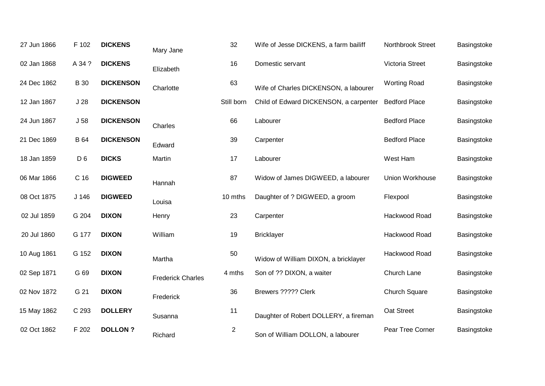| 27 Jun 1866 | F 102            | <b>DICKENS</b>   | Mary Jane                | 32             | Wife of Jesse DICKENS, a farm bailiff  | Northbrook Street    | Basingstoke |
|-------------|------------------|------------------|--------------------------|----------------|----------------------------------------|----------------------|-------------|
| 02 Jan 1868 | A 34 ?           | <b>DICKENS</b>   | Elizabeth                | 16             | Domestic servant                       | Victoria Street      | Basingstoke |
| 24 Dec 1862 | <b>B</b> 30      | <b>DICKENSON</b> | Charlotte                | 63             | Wife of Charles DICKENSON, a labourer  | <b>Worting Road</b>  | Basingstoke |
| 12 Jan 1867 | J <sub>28</sub>  | <b>DICKENSON</b> |                          | Still born     | Child of Edward DICKENSON, a carpenter | <b>Bedford Place</b> | Basingstoke |
| 24 Jun 1867 | J <sub>58</sub>  | <b>DICKENSON</b> | Charles                  | 66             | Labourer                               | <b>Bedford Place</b> | Basingstoke |
| 21 Dec 1869 | <b>B</b> 64      | <b>DICKENSON</b> | Edward                   | 39             | Carpenter                              | <b>Bedford Place</b> | Basingstoke |
| 18 Jan 1859 | D <sub>6</sub>   | <b>DICKS</b>     | Martin                   | 17             | Labourer                               | West Ham             | Basingstoke |
| 06 Mar 1866 | C <sub>16</sub>  | <b>DIGWEED</b>   | Hannah                   | 87             | Widow of James DIGWEED, a labourer     | Union Workhouse      | Basingstoke |
| 08 Oct 1875 | J <sub>146</sub> | <b>DIGWEED</b>   | Louisa                   | 10 mths        | Daughter of ? DIGWEED, a groom         | Flexpool             | Basingstoke |
| 02 Jul 1859 | G 204            | <b>DIXON</b>     | Henry                    | 23             | Carpenter                              | Hackwood Road        | Basingstoke |
| 20 Jul 1860 | G 177            | <b>DIXON</b>     | William                  | 19             | <b>Bricklayer</b>                      | Hackwood Road        | Basingstoke |
| 10 Aug 1861 | G 152            | <b>DIXON</b>     | Martha                   | 50             | Widow of William DIXON, a bricklayer   | Hackwood Road        | Basingstoke |
| 02 Sep 1871 | G 69             | <b>DIXON</b>     | <b>Frederick Charles</b> | 4 mths         | Son of ?? DIXON, a waiter              | Church Lane          | Basingstoke |
| 02 Nov 1872 | G 21             | <b>DIXON</b>     | Frederick                | 36             | Brewers ????? Clerk                    | <b>Church Square</b> | Basingstoke |
| 15 May 1862 | C 293            | <b>DOLLERY</b>   | Susanna                  | 11             | Daughter of Robert DOLLERY, a fireman  | Oat Street           | Basingstoke |
| 02 Oct 1862 | F 202            | <b>DOLLON?</b>   | Richard                  | $\overline{2}$ | Son of William DOLLON, a labourer      | Pear Tree Corner     | Basingstoke |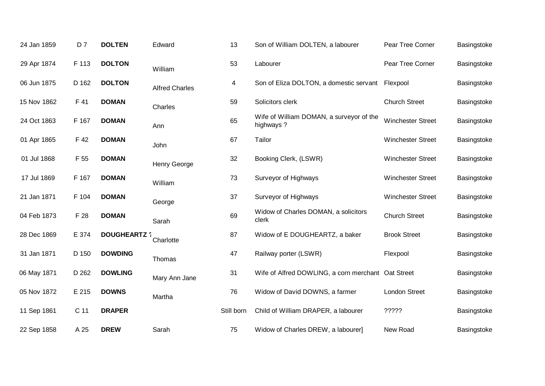| 24 Jan 1859 | D <sub>7</sub>  | <b>DOLTEN</b>       | Edward                | 13         | Son of William DOLTEN, a labourer                     | Pear Tree Corner         | Basingstoke |
|-------------|-----------------|---------------------|-----------------------|------------|-------------------------------------------------------|--------------------------|-------------|
| 29 Apr 1874 | F 113           | <b>DOLTON</b>       | William               | 53         | Labourer                                              | Pear Tree Corner         | Basingstoke |
| 06 Jun 1875 | D 162           | <b>DOLTON</b>       | <b>Alfred Charles</b> | 4          | Son of Eliza DOLTON, a domestic servant Flexpool      |                          | Basingstoke |
| 15 Nov 1862 | F 41            | <b>DOMAN</b>        | Charles               | 59         | Solicitors clerk                                      | <b>Church Street</b>     | Basingstoke |
| 24 Oct 1863 | F 167           | <b>DOMAN</b>        | Ann                   | 65         | Wife of William DOMAN, a surveyor of the<br>highways? | <b>Winchester Street</b> | Basingstoke |
| 01 Apr 1865 | F 42            | <b>DOMAN</b>        | John                  | 67         | Tailor                                                | <b>Winchester Street</b> | Basingstoke |
| 01 Jul 1868 | F 55            | <b>DOMAN</b>        | Henry George          | 32         | Booking Clerk, (LSWR)                                 | <b>Winchester Street</b> | Basingstoke |
| 17 Jul 1869 | F 167           | <b>DOMAN</b>        | William               | 73         | Surveyor of Highways                                  | <b>Winchester Street</b> | Basingstoke |
| 21 Jan 1871 | F 104           | <b>DOMAN</b>        | George                | 37         | Surveyor of Highways                                  | <b>Winchester Street</b> | Basingstoke |
| 04 Feb 1873 | F 28            | <b>DOMAN</b>        | Sarah                 | 69         | Widow of Charles DOMAN, a solicitors<br>clerk         | <b>Church Street</b>     | Basingstoke |
| 28 Dec 1869 | E 374           | <b>DOUGHEARTZ ?</b> | Charlotte             | 87         | Widow of E DOUGHEARTZ, a baker                        | <b>Brook Street</b>      | Basingstoke |
| 31 Jan 1871 | D 150           | <b>DOWDING</b>      | Thomas                | 47         | Railway porter (LSWR)                                 | Flexpool                 | Basingstoke |
| 06 May 1871 | D 262           | <b>DOWLING</b>      | Mary Ann Jane         | 31         | Wife of Alfred DOWLING, a corn merchant Oat Street    |                          | Basingstoke |
| 05 Nov 1872 | E 215           | <b>DOWNS</b>        | Martha                | 76         | Widow of David DOWNS, a farmer                        | <b>London Street</b>     | Basingstoke |
| 11 Sep 1861 | C <sub>11</sub> | <b>DRAPER</b>       |                       | Still born | Child of William DRAPER, a labourer                   | ?????                    | Basingstoke |
| 22 Sep 1858 | A 25            | <b>DREW</b>         | Sarah                 | 75         | Widow of Charles DREW, a labourer]                    | New Road                 | Basingstoke |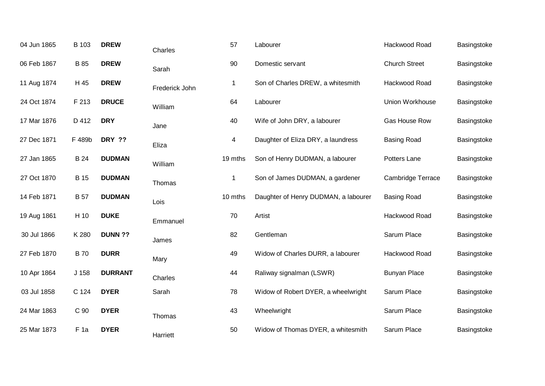| 04 Jun 1865 | B 103           | <b>DREW</b>    | Charles        | 57      | Labourer                             | Hackwood Road            | Basingstoke |
|-------------|-----------------|----------------|----------------|---------|--------------------------------------|--------------------------|-------------|
| 06 Feb 1867 | <b>B</b> 85     | <b>DREW</b>    | Sarah          | 90      | Domestic servant                     | <b>Church Street</b>     | Basingstoke |
| 11 Aug 1874 | H 45            | <b>DREW</b>    | Frederick John | 1       | Son of Charles DREW, a whitesmith    | Hackwood Road            | Basingstoke |
| 24 Oct 1874 | F 213           | <b>DRUCE</b>   | William        | 64      | Labourer                             | Union Workhouse          | Basingstoke |
| 17 Mar 1876 | D 412           | <b>DRY</b>     | Jane           | 40      | Wife of John DRY, a labourer         | Gas House Row            | Basingstoke |
| 27 Dec 1871 | F 489b          | <b>DRY ??</b>  | Eliza          | 4       | Daughter of Eliza DRY, a laundress   | <b>Basing Road</b>       | Basingstoke |
| 27 Jan 1865 | <b>B</b> 24     | <b>DUDMAN</b>  | William        | 19 mths | Son of Henry DUDMAN, a labourer      | Potters Lane             | Basingstoke |
| 27 Oct 1870 | <b>B</b> 15     | <b>DUDMAN</b>  | Thomas         | 1       | Son of James DUDMAN, a gardener      | <b>Cambridge Terrace</b> | Basingstoke |
| 14 Feb 1871 | <b>B</b> 57     | <b>DUDMAN</b>  | Lois           | 10 mths | Daughter of Henry DUDMAN, a labourer | <b>Basing Road</b>       | Basingstoke |
| 19 Aug 1861 | H 10            | <b>DUKE</b>    | Emmanuel       | 70      | Artist                               | Hackwood Road            | Basingstoke |
| 30 Jul 1866 | K 280           | <b>DUNN ??</b> | James          | 82      | Gentleman                            | Sarum Place              | Basingstoke |
| 27 Feb 1870 | <b>B</b> 70     | <b>DURR</b>    | Mary           | 49      | Widow of Charles DURR, a labourer    | Hackwood Road            | Basingstoke |
| 10 Apr 1864 | J 158           | <b>DURRANT</b> | Charles        | 44      | Raliway signalman (LSWR)             | <b>Bunyan Place</b>      | Basingstoke |
| 03 Jul 1858 | C 124           | <b>DYER</b>    | Sarah          | 78      | Widow of Robert DYER, a wheelwright  | Sarum Place              | Basingstoke |
| 24 Mar 1863 | C 90            | <b>DYER</b>    | Thomas         | 43      | Wheelwright                          | Sarum Place              | Basingstoke |
| 25 Mar 1873 | F <sub>1a</sub> | <b>DYER</b>    | Harriett       | 50      | Widow of Thomas DYER, a whitesmith   | Sarum Place              | Basingstoke |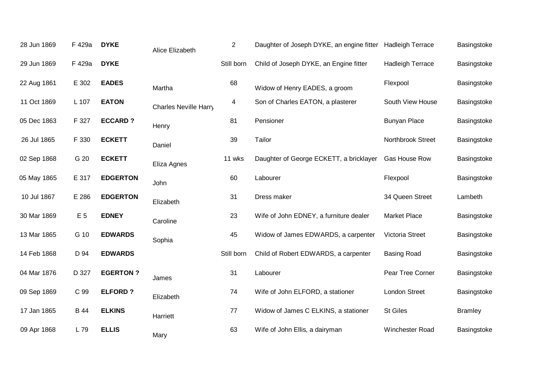| 28 Jun 1869 | F 429a         | <b>DYKE</b>     | Alice Elizabeth       | $\overline{2}$ | Daughter of Joseph DYKE, an engine fitter | <b>Hadleigh Terrace</b> | Basingstoke    |
|-------------|----------------|-----------------|-----------------------|----------------|-------------------------------------------|-------------------------|----------------|
| 29 Jun 1869 | F 429a         | <b>DYKE</b>     |                       | Still born     | Child of Joseph DYKE, an Engine fitter    | <b>Hadleigh Terrace</b> | Basingstoke    |
| 22 Aug 1861 | E 302          | <b>EADES</b>    | Martha                | 68             | Widow of Henry EADES, a groom             | Flexpool                | Basingstoke    |
| 11 Oct 1869 | L 107          | <b>EATON</b>    | Charles Neville Harry | $\overline{4}$ | Son of Charles EATON, a plasterer         | South View House        | Basingstoke    |
| 05 Dec 1863 | F 327          | <b>ECCARD?</b>  | Henry                 | 81             | Pensioner                                 | <b>Bunyan Place</b>     | Basingstoke    |
| 26 Jul 1865 | F 330          | <b>ECKETT</b>   | Daniel                | 39             | Tailor                                    | Northbrook Street       | Basingstoke    |
| 02 Sep 1868 | G 20           | <b>ECKETT</b>   | Eliza Agnes           | 11 wks         | Daughter of George ECKETT, a bricklayer   | Gas House Row           | Basingstoke    |
| 05 May 1865 | E 317          | <b>EDGERTON</b> | John                  | 60             | Labourer                                  | Flexpool                | Basingstoke    |
| 10 Jul 1867 | E 286          | <b>EDGERTON</b> | Elizabeth             | 31             | Dress maker                               | 34 Queen Street         | Lambeth        |
| 30 Mar 1869 | E <sub>5</sub> | <b>EDNEY</b>    | Caroline              | 23             | Wife of John EDNEY, a furniture dealer    | <b>Market Place</b>     | Basingstoke    |
| 13 Mar 1865 | G 10           | <b>EDWARDS</b>  | Sophia                | 45             | Widow of James EDWARDS, a carpenter       | <b>Victoria Street</b>  | Basingstoke    |
| 14 Feb 1868 | D 94           | <b>EDWARDS</b>  |                       | Still born     | Child of Robert EDWARDS, a carpenter      | <b>Basing Road</b>      | Basingstoke    |
| 04 Mar 1876 | D 327          | <b>EGERTON?</b> | James                 | 31             | Labourer                                  | Pear Tree Corner        | Basingstoke    |
| 09 Sep 1869 | C 99           | <b>ELFORD?</b>  | Elizabeth             | 74             | Wife of John ELFORD, a stationer          | <b>London Street</b>    | Basingstoke    |
| 17 Jan 1865 | <b>B</b> 44    | <b>ELKINS</b>   | Harriett              | 77             | Widow of James C ELKINS, a stationer      | <b>St Giles</b>         | <b>Bramley</b> |
| 09 Apr 1868 | L 79           | <b>ELLIS</b>    | Mary                  | 63             | Wife of John Ellis, a dairyman            | Winchester Road         | Basingstoke    |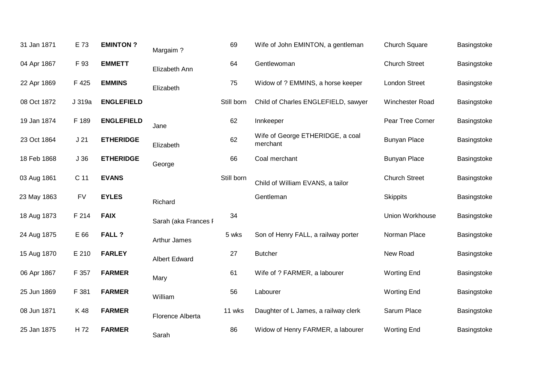| 31 Jan 1871 | E 73            | <b>EMINTON?</b>   | Margaim?             | 69         | Wife of John EMINTON, a gentleman            | <b>Church Square</b> | Basingstoke |
|-------------|-----------------|-------------------|----------------------|------------|----------------------------------------------|----------------------|-------------|
| 04 Apr 1867 | F 93            | <b>EMMETT</b>     | Elizabeth Ann        | 64         | Gentlewoman                                  | <b>Church Street</b> | Basingstoke |
| 22 Apr 1869 | F 425           | <b>EMMINS</b>     | Elizabeth            | 75         | Widow of ? EMMINS, a horse keeper            | London Street        | Basingstoke |
| 08 Oct 1872 | J 319a          | <b>ENGLEFIELD</b> |                      | Still born | Child of Charles ENGLEFIELD, sawyer          | Winchester Road      | Basingstoke |
| 19 Jan 1874 | F 189           | <b>ENGLEFIELD</b> | Jane                 | 62         | Innkeeper                                    | Pear Tree Corner     | Basingstoke |
| 23 Oct 1864 | J <sub>21</sub> | <b>ETHERIDGE</b>  | Elizabeth            | 62         | Wife of George ETHERIDGE, a coal<br>merchant | <b>Bunyan Place</b>  | Basingstoke |
| 18 Feb 1868 | J36             | <b>ETHERIDGE</b>  | George               | 66         | Coal merchant                                | <b>Bunyan Place</b>  | Basingstoke |
| 03 Aug 1861 | C <sub>11</sub> | <b>EVANS</b>      |                      | Still born | Child of William EVANS, a tailor             | <b>Church Street</b> | Basingstoke |
|             |                 |                   |                      |            |                                              |                      |             |
| 23 May 1863 | <b>FV</b>       | <b>EYLES</b>      | Richard              |            | Gentleman                                    | <b>Skippits</b>      | Basingstoke |
| 18 Aug 1873 | F 214           | <b>FAIX</b>       | Sarah (aka Frances I | 34         |                                              | Union Workhouse      | Basingstoke |
| 24 Aug 1875 | E 66            | <b>FALL?</b>      | <b>Arthur James</b>  | 5 wks      | Son of Henry FALL, a railway porter          | Norman Place         | Basingstoke |
| 15 Aug 1870 | E 210           | <b>FARLEY</b>     | <b>Albert Edward</b> | 27         | <b>Butcher</b>                               | New Road             | Basingstoke |
| 06 Apr 1867 | F 357           | <b>FARMER</b>     | Mary                 | 61         | Wife of ? FARMER, a labourer                 | <b>Worting End</b>   | Basingstoke |
| 25 Jun 1869 | F 381           | <b>FARMER</b>     | William              | 56         | Labourer                                     | <b>Worting End</b>   | Basingstoke |
| 08 Jun 1871 | K 48            | <b>FARMER</b>     | Florence Alberta     | 11 wks     | Daughter of L James, a railway clerk         | Sarum Place          | Basingstoke |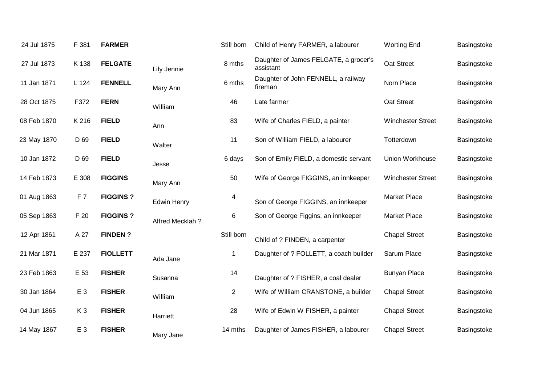| 24 Jul 1875 | F 381          | <b>FARMER</b>   |                    | Still born     | Child of Henry FARMER, a labourer                  | <b>Worting End</b>       | Basingstoke |
|-------------|----------------|-----------------|--------------------|----------------|----------------------------------------------------|--------------------------|-------------|
| 27 Jul 1873 | K 138          | <b>FELGATE</b>  | Lily Jennie        | 8 mths         | Daughter of James FELGATE, a grocer's<br>assistant | Oat Street               | Basingstoke |
| 11 Jan 1871 | L 124          | <b>FENNELL</b>  | Mary Ann           | 6 mths         | Daughter of John FENNELL, a railway<br>fireman     | Norn Place               | Basingstoke |
| 28 Oct 1875 | F372           | <b>FERN</b>     | William            | 46             | Late farmer                                        | Oat Street               | Basingstoke |
| 08 Feb 1870 | K 216          | <b>FIELD</b>    | Ann                | 83             | Wife of Charles FIELD, a painter                   | <b>Winchester Street</b> | Basingstoke |
| 23 May 1870 | D 69           | <b>FIELD</b>    | Walter             | 11             | Son of William FIELD, a labourer                   | Totterdown               | Basingstoke |
| 10 Jan 1872 | D 69           | <b>FIELD</b>    | Jesse              | 6 days         | Son of Emily FIELD, a domestic servant             | Union Workhouse          | Basingstoke |
| 14 Feb 1873 | E 308          | <b>FIGGINS</b>  | Mary Ann           | 50             | Wife of George FIGGINS, an innkeeper               | <b>Winchester Street</b> | Basingstoke |
| 01 Aug 1863 | F7             | <b>FIGGINS?</b> | <b>Edwin Henry</b> | 4              | Son of George FIGGINS, an innkeeper                | <b>Market Place</b>      | Basingstoke |
| 05 Sep 1863 | F 20           | <b>FIGGINS?</b> | Alfred Mecklah?    | $\,6\,$        | Son of George Figgins, an innkeeper                | <b>Market Place</b>      | Basingstoke |
| 12 Apr 1861 | A 27           | <b>FINDEN?</b>  |                    | Still born     | Child of ? FINDEN, a carpenter                     | <b>Chapel Street</b>     | Basingstoke |
| 21 Mar 1871 | E 237          | <b>FIOLLETT</b> | Ada Jane           | 1              | Daughter of ? FOLLETT, a coach builder             | Sarum Place              | Basingstoke |
| 23 Feb 1863 | E 53           | <b>FISHER</b>   | Susanna            | 14             | Daughter of ? FISHER, a coal dealer                | <b>Bunyan Place</b>      | Basingstoke |
| 30 Jan 1864 | E <sub>3</sub> | <b>FISHER</b>   | William            | $\overline{2}$ | Wife of William CRANSTONE, a builder               | <b>Chapel Street</b>     | Basingstoke |
| 04 Jun 1865 | K <sub>3</sub> | <b>FISHER</b>   | Harriett           | 28             | Wife of Edwin W FISHER, a painter                  | <b>Chapel Street</b>     | Basingstoke |
| 14 May 1867 | E 3            | <b>FISHER</b>   | Mary Jane          | 14 mths        | Daughter of James FISHER, a labourer               | <b>Chapel Street</b>     | Basingstoke |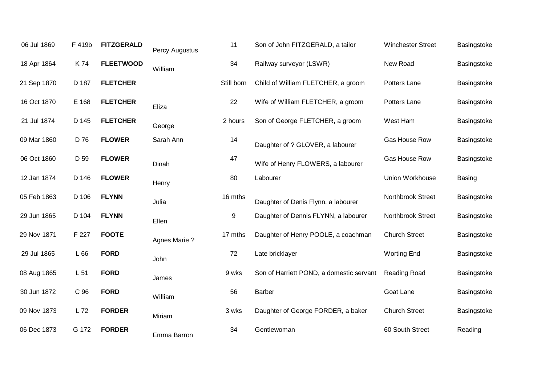| 06 Jul 1869 | F 419b | <b>FITZGERALD</b> | Percy Augustus      | 11         | Son of John FITZGERALD, a tailor         | <b>Winchester Street</b> | Basingstoke |
|-------------|--------|-------------------|---------------------|------------|------------------------------------------|--------------------------|-------------|
| 18 Apr 1864 | K 74   | <b>FLEETWOOD</b>  | William             | 34         | Railway surveyor (LSWR)                  | New Road                 | Basingstoke |
| 21 Sep 1870 | D 187  | <b>FLETCHER</b>   |                     | Still born | Child of William FLETCHER, a groom       | Potters Lane             | Basingstoke |
| 16 Oct 1870 | E 168  | <b>FLETCHER</b>   | Eliza               | 22         | Wife of William FLETCHER, a groom        | Potters Lane             | Basingstoke |
| 21 Jul 1874 | D 145  | <b>FLETCHER</b>   | George              | 2 hours    | Son of George FLETCHER, a groom          | West Ham                 | Basingstoke |
| 09 Mar 1860 | D 76   | <b>FLOWER</b>     | Sarah Ann           | 14         | Daughter of ? GLOVER, a labourer         | Gas House Row            | Basingstoke |
| 06 Oct 1860 | D 59   | <b>FLOWER</b>     | Dinah               | 47         | Wife of Henry FLOWERS, a labourer        | Gas House Row            | Basingstoke |
| 12 Jan 1874 | D 146  | <b>FLOWER</b>     | Henry               | 80         | Labourer                                 | Union Workhouse          | Basing      |
| 05 Feb 1863 | D 106  | <b>FLYNN</b>      | Julia               | 16 mths    | Daughter of Denis Flynn, a labourer      | Northbrook Street        | Basingstoke |
| 29 Jun 1865 | D 104  | <b>FLYNN</b>      | Ellen               | 9          | Daughter of Dennis FLYNN, a labourer     | Northbrook Street        | Basingstoke |
| 29 Nov 1871 | F 227  | <b>FOOTE</b>      | <b>Agnes Marie?</b> | 17 mths    | Daughter of Henry POOLE, a coachman      | <b>Church Street</b>     | Basingstoke |
| 29 Jul 1865 | L66    | <b>FORD</b>       | John                | 72         | Late bricklayer                          | <b>Worting End</b>       | Basingstoke |
| 08 Aug 1865 | L 51   | <b>FORD</b>       | James               | 9 wks      | Son of Harriett POND, a domestic servant | Reading Road             | Basingstoke |
| 30 Jun 1872 | C 96   | <b>FORD</b>       | William             | 56         | <b>Barber</b>                            | Goat Lane                | Basingstoke |
| 09 Nov 1873 | L 72   | <b>FORDER</b>     | Miriam              | 3 wks      | Daughter of George FORDER, a baker       | <b>Church Street</b>     | Basingstoke |
| 06 Dec 1873 | G 172  | <b>FORDER</b>     | Emma Barron         | 34         | Gentlewoman                              | 60 South Street          | Reading     |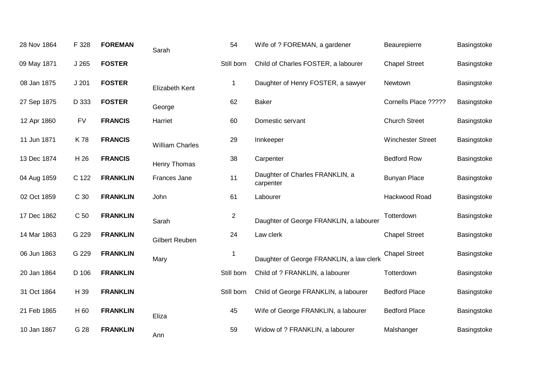| 28 Nov 1864 | F 328     | <b>FOREMAN</b>  | Sarah                  | 54             | Wife of ? FOREMAN, a gardener                | Beaurepierre             | Basingstoke |
|-------------|-----------|-----------------|------------------------|----------------|----------------------------------------------|--------------------------|-------------|
| 09 May 1871 | J265      | <b>FOSTER</b>   |                        | Still born     | Child of Charles FOSTER, a labourer          | <b>Chapel Street</b>     | Basingstoke |
| 08 Jan 1875 | J201      | <b>FOSTER</b>   | Elizabeth Kent         | $\mathbf 1$    | Daughter of Henry FOSTER, a sawyer           | Newtown                  | Basingstoke |
| 27 Sep 1875 | D 333     | <b>FOSTER</b>   | George                 | 62             | <b>Baker</b>                                 | Cornells Place ?????     | Basingstoke |
| 12 Apr 1860 | <b>FV</b> | <b>FRANCIS</b>  | Harriet                | 60             | Domestic servant                             | <b>Church Street</b>     | Basingstoke |
| 11 Jun 1871 | K78       | <b>FRANCIS</b>  | <b>William Charles</b> | 29             | Innkeeper                                    | <b>Winchester Street</b> | Basingstoke |
| 13 Dec 1874 | H 26      | <b>FRANCIS</b>  | Henry Thomas           | 38             | Carpenter                                    | <b>Bedford Row</b>       | Basingstoke |
| 04 Aug 1859 | C 122     | <b>FRANKLIN</b> | Frances Jane           | 11             | Daughter of Charles FRANKLIN, a<br>carpenter | <b>Bunyan Place</b>      | Basingstoke |
| 02 Oct 1859 | C 30      | <b>FRANKLIN</b> | John                   | 61             | Labourer                                     | Hackwood Road            | Basingstoke |
| 17 Dec 1862 | C 50      | <b>FRANKLIN</b> | Sarah                  | $\overline{2}$ | Daughter of George FRANKLIN, a labourer      | Totterdown               | Basingstoke |
| 14 Mar 1863 | G 229     | <b>FRANKLIN</b> | <b>Gilbert Reuben</b>  | 24             | Law clerk                                    | <b>Chapel Street</b>     | Basingstoke |
| 06 Jun 1863 | G 229     | <b>FRANKLIN</b> | Mary                   | $\mathbf 1$    | Daughter of George FRANKLIN, a law clerk     | <b>Chapel Street</b>     | Basingstoke |
| 20 Jan 1864 | D 106     | <b>FRANKLIN</b> |                        | Still born     | Child of ? FRANKLIN, a labourer              | Totterdown               | Basingstoke |
| 31 Oct 1864 | H 39      | <b>FRANKLIN</b> |                        | Still born     | Child of George FRANKLIN, a labourer         | <b>Bedford Place</b>     | Basingstoke |
| 21 Feb 1865 | H 60      | <b>FRANKLIN</b> | Eliza                  | 45             | Wife of George FRANKLIN, a labourer          | <b>Bedford Place</b>     | Basingstoke |
| 10 Jan 1867 | G 28      | <b>FRANKLIN</b> | Ann                    | 59             | Widow of ? FRANKLIN, a labourer              | Malshanger               | Basingstoke |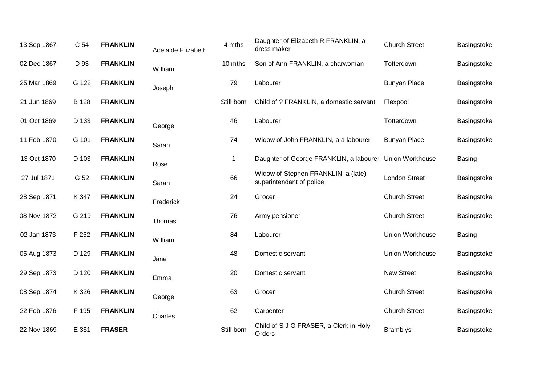| 13 Sep 1867 | C 54  | <b>FRANKLIN</b> | Adelaide Elizabeth | 4 mths      | Daughter of Elizabeth R FRANKLIN, a<br>dress maker              | <b>Church Street</b> | Basingstoke   |
|-------------|-------|-----------------|--------------------|-------------|-----------------------------------------------------------------|----------------------|---------------|
| 02 Dec 1867 | D 93  | <b>FRANKLIN</b> | William            | 10 mths     | Son of Ann FRANKLIN, a charwoman                                | Totterdown           | Basingstoke   |
| 25 Mar 1869 | G 122 | <b>FRANKLIN</b> | Joseph             | 79          | Labourer                                                        | <b>Bunyan Place</b>  | Basingstoke   |
| 21 Jun 1869 | B 128 | <b>FRANKLIN</b> |                    | Still born  | Child of ? FRANKLIN, a domestic servant                         | Flexpool             | Basingstoke   |
| 01 Oct 1869 | D 133 | <b>FRANKLIN</b> | George             | 46          | Labourer                                                        | Totterdown           | Basingstoke   |
| 11 Feb 1870 | G 101 | <b>FRANKLIN</b> | Sarah              | 74          | Widow of John FRANKLIN, a a labourer                            | <b>Bunyan Place</b>  | Basingstoke   |
| 13 Oct 1870 | D 103 | <b>FRANKLIN</b> | Rose               | $\mathbf 1$ | Daughter of George FRANKLIN, a labourer                         | Union Workhouse      | <b>Basing</b> |
| 27 Jul 1871 | G 52  | <b>FRANKLIN</b> | Sarah              | 66          | Widow of Stephen FRANKLIN, a (late)<br>superintendant of police | London Street        | Basingstoke   |
| 28 Sep 1871 | K 347 | <b>FRANKLIN</b> | Frederick          | 24          | Grocer                                                          | <b>Church Street</b> | Basingstoke   |
| 08 Nov 1872 | G 219 | <b>FRANKLIN</b> | Thomas             | 76          | Army pensioner                                                  | <b>Church Street</b> | Basingstoke   |
| 02 Jan 1873 | F 252 | <b>FRANKLIN</b> | William            | 84          | Labourer                                                        | Union Workhouse      | Basing        |
| 05 Aug 1873 | D 129 | <b>FRANKLIN</b> | Jane               | 48          | Domestic servant                                                | Union Workhouse      | Basingstoke   |
| 29 Sep 1873 | D 120 | <b>FRANKLIN</b> | Emma               | 20          | Domestic servant                                                | <b>New Street</b>    | Basingstoke   |
| 08 Sep 1874 | K 326 | <b>FRANKLIN</b> | George             | 63          | Grocer                                                          | <b>Church Street</b> | Basingstoke   |
| 22 Feb 1876 | F 195 | <b>FRANKLIN</b> | Charles            | 62          | Carpenter                                                       | <b>Church Street</b> | Basingstoke   |
| 22 Nov 1869 | E 351 | <b>FRASER</b>   |                    | Still born  | Child of S J G FRASER, a Clerk in Holy<br>Orders                | <b>Bramblys</b>      | Basingstoke   |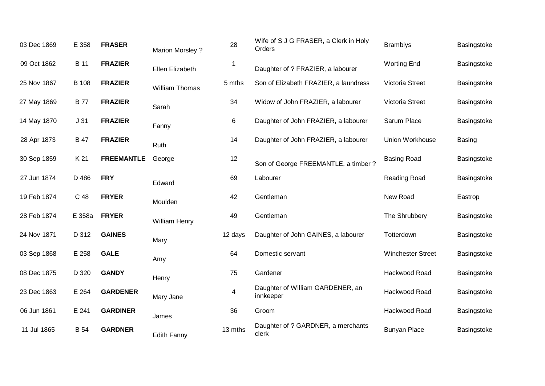| 03 Dec 1869 | E 358           | <b>FRASER</b>     | <b>Marion Morsley?</b> | 28                       | Wife of S J G FRASER, a Clerk in Holy<br>Orders | <b>Bramblys</b>          | Basingstoke |
|-------------|-----------------|-------------------|------------------------|--------------------------|-------------------------------------------------|--------------------------|-------------|
| 09 Oct 1862 | <b>B</b> 11     | <b>FRAZIER</b>    | Ellen Elizabeth        | $\overline{\phantom{a}}$ | Daughter of ? FRAZIER, a labourer               | <b>Worting End</b>       | Basingstoke |
| 25 Nov 1867 | <b>B</b> 108    | <b>FRAZIER</b>    | <b>William Thomas</b>  | 5 mths                   | Son of Elizabeth FRAZIER, a laundress           | Victoria Street          | Basingstoke |
| 27 May 1869 | <b>B77</b>      | <b>FRAZIER</b>    | Sarah                  | 34                       | Widow of John FRAZIER, a labourer               | Victoria Street          | Basingstoke |
| 14 May 1870 | J <sub>31</sub> | <b>FRAZIER</b>    | Fanny                  | 6                        | Daughter of John FRAZIER, a labourer            | Sarum Place              | Basingstoke |
| 28 Apr 1873 | <b>B</b> 47     | <b>FRAZIER</b>    | Ruth                   | 14                       | Daughter of John FRAZIER, a labourer            | Union Workhouse          | Basing      |
| 30 Sep 1859 | K 21            | <b>FREEMANTLE</b> | George                 | 12                       | Son of George FREEMANTLE, a timber ?            | <b>Basing Road</b>       | Basingstoke |
| 27 Jun 1874 | D 486           | <b>FRY</b>        | Edward                 | 69                       | Labourer                                        | Reading Road             | Basingstoke |
| 19 Feb 1874 | C 48            | <b>FRYER</b>      | Moulden                | 42                       | Gentleman                                       | New Road                 | Eastrop     |
| 28 Feb 1874 | E 358a          | <b>FRYER</b>      | William Henry          | 49                       | Gentleman                                       | The Shrubbery            | Basingstoke |
| 24 Nov 1871 | D 312           | <b>GAINES</b>     | Mary                   | 12 days                  | Daughter of John GAINES, a labourer             | Totterdown               | Basingstoke |
| 03 Sep 1868 | E 258           | <b>GALE</b>       | Amy                    | 64                       | Domestic servant                                | <b>Winchester Street</b> | Basingstoke |
| 08 Dec 1875 | D 320           | <b>GANDY</b>      | Henry                  | 75                       | Gardener                                        | Hackwood Road            | Basingstoke |
| 23 Dec 1863 | E 264           | <b>GARDENER</b>   | Mary Jane              | 4                        | Daughter of William GARDENER, an<br>innkeeper   | Hackwood Road            | Basingstoke |
| 06 Jun 1861 | E 241           | <b>GARDINER</b>   | James                  | 36                       | Groom                                           | Hackwood Road            | Basingstoke |
| 11 Jul 1865 | <b>B</b> 54     | <b>GARDNER</b>    | <b>Edith Fanny</b>     | 13 mths                  | Daughter of ? GARDNER, a merchants<br>clerk     | <b>Bunyan Place</b>      | Basingstoke |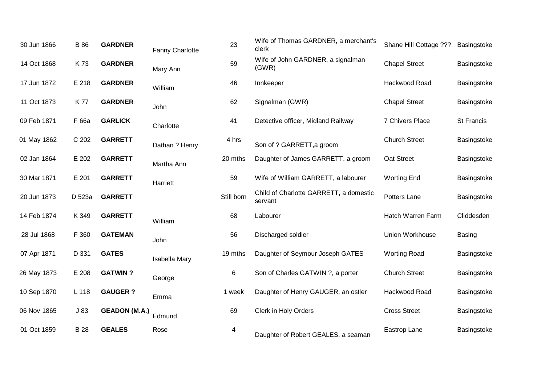| Basingstoke<br>Basingstoke |
|----------------------------|
|                            |
|                            |
| Basingstoke                |
| St Francis                 |
| Basingstoke                |
| Basingstoke                |
| Basingstoke                |
| Basingstoke                |
| Cliddesden                 |
| Basing                     |
| Basingstoke                |
| Basingstoke                |
| Basingstoke                |
| Basingstoke                |
| Basingstoke                |
|                            |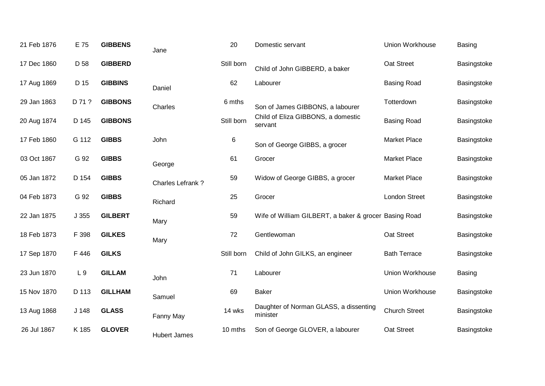| 21 Feb 1876 | E 75           | <b>GIBBENS</b> | Jane                | 20         | Domestic servant                                      | Union Workhouse      | <b>Basing</b> |
|-------------|----------------|----------------|---------------------|------------|-------------------------------------------------------|----------------------|---------------|
| 17 Dec 1860 | D 58           | <b>GIBBERD</b> |                     | Still born | Child of John GIBBERD, a baker                        | Oat Street           | Basingstoke   |
| 17 Aug 1869 | D 15           | <b>GIBBINS</b> | Daniel              | 62         | Labourer                                              | <b>Basing Road</b>   | Basingstoke   |
| 29 Jan 1863 | D 71 ?         | <b>GIBBONS</b> | Charles             | 6 mths     | Son of James GIBBONS, a labourer                      | Totterdown           | Basingstoke   |
| 20 Aug 1874 | D 145          | <b>GIBBONS</b> |                     | Still born | Child of Eliza GIBBONS, a domestic<br>servant         | <b>Basing Road</b>   | Basingstoke   |
| 17 Feb 1860 | G 112          | <b>GIBBS</b>   | John                | 6          | Son of George GIBBS, a grocer                         | Market Place         | Basingstoke   |
| 03 Oct 1867 | G 92           | <b>GIBBS</b>   | George              | 61         | Grocer                                                | <b>Market Place</b>  | Basingstoke   |
| 05 Jan 1872 | D 154          | <b>GIBBS</b>   | Charles Lefrank?    | 59         | Widow of George GIBBS, a grocer                       | <b>Market Place</b>  | Basingstoke   |
| 04 Feb 1873 | G 92           | <b>GIBBS</b>   | Richard             | 25         | Grocer                                                | <b>London Street</b> | Basingstoke   |
| 22 Jan 1875 | J355           | <b>GILBERT</b> | Mary                | 59         | Wife of William GILBERT, a baker & grocer Basing Road |                      | Basingstoke   |
| 18 Feb 1873 | F 398          | <b>GILKES</b>  | Mary                | 72         | Gentlewoman                                           | Oat Street           | Basingstoke   |
| 17 Sep 1870 | F 446          | <b>GILKS</b>   |                     | Still born | Child of John GILKS, an engineer                      | <b>Bath Terrace</b>  | Basingstoke   |
| 23 Jun 1870 | L <sub>9</sub> | <b>GILLAM</b>  | John                | 71         | Labourer                                              | Union Workhouse      | Basing        |
| 15 Nov 1870 | D 113          | <b>GILLHAM</b> | Samuel              | 69         | <b>Baker</b>                                          | Union Workhouse      | Basingstoke   |
| 13 Aug 1868 | J 148          | <b>GLASS</b>   | Fanny May           | 14 wks     | Daughter of Norman GLASS, a dissenting<br>minister    | <b>Church Street</b> | Basingstoke   |
| 26 Jul 1867 | K 185          | <b>GLOVER</b>  | <b>Hubert James</b> | 10 mths    | Son of George GLOVER, a labourer                      | Oat Street           | Basingstoke   |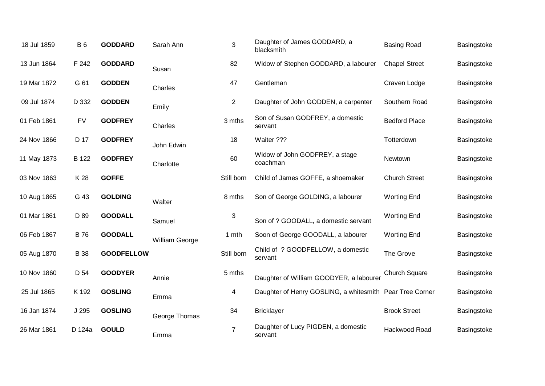| 18 Jul 1859 | <b>B</b> 6  | <b>GODDARD</b>    | Sarah Ann      | 3              | Daughter of James GODDARD, a<br>blacksmith               | <b>Basing Road</b>   | Basingstoke |
|-------------|-------------|-------------------|----------------|----------------|----------------------------------------------------------|----------------------|-------------|
| 13 Jun 1864 | F 242       | <b>GODDARD</b>    | Susan          | 82             | Widow of Stephen GODDARD, a labourer                     | <b>Chapel Street</b> | Basingstoke |
| 19 Mar 1872 | G 61        | <b>GODDEN</b>     | Charles        | 47             | Gentleman                                                | Craven Lodge         | Basingstoke |
| 09 Jul 1874 | D 332       | <b>GODDEN</b>     | Emily          | $\overline{2}$ | Daughter of John GODDEN, a carpenter                     | Southern Road        | Basingstoke |
| 01 Feb 1861 | <b>FV</b>   | <b>GODFREY</b>    | Charles        | 3 mths         | Son of Susan GODFREY, a domestic<br>servant              | <b>Bedford Place</b> | Basingstoke |
| 24 Nov 1866 | D 17        | <b>GODFREY</b>    | John Edwin     | 18             | Waiter ???                                               | Totterdown           | Basingstoke |
| 11 May 1873 | B 122       | <b>GODFREY</b>    | Charlotte      | 60             | Widow of John GODFREY, a stage<br>coachman               | Newtown              | Basingstoke |
| 03 Nov 1863 | K 28        | <b>GOFFE</b>      |                | Still born     | Child of James GOFFE, a shoemaker                        | <b>Church Street</b> | Basingstoke |
| 10 Aug 1865 | G 43        | <b>GOLDING</b>    | Walter         | 8 mths         | Son of George GOLDING, a labourer                        | <b>Worting End</b>   | Basingstoke |
| 01 Mar 1861 | D 89        | <b>GOODALL</b>    | Samuel         | 3              | Son of ? GOODALL, a domestic servant                     | <b>Worting End</b>   | Basingstoke |
| 06 Feb 1867 | <b>B76</b>  | <b>GOODALL</b>    | William George | 1 mth          | Soon of George GOODALL, a labourer                       | <b>Worting End</b>   | Basingstoke |
| 05 Aug 1870 | <b>B</b> 38 | <b>GOODFELLOW</b> |                | Still born     | Child of ? GOODFELLOW, a domestic<br>servant             | The Grove            | Basingstoke |
| 10 Nov 1860 | D 54        | <b>GOODYER</b>    | Annie          | 5 mths         | Daughter of William GOODYER, a labourer                  | Church Square        | Basingstoke |
| 25 Jul 1865 | K 192       | <b>GOSLING</b>    | Emma           | 4              | Daughter of Henry GOSLING, a whitesmith Pear Tree Corner |                      | Basingstoke |
| 16 Jan 1874 | J 295       | <b>GOSLING</b>    | George Thomas  | 34             | <b>Bricklayer</b>                                        | <b>Brook Street</b>  | Basingstoke |
| 26 Mar 1861 | D 124a      | <b>GOULD</b>      | Emma           | $\overline{7}$ | Daughter of Lucy PIGDEN, a domestic<br>servant           | Hackwood Road        | Basingstoke |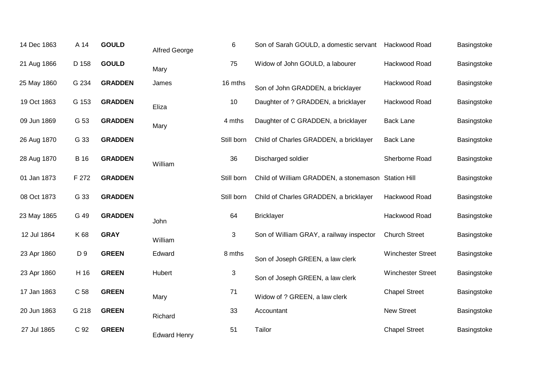| 14 Dec 1863 | A 14        | <b>GOULD</b>   | <b>Alfred George</b> | 6          | Son of Sarah GOULD, a domestic servant              | Hackwood Road            | Basingstoke |
|-------------|-------------|----------------|----------------------|------------|-----------------------------------------------------|--------------------------|-------------|
| 21 Aug 1866 | D 158       | <b>GOULD</b>   | Mary                 | 75         | Widow of John GOULD, a labourer                     | Hackwood Road            | Basingstoke |
| 25 May 1860 | G 234       | <b>GRADDEN</b> | James                | 16 mths    | Son of John GRADDEN, a bricklayer                   | Hackwood Road            | Basingstoke |
| 19 Oct 1863 | G 153       | <b>GRADDEN</b> | Eliza                | 10         | Daughter of ? GRADDEN, a bricklayer                 | Hackwood Road            | Basingstoke |
| 09 Jun 1869 | G 53        | <b>GRADDEN</b> | Mary                 | 4 mths     | Daughter of C GRADDEN, a bricklayer                 | <b>Back Lane</b>         | Basingstoke |
| 26 Aug 1870 | G 33        | <b>GRADDEN</b> |                      | Still born | Child of Charles GRADDEN, a bricklayer              | <b>Back Lane</b>         | Basingstoke |
| 28 Aug 1870 | <b>B</b> 16 | <b>GRADDEN</b> | William              | 36         | Discharged soldier                                  | Sherborne Road           | Basingstoke |
| 01 Jan 1873 | F 272       | <b>GRADDEN</b> |                      | Still born | Child of William GRADDEN, a stonemason Station Hill |                          | Basingstoke |
| 08 Oct 1873 | G 33        | <b>GRADDEN</b> |                      | Still born | Child of Charles GRADDEN, a bricklayer              | Hackwood Road            | Basingstoke |
| 23 May 1865 | G 49        | <b>GRADDEN</b> | John                 | 64         | <b>Bricklayer</b>                                   | Hackwood Road            | Basingstoke |
| 12 Jul 1864 | K 68        | <b>GRAY</b>    | William              | 3          | Son of William GRAY, a railway inspector            | <b>Church Street</b>     | Basingstoke |
| 23 Apr 1860 | D 9         | <b>GREEN</b>   | Edward               | 8 mths     | Son of Joseph GREEN, a law clerk                    | <b>Winchester Street</b> | Basingstoke |
| 23 Apr 1860 | H 16        | <b>GREEN</b>   | Hubert               | $\sqrt{3}$ | Son of Joseph GREEN, a law clerk                    | <b>Winchester Street</b> | Basingstoke |
| 17 Jan 1863 | C 58        | <b>GREEN</b>   | Mary                 | 71         | Widow of ? GREEN, a law clerk                       | <b>Chapel Street</b>     | Basingstoke |
| 20 Jun 1863 | G 218       | <b>GREEN</b>   | Richard              | 33         | Accountant                                          | New Street               | Basingstoke |
| 27 Jul 1865 | C 92        | <b>GREEN</b>   | <b>Edward Henry</b>  | 51         | Tailor                                              | <b>Chapel Street</b>     | Basingstoke |
|             |             |                |                      |            |                                                     |                          |             |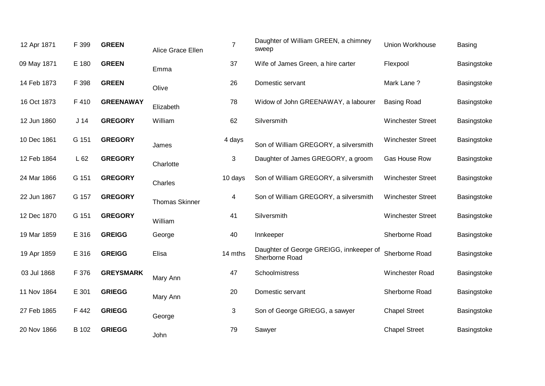| 12 Apr 1871 | F 399           | <b>GREEN</b>     | Alice Grace Ellen     | $\overline{7}$ | Daughter of William GREEN, a chimney<br>sweep             | Union Workhouse          | Basing      |
|-------------|-----------------|------------------|-----------------------|----------------|-----------------------------------------------------------|--------------------------|-------------|
| 09 May 1871 | E 180           | <b>GREEN</b>     | Emma                  | 37             | Wife of James Green, a hire carter                        | Flexpool                 | Basingstoke |
| 14 Feb 1873 | F 398           | <b>GREEN</b>     | Olive                 | 26             | Domestic servant                                          | Mark Lane?               | Basingstoke |
| 16 Oct 1873 | F 410           | <b>GREENAWAY</b> | Elizabeth             | 78             | Widow of John GREENAWAY, a labourer                       | <b>Basing Road</b>       | Basingstoke |
| 12 Jun 1860 | J <sub>14</sub> | <b>GREGORY</b>   | William               | 62             | Silversmith                                               | <b>Winchester Street</b> | Basingstoke |
| 10 Dec 1861 | G 151           | <b>GREGORY</b>   | James                 | 4 days         | Son of William GREGORY, a silversmith                     | <b>Winchester Street</b> | Basingstoke |
| 12 Feb 1864 | L62             | <b>GREGORY</b>   | Charlotte             | 3              | Daughter of James GREGORY, a groom                        | Gas House Row            | Basingstoke |
| 24 Mar 1866 | G 151           | <b>GREGORY</b>   | Charles               | 10 days        | Son of William GREGORY, a silversmith                     | <b>Winchester Street</b> | Basingstoke |
| 22 Jun 1867 | G 157           | <b>GREGORY</b>   | <b>Thomas Skinner</b> | 4              | Son of William GREGORY, a silversmith                     | <b>Winchester Street</b> | Basingstoke |
| 12 Dec 1870 | G 151           | <b>GREGORY</b>   | William               | 41             | Silversmith                                               | <b>Winchester Street</b> | Basingstoke |
| 19 Mar 1859 | E 316           | <b>GREIGG</b>    | George                | 40             | Innkeeper                                                 | Sherborne Road           | Basingstoke |
| 19 Apr 1859 | E 316           | <b>GREIGG</b>    | Elisa                 | 14 mths        | Daughter of George GREIGG, innkeeper of<br>Sherborne Road | Sherborne Road           | Basingstoke |
| 03 Jul 1868 | F 376           | <b>GREYSMARK</b> | Mary Ann              | 47             | Schoolmistress                                            | Winchester Road          | Basingstoke |
| 11 Nov 1864 | E 301           | <b>GRIEGG</b>    | Mary Ann              | 20             | Domestic servant                                          | Sherborne Road           | Basingstoke |
| 27 Feb 1865 | F 442           | <b>GRIEGG</b>    | George                | 3              | Son of George GRIEGG, a sawyer                            | <b>Chapel Street</b>     | Basingstoke |
| 20 Nov 1866 | B 102           | <b>GRIEGG</b>    | John                  | 79             | Sawyer                                                    | <b>Chapel Street</b>     | Basingstoke |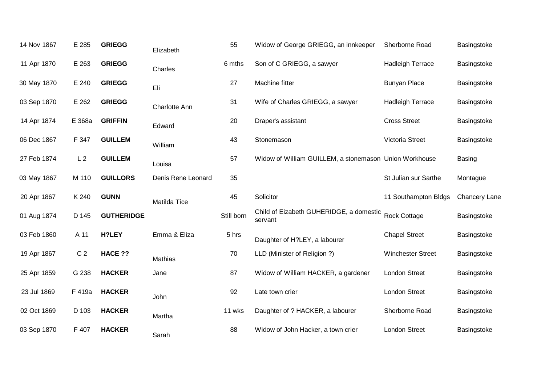| 14 Nov 1867 | E 285          | <b>GRIEGG</b>     | Elizabeth          | 55         | Widow of George GRIEGG, an innkeeper                   | Sherborne Road           | Basingstoke          |
|-------------|----------------|-------------------|--------------------|------------|--------------------------------------------------------|--------------------------|----------------------|
| 11 Apr 1870 | E 263          | <b>GRIEGG</b>     | Charles            | 6 mths     | Son of C GRIEGG, a sawyer                              | <b>Hadleigh Terrace</b>  | Basingstoke          |
| 30 May 1870 | E 240          | <b>GRIEGG</b>     | Eli                | 27         | Machine fitter                                         | <b>Bunyan Place</b>      | Basingstoke          |
| 03 Sep 1870 | E 262          | <b>GRIEGG</b>     | Charlotte Ann      | 31         | Wife of Charles GRIEGG, a sawyer                       | <b>Hadleigh Terrace</b>  | Basingstoke          |
| 14 Apr 1874 | E 368a         | <b>GRIFFIN</b>    | Edward             | 20         | Draper's assistant                                     | <b>Cross Street</b>      | Basingstoke          |
| 06 Dec 1867 | F 347          | <b>GUILLEM</b>    | William            | 43         | Stonemason                                             | Victoria Street          | Basingstoke          |
| 27 Feb 1874 | L <sub>2</sub> | <b>GUILLEM</b>    | Louisa             | 57         | Widow of William GUILLEM, a stonemason Union Workhouse |                          | <b>Basing</b>        |
| 03 May 1867 | M 110          | <b>GUILLORS</b>   | Denis Rene Leonard | 35         |                                                        | St Julian sur Sarthe     | Montague             |
| 20 Apr 1867 | K 240          | <b>GUNN</b>       | Matilda Tice       | 45         | Solicitor                                              | 11 Southampton Bldgs     | <b>Chancery Lane</b> |
| 01 Aug 1874 | D 145          | <b>GUTHERIDGE</b> |                    | Still born | Child of Eizabeth GUHERIDGE, a domestic<br>servant     | <b>Rock Cottage</b>      | Basingstoke          |
| 03 Feb 1860 | A 11           | H?LEY             | Emma & Eliza       | 5 hrs      | Daughter of H?LEY, a labourer                          | <b>Chapel Street</b>     | Basingstoke          |
| 19 Apr 1867 | C <sub>2</sub> | HACE ??           | Mathias            | 70         | LLD (Minister of Religion?)                            | <b>Winchester Street</b> | Basingstoke          |
| 25 Apr 1859 | G 238          | <b>HACKER</b>     | Jane               | 87         | Widow of William HACKER, a gardener                    | <b>London Street</b>     | Basingstoke          |
| 23 Jul 1869 | F 419a         | <b>HACKER</b>     | John               | 92         | Late town crier                                        | <b>London Street</b>     | Basingstoke          |
| 02 Oct 1869 | D 103          | <b>HACKER</b>     | Martha             | 11 wks     | Daughter of ? HACKER, a labourer                       | Sherborne Road           | Basingstoke          |
| 03 Sep 1870 | F 407          | <b>HACKER</b>     | Sarah              | 88         | Widow of John Hacker, a town crier                     | <b>London Street</b>     | Basingstoke          |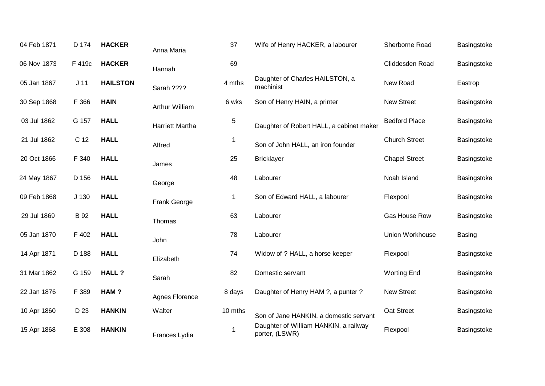| 04 Feb 1871 | D 174           | <b>HACKER</b>   | Anna Maria             | 37          | Wife of Henry HACKER, a labourer                        | Sherborne Road       | Basingstoke   |
|-------------|-----------------|-----------------|------------------------|-------------|---------------------------------------------------------|----------------------|---------------|
| 06 Nov 1873 | F 419c          | <b>HACKER</b>   | Hannah                 | 69          |                                                         | Cliddesden Road      | Basingstoke   |
| 05 Jan 1867 | J <sub>11</sub> | <b>HAILSTON</b> | Sarah ????             | 4 mths      | Daughter of Charles HAILSTON, a<br>machinist            | New Road             | Eastrop       |
| 30 Sep 1868 | F 366           | <b>HAIN</b>     | Arthur William         | 6 wks       | Son of Henry HAIN, a printer                            | <b>New Street</b>    | Basingstoke   |
| 03 Jul 1862 | G 157           | <b>HALL</b>     | <b>Harriett Martha</b> | 5           | Daughter of Robert HALL, a cabinet maker                | <b>Bedford Place</b> | Basingstoke   |
| 21 Jul 1862 | C 12            | <b>HALL</b>     | Alfred                 | $\mathbf 1$ | Son of John HALL, an iron founder                       | <b>Church Street</b> | Basingstoke   |
| 20 Oct 1866 | F 340           | <b>HALL</b>     | James                  | 25          | <b>Bricklayer</b>                                       | <b>Chapel Street</b> | Basingstoke   |
| 24 May 1867 | D 156           | <b>HALL</b>     | George                 | 48          | Labourer                                                | Noah Island          | Basingstoke   |
| 09 Feb 1868 | J 130           | <b>HALL</b>     | Frank George           | $\mathbf 1$ | Son of Edward HALL, a labourer                          | Flexpool             | Basingstoke   |
| 29 Jul 1869 | <b>B</b> 92     | <b>HALL</b>     | Thomas                 | 63          | Labourer                                                | Gas House Row        | Basingstoke   |
| 05 Jan 1870 | F 402           | <b>HALL</b>     | John                   | 78          | Labourer                                                | Union Workhouse      | <b>Basing</b> |
| 14 Apr 1871 | D 188           | <b>HALL</b>     | Elizabeth              | 74          | Widow of ? HALL, a horse keeper                         | Flexpool             | Basingstoke   |
| 31 Mar 1862 | G 159           | <b>HALL?</b>    | Sarah                  | 82          | Domestic servant                                        | <b>Worting End</b>   | Basingstoke   |
| 22 Jan 1876 | F 389           | HAM?            | <b>Agnes Florence</b>  | 8 days      | Daughter of Henry HAM ?, a punter ?                     | <b>New Street</b>    | Basingstoke   |
| 10 Apr 1860 | D 23            | <b>HANKIN</b>   | Walter                 | 10 mths     | Son of Jane HANKIN, a domestic servant                  | Oat Street           | Basingstoke   |
| 15 Apr 1868 | E 308           | <b>HANKIN</b>   | Frances Lydia          | -1          | Daughter of William HANKIN, a railway<br>porter, (LSWR) | Flexpool             | Basingstoke   |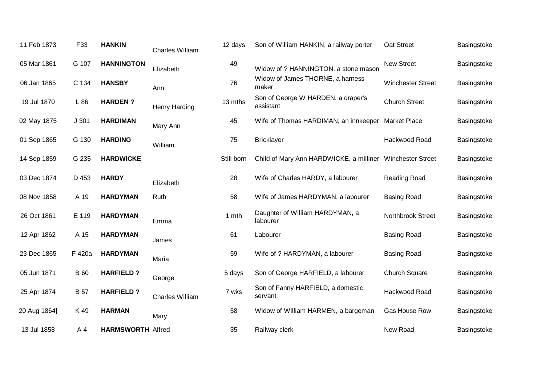| 11 Feb 1873  | F33            | <b>HANKIN</b>            | <b>Charles William</b> | 12 days    | Son of William HANKIN, a railway porter                   | Oat Street               | Basingstoke |
|--------------|----------------|--------------------------|------------------------|------------|-----------------------------------------------------------|--------------------------|-------------|
| 05 Mar 1861  | G 107          | <b>HANNINGTON</b>        | Elizabeth              | 49         | Widow of ? HANNINGTON, a stone mason                      | <b>New Street</b>        | Basingstoke |
| 06 Jan 1865  | C 134          | <b>HANSBY</b>            | Ann                    | 76         | Widow of James THORNE, a harness<br>maker                 | <b>Winchester Street</b> | Basingstoke |
| 19 Jul 1870  | L 86           | <b>HARDEN?</b>           | Henry Harding          | 13 mths    | Son of George W HARDEN, a draper's<br>assistant           | <b>Church Street</b>     | Basingstoke |
| 02 May 1875  | J301           | <b>HARDIMAN</b>          | Mary Ann               | 45         | Wife of Thomas HARDIMAN, an innkeeper Market Place        |                          | Basingstoke |
| 01 Sep 1865  | G 130          | <b>HARDING</b>           | William                | 75         | <b>Bricklayer</b>                                         | Hackwood Road            | Basingstoke |
| 14 Sep 1859  | G 235          | <b>HARDWICKE</b>         |                        | Still born | Child of Mary Ann HARDWICKE, a milliner Winchester Street |                          | Basingstoke |
| 03 Dec 1874  | D 453          | <b>HARDY</b>             | Elizabeth              | 28         | Wife of Charles HARDY, a labourer                         | <b>Reading Road</b>      | Basingstoke |
| 08 Nov 1858  | A 19           | <b>HARDYMAN</b>          | Ruth                   | 58         | Wife of James HARDYMAN, a labourer                        | <b>Basing Road</b>       | Basingstoke |
| 26 Oct 1861  | E 119          | <b>HARDYMAN</b>          | Emma                   | 1 mth      | Daughter of William HARDYMAN, a<br>labourer               | Northbrook Street        | Basingstoke |
| 12 Apr 1862  | A 15           | <b>HARDYMAN</b>          | James                  | 61         | Labourer                                                  | <b>Basing Road</b>       | Basingstoke |
| 23 Dec 1865  | F 420a         | <b>HARDYMAN</b>          | Maria                  | 59         | Wife of ? HARDYMAN, a labourer                            | <b>Basing Road</b>       | Basingstoke |
| 05 Jun 1871  | <b>B</b> 60    | <b>HARFIELD?</b>         | George                 | 5 days     | Son of George HARFIELD, a labourer                        | Church Square            | Basingstoke |
| 25 Apr 1874  | <b>B</b> 57    | <b>HARFIELD?</b>         | <b>Charles William</b> | 7 wks      | Son of Fanny HARFIELD, a domestic<br>servant              | Hackwood Road            | Basingstoke |
| 20 Aug 1864] | K 49           | <b>HARMAN</b>            | Mary                   | 58         | Widow of William HARMEN, a bargeman                       | Gas House Row            | Basingstoke |
| 13 Jul 1858  | A <sub>4</sub> | <b>HARMSWORTH Alfred</b> |                        | 35         | Railway clerk                                             | New Road                 | Basingstoke |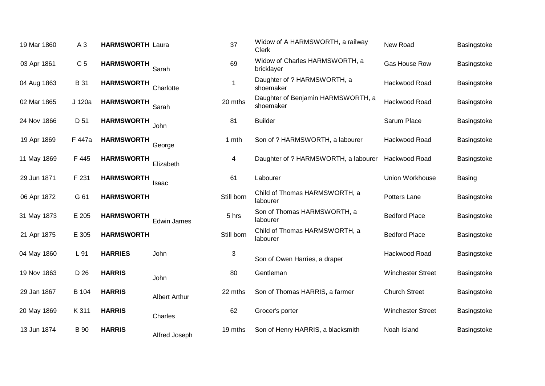|                              |                      |                                                                                                                                                                                                                                  | <b>Clerk</b>                                    |                          | Basingstoke   |
|------------------------------|----------------------|----------------------------------------------------------------------------------------------------------------------------------------------------------------------------------------------------------------------------------|-------------------------------------------------|--------------------------|---------------|
| C <sub>5</sub>               | Sarah                | 69                                                                                                                                                                                                                               | Widow of Charles HARMSWORTH, a<br>bricklayer    | Gas House Row            | Basingstoke   |
| <b>B</b> 31                  | Charlotte            | 1                                                                                                                                                                                                                                | Daughter of ? HARMSWORTH, a<br>shoemaker        | Hackwood Road            | Basingstoke   |
| J 120a                       | Sarah                | 20 mths                                                                                                                                                                                                                          | Daughter of Benjamin HARMSWORTH, a<br>shoemaker | Hackwood Road            | Basingstoke   |
| D 51                         | John                 | 81                                                                                                                                                                                                                               | <b>Builder</b>                                  | Sarum Place              | Basingstoke   |
| F 447a                       | George               | 1 mth                                                                                                                                                                                                                            | Son of ? HARMSWORTH, a labourer                 | Hackwood Road            | Basingstoke   |
| F 445                        | Elizabeth            | 4                                                                                                                                                                                                                                | Daughter of ? HARMSWORTH, a labourer            | Hackwood Road            | Basingstoke   |
| F 231                        | Isaac                | 61                                                                                                                                                                                                                               | Labourer                                        | Union Workhouse          | <b>Basing</b> |
| G 61                         |                      | Still born                                                                                                                                                                                                                       | Child of Thomas HARMSWORTH, a<br>labourer       | Potters Lane             | Basingstoke   |
| E 205                        | Edwin James          | 5 hrs                                                                                                                                                                                                                            | Son of Thomas HARMSWORTH, a<br>labourer         | <b>Bedford Place</b>     | Basingstoke   |
| E 305                        |                      | Still born                                                                                                                                                                                                                       | Child of Thomas HARMSWORTH, a<br>labourer       | <b>Bedford Place</b>     | Basingstoke   |
| L 91                         | John                 | 3                                                                                                                                                                                                                                | Son of Owen Harries, a draper                   | Hackwood Road            | Basingstoke   |
| D 26<br><b>HARRIS</b>        | John                 | 80                                                                                                                                                                                                                               | Gentleman                                       | <b>Winchester Street</b> | Basingstoke   |
| B 104<br><b>HARRIS</b>       | <b>Albert Arthur</b> | 22 mths                                                                                                                                                                                                                          | Son of Thomas HARRIS, a farmer                  | <b>Church Street</b>     | Basingstoke   |
| K 311<br><b>HARRIS</b>       | Charles              | 62                                                                                                                                                                                                                               | Grocer's porter                                 | <b>Winchester Street</b> | Basingstoke   |
| <b>HARRIS</b><br><b>B</b> 90 | Alfred Joseph        | 19 mths                                                                                                                                                                                                                          | Son of Henry HARRIS, a blacksmith               | Noah Island              | Basingstoke   |
|                              |                      | <b>HARMSWORTH</b><br><b>HARMSWORTH</b><br><b>HARMSWORTH</b><br><b>HARMSWORTH</b><br><b>HARMSWORTH</b><br><b>HARMSWORTH</b><br><b>HARMSWORTH</b><br><b>HARMSWORTH</b><br><b>HARMSWORTH</b><br><b>HARMSWORTH</b><br><b>HARRIES</b> |                                                 |                          |               |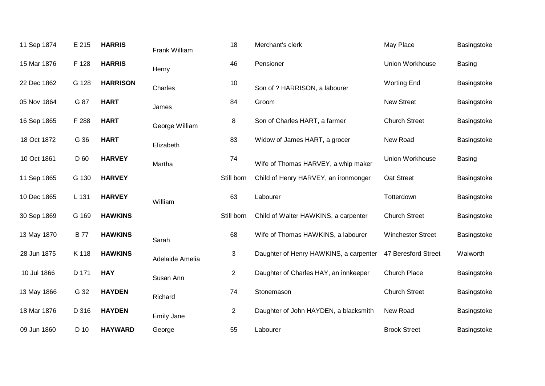| 11 Sep 1874 | E 215       | <b>HARRIS</b>   | Frank William     | 18             | Merchant's clerk                       | May Place                | Basingstoke   |
|-------------|-------------|-----------------|-------------------|----------------|----------------------------------------|--------------------------|---------------|
| 15 Mar 1876 | F 128       | <b>HARRIS</b>   | Henry             | 46             | Pensioner                              | Union Workhouse          | <b>Basing</b> |
| 22 Dec 1862 | G 128       | <b>HARRISON</b> | Charles           | 10             | Son of ? HARRISON, a labourer          | <b>Worting End</b>       | Basingstoke   |
| 05 Nov 1864 | G 87        | <b>HART</b>     | James             | 84             | Groom                                  | <b>New Street</b>        | Basingstoke   |
| 16 Sep 1865 | F 288       | <b>HART</b>     | George William    | 8              | Son of Charles HART, a farmer          | <b>Church Street</b>     | Basingstoke   |
| 18 Oct 1872 | G 36        | <b>HART</b>     | Elizabeth         | 83             | Widow of James HART, a grocer          | New Road                 | Basingstoke   |
| 10 Oct 1861 | D 60        | <b>HARVEY</b>   | Martha            | 74             | Wife of Thomas HARVEY, a whip maker    | Union Workhouse          | <b>Basing</b> |
| 11 Sep 1865 | G 130       | <b>HARVEY</b>   |                   | Still born     | Child of Henry HARVEY, an ironmonger   | Oat Street               | Basingstoke   |
| 10 Dec 1865 | L 131       | <b>HARVEY</b>   | William           | 63             | Labourer                               | Totterdown               | Basingstoke   |
| 30 Sep 1869 | G 169       | <b>HAWKINS</b>  |                   | Still born     | Child of Walter HAWKINS, a carpenter   | <b>Church Street</b>     | Basingstoke   |
| 13 May 1870 | <b>B</b> 77 | <b>HAWKINS</b>  | Sarah             | 68             | Wife of Thomas HAWKINS, a labourer     | <b>Winchester Street</b> | Basingstoke   |
| 28 Jun 1875 | K 118       | <b>HAWKINS</b>  | Adelaide Amelia   | 3              | Daughter of Henry HAWKINS, a carpenter | 47 Beresford Street      | Walworth      |
| 10 Jul 1866 | D 171       | <b>HAY</b>      | Susan Ann         | $\overline{2}$ | Daughter of Charles HAY, an innkeeper  | Church Place             | Basingstoke   |
| 13 May 1866 | G 32        | <b>HAYDEN</b>   | Richard           | 74             | Stonemason                             | <b>Church Street</b>     | Basingstoke   |
| 18 Mar 1876 | D 316       | <b>HAYDEN</b>   | <b>Emily Jane</b> | $\overline{2}$ | Daughter of John HAYDEN, a blacksmith  | New Road                 | Basingstoke   |
| 09 Jun 1860 | D 10        | <b>HAYWARD</b>  | George            | 55             | Labourer                               | <b>Brook Street</b>      | Basingstoke   |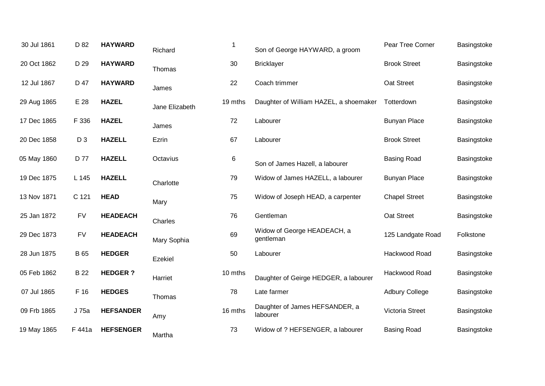| 30 Jul 1861 | D 82           | <b>HAYWARD</b>   | Richard        | 1       | Son of George HAYWARD, a groom             | Pear Tree Corner      | Basingstoke |
|-------------|----------------|------------------|----------------|---------|--------------------------------------------|-----------------------|-------------|
| 20 Oct 1862 | D 29           | <b>HAYWARD</b>   | Thomas         | 30      | <b>Bricklayer</b>                          | <b>Brook Street</b>   | Basingstoke |
| 12 Jul 1867 | D 47           | <b>HAYWARD</b>   | James          | 22      | Coach trimmer                              | Oat Street            | Basingstoke |
| 29 Aug 1865 | E 28           | <b>HAZEL</b>     | Jane Elizabeth | 19 mths | Daughter of William HAZEL, a shoemaker     | Totterdown            | Basingstoke |
| 17 Dec 1865 | F 336          | <b>HAZEL</b>     | James          | 72      | Labourer                                   | <b>Bunyan Place</b>   | Basingstoke |
| 20 Dec 1858 | D <sub>3</sub> | <b>HAZELL</b>    | Ezrin          | 67      | Labourer                                   | <b>Brook Street</b>   | Basingstoke |
| 05 May 1860 | D 77           | <b>HAZELL</b>    | Octavius       | 6       | Son of James Hazell, a labourer            | <b>Basing Road</b>    | Basingstoke |
| 19 Dec 1875 | L 145          | <b>HAZELL</b>    | Charlotte      | 79      | Widow of James HAZELL, a labourer          | <b>Bunyan Place</b>   | Basingstoke |
| 13 Nov 1871 | C 121          | <b>HEAD</b>      | Mary           | 75      | Widow of Joseph HEAD, a carpenter          | <b>Chapel Street</b>  | Basingstoke |
| 25 Jan 1872 | <b>FV</b>      | <b>HEADEACH</b>  | Charles        | 76      | Gentleman                                  | Oat Street            | Basingstoke |
| 29 Dec 1873 | <b>FV</b>      | <b>HEADEACH</b>  | Mary Sophia    | 69      | Widow of George HEADEACH, a<br>gentleman   | 125 Landgate Road     | Folkstone   |
| 28 Jun 1875 | <b>B</b> 65    | <b>HEDGER</b>    | <b>Ezekiel</b> | 50      | Labourer                                   | Hackwood Road         | Basingstoke |
| 05 Feb 1862 | <b>B22</b>     | <b>HEDGER?</b>   | Harriet        | 10 mths | Daughter of Geirge HEDGER, a labourer      | Hackwood Road         | Basingstoke |
| 07 Jul 1865 | F 16           | <b>HEDGES</b>    | Thomas         | 78      | Late farmer                                | <b>Adbury College</b> | Basingstoke |
| 09 Frb 1865 | J 75a          | <b>HEFSANDER</b> | Amy            | 16 mths | Daughter of James HEFSANDER, a<br>labourer | Victoria Street       | Basingstoke |
| 19 May 1865 | F 441a         | <b>HEFSENGER</b> | Martha         | 73      | Widow of ? HEFSENGER, a labourer           | <b>Basing Road</b>    | Basingstoke |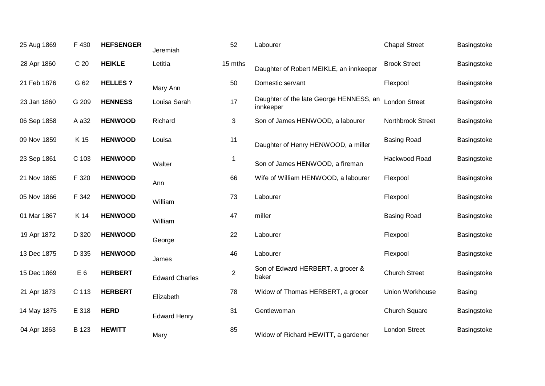| 25 Aug 1869 | F 430           | <b>HEFSENGER</b> | Jeremiah              | 52             | Labourer                                             | <b>Chapel Street</b> | Basingstoke |
|-------------|-----------------|------------------|-----------------------|----------------|------------------------------------------------------|----------------------|-------------|
| 28 Apr 1860 | C <sub>20</sub> | <b>HEIKLE</b>    | Letitia               | 15 mths        | Daughter of Robert MEIKLE, an innkeeper              | <b>Brook Street</b>  | Basingstoke |
| 21 Feb 1876 | G 62            | <b>HELLES?</b>   | Mary Ann              | 50             | Domestic servant                                     | Flexpool             | Basingstoke |
| 23 Jan 1860 | G 209           | <b>HENNESS</b>   | Louisa Sarah          | 17             | Daughter of the late George HENNESS, an<br>innkeeper | <b>London Street</b> | Basingstoke |
| 06 Sep 1858 | A a 32          | <b>HENWOOD</b>   | Richard               | 3              | Son of James HENWOOD, a labourer                     | Northbrook Street    | Basingstoke |
| 09 Nov 1859 | K 15            | <b>HENWOOD</b>   | Louisa                | 11             | Daughter of Henry HENWOOD, a miller                  | <b>Basing Road</b>   | Basingstoke |
| 23 Sep 1861 | C 103           | <b>HENWOOD</b>   | Walter                | 1              | Son of James HENWOOD, a fireman                      | Hackwood Road        | Basingstoke |
| 21 Nov 1865 | F 320           | <b>HENWOOD</b>   | Ann                   | 66             | Wife of William HENWOOD, a labourer                  | Flexpool             | Basingstoke |
| 05 Nov 1866 | F 342           | <b>HENWOOD</b>   | William               | 73             | Labourer                                             | Flexpool             | Basingstoke |
| 01 Mar 1867 | K 14            | <b>HENWOOD</b>   | William               | 47             | miller                                               | <b>Basing Road</b>   | Basingstoke |
| 19 Apr 1872 | D 320           | <b>HENWOOD</b>   | George                | 22             | Labourer                                             | Flexpool             | Basingstoke |
| 13 Dec 1875 | D 335           | <b>HENWOOD</b>   | James                 | 46             | Labourer                                             | Flexpool             | Basingstoke |
| 15 Dec 1869 | E <sub>6</sub>  | <b>HERBERT</b>   | <b>Edward Charles</b> | $\overline{2}$ | Son of Edward HERBERT, a grocer &<br>baker           | <b>Church Street</b> | Basingstoke |
| 21 Apr 1873 | C 113           | <b>HERBERT</b>   | Elizabeth             | 78             | Widow of Thomas HERBERT, a grocer                    | Union Workhouse      | Basing      |
| 14 May 1875 | E 318           | <b>HERD</b>      | <b>Edward Henry</b>   | 31             | Gentlewoman                                          | Church Square        | Basingstoke |
| 04 Apr 1863 | B 123           | <b>HEWITT</b>    | Mary                  | 85             | Widow of Richard HEWITT, a gardener                  | <b>London Street</b> | Basingstoke |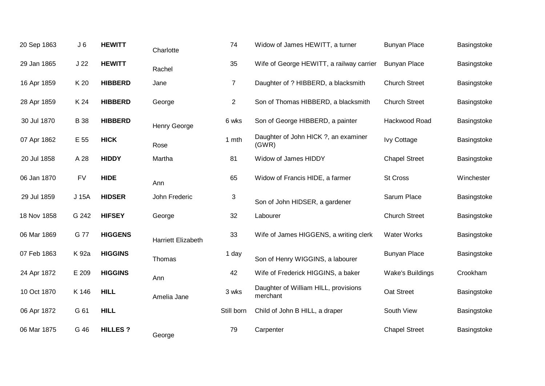| 20 Sep 1863 | J <sub>6</sub>  | <b>HEWITT</b>  | Charlotte                 | 74             | Widow of James HEWITT, a turner                  | <b>Bunyan Place</b>  | Basingstoke |
|-------------|-----------------|----------------|---------------------------|----------------|--------------------------------------------------|----------------------|-------------|
| 29 Jan 1865 | J <sub>22</sub> | <b>HEWITT</b>  | Rachel                    | 35             | Wife of George HEWITT, a railway carrier         | <b>Bunyan Place</b>  | Basingstoke |
| 16 Apr 1859 | K 20            | <b>HIBBERD</b> | Jane                      | $\overline{7}$ | Daughter of ? HIBBERD, a blacksmith              | <b>Church Street</b> | Basingstoke |
| 28 Apr 1859 | K 24            | <b>HIBBERD</b> | George                    | $\overline{2}$ | Son of Thomas HIBBERD, a blacksmith              | <b>Church Street</b> | Basingstoke |
| 30 Jul 1870 | <b>B</b> 38     | <b>HIBBERD</b> | <b>Henry George</b>       | 6 wks          | Son of George HIBBERD, a painter                 | Hackwood Road        | Basingstoke |
| 07 Apr 1862 | E 55            | <b>HICK</b>    | Rose                      | 1 mth          | Daughter of John HICK ?, an examiner<br>(GWR)    | <b>Ivy Cottage</b>   | Basingstoke |
| 20 Jul 1858 | A 28            | <b>HIDDY</b>   | Martha                    | 81             | Widow of James HIDDY                             | <b>Chapel Street</b> | Basingstoke |
| 06 Jan 1870 | <b>FV</b>       | <b>HIDE</b>    | Ann                       | 65             | Widow of Francis HIDE, a farmer                  | St Cross             | Winchester  |
| 29 Jul 1859 | J 15A           | <b>HIDSER</b>  | John Frederic             | $\sqrt{3}$     | Son of John HIDSER, a gardener                   | Sarum Place          | Basingstoke |
| 18 Nov 1858 | G 242           | <b>HIFSEY</b>  | George                    | 32             | Labourer                                         | <b>Church Street</b> | Basingstoke |
| 06 Mar 1869 | G 77            | <b>HIGGENS</b> | <b>Harriett Elizabeth</b> | 33             | Wife of James HIGGENS, a writing clerk           | <b>Water Works</b>   | Basingstoke |
| 07 Feb 1863 | K 92a           | <b>HIGGINS</b> | Thomas                    | 1 day          | Son of Henry WIGGINS, a labourer                 | <b>Bunyan Place</b>  | Basingstoke |
| 24 Apr 1872 | E 209           | <b>HIGGINS</b> | Ann                       | 42             | Wife of Frederick HIGGINS, a baker               | Wake's Buildings     | Crookham    |
| 10 Oct 1870 | K 146           | <b>HILL</b>    | Amelia Jane               | 3 wks          | Daughter of William HILL, provisions<br>merchant | Oat Street           | Basingstoke |
| 06 Apr 1872 | G 61            | <b>HILL</b>    |                           | Still born     | Child of John B HILL, a draper                   | South View           | Basingstoke |
| 06 Mar 1875 | G 46            | <b>HILLES?</b> | George                    | 79             | Carpenter                                        | <b>Chapel Street</b> | Basingstoke |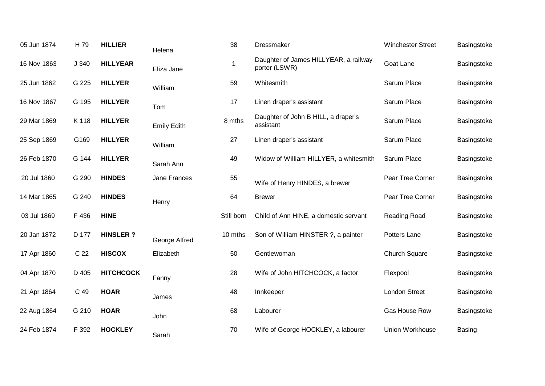| 05 Jun 1874 | H 79  | <b>HILLIER</b>   | Helena             | 38          | Dressmaker                                             | <b>Winchester Street</b> | Basingstoke   |
|-------------|-------|------------------|--------------------|-------------|--------------------------------------------------------|--------------------------|---------------|
| 16 Nov 1863 | J 340 | <b>HILLYEAR</b>  | Eliza Jane         | $\mathbf 1$ | Daughter of James HILLYEAR, a railway<br>porter (LSWR) | Goat Lane                | Basingstoke   |
| 25 Jun 1862 | G 225 | <b>HILLYER</b>   | William            | 59          | Whitesmith                                             | Sarum Place              | Basingstoke   |
| 16 Nov 1867 | G 195 | <b>HILLYER</b>   | Tom                | 17          | Linen draper's assistant                               | Sarum Place              | Basingstoke   |
| 29 Mar 1869 | K 118 | <b>HILLYER</b>   | <b>Emily Edith</b> | 8 mths      | Daughter of John B HILL, a draper's<br>assistant       | Sarum Place              | Basingstoke   |
| 25 Sep 1869 | G169  | <b>HILLYER</b>   | William            | 27          | Linen draper's assistant                               | Sarum Place              | Basingstoke   |
| 26 Feb 1870 | G 144 | <b>HILLYER</b>   | Sarah Ann          | 49          | Widow of William HILLYER, a whitesmith                 | Sarum Place              | Basingstoke   |
| 20 Jul 1860 | G 290 | <b>HINDES</b>    | Jane Frances       | 55          | Wife of Henry HINDES, a brewer                         | Pear Tree Corner         | Basingstoke   |
| 14 Mar 1865 | G 240 | <b>HINDES</b>    | Henry              | 64          | <b>Brewer</b>                                          | Pear Tree Corner         | Basingstoke   |
| 03 Jul 1869 | F 436 | <b>HINE</b>      |                    | Still born  | Child of Ann HINE, a domestic servant                  | Reading Road             | Basingstoke   |
| 20 Jan 1872 | D 177 | <b>HINSLER?</b>  | George Alfred      | 10 mths     | Son of William HINSTER ?, a painter                    | Potters Lane             | Basingstoke   |
| 17 Apr 1860 | C 22  | <b>HISCOX</b>    | Elizabeth          | 50          | Gentlewoman                                            | <b>Church Square</b>     | Basingstoke   |
| 04 Apr 1870 | D 405 | <b>HITCHCOCK</b> | Fanny              | 28          | Wife of John HITCHCOCK, a factor                       | Flexpool                 | Basingstoke   |
| 21 Apr 1864 | C 49  | <b>HOAR</b>      | James              | 48          | Innkeeper                                              | <b>London Street</b>     | Basingstoke   |
| 22 Aug 1864 | G 210 | <b>HOAR</b>      | John               | 68          | Labourer                                               | Gas House Row            | Basingstoke   |
| 24 Feb 1874 | F 392 | <b>HOCKLEY</b>   | Sarah              | 70          | Wife of George HOCKLEY, a labourer                     | Union Workhouse          | <b>Basing</b> |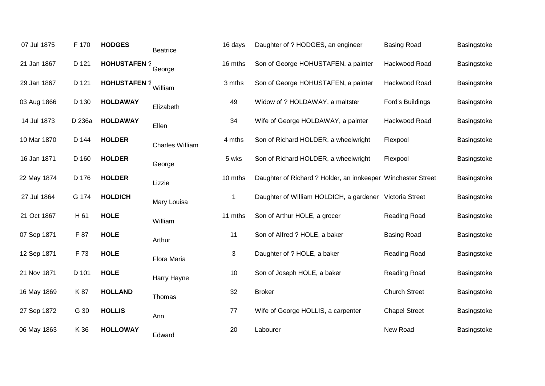| 07 Jul 1875 | F 170  | <b>HODGES</b>      | <b>Beatrice</b> | 16 days | Daughter of ? HODGES, an engineer                            | <b>Basing Road</b>   | Basingstoke |
|-------------|--------|--------------------|-----------------|---------|--------------------------------------------------------------|----------------------|-------------|
| 21 Jan 1867 | D 121  | <b>HOHUSTAFEN?</b> | George          | 16 mths | Son of George HOHUSTAFEN, a painter                          | Hackwood Road        | Basingstoke |
| 29 Jan 1867 | D 121  | <b>HOHUSTAFEN?</b> | William         | 3 mths  | Son of George HOHUSTAFEN, a painter                          | Hackwood Road        | Basingstoke |
| 03 Aug 1866 | D 130  | <b>HOLDAWAY</b>    | Elizabeth       | 49      | Widow of ? HOLDAWAY, a maltster                              | Ford's Buildings     | Basingstoke |
| 14 Jul 1873 | D 236a | <b>HOLDAWAY</b>    | Ellen           | 34      | Wife of George HOLDAWAY, a painter                           | Hackwood Road        | Basingstoke |
| 10 Mar 1870 | D 144  | <b>HOLDER</b>      | Charles William | 4 mths  | Son of Richard HOLDER, a wheelwright                         | Flexpool             | Basingstoke |
| 16 Jan 1871 | D 160  | <b>HOLDER</b>      | George          | 5 wks   | Son of Richard HOLDER, a wheelwright                         | Flexpool             | Basingstoke |
| 22 May 1874 | D 176  | <b>HOLDER</b>      | Lizzie          | 10 mths | Daughter of Richard ? Holder, an innkeeper Winchester Street |                      | Basingstoke |
| 27 Jul 1864 | G 174  | <b>HOLDICH</b>     | Mary Louisa     | 1       | Daughter of William HOLDICH, a gardener Victoria Street      |                      | Basingstoke |
| 21 Oct 1867 | H 61   | <b>HOLE</b>        | William         | 11 mths | Son of Arthur HOLE, a grocer                                 | Reading Road         | Basingstoke |
| 07 Sep 1871 | F 87   | <b>HOLE</b>        | Arthur          | 11      | Son of Alfred ? HOLE, a baker                                | <b>Basing Road</b>   | Basingstoke |
| 12 Sep 1871 | F 73   | <b>HOLE</b>        | Flora Maria     | 3       | Daughter of ? HOLE, a baker                                  | Reading Road         | Basingstoke |
| 21 Nov 1871 | D 101  | <b>HOLE</b>        | Harry Hayne     | 10      | Son of Joseph HOLE, a baker                                  | Reading Road         | Basingstoke |
| 16 May 1869 | K 87   | <b>HOLLAND</b>     | Thomas          | 32      | <b>Broker</b>                                                | <b>Church Street</b> | Basingstoke |
| 27 Sep 1872 | G 30   | <b>HOLLIS</b>      | Ann             | 77      | Wife of George HOLLIS, a carpenter                           | <b>Chapel Street</b> | Basingstoke |
| 06 May 1863 | K 36   | <b>HOLLOWAY</b>    | Edward          | 20      | Labourer                                                     | New Road             | Basingstoke |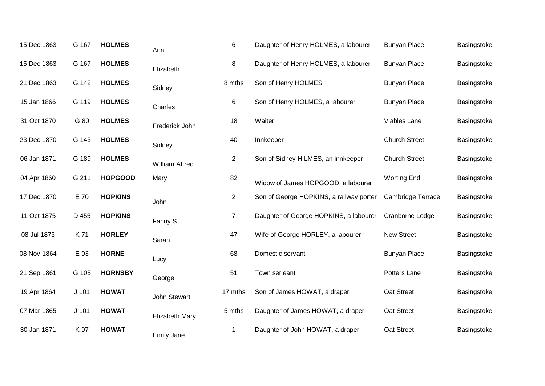| 15 Dec 1863 | G 167   | <b>HOLMES</b>  | Ann               | $\,6$          | Daughter of Henry HOLMES, a labourer    | <b>Bunyan Place</b>  | Basingstoke |
|-------------|---------|----------------|-------------------|----------------|-----------------------------------------|----------------------|-------------|
| 15 Dec 1863 | G 167   | <b>HOLMES</b>  | Elizabeth         | 8              | Daughter of Henry HOLMES, a labourer    | <b>Bunyan Place</b>  | Basingstoke |
| 21 Dec 1863 | G 142   | <b>HOLMES</b>  | Sidney            | 8 mths         | Son of Henry HOLMES                     | <b>Bunyan Place</b>  | Basingstoke |
| 15 Jan 1866 | G 119   | <b>HOLMES</b>  | Charles           | 6              | Son of Henry HOLMES, a labourer         | <b>Bunyan Place</b>  | Basingstoke |
| 31 Oct 1870 | G 80    | <b>HOLMES</b>  | Frederick John    | 18             | Waiter                                  | Viables Lane         | Basingstoke |
| 23 Dec 1870 | G 143   | <b>HOLMES</b>  | Sidney            | 40             | Innkeeper                               | <b>Church Street</b> | Basingstoke |
| 06 Jan 1871 | G 189   | <b>HOLMES</b>  | William Alfred    | $\overline{2}$ | Son of Sidney HILMES, an innkeeper      | <b>Church Street</b> | Basingstoke |
| 04 Apr 1860 | G 211   | <b>HOPGOOD</b> | Mary              | 82             | Widow of James HOPGOOD, a labourer      | <b>Worting End</b>   | Basingstoke |
| 17 Dec 1870 | E 70    | <b>HOPKINS</b> | John              | $\overline{2}$ | Son of George HOPKINS, a railway porter | Cambridge Terrace    | Basingstoke |
| 11 Oct 1875 | D 455   | <b>HOPKINS</b> | Fanny S           | $\overline{7}$ | Daughter of George HOPKINS, a labourer  | Cranborne Lodge      | Basingstoke |
| 08 Jul 1873 | K 71    | <b>HORLEY</b>  | Sarah             | 47             | Wife of George HORLEY, a labourer       | <b>New Street</b>    | Basingstoke |
| 08 Nov 1864 | E 93    | <b>HORNE</b>   | Lucy              | 68             | Domestic servant                        | <b>Bunyan Place</b>  | Basingstoke |
| 21 Sep 1861 | G 105   | <b>HORNSBY</b> | George            | 51             | Town serjeant                           | Potters Lane         | Basingstoke |
| 19 Apr 1864 | $J$ 101 | <b>HOWAT</b>   | John Stewart      | 17 mths        | Son of James HOWAT, a draper            | Oat Street           | Basingstoke |
| 07 Mar 1865 | $J$ 101 | <b>HOWAT</b>   | Elizabeth Mary    | 5 mths         | Daughter of James HOWAT, a draper       | Oat Street           | Basingstoke |
| 30 Jan 1871 | K 97    | <b>HOWAT</b>   | <b>Emily Jane</b> | $\mathbf 1$    | Daughter of John HOWAT, a draper        | Oat Street           | Basingstoke |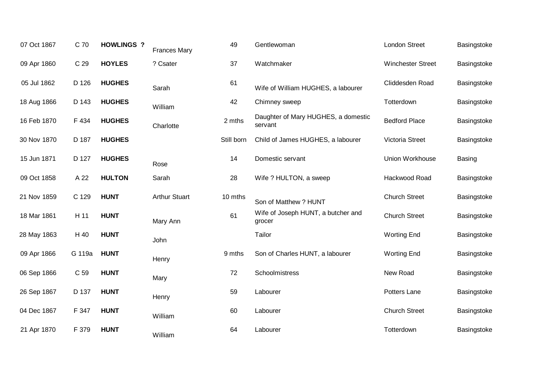| 07 Oct 1867 | C 70   | <b>HOWLINGS ?</b> | <b>Frances Mary</b>  | 49         | Gentlewoman                                    | <b>London Street</b>     | Basingstoke   |
|-------------|--------|-------------------|----------------------|------------|------------------------------------------------|--------------------------|---------------|
| 09 Apr 1860 | C 29   | <b>HOYLES</b>     | ? Csater             | 37         | Watchmaker                                     | <b>Winchester Street</b> | Basingstoke   |
| 05 Jul 1862 | D 126  | <b>HUGHES</b>     | Sarah                | 61         | Wife of William HUGHES, a labourer             | Cliddesden Road          | Basingstoke   |
| 18 Aug 1866 | D 143  | <b>HUGHES</b>     | William              | 42         | Chimney sweep                                  | Totterdown               | Basingstoke   |
| 16 Feb 1870 | F 434  | <b>HUGHES</b>     | Charlotte            | 2 mths     | Daughter of Mary HUGHES, a domestic<br>servant | <b>Bedford Place</b>     | Basingstoke   |
| 30 Nov 1870 | D 187  | <b>HUGHES</b>     |                      | Still born | Child of James HUGHES, a labourer              | Victoria Street          | Basingstoke   |
| 15 Jun 1871 | D 127  | <b>HUGHES</b>     | Rose                 | 14         | Domestic servant                               | Union Workhouse          | <b>Basing</b> |
| 09 Oct 1858 | A 22   | <b>HULTON</b>     | Sarah                | 28         | Wife ? HULTON, a sweep                         | Hackwood Road            | Basingstoke   |
| 21 Nov 1859 | C 129  | <b>HUNT</b>       | <b>Arthur Stuart</b> | 10 mths    | Son of Matthew ? HUNT                          | <b>Church Street</b>     | Basingstoke   |
| 18 Mar 1861 | H 11   | <b>HUNT</b>       | Mary Ann             | 61         | Wife of Joseph HUNT, a butcher and<br>grocer   | <b>Church Street</b>     | Basingstoke   |
| 28 May 1863 | H 40   | <b>HUNT</b>       | John                 |            | Tailor                                         | <b>Worting End</b>       | Basingstoke   |
| 09 Apr 1866 | G 119a | <b>HUNT</b>       | Henry                | 9 mths     | Son of Charles HUNT, a labourer                | <b>Worting End</b>       | Basingstoke   |
| 06 Sep 1866 | C 59   | <b>HUNT</b>       | Mary                 | 72         | Schoolmistress                                 | New Road                 | Basingstoke   |
| 26 Sep 1867 | D 137  | <b>HUNT</b>       | Henry                | 59         | Labourer                                       | Potters Lane             | Basingstoke   |
| 04 Dec 1867 | F 347  | <b>HUNT</b>       | William              | 60         | Labourer                                       | <b>Church Street</b>     | Basingstoke   |
| 21 Apr 1870 | F 379  | <b>HUNT</b>       | William              | 64         | Labourer                                       | Totterdown               | Basingstoke   |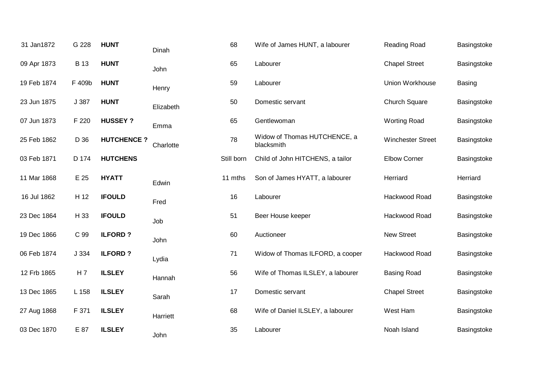| 31 Jan1872  | G 228          | <b>HUNT</b>       | Dinah     | 68         | Wife of James HUNT, a labourer             | <b>Reading Road</b>      | Basingstoke |
|-------------|----------------|-------------------|-----------|------------|--------------------------------------------|--------------------------|-------------|
| 09 Apr 1873 | <b>B</b> 13    | <b>HUNT</b>       | John      | 65         | Labourer                                   | <b>Chapel Street</b>     | Basingstoke |
| 19 Feb 1874 | F 409b         | <b>HUNT</b>       | Henry     | 59         | Labourer                                   | Union Workhouse          | Basing      |
| 23 Jun 1875 | J 387          | <b>HUNT</b>       | Elizabeth | 50         | Domestic servant                           | Church Square            | Basingstoke |
| 07 Jun 1873 | F 220          | <b>HUSSEY?</b>    | Emma      | 65         | Gentlewoman                                | <b>Worting Road</b>      | Basingstoke |
| 25 Feb 1862 | D 36           | <b>HUTCHENCE?</b> | Charlotte | 78         | Widow of Thomas HUTCHENCE, a<br>blacksmith | <b>Winchester Street</b> | Basingstoke |
| 03 Feb 1871 | D 174          | <b>HUTCHENS</b>   |           | Still born | Child of John HITCHENS, a tailor           | <b>Elbow Corner</b>      | Basingstoke |
| 11 Mar 1868 | E 25           | <b>HYATT</b>      | Edwin     | 11 mths    | Son of James HYATT, a labourer             | Herriard                 | Herriard    |
| 16 Jul 1862 | H 12           | <b>IFOULD</b>     | Fred      | 16         | Labourer                                   | Hackwood Road            | Basingstoke |
| 23 Dec 1864 | H 33           | <b>IFOULD</b>     | Job       | 51         | Beer House keeper                          | Hackwood Road            | Basingstoke |
| 19 Dec 1866 | C 99           | <b>ILFORD?</b>    | John      | 60         | Auctioneer                                 | <b>New Street</b>        | Basingstoke |
| 06 Feb 1874 | J 334          | <b>ILFORD?</b>    | Lydia     | 71         | Widow of Thomas ILFORD, a cooper           | Hackwood Road            | Basingstoke |
| 12 Frb 1865 | H <sub>7</sub> | <b>ILSLEY</b>     | Hannah    | 56         | Wife of Thomas ILSLEY, a labourer          | <b>Basing Road</b>       | Basingstoke |
| 13 Dec 1865 | L 158          | <b>ILSLEY</b>     | Sarah     | 17         | Domestic servant                           | <b>Chapel Street</b>     | Basingstoke |
| 27 Aug 1868 | F 371          | <b>ILSLEY</b>     | Harriett  | 68         | Wife of Daniel ILSLEY, a labourer          | West Ham                 | Basingstoke |
| 03 Dec 1870 | E 87           | <b>ILSLEY</b>     | John      | 35         | Labourer                                   | Noah Island              | Basingstoke |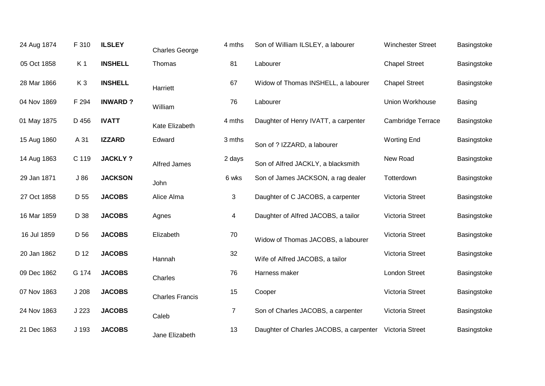| 24 Aug 1874 | F 310          | <b>ILSLEY</b>  | <b>Charles George</b>  | 4 mths         | Son of William ILSLEY, a labourer                       | <b>Winchester Street</b> | Basingstoke |
|-------------|----------------|----------------|------------------------|----------------|---------------------------------------------------------|--------------------------|-------------|
| 05 Oct 1858 | K <sub>1</sub> | <b>INSHELL</b> | Thomas                 | 81             | Labourer                                                | <b>Chapel Street</b>     | Basingstoke |
| 28 Mar 1866 | K <sub>3</sub> | <b>INSHELL</b> | Harriett               | 67             | Widow of Thomas INSHELL, a labourer                     | <b>Chapel Street</b>     | Basingstoke |
| 04 Nov 1869 | F 294          | <b>INWARD?</b> | William                | 76             | Labourer                                                | Union Workhouse          | Basing      |
| 01 May 1875 | D 456          | <b>IVATT</b>   | Kate Elizabeth         | 4 mths         | Daughter of Henry IVATT, a carpenter                    | <b>Cambridge Terrace</b> | Basingstoke |
| 15 Aug 1860 | A 31           | <b>IZZARD</b>  | Edward                 | 3 mths         | Son of ? IZZARD, a labourer                             | <b>Worting End</b>       | Basingstoke |
| 14 Aug 1863 | C 119          | <b>JACKLY?</b> | <b>Alfred James</b>    | 2 days         | Son of Alfred JACKLY, a blacksmith                      | New Road                 | Basingstoke |
| 29 Jan 1871 | J86            | <b>JACKSON</b> | John                   | 6 wks          | Son of James JACKSON, a rag dealer                      | Totterdown               | Basingstoke |
| 27 Oct 1858 | D 55           | <b>JACOBS</b>  | Alice Alma             | 3              | Daughter of C JACOBS, a carpenter                       | Victoria Street          | Basingstoke |
| 16 Mar 1859 | D 38           | <b>JACOBS</b>  | Agnes                  | 4              | Daughter of Alfred JACOBS, a tailor                     | Victoria Street          | Basingstoke |
| 16 Jul 1859 | D 56           | <b>JACOBS</b>  | Elizabeth              | $70\,$         | Widow of Thomas JACOBS, a labourer                      | Victoria Street          | Basingstoke |
| 20 Jan 1862 | D 12           | <b>JACOBS</b>  | Hannah                 | 32             | Wife of Alfred JACOBS, a tailor                         | Victoria Street          | Basingstoke |
| 09 Dec 1862 | G 174          | <b>JACOBS</b>  | Charles                | 76             | Harness maker                                           | London Street            | Basingstoke |
| 07 Nov 1863 | J208           | <b>JACOBS</b>  | <b>Charles Francis</b> | 15             | Cooper                                                  | Victoria Street          | Basingstoke |
| 24 Nov 1863 | J223           | <b>JACOBS</b>  | Caleb                  | $\overline{7}$ | Son of Charles JACOBS, a carpenter                      | Victoria Street          | Basingstoke |
| 21 Dec 1863 | J 193          | <b>JACOBS</b>  | Jane Elizabeth         | 13             | Daughter of Charles JACOBS, a carpenter Victoria Street |                          | Basingstoke |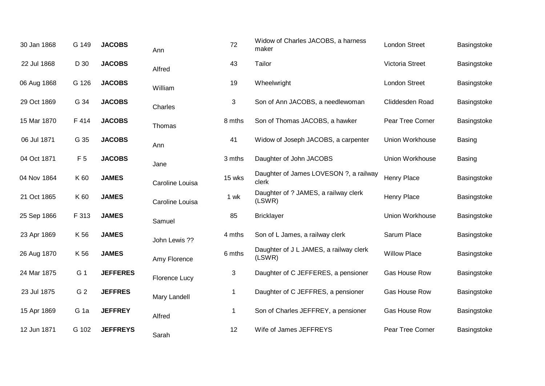| 30 Jan 1868 | G 149           | <b>JACOBS</b>   | Ann                  | 72          | Widow of Charles JACOBS, a harness<br>maker      | <b>London Street</b>   | Basingstoke   |
|-------------|-----------------|-----------------|----------------------|-------------|--------------------------------------------------|------------------------|---------------|
| 22 Jul 1868 | D 30            | <b>JACOBS</b>   | Alfred               | 43          | Tailor                                           | Victoria Street        | Basingstoke   |
| 06 Aug 1868 | G 126           | <b>JACOBS</b>   | William              | 19          | Wheelwright                                      | <b>London Street</b>   | Basingstoke   |
| 29 Oct 1869 | G 34            | <b>JACOBS</b>   | Charles              | 3           | Son of Ann JACOBS, a needlewoman                 | Cliddesden Road        | Basingstoke   |
| 15 Mar 1870 | F 414           | <b>JACOBS</b>   | Thomas               | 8 mths      | Son of Thomas JACOBS, a hawker                   | Pear Tree Corner       | Basingstoke   |
| 06 Jul 1871 | G 35            | <b>JACOBS</b>   | Ann                  | 41          | Widow of Joseph JACOBS, a carpenter              | <b>Union Workhouse</b> | Basing        |
| 04 Oct 1871 | F <sub>5</sub>  | <b>JACOBS</b>   | Jane                 | 3 mths      | Daughter of John JACOBS                          | Union Workhouse        | <b>Basing</b> |
| 04 Nov 1864 | K 60            | <b>JAMES</b>    | Caroline Louisa      | 15 wks      | Daughter of James LOVESON ?, a railway<br>clerk  | <b>Henry Place</b>     | Basingstoke   |
| 21 Oct 1865 | K 60            | <b>JAMES</b>    | Caroline Louisa      | 1 wk        | Daughter of ? JAMES, a railway clerk<br>(LSWR)   | Henry Place            | Basingstoke   |
| 25 Sep 1866 | F 313           | <b>JAMES</b>    | Samuel               | 85          | <b>Bricklayer</b>                                | Union Workhouse        | Basingstoke   |
| 23 Apr 1869 | K 56            | <b>JAMES</b>    | John Lewis ??        | 4 mths      | Son of L James, a railway clerk                  | Sarum Place            | Basingstoke   |
| 26 Aug 1870 | K 56            | <b>JAMES</b>    | Amy Florence         | 6 mths      | Daughter of J L JAMES, a railway clerk<br>(LSWR) | <b>Willow Place</b>    | Basingstoke   |
| 24 Mar 1875 | G 1             | <b>JEFFERES</b> | <b>Florence Lucy</b> | 3           | Daughter of C JEFFERES, a pensioner              | Gas House Row          | Basingstoke   |
| 23 Jul 1875 | G 2             | <b>JEFFRES</b>  | Mary Landell         | 1           | Daughter of C JEFFRES, a pensioner               | Gas House Row          | Basingstoke   |
| 15 Apr 1869 | G <sub>1a</sub> | <b>JEFFREY</b>  | Alfred               | $\mathbf 1$ | Son of Charles JEFFREY, a pensioner              | Gas House Row          | Basingstoke   |
| 12 Jun 1871 | G 102           | <b>JEFFREYS</b> | Sarah                | 12          | Wife of James JEFFREYS                           | Pear Tree Corner       | Basingstoke   |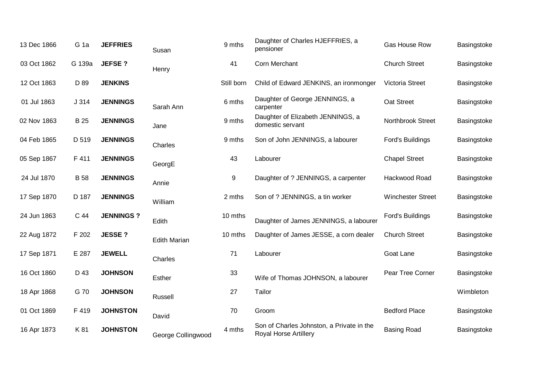| 13 Dec 1866 | G <sub>1a</sub> | <b>JEFFRIES</b>  | Susan               | 9 mths     | Daughter of Charles HJEFFRIES, a<br>pensioner                             | Gas House Row            | Basingstoke |
|-------------|-----------------|------------------|---------------------|------------|---------------------------------------------------------------------------|--------------------------|-------------|
| 03 Oct 1862 | G 139a          | <b>JEFSE?</b>    | Henry               | 41         | Corn Merchant                                                             | <b>Church Street</b>     | Basingstoke |
| 12 Oct 1863 | D 89            | <b>JENKINS</b>   |                     | Still born | Child of Edward JENKINS, an ironmonger                                    | <b>Victoria Street</b>   | Basingstoke |
| 01 Jul 1863 | J314            | <b>JENNINGS</b>  | Sarah Ann           | 6 mths     | Daughter of George JENNINGS, a<br>carpenter                               | Oat Street               | Basingstoke |
| 02 Nov 1863 | <b>B</b> 25     | <b>JENNINGS</b>  | Jane                | 9 mths     | Daughter of Elizabeth JENNINGS, a<br>domestic servant                     | Northbrook Street        | Basingstoke |
| 04 Feb 1865 | D 519           | <b>JENNINGS</b>  | Charles             | 9 mths     | Son of John JENNINGS, a labourer                                          | Ford's Buildings         | Basingstoke |
| 05 Sep 1867 | F 411           | <b>JENNINGS</b>  | GeorgE              | 43         | Labourer                                                                  | <b>Chapel Street</b>     | Basingstoke |
| 24 Jul 1870 | <b>B</b> 58     | <b>JENNINGS</b>  | Annie               | 9          | Daughter of ? JENNINGS, a carpenter                                       | Hackwood Road            | Basingstoke |
| 17 Sep 1870 | D 187           | <b>JENNINGS</b>  | William             | 2 mths     | Son of ? JENNINGS, a tin worker                                           | <b>Winchester Street</b> | Basingstoke |
| 24 Jun 1863 | C 44            | <b>JENNINGS?</b> | Edith               | 10 mths    | Daughter of James JENNINGS, a labourer                                    | Ford's Buildings         | Basingstoke |
| 22 Aug 1872 | F 202           | <b>JESSE?</b>    | <b>Edith Marian</b> | 10 mths    | Daughter of James JESSE, a corn dealer                                    | <b>Church Street</b>     | Basingstoke |
| 17 Sep 1871 | E 287           | <b>JEWELL</b>    | Charles             | 71         | Labourer                                                                  | Goat Lane                | Basingstoke |
| 16 Oct 1860 | D 43            | <b>JOHNSON</b>   | Esther              | 33         | Wife of Thomas JOHNSON, a labourer                                        | Pear Tree Corner         | Basingstoke |
| 18 Apr 1868 | G 70            | <b>JOHNSON</b>   | Russell             | 27         | Tailor                                                                    |                          | Wimbleton   |
| 01 Oct 1869 | F 419           | <b>JOHNSTON</b>  | David               | 70         | Groom                                                                     | <b>Bedford Place</b>     | Basingstoke |
| 16 Apr 1873 | K 81            | <b>JOHNSTON</b>  | George Collingwood  | 4 mths     | Son of Charles Johnston, a Private in the<br><b>Royal Horse Artillery</b> | <b>Basing Road</b>       | Basingstoke |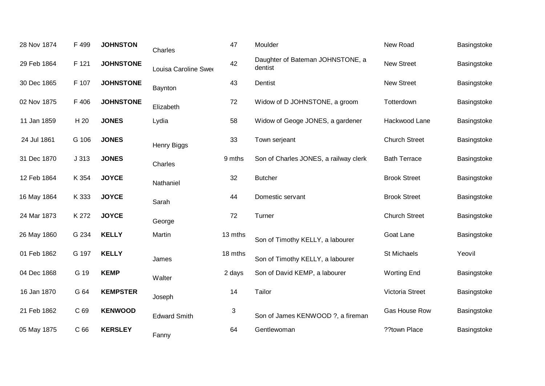| 28 Nov 1874 | F 499           | <b>JOHNSTON</b>  | Charles              | 47      | Moulder                                     | New Road             | Basingstoke |
|-------------|-----------------|------------------|----------------------|---------|---------------------------------------------|----------------------|-------------|
| 29 Feb 1864 | F 121           | <b>JOHNSTONE</b> | Louisa Caroline Swee | 42      | Daughter of Bateman JOHNSTONE, a<br>dentist | <b>New Street</b>    | Basingstoke |
| 30 Dec 1865 | F 107           | <b>JOHNSTONE</b> | Baynton              | 43      | Dentist                                     | <b>New Street</b>    | Basingstoke |
| 02 Nov 1875 | F 406           | <b>JOHNSTONE</b> | Elizabeth            | 72      | Widow of D JOHNSTONE, a groom               | Totterdown           | Basingstoke |
| 11 Jan 1859 | H 20            | <b>JONES</b>     | Lydia                | 58      | Widow of Geoge JONES, a gardener            | Hackwood Lane        | Basingstoke |
| 24 Jul 1861 | G 106           | <b>JONES</b>     | <b>Henry Biggs</b>   | 33      | Town serjeant                               | <b>Church Street</b> | Basingstoke |
| 31 Dec 1870 | J313            | <b>JONES</b>     | Charles              | 9 mths  | Son of Charles JONES, a railway clerk       | <b>Bath Terrace</b>  | Basingstoke |
| 12 Feb 1864 | K 354           | <b>JOYCE</b>     | Nathaniel            | 32      | <b>Butcher</b>                              | <b>Brook Street</b>  | Basingstoke |
| 16 May 1864 | K 333           | <b>JOYCE</b>     | Sarah                | 44      | Domestic servant                            | <b>Brook Street</b>  | Basingstoke |
| 24 Mar 1873 | K 272           | <b>JOYCE</b>     | George               | 72      | Turner                                      | <b>Church Street</b> | Basingstoke |
| 26 May 1860 | G 234           | <b>KELLY</b>     | Martin               | 13 mths | Son of Timothy KELLY, a labourer            | Goat Lane            | Basingstoke |
| 01 Feb 1862 | G 197           | <b>KELLY</b>     | James                | 18 mths | Son of Timothy KELLY, a labourer            | St Michaels          | Yeovil      |
| 04 Dec 1868 | G 19            | <b>KEMP</b>      | Walter               | 2 days  | Son of David KEMP, a labourer               | <b>Worting End</b>   | Basingstoke |
| 16 Jan 1870 | G 64            | <b>KEMPSTER</b>  | Joseph               | 14      | Tailor                                      | Victoria Street      | Basingstoke |
| 21 Feb 1862 | C 69            | <b>KENWOOD</b>   | <b>Edward Smith</b>  | 3       | Son of James KENWOOD ?, a fireman           | Gas House Row        | Basingstoke |
| 05 May 1875 | C <sub>66</sub> | <b>KERSLEY</b>   | Fanny                | 64      | Gentlewoman                                 | ??town Place         | Basingstoke |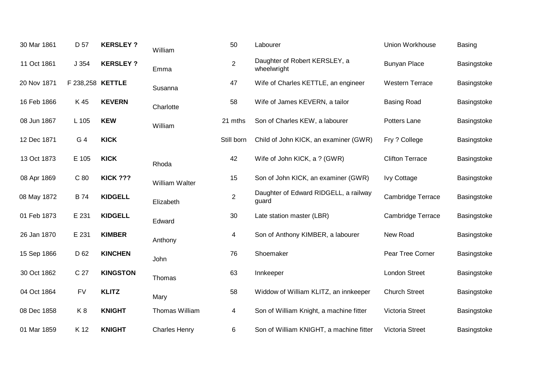| 30 Mar 1861 | D 57             | <b>KERSLEY?</b> | William              | 50             | Labourer                                       | Union Workhouse        | <b>Basing</b> |
|-------------|------------------|-----------------|----------------------|----------------|------------------------------------------------|------------------------|---------------|
| 11 Oct 1861 | J 354            | <b>KERSLEY?</b> | Emma                 | $\overline{2}$ | Daughter of Robert KERSLEY, a<br>wheelwright   | <b>Bunyan Place</b>    | Basingstoke   |
| 20 Nov 1871 | F 238,258 KETTLE |                 | Susanna              | 47             | Wife of Charles KETTLE, an engineer            | <b>Western Terrace</b> | Basingstoke   |
| 16 Feb 1866 | K 45             | <b>KEVERN</b>   | Charlotte            | 58             | Wife of James KEVERN, a tailor                 | <b>Basing Road</b>     | Basingstoke   |
| 08 Jun 1867 | L 105            | <b>KEW</b>      | William              | 21 mths        | Son of Charles KEW, a labourer                 | Potters Lane           | Basingstoke   |
| 12 Dec 1871 | G 4              | <b>KICK</b>     |                      | Still born     | Child of John KICK, an examiner (GWR)          | Fry ? College          | Basingstoke   |
| 13 Oct 1873 | E 105            | <b>KICK</b>     | Rhoda                | 42             | Wife of John KICK, a ? (GWR)                   | <b>Clifton Terrace</b> | Basingstoke   |
| 08 Apr 1869 | C 80             | <b>KICK ???</b> | William Walter       | 15             | Son of John KICK, an examiner (GWR)            | <b>Ivy Cottage</b>     | Basingstoke   |
| 08 May 1872 | <b>B</b> 74      | <b>KIDGELL</b>  | Elizabeth            | $\overline{2}$ | Daughter of Edward RIDGELL, a railway<br>guard | Cambridge Terrace      | Basingstoke   |
| 01 Feb 1873 | E 231            | <b>KIDGELL</b>  | Edward               | 30             | Late station master (LBR)                      | Cambridge Terrace      | Basingstoke   |
| 26 Jan 1870 | E 231            | <b>KIMBER</b>   | Anthony              | 4              | Son of Anthony KIMBER, a labourer              | New Road               | Basingstoke   |
| 15 Sep 1866 | D 62             | <b>KINCHEN</b>  | John                 | 76             | Shoemaker                                      | Pear Tree Corner       | Basingstoke   |
| 30 Oct 1862 | C 27             | <b>KINGSTON</b> | Thomas               | 63             | Innkeeper                                      | <b>London Street</b>   | Basingstoke   |
| 04 Oct 1864 | <b>FV</b>        | <b>KLITZ</b>    | Mary                 | 58             | Widdow of William KLITZ, an innkeeper          | <b>Church Street</b>   | Basingstoke   |
| 08 Dec 1858 | K8               | <b>KNIGHT</b>   | Thomas William       | $\overline{4}$ | Son of William Knight, a machine fitter        | Victoria Street        | Basingstoke   |
| 01 Mar 1859 | K 12             | <b>KNIGHT</b>   | <b>Charles Henry</b> | 6              | Son of William KNIGHT, a machine fitter        | <b>Victoria Street</b> | Basingstoke   |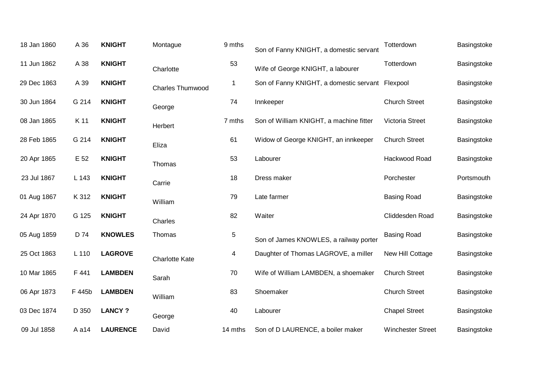| 18 Jan 1860 | A 36   | <b>KNIGHT</b>   | Montague                | 9 mths      | Son of Fanny KNIGHT, a domestic servant          | Totterdown               | Basingstoke |
|-------------|--------|-----------------|-------------------------|-------------|--------------------------------------------------|--------------------------|-------------|
| 11 Jun 1862 | A 38   | <b>KNIGHT</b>   | Charlotte               | 53          | Wife of George KNIGHT, a labourer                | Totterdown               | Basingstoke |
| 29 Dec 1863 | A 39   | <b>KNIGHT</b>   | <b>Charles Thumwood</b> | $\mathbf 1$ | Son of Fanny KNIGHT, a domestic servant Flexpool |                          | Basingstoke |
| 30 Jun 1864 | G 214  | <b>KNIGHT</b>   | George                  | 74          | Innkeeper                                        | <b>Church Street</b>     | Basingstoke |
| 08 Jan 1865 | K 11   | <b>KNIGHT</b>   | Herbert                 | 7 mths      | Son of William KNIGHT, a machine fitter          | Victoria Street          | Basingstoke |
| 28 Feb 1865 | G 214  | <b>KNIGHT</b>   | Eliza                   | 61          | Widow of George KNIGHT, an innkeeper             | <b>Church Street</b>     | Basingstoke |
| 20 Apr 1865 | E 52   | <b>KNIGHT</b>   | Thomas                  | 53          | Labourer                                         | Hackwood Road            | Basingstoke |
| 23 Jul 1867 | L 143  | <b>KNIGHT</b>   | Carrie                  | 18          | Dress maker                                      | Porchester               | Portsmouth  |
| 01 Aug 1867 | K 312  | <b>KNIGHT</b>   | William                 | 79          | Late farmer                                      | <b>Basing Road</b>       | Basingstoke |
| 24 Apr 1870 | G 125  | <b>KNIGHT</b>   | Charles                 | 82          | Waiter                                           | Cliddesden Road          | Basingstoke |
| 05 Aug 1859 | D 74   | <b>KNOWLES</b>  | Thomas                  | $\sqrt{5}$  | Son of James KNOWLES, a railway porter           | <b>Basing Road</b>       | Basingstoke |
| 25 Oct 1863 | L 110  | <b>LAGROVE</b>  | <b>Charlotte Kate</b>   | 4           | Daughter of Thomas LAGROVE, a miller             | New Hill Cottage         | Basingstoke |
| 10 Mar 1865 | F 441  | <b>LAMBDEN</b>  | Sarah                   | 70          | Wife of William LAMBDEN, a shoemaker             | <b>Church Street</b>     | Basingstoke |
| 06 Apr 1873 | F 445b | <b>LAMBDEN</b>  | William                 | 83          | Shoemaker                                        | <b>Church Street</b>     | Basingstoke |
| 03 Dec 1874 | D 350  | <b>LANCY?</b>   | George                  | 40          | Labourer                                         | <b>Chapel Street</b>     | Basingstoke |
| 09 Jul 1858 | A a14  | <b>LAURENCE</b> | David                   | 14 mths     | Son of D LAURENCE, a boiler maker                | <b>Winchester Street</b> | Basingstoke |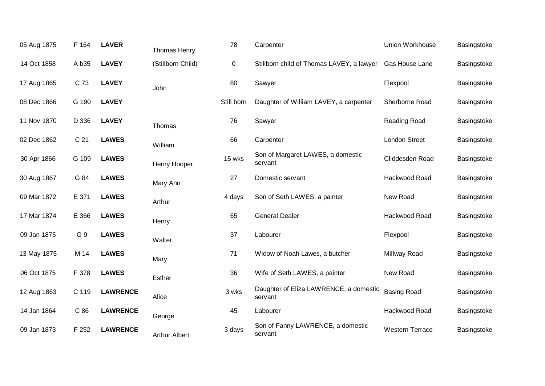| 05 Aug 1875 | F 164           | <b>LAVER</b>    | Thomas Henry         | 78         | Carpenter                                         | Union Workhouse        | Basingstoke |
|-------------|-----------------|-----------------|----------------------|------------|---------------------------------------------------|------------------------|-------------|
| 14 Oct 1858 | A b35           | <b>LAVEY</b>    | (Stillborn Child)    | 0          | Stillborn child of Thomas LAVEY, a lawyer         | Gas House Lane         | Basingstoke |
| 17 Aug 1865 | C 73            | <b>LAVEY</b>    | John                 | 80         | Sawyer                                            | Flexpool               | Basingstoke |
| 08 Dec 1866 | G 190           | <b>LAVEY</b>    |                      | Still born | Daughter of William LAVEY, a carpenter            | Sherborne Road         | Basingstoke |
| 11 Nov 1870 | D 336           | <b>LAVEY</b>    | Thomas               | 76         | Sawyer                                            | Reading Road           | Basingstoke |
| 02 Dec 1862 | C <sub>21</sub> | <b>LAWES</b>    | William              | 66         | Carpenter                                         | London Street          | Basingstoke |
| 30 Apr 1866 | G 109           | <b>LAWES</b>    | Henry Hooper         | 15 wks     | Son of Margaret LAWES, a domestic<br>servant      | Cliddesden Road        | Basingstoke |
| 30 Aug 1867 | G 84            | <b>LAWES</b>    | Mary Ann             | 27         | Domestic servant                                  | Hackwood Road          | Basingstoke |
| 09 Mar 1872 | E 371           | <b>LAWES</b>    | Arthur               | 4 days     | Son of Seth LAWES, a painter                      | New Road               | Basingstoke |
| 17 Mar 1874 | E 366           | <b>LAWES</b>    | Henry                | 65         | <b>General Dealer</b>                             | Hackwood Road          | Basingstoke |
| 09 Jan 1875 | G 9             | <b>LAWES</b>    | Walter               | 37         | Labourer                                          | Flexpool               | Basingstoke |
| 13 May 1875 | M 14            | <b>LAWES</b>    | Mary                 | 71         | Widow of Noah Lawes, a butcher                    | Millway Road           | Basingstoke |
| 06 Oct 1875 | F 378           | <b>LAWES</b>    | Esther               | 36         | Wife of Seth LAWES, a painter                     | New Road               | Basingstoke |
| 12 Aug 1863 | C 119           | <b>LAWRENCE</b> | Alice                | 3 wks      | Daughter of Eliza LAWRENCE, a domestic<br>servant | <b>Basing Road</b>     | Basingstoke |
| 14 Jan 1864 | C 86            | <b>LAWRENCE</b> | George               | 45         | Labourer                                          | Hackwood Road          | Basingstoke |
| 09 Jan 1873 | F 252           | <b>LAWRENCE</b> | <b>Arthur Albert</b> | 3 days     | Son of Fanny LAWRENCE, a domestic<br>servant      | <b>Western Terrace</b> | Basingstoke |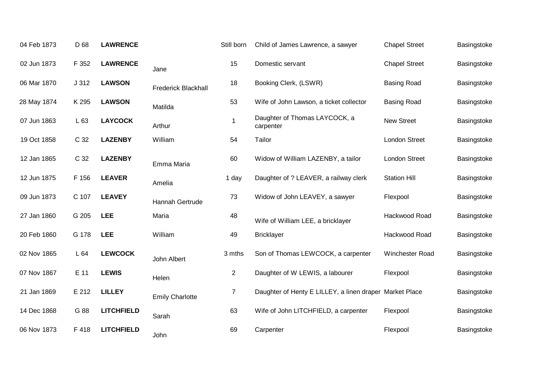| 04 Feb 1873 | D 68  | <b>LAWRENCE</b>   |                            | Still born     | Child of James Lawrence, a sawyer                       | <b>Chapel Street</b> | Basingstoke |
|-------------|-------|-------------------|----------------------------|----------------|---------------------------------------------------------|----------------------|-------------|
| 02 Jun 1873 | F 352 | <b>LAWRENCE</b>   | Jane                       | 15             | Domestic servant                                        | <b>Chapel Street</b> | Basingstoke |
| 06 Mar 1870 | J312  | <b>LAWSON</b>     | <b>Frederick Blackhall</b> | 18             | Booking Clerk, (LSWR)                                   | <b>Basing Road</b>   | Basingstoke |
| 28 May 1874 | K 295 | <b>LAWSON</b>     | Matilda                    | 53             | Wife of John Lawson, a ticket collector                 | <b>Basing Road</b>   | Basingstoke |
| 07 Jun 1863 | L 63  | <b>LAYCOCK</b>    | Arthur                     | 1              | Daughter of Thomas LAYCOCK, a<br>carpenter              | <b>New Street</b>    | Basingstoke |
| 19 Oct 1858 | C 32  | <b>LAZENBY</b>    | William                    | 54             | Tailor                                                  | London Street        | Basingstoke |
| 12 Jan 1865 | C 32  | <b>LAZENBY</b>    | Emma Maria                 | 60             | Widow of William LAZENBY, a tailor                      | <b>London Street</b> | Basingstoke |
| 12 Jun 1875 | F 156 | <b>LEAVER</b>     | Amelia                     | 1 day          | Daughter of ? LEAVER, a railway clerk                   | <b>Station Hill</b>  | Basingstoke |
| 09 Jun 1873 | C 107 | <b>LEAVEY</b>     | Hannah Gertrude            | 73             | Widow of John LEAVEY, a sawyer                          | Flexpool             | Basingstoke |
| 27 Jan 1860 | G 205 | <b>LEE</b>        | Maria                      | 48             | Wife of William LEE, a bricklayer                       | Hackwood Road        | Basingstoke |
| 20 Feb 1860 | G 178 | <b>LEE</b>        | William                    | 49             | <b>Bricklayer</b>                                       | Hackwood Road        | Basingstoke |
| 02 Nov 1865 | L 64  | <b>LEWCOCK</b>    | John Albert                | 3 mths         | Son of Thomas LEWCOCK, a carpenter                      | Winchester Road      | Basingstoke |
| 07 Nov 1867 | E 11  | <b>LEWIS</b>      | Helen                      | $\overline{2}$ | Daughter of W LEWIS, a labourer                         | Flexpool             | Basingstoke |
| 21 Jan 1869 | E 212 | <b>LILLEY</b>     | <b>Emily Charlotte</b>     | $\overline{7}$ | Daughter of Henty E LILLEY, a linen draper Market Place |                      | Basingstoke |
| 14 Dec 1868 | G 88  | <b>LITCHFIELD</b> | Sarah                      | 63             | Wife of John LITCHFIELD, a carpenter                    | Flexpool             | Basingstoke |
| 06 Nov 1873 | F 418 | <b>LITCHFIELD</b> | John                       | 69             | Carpenter                                               | Flexpool             | Basingstoke |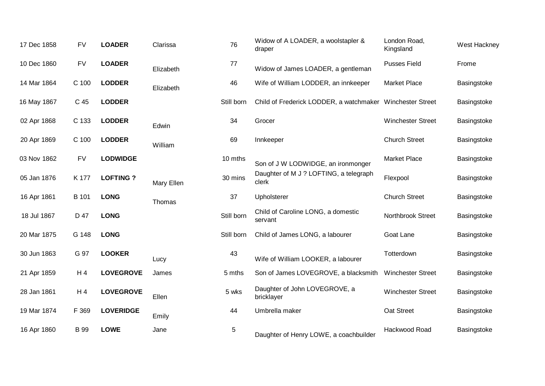| 17 Dec 1858 | <b>FV</b>      | <b>LOADER</b>    | Clarissa   | 76         | Widow of A LOADER, a woolstapler &<br>draper              | London Road,<br>Kingsland | West Hackney |
|-------------|----------------|------------------|------------|------------|-----------------------------------------------------------|---------------------------|--------------|
| 10 Dec 1860 | <b>FV</b>      | <b>LOADER</b>    | Elizabeth  | 77         | Widow of James LOADER, a gentleman                        | <b>Pusses Field</b>       | Frome        |
| 14 Mar 1864 | C 100          | <b>LODDER</b>    | Elizabeth  | 46         | Wife of William LODDER, an innkeeper                      | <b>Market Place</b>       | Basingstoke  |
| 16 May 1867 | C 45           | <b>LODDER</b>    |            | Still born | Child of Frederick LODDER, a watchmaker Winchester Street |                           | Basingstoke  |
| 02 Apr 1868 | C 133          | <b>LODDER</b>    | Edwin      | 34         | Grocer                                                    | <b>Winchester Street</b>  | Basingstoke  |
| 20 Apr 1869 | C 100          | <b>LODDER</b>    | William    | 69         | Innkeeper                                                 | <b>Church Street</b>      | Basingstoke  |
| 03 Nov 1862 | <b>FV</b>      | <b>LODWIDGE</b>  |            | 10 mths    | Son of J W LODWIDGE, an ironmonger                        | <b>Market Place</b>       | Basingstoke  |
| 05 Jan 1876 | K 177          | <b>LOFTING?</b>  | Mary Ellen | 30 mins    | Daughter of M J ? LOFTING, a telegraph<br>clerk           | Flexpool                  | Basingstoke  |
| 16 Apr 1861 | B 101          | <b>LONG</b>      | Thomas     | 37         | Upholsterer                                               | <b>Church Street</b>      | Basingstoke  |
| 18 Jul 1867 | D 47           | <b>LONG</b>      |            | Still born | Child of Caroline LONG, a domestic<br>servant             | <b>Northbrook Street</b>  | Basingstoke  |
| 20 Mar 1875 | G 148          | <b>LONG</b>      |            | Still born | Child of James LONG, a labourer                           | Goat Lane                 | Basingstoke  |
| 30 Jun 1863 | G 97           | <b>LOOKER</b>    | Lucy       | 43         | Wife of William LOOKER, a labourer                        | Totterdown                | Basingstoke  |
| 21 Apr 1859 | H 4            | <b>LOVEGROVE</b> | James      | 5 mths     | Son of James LOVEGROVE, a blacksmith                      | <b>Winchester Street</b>  | Basingstoke  |
| 28 Jan 1861 | H <sub>4</sub> | <b>LOVEGROVE</b> | Ellen      | 5 wks      | Daughter of John LOVEGROVE, a<br>bricklayer               | <b>Winchester Street</b>  | Basingstoke  |
| 19 Mar 1874 | F 369          | <b>LOVERIDGE</b> | Emily      | 44         | Umbrella maker                                            | Oat Street                | Basingstoke  |
| 16 Apr 1860 | <b>B</b> 99    | <b>LOWE</b>      | Jane       | 5          | Daughter of Henry LOWE, a coachbuilder                    | Hackwood Road             | Basingstoke  |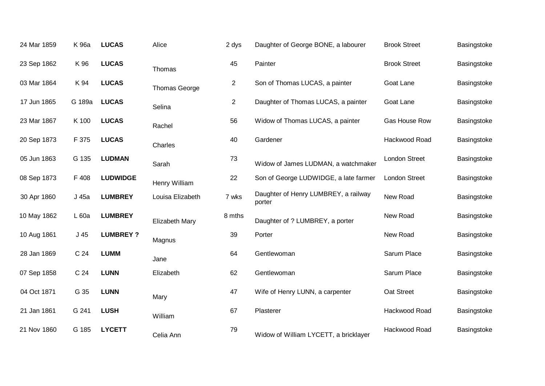| 24 Mar 1859 | K 96a           | <b>LUCAS</b>    | Alice            | 2 dys          | Daughter of George BONE, a labourer            | <b>Brook Street</b>  | Basingstoke |
|-------------|-----------------|-----------------|------------------|----------------|------------------------------------------------|----------------------|-------------|
| 23 Sep 1862 | K 96            | <b>LUCAS</b>    | Thomas           | 45             | Painter                                        | <b>Brook Street</b>  | Basingstoke |
| 03 Mar 1864 | K 94            | <b>LUCAS</b>    | Thomas George    | $\overline{2}$ | Son of Thomas LUCAS, a painter                 | Goat Lane            | Basingstoke |
| 17 Jun 1865 | G 189a          | <b>LUCAS</b>    | Selina           | $\overline{2}$ | Daughter of Thomas LUCAS, a painter            | Goat Lane            | Basingstoke |
| 23 Mar 1867 | K 100           | <b>LUCAS</b>    | Rachel           | 56             | Widow of Thomas LUCAS, a painter               | Gas House Row        | Basingstoke |
| 20 Sep 1873 | F 375           | <b>LUCAS</b>    | Charles          | 40             | Gardener                                       | Hackwood Road        | Basingstoke |
| 05 Jun 1863 | G 135           | <b>LUDMAN</b>   | Sarah            | 73             | Widow of James LUDMAN, a watchmaker            | <b>London Street</b> | Basingstoke |
| 08 Sep 1873 | F 408           | <b>LUDWIDGE</b> | Henry William    | 22             | Son of George LUDWIDGE, a late farmer          | <b>London Street</b> | Basingstoke |
| 30 Apr 1860 | J 45a           | <b>LUMBREY</b>  | Louisa Elizabeth | 7 wks          | Daughter of Henry LUMBREY, a railway<br>porter | New Road             | Basingstoke |
| 10 May 1862 | L 60a           | <b>LUMBREY</b>  | Elizabeth Mary   | 8 mths         | Daughter of ? LUMBREY, a porter                | New Road             | Basingstoke |
| 10 Aug 1861 | $J$ 45          | <b>LUMBREY?</b> | Magnus           | 39             | Porter                                         | New Road             | Basingstoke |
| 28 Jan 1869 | C <sub>24</sub> | <b>LUMM</b>     | Jane             | 64             | Gentlewoman                                    | Sarum Place          | Basingstoke |
| 07 Sep 1858 | C 24            | <b>LUNN</b>     | Elizabeth        | 62             | Gentlewoman                                    | Sarum Place          | Basingstoke |
| 04 Oct 1871 | G 35            | <b>LUNN</b>     | Mary             | 47             | Wife of Henry LUNN, a carpenter                | Oat Street           | Basingstoke |
| 21 Jan 1861 | G 241           | <b>LUSH</b>     | William          | 67             | Plasterer                                      | Hackwood Road        | Basingstoke |
| 21 Nov 1860 | G 185           | <b>LYCETT</b>   | Celia Ann        | 79             | Widow of William LYCETT, a bricklayer          | Hackwood Road        | Basingstoke |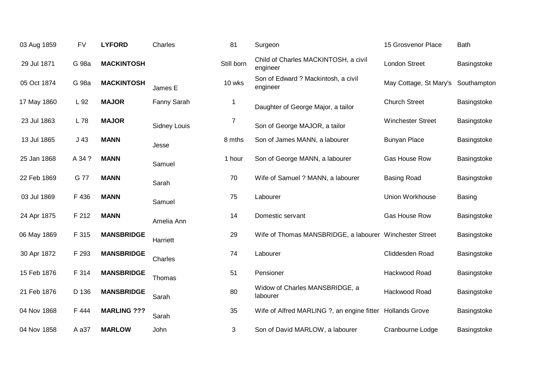| 03 Aug 1859 | <b>FV</b>       | <b>LYFORD</b>      | Charles             | 81             | Surgeon                                                   | 15 Grosvenor Place       | <b>Bath</b> |
|-------------|-----------------|--------------------|---------------------|----------------|-----------------------------------------------------------|--------------------------|-------------|
| 29 Jul 1871 | G 98a           | <b>MACKINTOSH</b>  |                     | Still born     | Child of Charles MACKINTOSH, a civil<br>engineer          | <b>London Street</b>     | Basingstoke |
| 05 Oct 1874 | G 98a           | <b>MACKINTOSH</b>  | James E             | 10 wks         | Son of Edward ? Mackintosh, a civil<br>engineer           | May Cottage, St Mary's   | Southampton |
| 17 May 1860 | L 92            | <b>MAJOR</b>       | Fanny Sarah         | -1             | Daughter of George Major, a tailor                        | <b>Church Street</b>     | Basingstoke |
| 23 Jul 1863 | L 78            | <b>MAJOR</b>       | <b>Sidney Louis</b> | $\overline{7}$ | Son of George MAJOR, a tailor                             | <b>Winchester Street</b> | Basingstoke |
| 13 Jul 1865 | J <sub>43</sub> | <b>MANN</b>        | Jesse               | 8 mths         | Son of James MANN, a labourer                             | <b>Bunyan Place</b>      | Basingstoke |
| 25 Jan 1868 | A 34 ?          | <b>MANN</b>        | Samuel              | 1 hour         | Son of George MANN, a labourer                            | Gas House Row            | Basingstoke |
| 22 Feb 1869 | G 77            | <b>MANN</b>        | Sarah               | 70             | Wife of Samuel ? MANN, a labourer                         | <b>Basing Road</b>       | Basingstoke |
| 03 Jul 1869 | F 436           | <b>MANN</b>        | Samuel              | 75             | Labourer                                                  | Union Workhouse          | Basing      |
| 24 Apr 1875 | F 212           | <b>MANN</b>        | Amelia Ann          | 14             | Domestic servant                                          | Gas House Row            | Basingstoke |
| 06 May 1869 | F 315           | <b>MANSBRIDGE</b>  | Harriett            | 29             | Wife of Thomas MANSBRIDGE, a labourer Winchester Street   |                          | Basingstoke |
| 30 Apr 1872 | F 293           | <b>MANSBRIDGE</b>  | Charles             | 74             | Labourer                                                  | Cliddesden Road          | Basingstoke |
| 15 Feb 1876 | F 314           | <b>MANSBRIDGE</b>  | Thomas              | 51             | Pensioner                                                 | Hackwood Road            | Basingstoke |
| 21 Feb 1876 | D 136           | <b>MANSBRIDGE</b>  | Sarah               | 80             | Widow of Charles MANSBRIDGE, a<br>labourer                | Hackwood Road            | Basingstoke |
| 04 Nov 1868 | F 444           | <b>MARLING ???</b> | Sarah               | 35             | Wife of Alfred MARLING ?, an engine fitter Hollands Grove |                          | Basingstoke |
| 04 Nov 1858 | A a37           | <b>MARLOW</b>      | John                | 3              | Son of David MARLOW, a labourer                           | Cranbourne Lodge         | Basingstoke |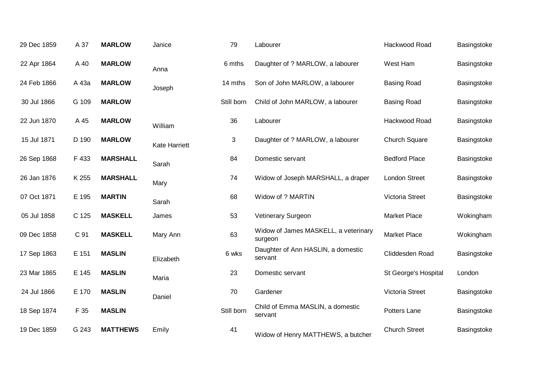| 29 Dec 1859 | A 37  | <b>MARLOW</b>   | Janice               | 79         | Labourer                                        | Hackwood Road        | Basingstoke |
|-------------|-------|-----------------|----------------------|------------|-------------------------------------------------|----------------------|-------------|
| 22 Apr 1864 | A 40  | <b>MARLOW</b>   | Anna                 | 6 mths     | Daughter of ? MARLOW, a labourer                | West Ham             | Basingstoke |
| 24 Feb 1866 | A 43a | <b>MARLOW</b>   | Joseph               | 14 mths    | Son of John MARLOW, a labourer                  | <b>Basing Road</b>   | Basingstoke |
| 30 Jul 1866 | G 109 | <b>MARLOW</b>   |                      | Still born | Child of John MARLOW, a labourer                | <b>Basing Road</b>   | Basingstoke |
| 22 Jun 1870 | A 45  | <b>MARLOW</b>   | William              | 36         | Labourer                                        | Hackwood Road        | Basingstoke |
| 15 Jul 1871 | D 190 | <b>MARLOW</b>   | <b>Kate Harriett</b> | 3          | Daughter of ? MARLOW, a labourer                | <b>Church Square</b> | Basingstoke |
| 26 Sep 1868 | F 433 | <b>MARSHALL</b> | Sarah                | 84         | Domestic servant                                | <b>Bedford Place</b> | Basingstoke |
| 26 Jan 1876 | K 255 | <b>MARSHALL</b> | Mary                 | 74         | Widow of Joseph MARSHALL, a draper              | <b>London Street</b> | Basingstoke |
| 07 Oct 1871 | E 195 | <b>MARTIN</b>   | Sarah                | 68         | Widow of ? MARTIN                               | Victoria Street      | Basingstoke |
| 05 Jul 1858 | C 125 | <b>MASKELL</b>  | James                | 53         | Vetinerary Surgeon                              | <b>Market Place</b>  | Wokingham   |
| 09 Dec 1858 | C 91  | <b>MASKELL</b>  | Mary Ann             | 63         | Widow of James MASKELL, a veterinary<br>surgeon | <b>Market Place</b>  | Wokingham   |
| 17 Sep 1863 | E 151 | <b>MASLIN</b>   | Elizabeth            | 6 wks      | Daughter of Ann HASLIN, a domestic<br>servant   | Cliddesden Road      | Basingstoke |
| 23 Mar 1865 | E 145 | <b>MASLIN</b>   | Maria                | 23         | Domestic servant                                | St George's Hospital | London      |
| 24 Jul 1866 | E 170 | <b>MASLIN</b>   | Daniel               | 70         | Gardener                                        | Victoria Street      | Basingstoke |
| 18 Sep 1874 | F 35  | <b>MASLIN</b>   |                      | Still born | Child of Emma MASLIN, a domestic<br>servant     | Potters Lane         | Basingstoke |
| 19 Dec 1859 | G 243 | <b>MATTHEWS</b> | Emily                | 41         | Widow of Henry MATTHEWS, a butcher              | <b>Church Street</b> | Basingstoke |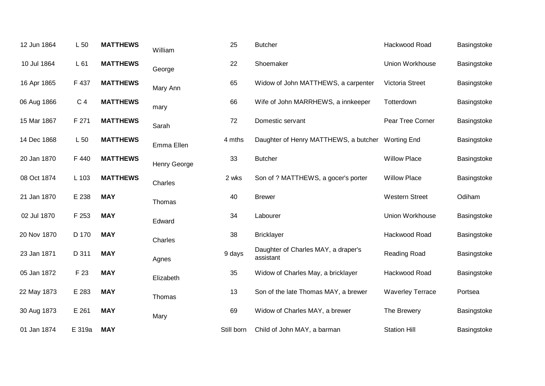| 12 Jun 1864 | L 50           | <b>MATTHEWS</b> | William      | 25         | <b>Butcher</b>                                    | Hackwood Road           | Basingstoke |
|-------------|----------------|-----------------|--------------|------------|---------------------------------------------------|-------------------------|-------------|
| 10 Jul 1864 | L 61           | <b>MATTHEWS</b> | George       | 22         | Shoemaker                                         | Union Workhouse         | Basingstoke |
| 16 Apr 1865 | F 437          | <b>MATTHEWS</b> | Mary Ann     | 65         | Widow of John MATTHEWS, a carpenter               | Victoria Street         | Basingstoke |
| 06 Aug 1866 | C <sub>4</sub> | <b>MATTHEWS</b> | mary         | 66         | Wife of John MARRHEWS, a innkeeper                | Totterdown              | Basingstoke |
| 15 Mar 1867 | F 271          | <b>MATTHEWS</b> | Sarah        | 72         | Domestic servant                                  | Pear Tree Corner        | Basingstoke |
| 14 Dec 1868 | L 50           | <b>MATTHEWS</b> | Emma Ellen   | 4 mths     | Daughter of Henry MATTHEWS, a butcher Worting End |                         | Basingstoke |
| 20 Jan 1870 | F 440          | <b>MATTHEWS</b> | Henry George | 33         | <b>Butcher</b>                                    | <b>Willow Place</b>     | Basingstoke |
| 08 Oct 1874 | L 103          | <b>MATTHEWS</b> | Charles      | 2 wks      | Son of ? MATTHEWS, a gocer's porter               | <b>Willow Place</b>     | Basingstoke |
| 21 Jan 1870 | E 238          | <b>MAY</b>      | Thomas       | 40         | <b>Brewer</b>                                     | <b>Western Street</b>   | Odiham      |
| 02 Jul 1870 | F 253          | <b>MAY</b>      | Edward       | 34         | Labourer                                          | Union Workhouse         | Basingstoke |
| 20 Nov 1870 | D 170          | <b>MAY</b>      | Charles      | 38         | <b>Bricklayer</b>                                 | Hackwood Road           | Basingstoke |
| 23 Jan 1871 | D 311          | <b>MAY</b>      | Agnes        | 9 days     | Daughter of Charles MAY, a draper's<br>assistant  | Reading Road            | Basingstoke |
| 05 Jan 1872 | F 23           | <b>MAY</b>      | Elizabeth    | 35         | Widow of Charles May, a bricklayer                | Hackwood Road           | Basingstoke |
| 22 May 1873 | E 283          | <b>MAY</b>      | Thomas       | 13         | Son of the late Thomas MAY, a brewer              | <b>Waverley Terrace</b> | Portsea     |
| 30 Aug 1873 | E 261          | <b>MAY</b>      | Mary         | 69         | Widow of Charles MAY, a brewer                    | The Brewery             | Basingstoke |
| 01 Jan 1874 | E 319a         | <b>MAY</b>      |              | Still born | Child of John MAY, a barman                       | <b>Station Hill</b>     | Basingstoke |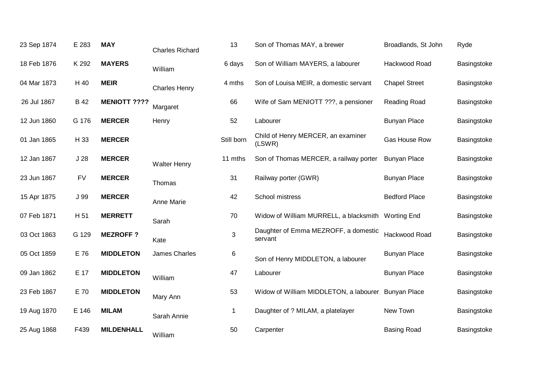| 23 Sep 1874 | E 283           | <b>MAY</b>          | <b>Charles Richard</b> | 13         | Son of Thomas MAY, a brewer                         | Broadlands, St John  | Ryde        |
|-------------|-----------------|---------------------|------------------------|------------|-----------------------------------------------------|----------------------|-------------|
| 18 Feb 1876 | K 292           | <b>MAYERS</b>       | William                | 6 days     | Son of William MAYERS, a labourer                   | Hackwood Road        | Basingstoke |
| 04 Mar 1873 | H 40            | <b>MEIR</b>         | <b>Charles Henry</b>   | 4 mths     | Son of Louisa MEIR, a domestic servant              | <b>Chapel Street</b> | Basingstoke |
| 26 Jul 1867 | <b>B</b> 42     | <b>MENIOTT ????</b> | Margaret               | 66         | Wife of Sam MENIOTT ???, a pensioner                | Reading Road         | Basingstoke |
| 12 Jun 1860 | G 176           | <b>MERCER</b>       | Henry                  | 52         | Labourer                                            | <b>Bunyan Place</b>  | Basingstoke |
| 01 Jan 1865 | H 33            | <b>MERCER</b>       |                        | Still born | Child of Henry MERCER, an examiner<br>(LSWR)        | Gas House Row        | Basingstoke |
| 12 Jan 1867 | J <sub>28</sub> | <b>MERCER</b>       | <b>Walter Henry</b>    | 11 mths    | Son of Thomas MERCER, a railway porter              | <b>Bunyan Place</b>  | Basingstoke |
| 23 Jun 1867 | <b>FV</b>       | <b>MERCER</b>       | Thomas                 | 31         | Railway porter (GWR)                                | <b>Bunyan Place</b>  | Basingstoke |
| 15 Apr 1875 | J 99            | <b>MERCER</b>       | Anne Marie             | 42         | School mistress                                     | <b>Bedford Place</b> | Basingstoke |
| 07 Feb 1871 | H 51            | <b>MERRETT</b>      | Sarah                  | 70         | Widow of William MURRELL, a blacksmith Worting End  |                      | Basingstoke |
| 03 Oct 1863 | G 129           | <b>MEZROFF?</b>     | Kate                   | 3          | Daughter of Emma MEZROFF, a domestic<br>servant     | Hackwood Road        | Basingstoke |
| 05 Oct 1859 | E 76            | <b>MIDDLETON</b>    | James Charles          | 6          | Son of Henry MIDDLETON, a labourer                  | <b>Bunyan Place</b>  | Basingstoke |
| 09 Jan 1862 | E 17            | <b>MIDDLETON</b>    | William                | 47         | Labourer                                            | <b>Bunyan Place</b>  | Basingstoke |
| 23 Feb 1867 | E 70            | <b>MIDDLETON</b>    | Mary Ann               | 53         | Widow of William MIDDLETON, a labourer Bunyan Place |                      | Basingstoke |
| 19 Aug 1870 | E 146           | <b>MILAM</b>        | Sarah Annie            | -1         | Daughter of ? MILAM, a platelayer                   | New Town             | Basingstoke |
| 25 Aug 1868 | F439            | <b>MILDENHALL</b>   | William                | 50         | Carpenter                                           | <b>Basing Road</b>   | Basingstoke |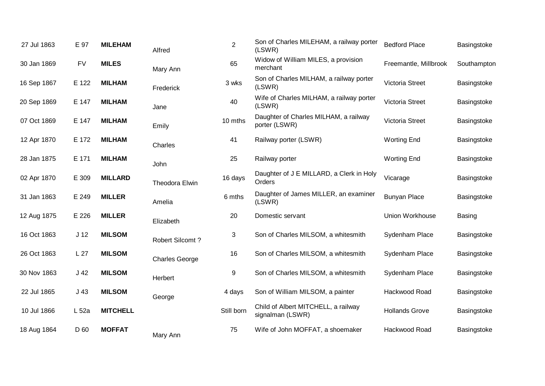| 27 Jul 1863 | E 97            | <b>MILEHAM</b>  | Alfred                | $\overline{2}$ | Son of Charles MILEHAM, a railway porter<br>(LSWR)      | <b>Bedford Place</b>   | Basingstoke   |
|-------------|-----------------|-----------------|-----------------------|----------------|---------------------------------------------------------|------------------------|---------------|
| 30 Jan 1869 | <b>FV</b>       | <b>MILES</b>    | Mary Ann              | 65             | Widow of William MILES, a provision<br>merchant         | Freemantle, Millbrook  | Southampton   |
| 16 Sep 1867 | E 122           | <b>MILHAM</b>   | Frederick             | 3 wks          | Son of Charles MILHAM, a railway porter<br>(LSWR)       | Victoria Street        | Basingstoke   |
| 20 Sep 1869 | E 147           | <b>MILHAM</b>   | Jane                  | 40             | Wife of Charles MILHAM, a railway porter<br>(LSWR)      | Victoria Street        | Basingstoke   |
| 07 Oct 1869 | E 147           | <b>MILHAM</b>   | Emily                 | 10 mths        | Daughter of Charles MILHAM, a railway<br>porter (LSWR)  | Victoria Street        | Basingstoke   |
| 12 Apr 1870 | E 172           | <b>MILHAM</b>   | Charles               | 41             | Railway porter (LSWR)                                   | <b>Worting End</b>     | Basingstoke   |
| 28 Jan 1875 | E 171           | <b>MILHAM</b>   | John                  | 25             | Railway porter                                          | <b>Worting End</b>     | Basingstoke   |
| 02 Apr 1870 | E 309           | <b>MILLARD</b>  | Theodora Elwin        | 16 days        | Daughter of J E MILLARD, a Clerk in Holy<br>Orders      | Vicarage               | Basingstoke   |
| 31 Jan 1863 | E 249           | <b>MILLER</b>   | Amelia                | 6 mths         | Daughter of James MILLER, an examiner<br>(LSWR)         | <b>Bunyan Place</b>    | Basingstoke   |
| 12 Aug 1875 | E 226           | <b>MILLER</b>   | Elizabeth             | 20             | Domestic servant                                        | <b>Union Workhouse</b> | <b>Basing</b> |
| 16 Oct 1863 | J <sub>12</sub> | <b>MILSOM</b>   | Robert Silcomt?       | 3              | Son of Charles MILSOM, a whitesmith                     | Sydenham Place         | Basingstoke   |
| 26 Oct 1863 | L <sub>27</sub> | <b>MILSOM</b>   | <b>Charles George</b> | 16             | Son of Charles MILSOM, a whitesmith                     | Sydenham Place         | Basingstoke   |
| 30 Nov 1863 | J <sub>42</sub> | <b>MILSOM</b>   | Herbert               | 9              | Son of Charles MILSOM, a whitesmith                     | Sydenham Place         | Basingstoke   |
| 22 Jul 1865 | J <sub>43</sub> | <b>MILSOM</b>   | George                | 4 days         | Son of William MILSOM, a painter                        | Hackwood Road          | Basingstoke   |
| 10 Jul 1866 | $L_{52a}$       | <b>MITCHELL</b> |                       | Still born     | Child of Albert MITCHELL, a railway<br>signalman (LSWR) | <b>Hollands Grove</b>  | Basingstoke   |
| 18 Aug 1864 | D 60            | <b>MOFFAT</b>   | Mary Ann              | 75             | Wife of John MOFFAT, a shoemaker                        | Hackwood Road          | Basingstoke   |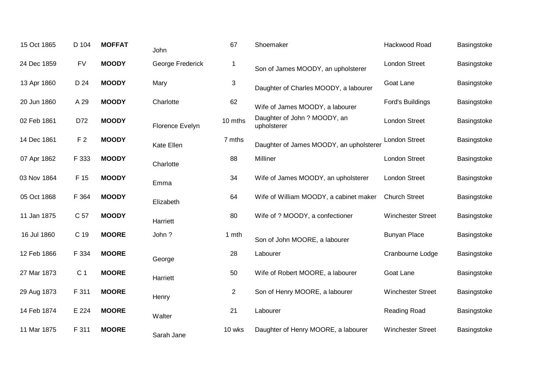| 15 Oct 1865 | D 104          | <b>MOFFAT</b> | John             | 67             | Shoemaker                                   | Hackwood Road            | Basingstoke |
|-------------|----------------|---------------|------------------|----------------|---------------------------------------------|--------------------------|-------------|
| 24 Dec 1859 | <b>FV</b>      | <b>MOODY</b>  | George Frederick | $\mathbf 1$    | Son of James MOODY, an upholsterer          | <b>London Street</b>     | Basingstoke |
| 13 Apr 1860 | D 24           | <b>MOODY</b>  | Mary             | 3              | Daughter of Charles MOODY, a labourer       | Goat Lane                | Basingstoke |
| 20 Jun 1860 | A 29           | <b>MOODY</b>  | Charlotte        | 62             | Wife of James MOODY, a labourer             | Ford's Buildings         | Basingstoke |
| 02 Feb 1861 | D72            | <b>MOODY</b>  | Florence Evelyn  | 10 mths        | Daughter of John ? MOODY, an<br>upholsterer | <b>London Street</b>     | Basingstoke |
| 14 Dec 1861 | F <sub>2</sub> | <b>MOODY</b>  | Kate Ellen       | 7 mths         | Daughter of James MOODY, an upholsterer     | <b>London Street</b>     | Basingstoke |
| 07 Apr 1862 | F 333          | <b>MOODY</b>  | Charlotte        | 88             | Milliner                                    | <b>London Street</b>     | Basingstoke |
| 03 Nov 1864 | F 15           | <b>MOODY</b>  | Emma             | 34             | Wife of James MOODY, an upholsterer         | <b>London Street</b>     | Basingstoke |
| 05 Oct 1868 | F 364          | <b>MOODY</b>  | Elizabeth        | 64             | Wife of William MOODY, a cabinet maker      | <b>Church Street</b>     | Basingstoke |
| 11 Jan 1875 | C 57           | <b>MOODY</b>  | Harriett         | 80             | Wife of ? MOODY, a confectioner             | <b>Winchester Street</b> | Basingstoke |
| 16 Jul 1860 | C 19           | <b>MOORE</b>  | John?            | 1 mth          | Son of John MOORE, a labourer               | <b>Bunyan Place</b>      | Basingstoke |
| 12 Feb 1866 | F 334          | <b>MOORE</b>  | George           | 28             | Labourer                                    | Cranbourne Lodge         | Basingstoke |
| 27 Mar 1873 | C <sub>1</sub> | <b>MOORE</b>  | Harriett         | 50             | Wife of Robert MOORE, a labourer            | Goat Lane                | Basingstoke |
| 29 Aug 1873 | F 311          | <b>MOORE</b>  | Henry            | $\overline{2}$ | Son of Henry MOORE, a labourer              | <b>Winchester Street</b> | Basingstoke |
| 14 Feb 1874 | E 224          | <b>MOORE</b>  | Walter           | 21             | Labourer                                    | Reading Road             | Basingstoke |
| 11 Mar 1875 | F 311          | <b>MOORE</b>  | Sarah Jane       | 10 wks         | Daughter of Henry MOORE, a labourer         | <b>Winchester Street</b> | Basingstoke |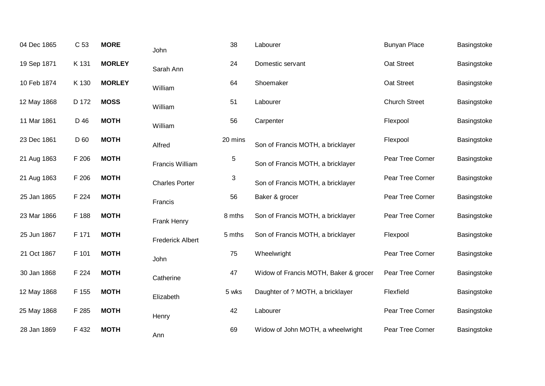| 04 Dec 1865                | C 53  | <b>MORE</b>   |
|----------------------------|-------|---------------|
| 19 Sep 1871                | K 131 | <b>MORLEY</b> |
| 10 Feb 1874 K 130          |       | <b>MORLEY</b> |
| 12 May 1868   D 172   MOSS |       |               |
| 11 Mar 1861                | D 46  | <b>MOTH</b>   |
| 23 Dec 1861 D 60           |       | <b>MOTH</b>   |
| 21 Aug 1863                | F 206 | <b>MOTH</b>   |
| 21 Aug 1863 F 206          |       | <b>MOTH</b>   |
| 25 Jan 1865 F 224 MOTH     |       |               |
| 23 Mar 1866                | F 188 | <b>MOTH</b>   |
| 25 Jun 1867                | F 171 | <b>MOTH</b>   |
| 21 Oct 1867                | F 101 | <b>MOTH</b>   |
| 30 Jan 1868                | F 224 | <b>MOTH</b>   |
| 12 May 1868 F 155          |       | <b>MOTH</b>   |
| 25 May 1868 F 285          |       | <b>MOTH</b>   |
| 28 Jan 1869 F 432          |       | <b>MOTH</b>   |

John

Sarah Ann

William

William

William

Alfred

Francis

John

**Catherine** 

Elizabeth

**Henry** 

Ann

Francis William

Charles Porter

Frank Henry

Frederick Albert

| 38      | Labourer                              | <b>Bunyan Place</b>  | Basingstoke |
|---------|---------------------------------------|----------------------|-------------|
| 24      | Domestic servant                      | Oat Street           | Basingstoke |
| 64      | Shoemaker                             | Oat Street           | Basingstoke |
| 51      | Labourer                              | <b>Church Street</b> | Basingstoke |
| 56      | Carpenter                             | Flexpool             | Basingstoke |
| 20 mins | Son of Francis MOTH, a bricklayer     | Flexpool             | Basingstoke |
| 5       | Son of Francis MOTH, a bricklayer     | Pear Tree Corner     | Basingstoke |
| 3       | Son of Francis MOTH, a bricklayer     | Pear Tree Corner     | Basingstoke |
| 56      | Baker & grocer                        | Pear Tree Corner     | Basingstoke |
| 8 mths  | Son of Francis MOTH, a bricklayer     | Pear Tree Corner     | Basingstoke |
| 5 mths  | Son of Francis MOTH, a bricklayer     | Flexpool             | Basingstoke |
| 75      | Wheelwright                           | Pear Tree Corner     | Basingstoke |
| 47      | Widow of Francis MOTH, Baker & grocer | Pear Tree Corner     | Basingstoke |
| 5 wks   | Daughter of ? MOTH, a bricklayer      | Flexfield            | Basingstoke |
| 42      | Labourer                              | Pear Tree Corner     | Basingstoke |
| 69      | Widow of John MOTH, a wheelwright     | Pear Tree Corner     | Basingstoke |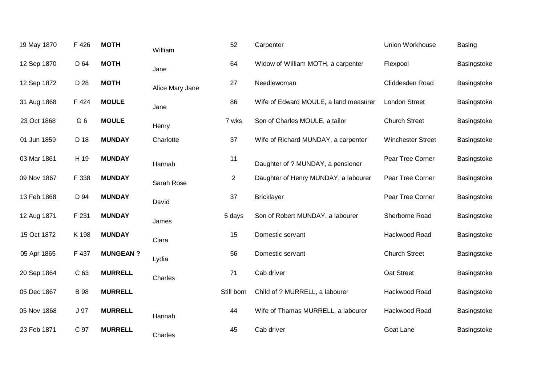| 19 May 1870 | F 426           | <b>MOTH</b>     | William         | 52             | Carpenter                             | Union Workhouse          | <b>Basing</b> |
|-------------|-----------------|-----------------|-----------------|----------------|---------------------------------------|--------------------------|---------------|
| 12 Sep 1870 | D 64            | <b>MOTH</b>     | Jane            | 64             | Widow of William MOTH, a carpenter    | Flexpool                 | Basingstoke   |
| 12 Sep 1872 | D 28            | <b>MOTH</b>     | Alice Mary Jane | 27             | Needlewoman                           | Cliddesden Road          | Basingstoke   |
| 31 Aug 1868 | F 424           | <b>MOULE</b>    | Jane            | 86             | Wife of Edward MOULE, a land measurer | <b>London Street</b>     | Basingstoke   |
| 23 Oct 1868 | G <sub>6</sub>  | <b>MOULE</b>    | Henry           | 7 wks          | Son of Charles MOULE, a tailor        | <b>Church Street</b>     | Basingstoke   |
| 01 Jun 1859 | D 18            | <b>MUNDAY</b>   | Charlotte       | 37             | Wife of Richard MUNDAY, a carpenter   | <b>Winchester Street</b> | Basingstoke   |
| 03 Mar 1861 | H 19            | <b>MUNDAY</b>   | Hannah          | 11             | Daughter of ? MUNDAY, a pensioner     | Pear Tree Corner         | Basingstoke   |
| 09 Nov 1867 | F 338           | <b>MUNDAY</b>   | Sarah Rose      | $\overline{2}$ | Daughter of Henry MUNDAY, a labourer  | Pear Tree Corner         | Basingstoke   |
| 13 Feb 1868 | D 94            | <b>MUNDAY</b>   | David           | 37             | <b>Bricklayer</b>                     | Pear Tree Corner         | Basingstoke   |
| 12 Aug 1871 | F 231           | <b>MUNDAY</b>   | James           | 5 days         | Son of Robert MUNDAY, a labourer      | Sherborne Road           | Basingstoke   |
| 15 Oct 1872 | K 198           | <b>MUNDAY</b>   | Clara           | 15             | Domestic servant                      | Hackwood Road            | Basingstoke   |
| 05 Apr 1865 | F 437           | <b>MUNGEAN?</b> | Lydia           | 56             | Domestic servant                      | <b>Church Street</b>     | Basingstoke   |
| 20 Sep 1864 | C 63            | <b>MURRELL</b>  | Charles         | 71             | Cab driver                            | Oat Street               | Basingstoke   |
| 05 Dec 1867 | <b>B</b> 98     | <b>MURRELL</b>  |                 | Still born     | Child of ? MURRELL, a labourer        | Hackwood Road            | Basingstoke   |
| 05 Nov 1868 | J <sub>97</sub> | <b>MURRELL</b>  | Hannah          | 44             | Wife of Thamas MURRELL, a labourer    | Hackwood Road            | Basingstoke   |
| 23 Feb 1871 | C 97            | <b>MURRELL</b>  | Charles         | 45             | Cab driver                            | Goat Lane                | Basingstoke   |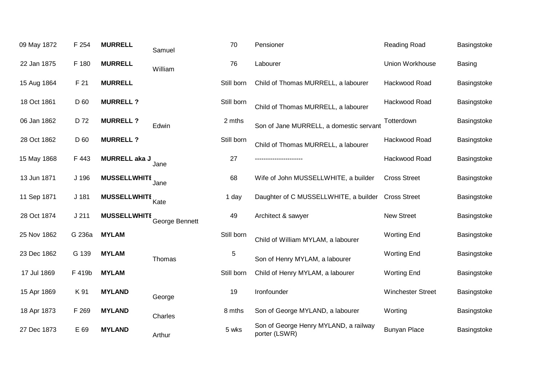| 09 May 1872 | F 254            | <b>MURRELL</b>       | Samuel         | 70         | Pensioner                                              | Reading Road             | Basingstoke   |
|-------------|------------------|----------------------|----------------|------------|--------------------------------------------------------|--------------------------|---------------|
| 22 Jan 1875 | F 180            | <b>MURRELL</b>       | William        | 76         | Labourer                                               | Union Workhouse          | <b>Basing</b> |
| 15 Aug 1864 | F 21             | <b>MURRELL</b>       |                | Still born | Child of Thomas MURRELL, a labourer                    | Hackwood Road            | Basingstoke   |
| 18 Oct 1861 | D 60             | <b>MURRELL?</b>      |                | Still born | Child of Thomas MURRELL, a labourer                    | Hackwood Road            | Basingstoke   |
| 06 Jan 1862 | D 72             | <b>MURRELL?</b>      | Edwin          | 2 mths     | Son of Jane MURRELL, a domestic servant                | Totterdown               | Basingstoke   |
| 28 Oct 1862 | D 60             | <b>MURRELL?</b>      |                | Still born | Child of Thomas MURRELL, a labourer                    | Hackwood Road            | Basingstoke   |
| 15 May 1868 | F 443            | <b>MURRELL aka J</b> | Jane           | 27         |                                                        | Hackwood Road            | Basingstoke   |
| 13 Jun 1871 | J 196            | <b>MUSSELLWHITE</b>  | Jane           | 68         | Wife of John MUSSELLWHITE, a builder                   | <b>Cross Street</b>      | Basingstoke   |
| 11 Sep 1871 | J <sub>181</sub> | <b>MUSSELLWHITE</b>  | Kate           | 1 day      | Daughter of C MUSSELLWHITE, a builder                  | <b>Cross Street</b>      | Basingstoke   |
| 28 Oct 1874 | J211             | <b>MUSSELLWHITE</b>  | George Bennett | 49         | Architect & sawyer                                     | <b>New Street</b>        | Basingstoke   |
| 25 Nov 1862 | G 236a           | <b>MYLAM</b>         |                | Still born | Child of William MYLAM, a labourer                     | <b>Worting End</b>       | Basingstoke   |
| 23 Dec 1862 | G 139            | <b>MYLAM</b>         | Thomas         | 5          | Son of Henry MYLAM, a labourer                         | <b>Worting End</b>       | Basingstoke   |
| 17 Jul 1869 | F 419b           | <b>MYLAM</b>         |                | Still born | Child of Henry MYLAM, a labourer                       | <b>Worting End</b>       | Basingstoke   |
| 15 Apr 1869 | K 91             | <b>MYLAND</b>        | George         | 19         | Ironfounder                                            | <b>Winchester Street</b> | Basingstoke   |
| 18 Apr 1873 | F 269            | <b>MYLAND</b>        | Charles        | 8 mths     | Son of George MYLAND, a labourer                       | Worting                  | Basingstoke   |
| 27 Dec 1873 | E 69             | <b>MYLAND</b>        | Arthur         | 5 wks      | Son of George Henry MYLAND, a railway<br>porter (LSWR) | <b>Bunyan Place</b>      | Basingstoke   |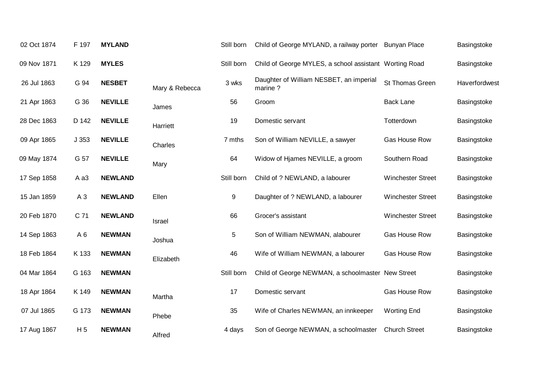| F 197          | <b>MYLAND</b>  |                | Still born | Child of George MYLAND, a railway porter           | <b>Bunyan Place</b>      | Basingstoke                                                                                                 |
|----------------|----------------|----------------|------------|----------------------------------------------------|--------------------------|-------------------------------------------------------------------------------------------------------------|
| K 129          | <b>MYLES</b>   |                | Still born |                                                    |                          | Basingstoke                                                                                                 |
| G 94           | <b>NESBET</b>  | Mary & Rebecca | 3 wks      | Daughter of William NESBET, an imperial<br>marine? | St Thomas Green          | Haverfordwest                                                                                               |
| G 36           | <b>NEVILLE</b> | James          | 56         | Groom                                              | <b>Back Lane</b>         | Basingstoke                                                                                                 |
| D 142          | <b>NEVILLE</b> | Harriett       | 19         | Domestic servant                                   | Totterdown               | Basingstoke                                                                                                 |
| J353           | <b>NEVILLE</b> | Charles        | 7 mths     | Son of William NEVILLE, a sawyer                   | Gas House Row            | Basingstoke                                                                                                 |
| G 57           | <b>NEVILLE</b> | Mary           | 64         | Widow of Hjames NEVILLE, a groom                   | Southern Road            | Basingstoke                                                                                                 |
| A a3           | <b>NEWLAND</b> |                | Still born | Child of ? NEWLAND, a labourer                     | <b>Winchester Street</b> | Basingstoke                                                                                                 |
| $A_3$          | <b>NEWLAND</b> | Ellen          | 9          | Daughter of ? NEWLAND, a labourer                  | <b>Winchester Street</b> | Basingstoke                                                                                                 |
| C 71           | <b>NEWLAND</b> | Israel         | 66         | Grocer's assistant                                 | <b>Winchester Street</b> | Basingstoke                                                                                                 |
| A <sub>6</sub> | <b>NEWMAN</b>  | Joshua         | 5          | Son of William NEWMAN, alabourer                   | Gas House Row            | Basingstoke                                                                                                 |
| K 133          | <b>NEWMAN</b>  | Elizabeth      | 46         | Wife of William NEWMAN, a labourer                 | Gas House Row            | Basingstoke                                                                                                 |
| G 163          | <b>NEWMAN</b>  |                | Still born |                                                    |                          | Basingstoke                                                                                                 |
| K 149          | <b>NEWMAN</b>  | Martha         | 17         | Domestic servant                                   | Gas House Row            | Basingstoke                                                                                                 |
| G 173          | <b>NEWMAN</b>  | Phebe          | 35         | Wife of Charles NEWMAN, an innkeeper               | <b>Worting End</b>       | Basingstoke                                                                                                 |
| H <sub>5</sub> | <b>NEWMAN</b>  | Alfred         | 4 days     | Son of George NEWMAN, a schoolmaster               | <b>Church Street</b>     | Basingstoke                                                                                                 |
|                |                |                |            |                                                    |                          | Child of George MYLES, a school assistant Worting Road<br>Child of George NEWMAN, a schoolmaster New Street |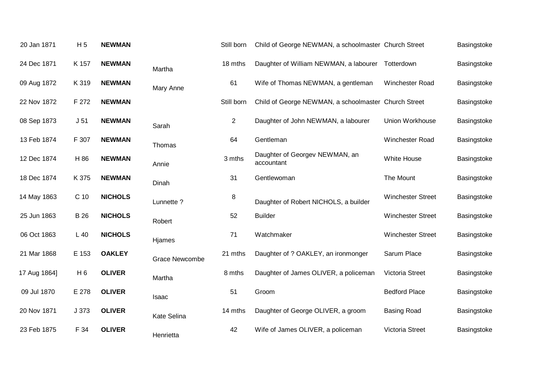| 20 Jan 1871  | H <sub>5</sub>  | <b>NEWMAN</b>  |                       | Still born     | Child of George NEWMAN, a schoolmaster Church Street |                          | Basingstoke |
|--------------|-----------------|----------------|-----------------------|----------------|------------------------------------------------------|--------------------------|-------------|
| 24 Dec 1871  | K 157           | <b>NEWMAN</b>  | Martha                | 18 mths        | Daughter of William NEWMAN, a labourer Totterdown    |                          | Basingstoke |
| 09 Aug 1872  | K 319           | <b>NEWMAN</b>  | Mary Anne             | 61             | Wife of Thomas NEWMAN, a gentleman                   | Winchester Road          | Basingstoke |
| 22 Nov 1872  | F 272           | <b>NEWMAN</b>  |                       | Still born     | Child of George NEWMAN, a schoolmaster Church Street |                          | Basingstoke |
| 08 Sep 1873  | J <sub>51</sub> | <b>NEWMAN</b>  | Sarah                 | $\overline{2}$ | Daughter of John NEWMAN, a labourer                  | Union Workhouse          | Basingstoke |
| 13 Feb 1874  | F 307           | <b>NEWMAN</b>  | Thomas                | 64             | Gentleman                                            | Winchester Road          | Basingstoke |
| 12 Dec 1874  | H 86            | <b>NEWMAN</b>  | Annie                 | 3 mths         | Daughter of Georgev NEWMAN, an<br>accountant         | <b>White House</b>       | Basingstoke |
| 18 Dec 1874  | K 375           | <b>NEWMAN</b>  | Dinah                 | 31             | Gentlewoman                                          | The Mount                | Basingstoke |
| 14 May 1863  | C <sub>10</sub> | <b>NICHOLS</b> | Lunnette ?            | 8              | Daughter of Robert NICHOLS, a builder                | <b>Winchester Street</b> | Basingstoke |
| 25 Jun 1863  | <b>B</b> 26     | <b>NICHOLS</b> | Robert                | 52             | <b>Builder</b>                                       | <b>Winchester Street</b> | Basingstoke |
| 06 Oct 1863  | $L$ 40          | <b>NICHOLS</b> | Hjames                | 71             | Watchmaker                                           | <b>Winchester Street</b> | Basingstoke |
| 21 Mar 1868  | E 153           | <b>OAKLEY</b>  | <b>Grace Newcombe</b> | 21 mths        | Daughter of ? OAKLEY, an ironmonger                  | Sarum Place              | Basingstoke |
| 17 Aug 1864] | H <sub>6</sub>  | <b>OLIVER</b>  | Martha                | 8 mths         | Daughter of James OLIVER, a policeman                | Victoria Street          | Basingstoke |
| 09 Jul 1870  | E 278           | <b>OLIVER</b>  | Isaac                 | 51             | Groom                                                | <b>Bedford Place</b>     | Basingstoke |
| 20 Nov 1871  | J 373           | <b>OLIVER</b>  | <b>Kate Selina</b>    | 14 mths        | Daughter of George OLIVER, a groom                   | <b>Basing Road</b>       | Basingstoke |
| 23 Feb 1875  | F 34            | <b>OLIVER</b>  | Henrietta             | 42             | Wife of James OLIVER, a policeman                    | Victoria Street          | Basingstoke |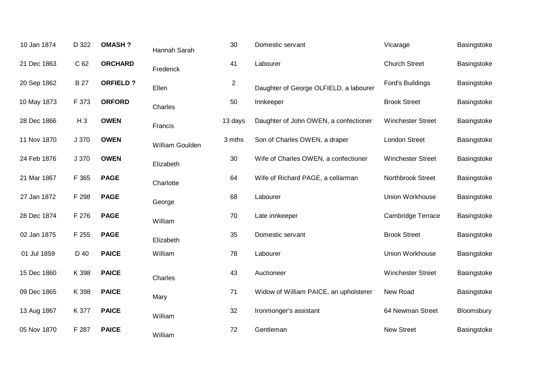| 10 Jan 1874 | D 322      | <b>OMASH?</b>   | Hannah Sarah    | 30             | Domestic servant                       | Vicarage                 | Basingstoke |
|-------------|------------|-----------------|-----------------|----------------|----------------------------------------|--------------------------|-------------|
| 21 Dec 1863 | C 62       | <b>ORCHARD</b>  | Frederick       | 41             | Labourer                               | <b>Church Street</b>     | Basingstoke |
| 20 Sep 1862 | <b>B27</b> | <b>ORFIELD?</b> | Ellen           | $\overline{2}$ | Daughter of George OLFIELD, a labourer | Ford's Buildings         | Basingstoke |
| 10 May 1873 | F 373      | <b>ORFORD</b>   | Charles         | 50             | Innkeeper                              | <b>Brook Street</b>      | Basingstoke |
| 28 Dec 1866 | $H_3$      | <b>OWEN</b>     | Francis         | 13 days        | Daughter of John OWEN, a confectioner  | <b>Winchester Street</b> | Basingstoke |
| 11 Nov 1870 | J 370      | <b>OWEN</b>     | William Goulden | 3 mths         | Son of Charles OWEN, a draper          | <b>London Street</b>     | Basingstoke |
| 24 Feb 1876 | J 370      | <b>OWEN</b>     | Elizabeth       | 30             | Wife of Charles OWEN, a confectioner   | <b>Winchester Street</b> | Basingstoke |
| 21 Mar 1867 | F 365      | <b>PAGE</b>     | Charlotte       | 64             | Wife of Richard PAGE, a cellarman      | Northbrook Street        | Basingstoke |
| 27 Jan 1872 | F 298      | <b>PAGE</b>     | George          | 68             | Labourer                               | Union Workhouse          | Basingstoke |
| 28 Dec 1874 | F 276      | <b>PAGE</b>     | William         | 70             | Late innkeeper                         | <b>Cambridge Terrace</b> | Basingstoke |
| 02 Jan 1875 | F 255      | <b>PAGE</b>     | Elizabeth       | 35             | Domestic servant                       | <b>Brook Street</b>      | Basingstoke |
| 01 Jul 1859 | D 40       | <b>PAICE</b>    | William         | 78             | Labourer                               | Union Workhouse          | Basingstoke |
| 15 Dec 1860 | K 398      | <b>PAICE</b>    | Charles         | 43             | Auctioneer                             | <b>Winchester Street</b> | Basingstoke |
| 09 Dec 1865 | K 398      | <b>PAICE</b>    | Mary            | 71             | Widow of William PAICE, an upholsterer | New Road                 | Basingstoke |
| 13 Aug 1867 | K 377      | <b>PAICE</b>    | William         | 32             | Ironmonger's assistant                 | 64 Newman Street         | Bloomsbury  |
| 05 Nov 1870 | F 287      | <b>PAICE</b>    | William         | 72             | Gentleman                              | <b>New Street</b>        | Basingstoke |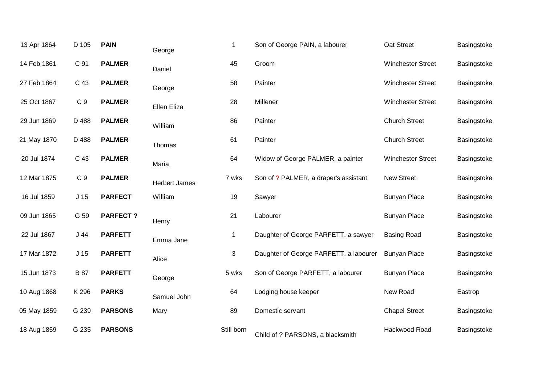| 13 Apr 1864 | D 105           | <b>PAIN</b>     | George               | $\mathbf 1$ | Son of George PAIN, a labourer         | Oat Street               | Basingstoke |
|-------------|-----------------|-----------------|----------------------|-------------|----------------------------------------|--------------------------|-------------|
| 14 Feb 1861 | C 91            | <b>PALMER</b>   | Daniel               | 45          | Groom                                  | <b>Winchester Street</b> | Basingstoke |
| 27 Feb 1864 | C 43            | <b>PALMER</b>   | George               | 58          | Painter                                | <b>Winchester Street</b> | Basingstoke |
| 25 Oct 1867 | C <sub>9</sub>  | <b>PALMER</b>   | <b>Ellen Eliza</b>   | 28          | Millener                               | <b>Winchester Street</b> | Basingstoke |
| 29 Jun 1869 | D 488           | <b>PALMER</b>   | William              | 86          | Painter                                | <b>Church Street</b>     | Basingstoke |
| 21 May 1870 | D 488           | <b>PALMER</b>   | Thomas               | 61          | Painter                                | <b>Church Street</b>     | Basingstoke |
| 20 Jul 1874 | C 43            | <b>PALMER</b>   | Maria                | 64          | Widow of George PALMER, a painter      | <b>Winchester Street</b> | Basingstoke |
| 12 Mar 1875 | C <sub>9</sub>  | <b>PALMER</b>   | <b>Herbert James</b> | 7 wks       | Son of ? PALMER, a draper's assistant  | <b>New Street</b>        | Basingstoke |
| 16 Jul 1859 | J <sub>15</sub> | <b>PARFECT</b>  | William              | 19          | Sawyer                                 | <b>Bunyan Place</b>      | Basingstoke |
| 09 Jun 1865 | G 59            | <b>PARFECT?</b> | Henry                | 21          | Labourer                               | <b>Bunyan Place</b>      | Basingstoke |
| 22 Jul 1867 | J44             | <b>PARFETT</b>  | Emma Jane            | $\mathbf 1$ | Daughter of George PARFETT, a sawyer   | <b>Basing Road</b>       | Basingstoke |
| 17 Mar 1872 | J <sub>15</sub> | <b>PARFETT</b>  | Alice                | 3           | Daughter of George PARFETT, a labourer | <b>Bunyan Place</b>      | Basingstoke |
| 15 Jun 1873 | <b>B</b> 87     | <b>PARFETT</b>  | George               | 5 wks       | Son of George PARFETT, a labourer      | <b>Bunyan Place</b>      | Basingstoke |
| 10 Aug 1868 | K 296           | <b>PARKS</b>    | Samuel John          | 64          | Lodging house keeper                   | New Road                 | Eastrop     |
| 05 May 1859 | G 239           | <b>PARSONS</b>  | Mary                 | 89          | Domestic servant                       | <b>Chapel Street</b>     | Basingstoke |
| 18 Aug 1859 | G 235           | <b>PARSONS</b>  |                      | Still born  | Child of ? PARSONS, a blacksmith       | Hackwood Road            | Basingstoke |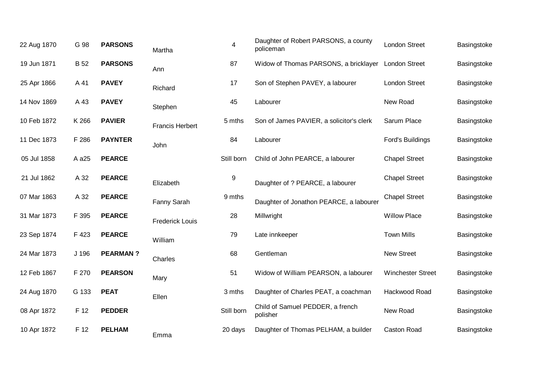| 22 Aug 1870 | G 98        | <b>PARSONS</b>  | Martha                 | $\overline{\mathbf{4}}$ | Daughter of Robert PARSONS, a county<br>policeman | <b>London Street</b>     | Basingstoke |
|-------------|-------------|-----------------|------------------------|-------------------------|---------------------------------------------------|--------------------------|-------------|
| 19 Jun 1871 | <b>B</b> 52 | <b>PARSONS</b>  | Ann                    | 87                      | Widow of Thomas PARSONS, a bricklayer             | <b>London Street</b>     | Basingstoke |
| 25 Apr 1866 | A 41        | <b>PAVEY</b>    | Richard                | 17                      | Son of Stephen PAVEY, a labourer                  | London Street            | Basingstoke |
| 14 Nov 1869 | A 43        | <b>PAVEY</b>    | Stephen                | 45                      | Labourer                                          | New Road                 | Basingstoke |
| 10 Feb 1872 | K 266       | <b>PAVIER</b>   | <b>Francis Herbert</b> | 5 mths                  | Son of James PAVIER, a solicitor's clerk          | Sarum Place              | Basingstoke |
| 11 Dec 1873 | F 286       | <b>PAYNTER</b>  | John                   | 84                      | Labourer                                          | Ford's Buildings         | Basingstoke |
| 05 Jul 1858 | A a25       | <b>PEARCE</b>   |                        | Still born              | Child of John PEARCE, a labourer                  | <b>Chapel Street</b>     | Basingstoke |
| 21 Jul 1862 | A 32        | <b>PEARCE</b>   | Elizabeth              | 9                       | Daughter of ? PEARCE, a labourer                  | <b>Chapel Street</b>     | Basingstoke |
| 07 Mar 1863 | A 32        | <b>PEARCE</b>   | Fanny Sarah            | 9 mths                  | Daughter of Jonathon PEARCE, a labourer           | <b>Chapel Street</b>     | Basingstoke |
| 31 Mar 1873 | F 395       | <b>PEARCE</b>   | <b>Frederick Louis</b> | 28                      | Millwright                                        | <b>Willow Place</b>      | Basingstoke |
| 23 Sep 1874 | F 423       | <b>PEARCE</b>   | William                | 79                      | Late innkeeper                                    | <b>Town Mills</b>        | Basingstoke |
| 24 Mar 1873 | J 196       | <b>PEARMAN?</b> | Charles                | 68                      | Gentleman                                         | <b>New Street</b>        | Basingstoke |
| 12 Feb 1867 | F 270       | <b>PEARSON</b>  | Mary                   | 51                      | Widow of William PEARSON, a labourer              | <b>Winchester Street</b> | Basingstoke |
| 24 Aug 1870 | G 133       | <b>PEAT</b>     | Ellen                  | 3 mths                  | Daughter of Charles PEAT, a coachman              | Hackwood Road            | Basingstoke |
| 08 Apr 1872 | F 12        | <b>PEDDER</b>   |                        | Still born              | Child of Samuel PEDDER, a french<br>polisher      | New Road                 | Basingstoke |
| 10 Apr 1872 | F 12        | <b>PELHAM</b>   | Emma                   | 20 days                 | Daughter of Thomas PELHAM, a builder              | <b>Caston Road</b>       | Basingstoke |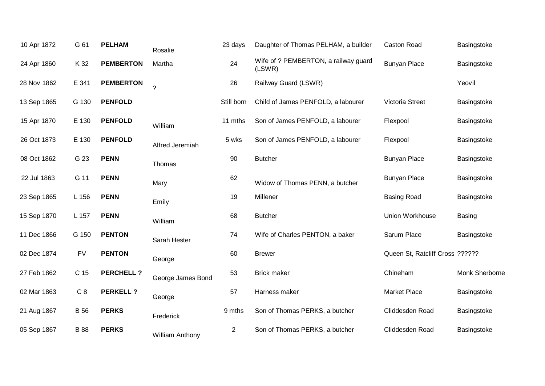| 10 Apr 1872 | G 61        | <b>PELHAM</b>    | Rosalie                | 23 days        | Daughter of Thomas PELHAM, a builder           | <b>Caston Road</b>              | Basingstoke    |
|-------------|-------------|------------------|------------------------|----------------|------------------------------------------------|---------------------------------|----------------|
| 24 Apr 1860 | K 32        | <b>PEMBERTON</b> | Martha                 | 24             | Wife of ? PEMBERTON, a railway guard<br>(LSWR) | <b>Bunyan Place</b>             | Basingstoke    |
| 28 Nov 1862 | E 341       | <b>PEMBERTON</b> | $\overline{?}$         | 26             | Railway Guard (LSWR)                           |                                 | Yeovil         |
| 13 Sep 1865 | G 130       | <b>PENFOLD</b>   |                        | Still born     | Child of James PENFOLD, a labourer             | Victoria Street                 | Basingstoke    |
| 15 Apr 1870 | E 130       | <b>PENFOLD</b>   | William                | 11 mths        | Son of James PENFOLD, a labourer               | Flexpool                        | Basingstoke    |
| 26 Oct 1873 | E 130       | <b>PENFOLD</b>   | Alfred Jeremiah        | 5 wks          | Son of James PENFOLD, a labourer               | Flexpool                        | Basingstoke    |
| 08 Oct 1862 | G 23        | <b>PENN</b>      | Thomas                 | 90             | <b>Butcher</b>                                 | <b>Bunyan Place</b>             | Basingstoke    |
| 22 Jul 1863 | G 11        | <b>PENN</b>      | Mary                   | 62             | Widow of Thomas PENN, a butcher                | <b>Bunyan Place</b>             | Basingstoke    |
| 23 Sep 1865 | L 156       | <b>PENN</b>      | Emily                  | 19             | Millener                                       | <b>Basing Road</b>              | Basingstoke    |
| 15 Sep 1870 | L 157       | <b>PENN</b>      | William                | 68             | <b>Butcher</b>                                 | Union Workhouse                 | <b>Basing</b>  |
| 11 Dec 1866 | G 150       | <b>PENTON</b>    | Sarah Hester           | 74             | Wife of Charles PENTON, a baker                | Sarum Place                     | Basingstoke    |
| 02 Dec 1874 | <b>FV</b>   | <b>PENTON</b>    | George                 | 60             | <b>Brewer</b>                                  | Queen St, Ratcliff Cross ?????? |                |
| 27 Feb 1862 | C 15        | <b>PERCHELL?</b> | George James Bond      | 53             | <b>Brick maker</b>                             | Chineham                        | Monk Sherborne |
| 02 Mar 1863 | C8          | <b>PERKELL ?</b> | George                 | 57             | Harness maker                                  | <b>Market Place</b>             | Basingstoke    |
| 21 Aug 1867 | <b>B</b> 56 | <b>PERKS</b>     | Frederick              | 9 mths         | Son of Thomas PERKS, a butcher                 | Cliddesden Road                 | Basingstoke    |
| 05 Sep 1867 | <b>B</b> 88 | <b>PERKS</b>     | <b>William Anthony</b> | $\overline{c}$ | Son of Thomas PERKS, a butcher                 | Cliddesden Road                 | Basingstoke    |
|             |             |                  |                        |                |                                                |                                 |                |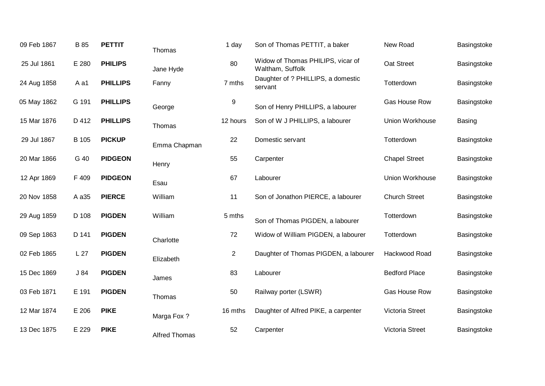| 09 Feb 1867 | B 85   | <b>PETTIT</b>   | Thomas               | 1 day    | Son of Thomas PETTIT, a baker                         | New Road               | Basingstoke |
|-------------|--------|-----------------|----------------------|----------|-------------------------------------------------------|------------------------|-------------|
| 25 Jul 1861 | E 280  | <b>PHILIPS</b>  | Jane Hyde            | 80       | Widow of Thomas PHILIPS, vicar of<br>Waltham, Suffolk | Oat Street             | Basingstoke |
| 24 Aug 1858 | A a1   | <b>PHILLIPS</b> | Fanny                | 7 mths   | Daughter of ? PHILLIPS, a domestic<br>servant         | Totterdown             | Basingstoke |
| 05 May 1862 | G 191  | <b>PHILLIPS</b> | George               | $9\,$    | Son of Henry PHILLIPS, a labourer                     | Gas House Row          | Basingstoke |
| 15 Mar 1876 | D 412  | <b>PHILLIPS</b> | Thomas               | 12 hours | Son of W J PHILLIPS, a labourer                       | <b>Union Workhouse</b> | Basing      |
| 29 Jul 1867 | B 105  | <b>PICKUP</b>   | Emma Chapman         | 22       | Domestic servant                                      | Totterdown             | Basingstoke |
| 20 Mar 1866 | G 40   | <b>PIDGEON</b>  | Henry                | 55       | Carpenter                                             | <b>Chapel Street</b>   | Basingstoke |
| 12 Apr 1869 | F 409  | <b>PIDGEON</b>  | Esau                 | 67       | Labourer                                              | Union Workhouse        | Basingstoke |
| 20 Nov 1858 | A a 35 | <b>PIERCE</b>   | William              | 11       | Son of Jonathon PIERCE, a labourer                    | <b>Church Street</b>   | Basingstoke |
| 29 Aug 1859 | D 108  | <b>PIGDEN</b>   | William              | 5 mths   | Son of Thomas PIGDEN, a labourer                      | Totterdown             | Basingstoke |
| 09 Sep 1863 | D 141  | <b>PIGDEN</b>   | Charlotte            | 72       | Widow of William PIGDEN, a labourer                   | Totterdown             | Basingstoke |
| 02 Feb 1865 | L 27   | <b>PIGDEN</b>   | Elizabeth            | 2        | Daughter of Thomas PIGDEN, a labourer                 | Hackwood Road          | Basingstoke |
| 15 Dec 1869 | J 84   | <b>PIGDEN</b>   | James                | 83       | Labourer                                              | <b>Bedford Place</b>   | Basingstoke |
| 03 Feb 1871 | E 191  | <b>PIGDEN</b>   | Thomas               | 50       | Railway porter (LSWR)                                 | Gas House Row          | Basingstoke |
| 12 Mar 1874 | E 206  | <b>PIKE</b>     | Marga Fox ?          | 16 mths  | Daughter of Alfred PIKE, a carpenter                  | Victoria Street        | Basingstoke |
| 13 Dec 1875 | E 229  | <b>PIKE</b>     | <b>Alfred Thomas</b> | 52       | Carpenter                                             | Victoria Street        | Basingstoke |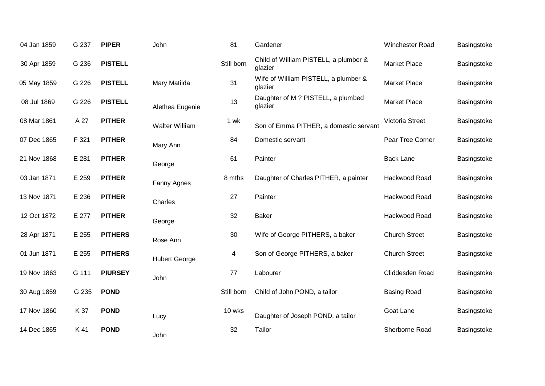| 04 Jan 1859 | G 237 | <b>PIPER</b>   | John                 | 81         | Gardener                                         | Winchester Road      | Basingstoke |
|-------------|-------|----------------|----------------------|------------|--------------------------------------------------|----------------------|-------------|
| 30 Apr 1859 | G 236 | <b>PISTELL</b> |                      | Still born | Child of William PISTELL, a plumber &<br>glazier | <b>Market Place</b>  | Basingstoke |
| 05 May 1859 | G 226 | <b>PISTELL</b> | Mary Matilda         | 31         | Wife of William PISTELL, a plumber &<br>glazier  | <b>Market Place</b>  | Basingstoke |
| 08 Jul 1869 | G 226 | <b>PISTELL</b> | Alethea Eugenie      | 13         | Daughter of M ? PISTELL, a plumbed<br>glazier    | Market Place         | Basingstoke |
| 08 Mar 1861 | A 27  | <b>PITHER</b>  | Walter William       | 1 wk       | Son of Emma PITHER, a domestic servant           | Victoria Street      | Basingstoke |
| 07 Dec 1865 | F 321 | <b>PITHER</b>  | Mary Ann             | 84         | Domestic servant                                 | Pear Tree Corner     | Basingstoke |
| 21 Nov 1868 | E 281 | <b>PITHER</b>  | George               | 61         | Painter                                          | <b>Back Lane</b>     | Basingstoke |
| 03 Jan 1871 | E 259 | <b>PITHER</b>  | Fanny Agnes          | 8 mths     | Daughter of Charles PITHER, a painter            | Hackwood Road        | Basingstoke |
| 13 Nov 1871 | E 236 | <b>PITHER</b>  | Charles              | 27         | Painter                                          | Hackwood Road        | Basingstoke |
| 12 Oct 1872 | E 277 | <b>PITHER</b>  | George               | 32         | <b>Baker</b>                                     | Hackwood Road        | Basingstoke |
| 28 Apr 1871 | E 255 | <b>PITHERS</b> | Rose Ann             | 30         | Wife of George PITHERS, a baker                  | <b>Church Street</b> | Basingstoke |
| 01 Jun 1871 | E 255 | <b>PITHERS</b> | <b>Hubert George</b> | 4          | Son of George PITHERS, a baker                   | <b>Church Street</b> | Basingstoke |
| 19 Nov 1863 | G 111 | <b>PIURSEY</b> | John                 | 77         | Labourer                                         | Cliddesden Road      | Basingstoke |
| 30 Aug 1859 | G 235 | <b>POND</b>    |                      | Still born | Child of John POND, a tailor                     | <b>Basing Road</b>   | Basingstoke |
| 17 Nov 1860 | K 37  | <b>POND</b>    | Lucy                 | 10 wks     | Daughter of Joseph POND, a tailor                | Goat Lane            | Basingstoke |
| 14 Dec 1865 | K 41  | <b>POND</b>    | John                 | 32         | Tailor                                           | Sherborne Road       | Basingstoke |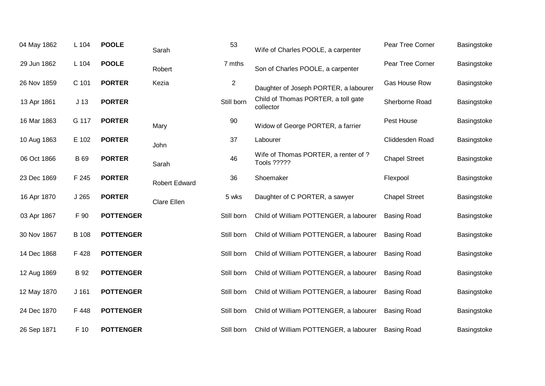| 04 May 1862 | L 104           | <b>POOLE</b>     | Sarah                | 53             | Wife of Charles POOLE, a carpenter                         | Pear Tree Corner     | Basingstoke |
|-------------|-----------------|------------------|----------------------|----------------|------------------------------------------------------------|----------------------|-------------|
| 29 Jun 1862 | L 104           | <b>POOLE</b>     | Robert               | 7 mths         | Son of Charles POOLE, a carpenter                          | Pear Tree Corner     | Basingstoke |
| 26 Nov 1859 | C 101           | <b>PORTER</b>    | Kezia                | $\overline{c}$ | Daughter of Joseph PORTER, a labourer                      | Gas House Row        | Basingstoke |
| 13 Apr 1861 | J <sub>13</sub> | <b>PORTER</b>    |                      | Still born     | Child of Thomas PORTER, a toll gate<br>collector           | Sherborne Road       | Basingstoke |
| 16 Mar 1863 | G 117           | <b>PORTER</b>    | Mary                 | 90             | Widow of George PORTER, a farrier                          | Pest House           | Basingstoke |
| 10 Aug 1863 | E 102           | <b>PORTER</b>    | John                 | 37             | Labourer                                                   | Cliddesden Road      | Basingstoke |
| 06 Oct 1866 | <b>B</b> 69     | <b>PORTER</b>    | Sarah                | 46             | Wife of Thomas PORTER, a renter of ?<br><b>Tools ?????</b> | <b>Chapel Street</b> | Basingstoke |
| 23 Dec 1869 | F 245           | <b>PORTER</b>    | <b>Robert Edward</b> | 36             | Shoemaker                                                  | Flexpool             | Basingstoke |
| 16 Apr 1870 | J265            | <b>PORTER</b>    | Clare Ellen          | 5 wks          | Daughter of C PORTER, a sawyer                             | <b>Chapel Street</b> | Basingstoke |
| 03 Apr 1867 | F 90            | <b>POTTENGER</b> |                      | Still born     | Child of William POTTENGER, a labourer                     | <b>Basing Road</b>   | Basingstoke |
| 30 Nov 1867 | <b>B</b> 108    | <b>POTTENGER</b> |                      | Still born     | Child of William POTTENGER, a labourer                     | <b>Basing Road</b>   | Basingstoke |
| 14 Dec 1868 | F 428           | <b>POTTENGER</b> |                      | Still born     | Child of William POTTENGER, a labourer                     | <b>Basing Road</b>   | Basingstoke |
| 12 Aug 1869 | <b>B</b> 92     | <b>POTTENGER</b> |                      | Still born     | Child of William POTTENGER, a labourer                     | <b>Basing Road</b>   | Basingstoke |
| 12 May 1870 | $J$ 161         | <b>POTTENGER</b> |                      | Still born     | Child of William POTTENGER, a labourer                     | <b>Basing Road</b>   | Basingstoke |
| 24 Dec 1870 | F 448           | <b>POTTENGER</b> |                      | Still born     | Child of William POTTENGER, a labourer                     | <b>Basing Road</b>   | Basingstoke |
| 26 Sep 1871 | F 10            | <b>POTTENGER</b> |                      | Still born     | Child of William POTTENGER, a labourer                     | <b>Basing Road</b>   | Basingstoke |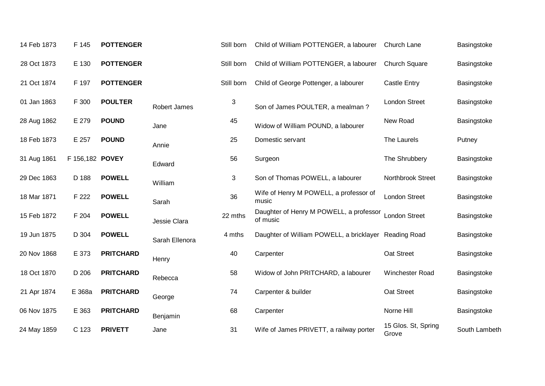| 14 Feb 1873 | F 145           | <b>POTTENGER</b> |                     | Still born | Child of William POTTENGER, a labourer                | Church Lane                  | Basingstoke   |
|-------------|-----------------|------------------|---------------------|------------|-------------------------------------------------------|------------------------------|---------------|
| 28 Oct 1873 | E 130           | <b>POTTENGER</b> |                     | Still born | Child of William POTTENGER, a labourer                | Church Square                | Basingstoke   |
| 21 Oct 1874 | F 197           | <b>POTTENGER</b> |                     | Still born | Child of George Pottenger, a labourer                 | <b>Castle Entry</b>          | Basingstoke   |
| 01 Jan 1863 | F 300           | <b>POULTER</b>   | <b>Robert James</b> | 3          | Son of James POULTER, a mealman?                      | <b>London Street</b>         | Basingstoke   |
| 28 Aug 1862 | E 279           | <b>POUND</b>     | Jane                | 45         | Widow of William POUND, a labourer                    | New Road                     | Basingstoke   |
| 18 Feb 1873 | E 257           | <b>POUND</b>     | Annie               | 25         | Domestic servant                                      | The Laurels                  | Putney        |
| 31 Aug 1861 | F 156,182 POVEY |                  | Edward              | 56         | Surgeon                                               | The Shrubbery                | Basingstoke   |
| 29 Dec 1863 | D 188           | <b>POWELL</b>    | William             | 3          | Son of Thomas POWELL, a labourer                      | Northbrook Street            | Basingstoke   |
| 18 Mar 1871 | F 222           | <b>POWELL</b>    | Sarah               | 36         | Wife of Henry M POWELL, a professor of<br>music       | <b>London Street</b>         | Basingstoke   |
| 15 Feb 1872 | F 204           | <b>POWELL</b>    | Jessie Clara        | 22 mths    | Daughter of Henry M POWELL, a professor<br>of music   | <b>London Street</b>         | Basingstoke   |
| 19 Jun 1875 | D 304           | <b>POWELL</b>    | Sarah Ellenora      | 4 mths     | Daughter of William POWELL, a bricklayer Reading Road |                              | Basingstoke   |
| 20 Nov 1868 | E 373           | <b>PRITCHARD</b> | Henry               | 40         | Carpenter                                             | Oat Street                   | Basingstoke   |
| 18 Oct 1870 | D 206           | <b>PRITCHARD</b> | Rebecca             | 58         | Widow of John PRITCHARD, a labourer                   | Winchester Road              | Basingstoke   |
| 21 Apr 1874 | E 368a          | <b>PRITCHARD</b> | George              | 74         | Carpenter & builder                                   | Oat Street                   | Basingstoke   |
| 06 Nov 1875 | E 363           | <b>PRITCHARD</b> | Benjamin            | 68         | Carpenter                                             | Norne Hill                   | Basingstoke   |
| 24 May 1859 | C 123           | <b>PRIVETT</b>   | Jane                | 31         | Wife of James PRIVETT, a railway porter               | 15 Glos. St, Spring<br>Grove | South Lambeth |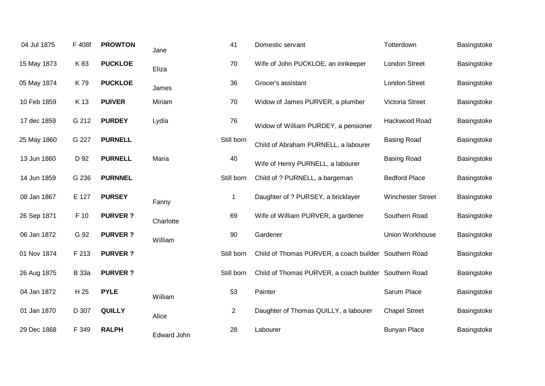| 04 Jul 1875 | F 408f       | <b>PROWTON</b> | Jane               | 41             | Domestic servant                                      | Totterdown               | Basingstoke |
|-------------|--------------|----------------|--------------------|----------------|-------------------------------------------------------|--------------------------|-------------|
| 15 May 1873 | K 83         | <b>PUCKLOE</b> | Eliza              | 70             | Wife of John PUCKLOE, an innkeeper                    | <b>London Street</b>     | Basingstoke |
| 05 May 1874 | K79          | <b>PUCKLOE</b> | James              | 36             | Grocer's assistant                                    | <b>London Street</b>     | Basingstoke |
| 10 Feb 1859 | K 13         | <b>PUIVER</b>  | Miriam             | 70             | Widow of James PURVER, a plumber                      | Victoria Street          | Basingstoke |
| 17 dec 1859 | G 212        | <b>PURDEY</b>  | Lydia              | 76             | Widow of William PURDEY, a pensioner                  | Hackwood Road            | Basingstoke |
| 25 May 1860 | G 227        | <b>PURNELL</b> |                    | Still born     | Child of Abraham PURNELL, a labourer                  | <b>Basing Road</b>       | Basingstoke |
| 13 Jun 1860 | D 92         | <b>PURNELL</b> | Maria              | 40             | Wife of Henry PURNELL, a labourer                     | <b>Basing Road</b>       | Basingstoke |
| 14 Jun 1859 | G 236        | <b>PURNNEL</b> |                    | Still born     | Child of ? PURNELL, a bargeman                        | <b>Bedford Place</b>     | Basingstoke |
| 08 Jan 1867 | E 127        | <b>PURSEY</b>  | Fanny              | -1             | Daughter of ? PURSEY, a bricklayer                    | <b>Winchester Street</b> | Basingstoke |
| 26 Sep 1871 | F 10         | <b>PURVER?</b> | Charlotte          | 69             | Wife of William PURVER, a gardener                    | Southern Road            | Basingstoke |
| 06 Jan 1872 | G 92         | <b>PURVER?</b> | William            | 90             | Gardener                                              | Union Workhouse          | Basingstoke |
| 01 Nov 1874 | F 213        | <b>PURVER?</b> |                    | Still born     | Child of Thomas PURVER, a coach builder Southern Road |                          | Basingstoke |
| 26 Aug 1875 | <b>B</b> 33a | <b>PURVER?</b> |                    | Still born     | Child of Thomas PURVER, a coach builder Southern Road |                          | Basingstoke |
| 04 Jan 1872 | H 25         | <b>PYLE</b>    | William            | 53             | Painter                                               | Sarum Place              | Basingstoke |
| 01 Jan 1870 | D 307        | <b>QUILLY</b>  | Alice              | $\overline{2}$ | Daughter of Thomas QUILLY, a labourer                 | <b>Chapel Street</b>     | Basingstoke |
| 29 Dec 1868 | F 349        | <b>RALPH</b>   | <b>Edward John</b> | 28             | Labourer                                              | <b>Bunyan Place</b>      | Basingstoke |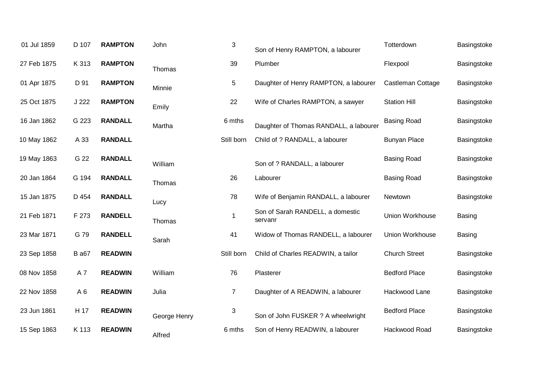| 01 Jul 1859 | D 107          | <b>RAMPTON</b> | John         | $\mathbf{3}$   | Son of Henry RAMPTON, a labourer            | Totterdown           | Basingstoke   |
|-------------|----------------|----------------|--------------|----------------|---------------------------------------------|----------------------|---------------|
| 27 Feb 1875 | K 313          | <b>RAMPTON</b> | Thomas       | 39             | Plumber                                     | Flexpool             | Basingstoke   |
| 01 Apr 1875 | D 91           | <b>RAMPTON</b> | Minnie       | 5              | Daughter of Henry RAMPTON, a labourer       | Castleman Cottage    | Basingstoke   |
| 25 Oct 1875 | J 222          | <b>RAMPTON</b> | Emily        | 22             | Wife of Charles RAMPTON, a sawyer           | <b>Station Hill</b>  | Basingstoke   |
| 16 Jan 1862 | G 223          | <b>RANDALL</b> | Martha       | 6 mths         | Daughter of Thomas RANDALL, a labourer      | <b>Basing Road</b>   | Basingstoke   |
| 10 May 1862 | A 33           | <b>RANDALL</b> |              | Still born     | Child of ? RANDALL, a labourer              | <b>Bunyan Place</b>  | Basingstoke   |
| 19 May 1863 | G 22           | <b>RANDALL</b> | William      |                | Son of ? RANDALL, a labourer                | <b>Basing Road</b>   | Basingstoke   |
| 20 Jan 1864 | G 194          | <b>RANDALL</b> | Thomas       | 26             | Labourer                                    | <b>Basing Road</b>   | Basingstoke   |
| 15 Jan 1875 | D 454          | <b>RANDALL</b> | Lucy         | 78             | Wife of Benjamin RANDALL, a labourer        | Newtown              | Basingstoke   |
| 21 Feb 1871 | F 273          | <b>RANDELL</b> | Thomas       | -1             | Son of Sarah RANDELL, a domestic<br>servanr | Union Workhouse      | <b>Basing</b> |
| 23 Mar 1871 | G 79           | <b>RANDELL</b> | Sarah        | 41             | Widow of Thomas RANDELL, a labourer         | Union Workhouse      | <b>Basing</b> |
| 23 Sep 1858 | <b>B</b> a67   | <b>READWIN</b> |              | Still born     | Child of Charles READWIN, a tailor          | <b>Church Street</b> | Basingstoke   |
| 08 Nov 1858 | A7             | <b>READWIN</b> | William      | 76             | Plasterer                                   | <b>Bedford Place</b> | Basingstoke   |
| 22 Nov 1858 | A <sub>6</sub> | <b>READWIN</b> | Julia        | $\overline{7}$ | Daughter of A READWIN, a labourer           | Hackwood Lane        | Basingstoke   |
| 23 Jun 1861 | H 17           | <b>READWIN</b> | George Henry | $\sqrt{3}$     | Son of John FUSKER ? A wheelwright          | <b>Bedford Place</b> | Basingstoke   |
| 15 Sep 1863 | K 113          | <b>READWIN</b> | Alfred       | 6 mths         | Son of Henry READWIN, a labourer            | Hackwood Road        | Basingstoke   |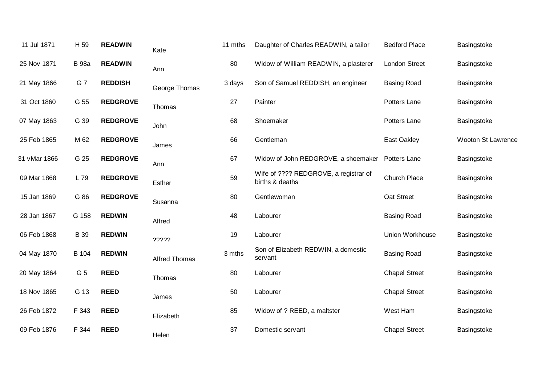| 11 Jul 1871  | H 59         | <b>READWIN</b>  | Kate                 | 11 mths | Daughter of Charles READWIN, a tailor                    | <b>Bedford Place</b> | Basingstoke        |
|--------------|--------------|-----------------|----------------------|---------|----------------------------------------------------------|----------------------|--------------------|
| 25 Nov 1871  | <b>B</b> 98a | <b>READWIN</b>  | Ann                  | 80      | Widow of William READWIN, a plasterer                    | <b>London Street</b> | Basingstoke        |
| 21 May 1866  | G 7          | <b>REDDISH</b>  | George Thomas        | 3 days  | Son of Samuel REDDISH, an engineer                       | <b>Basing Road</b>   | Basingstoke        |
| 31 Oct 1860  | G 55         | <b>REDGROVE</b> | Thomas               | 27      | Painter                                                  | Potters Lane         | Basingstoke        |
| 07 May 1863  | G 39         | <b>REDGROVE</b> | John                 | 68      | Shoemaker                                                | Potters Lane         | Basingstoke        |
| 25 Feb 1865  | M 62         | <b>REDGROVE</b> | James                | 66      | Gentleman                                                | East Oakley          | Wooton St Lawrence |
| 31 vMar 1866 | G 25         | <b>REDGROVE</b> | Ann                  | 67      | Widow of John REDGROVE, a shoemaker                      | Potters Lane         | Basingstoke        |
| 09 Mar 1868  | L 79         | <b>REDGROVE</b> | Esther               | 59      | Wife of ???? REDGROVE, a registrar of<br>births & deaths | Church Place         | Basingstoke        |
| 15 Jan 1869  | G 86         | <b>REDGROVE</b> | Susanna              | 80      | Gentlewoman                                              | Oat Street           | Basingstoke        |
| 28 Jan 1867  | G 158        | <b>REDWIN</b>   | Alfred               | 48      | Labourer                                                 | <b>Basing Road</b>   | Basingstoke        |
| 06 Feb 1868  | <b>B</b> 39  | <b>REDWIN</b>   | ?????                | 19      | Labourer                                                 | Union Workhouse      | Basingstoke        |
| 04 May 1870  | B 104        | <b>REDWIN</b>   | <b>Alfred Thomas</b> | 3 mths  | Son of Elizabeth REDWIN, a domestic<br>servant           | <b>Basing Road</b>   | Basingstoke        |
| 20 May 1864  | G 5          | <b>REED</b>     | Thomas               | 80      | Labourer                                                 | <b>Chapel Street</b> | Basingstoke        |
| 18 Nov 1865  | G 13         | <b>REED</b>     | James                | 50      | Labourer                                                 | <b>Chapel Street</b> | Basingstoke        |
| 26 Feb 1872  | F 343        | <b>REED</b>     | Elizabeth            | 85      | Widow of ? REED, a maltster                              | West Ham             | Basingstoke        |
| 09 Feb 1876  | F 344        | <b>REED</b>     | Helen                | 37      | Domestic servant                                         | <b>Chapel Street</b> | Basingstoke        |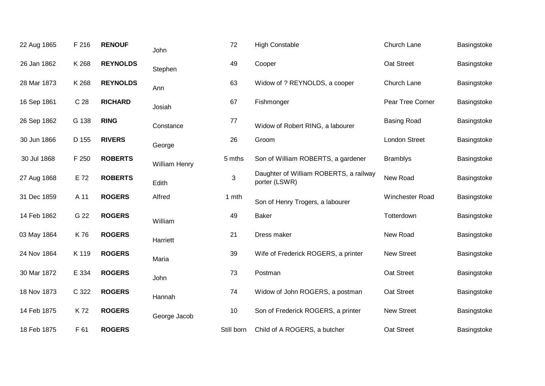| 22 Aug 1865 | F 216           | <b>RENOUF</b>   | John          | 72         | <b>High Constable</b>                                   | Church Lane          | Basingstoke |
|-------------|-----------------|-----------------|---------------|------------|---------------------------------------------------------|----------------------|-------------|
| 26 Jan 1862 | K 268           | <b>REYNOLDS</b> | Stephen       | 49         | Cooper                                                  | Oat Street           | Basingstoke |
| 28 Mar 1873 | K 268           | <b>REYNOLDS</b> | Ann           | 63         | Widow of ? REYNOLDS, a cooper                           | Church Lane          | Basingstoke |
| 16 Sep 1861 | C <sub>28</sub> | <b>RICHARD</b>  | Josiah        | 67         | Fishmonger                                              | Pear Tree Corner     | Basingstoke |
| 26 Sep 1862 | G 138           | <b>RING</b>     | Constance     | 77         | Widow of Robert RING, a labourer                        | <b>Basing Road</b>   | Basingstoke |
| 30 Jun 1866 | D 155           | <b>RIVERS</b>   | George        | 26         | Groom                                                   | <b>London Street</b> | Basingstoke |
| 30 Jul 1868 | F 250           | <b>ROBERTS</b>  | William Henry | 5 mths     | Son of William ROBERTS, a gardener                      | <b>Bramblys</b>      | Basingstoke |
| 27 Aug 1868 | E 72            | <b>ROBERTS</b>  | Edith         | 3          | Daughter of William ROBERTS, a railway<br>porter (LSWR) | New Road             | Basingstoke |
| 31 Dec 1859 | A 11            | <b>ROGERS</b>   | Alfred        | 1 mth      | Son of Henry Trogers, a labourer                        | Winchester Road      | Basingstoke |
| 14 Feb 1862 | G 22            | <b>ROGERS</b>   | William       | 49         | <b>Baker</b>                                            | Totterdown           | Basingstoke |
| 03 May 1864 | K76             | <b>ROGERS</b>   | Harriett      | 21         | Dress maker                                             | New Road             | Basingstoke |
| 24 Nov 1864 | K 119           | <b>ROGERS</b>   | Maria         | 39         | Wife of Frederick ROGERS, a printer                     | <b>New Street</b>    | Basingstoke |
| 30 Mar 1872 | E 334           | <b>ROGERS</b>   | John          | 73         | Postman                                                 | Oat Street           | Basingstoke |
| 18 Nov 1873 | C 322           | <b>ROGERS</b>   | Hannah        | 74         | Widow of John ROGERS, a postman                         | Oat Street           | Basingstoke |
| 14 Feb 1875 | K72             | <b>ROGERS</b>   | George Jacob  | 10         | Son of Frederick ROGERS, a printer                      | <b>New Street</b>    | Basingstoke |
| 18 Feb 1875 | F 61            | <b>ROGERS</b>   |               | Still born | Child of A ROGERS, a butcher                            | Oat Street           | Basingstoke |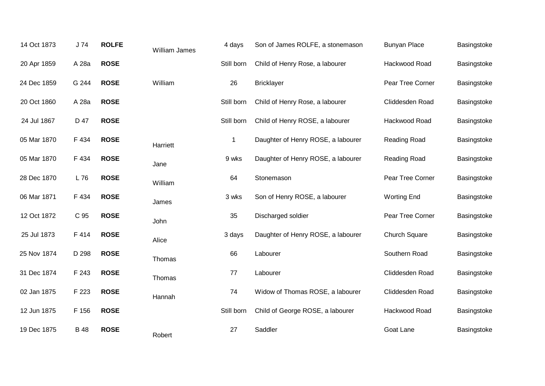| 14 Oct 1873 | J74         | <b>ROLFE</b> | William James | 4 days      | Son of James ROLFE, a stonemason   | <b>Bunyan Place</b>  | Basingstoke |
|-------------|-------------|--------------|---------------|-------------|------------------------------------|----------------------|-------------|
| 20 Apr 1859 | A 28a       | <b>ROSE</b>  |               | Still born  | Child of Henry Rose, a labourer    | Hackwood Road        | Basingstoke |
| 24 Dec 1859 | G 244       | <b>ROSE</b>  | William       | 26          | <b>Bricklayer</b>                  | Pear Tree Corner     | Basingstoke |
| 20 Oct 1860 | A 28a       | <b>ROSE</b>  |               | Still born  | Child of Henry Rose, a labourer    | Cliddesden Road      | Basingstoke |
| 24 Jul 1867 | D 47        | <b>ROSE</b>  |               | Still born  | Child of Henry ROSE, a labourer    | Hackwood Road        | Basingstoke |
| 05 Mar 1870 | F 434       | <b>ROSE</b>  | Harriett      | $\mathbf 1$ | Daughter of Henry ROSE, a labourer | Reading Road         | Basingstoke |
| 05 Mar 1870 | F 434       | <b>ROSE</b>  | Jane          | 9 wks       | Daughter of Henry ROSE, a labourer | Reading Road         | Basingstoke |
| 28 Dec 1870 | L 76        | <b>ROSE</b>  | William       | 64          | Stonemason                         | Pear Tree Corner     | Basingstoke |
| 06 Mar 1871 | F 434       | <b>ROSE</b>  | James         | 3 wks       | Son of Henry ROSE, a labourer      | <b>Worting End</b>   | Basingstoke |
| 12 Oct 1872 | C 95        | <b>ROSE</b>  | John          | 35          | Discharged soldier                 | Pear Tree Corner     | Basingstoke |
| 25 Jul 1873 | F 414       | <b>ROSE</b>  | Alice         | 3 days      | Daughter of Henry ROSE, a labourer | <b>Church Square</b> | Basingstoke |
| 25 Nov 1874 | D 298       | <b>ROSE</b>  | Thomas        | 66          | Labourer                           | Southern Road        | Basingstoke |
| 31 Dec 1874 | F 243       | <b>ROSE</b>  | Thomas        | 77          | Labourer                           | Cliddesden Road      | Basingstoke |
| 02 Jan 1875 | F 223       | <b>ROSE</b>  | Hannah        | 74          | Widow of Thomas ROSE, a labourer   | Cliddesden Road      | Basingstoke |
| 12 Jun 1875 | F 156       | <b>ROSE</b>  |               | Still born  | Child of George ROSE, a labourer   | Hackwood Road        | Basingstoke |
| 19 Dec 1875 | <b>B</b> 48 | <b>ROSE</b>  | Robert        | 27          | Saddler                            | Goat Lane            | Basingstoke |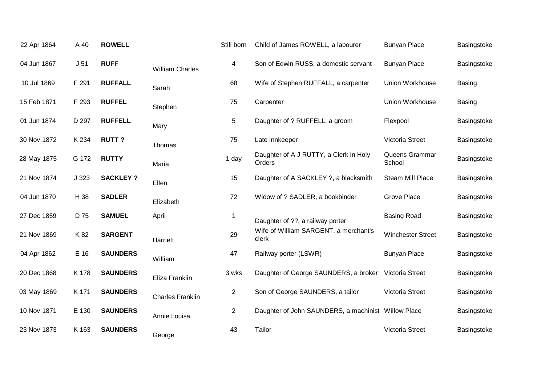| 22 Apr 1864 | A 40            | <b>ROWELL</b>   |                         | Still born     | Child of James ROWELL, a labourer                     | <b>Bunyan Place</b>      | Basingstoke   |
|-------------|-----------------|-----------------|-------------------------|----------------|-------------------------------------------------------|--------------------------|---------------|
| 04 Jun 1867 | J <sub>51</sub> | <b>RUFF</b>     | <b>William Charles</b>  | 4              | Son of Edwin RUSS, a domestic servant                 | <b>Bunyan Place</b>      | Basingstoke   |
| 10 Jul 1869 | F 291           | <b>RUFFALL</b>  | Sarah                   | 68             | Wife of Stephen RUFFALL, a carpenter                  | <b>Union Workhouse</b>   | <b>Basing</b> |
| 15 Feb 1871 | F 293           | <b>RUFFEL</b>   | Stephen                 | 75             | Carpenter                                             | Union Workhouse          | <b>Basing</b> |
| 01 Jun 1874 | D 297           | <b>RUFFELL</b>  | Mary                    | 5              | Daughter of ? RUFFELL, a groom                        | Flexpool                 | Basingstoke   |
| 30 Nov 1872 | K 234           | <b>RUTT?</b>    | Thomas                  | 75             | Late innkeeper                                        | Victoria Street          | Basingstoke   |
| 28 May 1875 | G 172           | <b>RUTTY</b>    | Maria                   | 1 day          | Daughter of A J RUTTY, a Clerk in Holy<br>Orders      | Queens Grammar<br>School | Basingstoke   |
| 21 Nov 1874 | J 323           | <b>SACKLEY?</b> | Ellen                   | 15             | Daughter of A SACKLEY ?, a blacksmith                 | Steam Mill Place         | Basingstoke   |
| 04 Jun 1870 | H 38            | <b>SADLER</b>   | Elizabeth               | 72             | Widow of ? SADLER, a bookbinder                       | Grove Place              | Basingstoke   |
| 27 Dec 1859 | D 75            | <b>SAMUEL</b>   | April                   | $\mathbf{1}$   | Daughter of ??, a railway porter                      | <b>Basing Road</b>       | Basingstoke   |
| 21 Nov 1869 | K 82            | <b>SARGENT</b>  | Harriett                | 29             | Wife of William SARGENT, a merchant's<br>clerk        | <b>Winchester Street</b> | Basingstoke   |
| 04 Apr 1862 | E 16            | <b>SAUNDERS</b> | William                 | 47             | Railway porter (LSWR)                                 | <b>Bunyan Place</b>      | Basingstoke   |
| 20 Dec 1868 | K 178           | <b>SAUNDERS</b> | Eliza Franklin          | 3 wks          | Daughter of George SAUNDERS, a broker Victoria Street |                          | Basingstoke   |
| 03 May 1869 | K 171           | <b>SAUNDERS</b> | <b>Charles Franklin</b> | $\overline{2}$ | Son of George SAUNDERS, a tailor                      | Victoria Street          | Basingstoke   |
| 10 Nov 1871 | E 130           | <b>SAUNDERS</b> | Annie Louisa            | $\overline{2}$ | Daughter of John SAUNDERS, a machinist Willow Place   |                          | Basingstoke   |
| 23 Nov 1873 | K 163           | <b>SAUNDERS</b> | George                  | 43             | Tailor                                                | Victoria Street          | Basingstoke   |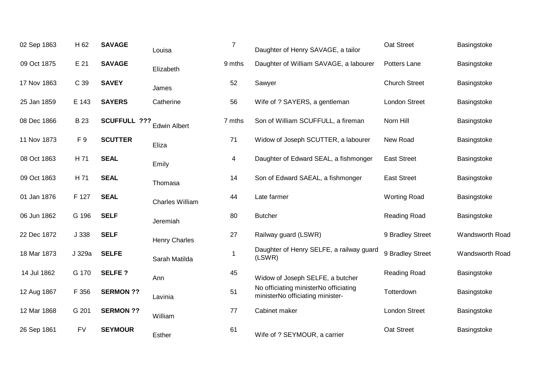| 02 Sep 1863 | H 62           | <b>SAVAGE</b>    | Louisa                 | $\overline{7}$ | Daughter of Henry SAVAGE, a tailor                                        | Oat Street           | Basingstoke     |
|-------------|----------------|------------------|------------------------|----------------|---------------------------------------------------------------------------|----------------------|-----------------|
| 09 Oct 1875 | E 21           | <b>SAVAGE</b>    | Elizabeth              | 9 mths         | Daughter of William SAVAGE, a labourer                                    | Potters Lane         | Basingstoke     |
| 17 Nov 1863 | C 39           | <b>SAVEY</b>     | James                  | 52             | Sawyer                                                                    | <b>Church Street</b> | Basingstoke     |
| 25 Jan 1859 | E 143          | <b>SAYERS</b>    | Catherine              | 56             | Wife of ? SAYERS, a gentleman                                             | <b>London Street</b> | Basingstoke     |
| 08 Dec 1866 | <b>B23</b>     | SCUFFULL ???     | <b>Edwin Albert</b>    | 7 mths         | Son of William SCUFFULL, a fireman                                        | Norn Hill            | Basingstoke     |
| 11 Nov 1873 | F <sub>9</sub> | <b>SCUTTER</b>   | Eliza                  | 71             | Widow of Joseph SCUTTER, a labourer                                       | New Road             | Basingstoke     |
| 08 Oct 1863 | H 71           | <b>SEAL</b>      | Emily                  | 4              | Daughter of Edward SEAL, a fishmonger                                     | <b>East Street</b>   | Basingstoke     |
| 09 Oct 1863 | H 71           | <b>SEAL</b>      | Thomasa                | 14             | Son of Edward SAEAL, a fishmonger                                         | <b>East Street</b>   | Basingstoke     |
| 01 Jan 1876 | F 127          | <b>SEAL</b>      | <b>Charles William</b> | 44             | Late farmer                                                               | <b>Worting Road</b>  | Basingstoke     |
| 06 Jun 1862 | G 196          | <b>SELF</b>      | Jeremiah               | 80             | <b>Butcher</b>                                                            | Reading Road         | Basingstoke     |
| 22 Dec 1872 | J 338          | <b>SELF</b>      | <b>Henry Charles</b>   | 27             | Railway guard (LSWR)                                                      | 9 Bradley Street     | Wandsworth Road |
| 18 Mar 1873 | J 329a         | <b>SELFE</b>     | Sarah Matilda          | -1             | Daughter of Henry SELFE, a railway guard<br>(LSWR)                        | 9 Bradley Street     | Wandsworth Road |
| 14 Jul 1862 | G 170          | <b>SELFE?</b>    | Ann                    | 45             | Widow of Joseph SELFE, a butcher                                          | Reading Road         | Basingstoke     |
| 12 Aug 1867 | F 356          | <b>SERMON ??</b> | Lavinia                | 51             | No officiating ministerNo officiating<br>ministerNo officiating minister- | Totterdown           | Basingstoke     |
| 12 Mar 1868 | G 201          | <b>SERMON ??</b> | William                | 77             | Cabinet maker                                                             | <b>London Street</b> | Basingstoke     |
| 26 Sep 1861 | <b>FV</b>      | <b>SEYMOUR</b>   | Esther                 | 61             | Wife of ? SEYMOUR, a carrier                                              | Oat Street           | Basingstoke     |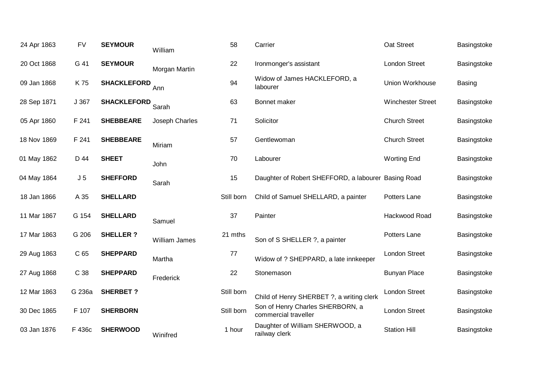| 24 Apr 1863 | <b>FV</b>       | <b>SEYMOUR</b>     | William        | 58         | Carrier                                                  | Oat Street               | Basingstoke   |
|-------------|-----------------|--------------------|----------------|------------|----------------------------------------------------------|--------------------------|---------------|
| 20 Oct 1868 | G 41            | <b>SEYMOUR</b>     | Morgan Martin  | 22         | Ironmonger's assistant                                   | <b>London Street</b>     | Basingstoke   |
| 09 Jan 1868 | K 75            | <b>SHACKLEFORD</b> | Ann            | 94         | Widow of James HACKLEFORD, a<br>labourer                 | Union Workhouse          | <b>Basing</b> |
| 28 Sep 1871 | J 367           | <b>SHACKLEFORD</b> | Sarah          | 63         | Bonnet maker                                             | <b>Winchester Street</b> | Basingstoke   |
| 05 Apr 1860 | F 241           | <b>SHEBBEARE</b>   | Joseph Charles | 71         | Solicitor                                                | <b>Church Street</b>     | Basingstoke   |
| 18 Nov 1869 | F 241           | <b>SHEBBEARE</b>   | Miriam         | 57         | Gentlewoman                                              | <b>Church Street</b>     | Basingstoke   |
| 01 May 1862 | D 44            | <b>SHEET</b>       | John           | 70         | Labourer                                                 | <b>Worting End</b>       | Basingstoke   |
| 04 May 1864 | J <sub>5</sub>  | <b>SHEFFORD</b>    | Sarah          | 15         | Daughter of Robert SHEFFORD, a labourer Basing Road      |                          | Basingstoke   |
| 18 Jan 1866 | A 35            | <b>SHELLARD</b>    |                | Still born | Child of Samuel SHELLARD, a painter                      | Potters Lane             | Basingstoke   |
| 11 Mar 1867 | G 154           | <b>SHELLARD</b>    | Samuel         | 37         | Painter                                                  | Hackwood Road            | Basingstoke   |
| 17 Mar 1863 | G 206           | <b>SHELLER?</b>    | William James  | 21 mths    | Son of S SHELLER ?, a painter                            | Potters Lane             | Basingstoke   |
| 29 Aug 1863 | C <sub>65</sub> | <b>SHEPPARD</b>    | Martha         | 77         | Widow of ? SHEPPARD, a late innkeeper                    | <b>London Street</b>     | Basingstoke   |
| 27 Aug 1868 | C 38            | <b>SHEPPARD</b>    | Frederick      | 22         | Stonemason                                               | <b>Bunyan Place</b>      | Basingstoke   |
| 12 Mar 1863 | G 236a          | <b>SHERBET?</b>    |                | Still born | Child of Henry SHERBET ?, a writing clerk                | <b>London Street</b>     | Basingstoke   |
| 30 Dec 1865 | F 107           | <b>SHERBORN</b>    |                | Still born | Son of Henry Charles SHERBORN, a<br>commercial traveller | <b>London Street</b>     | Basingstoke   |
| 03 Jan 1876 |                 | <b>SHERWOOD</b>    |                | 1 hour     | Daughter of William SHERWOOD, a                          | <b>Station Hill</b>      | Basingstoke   |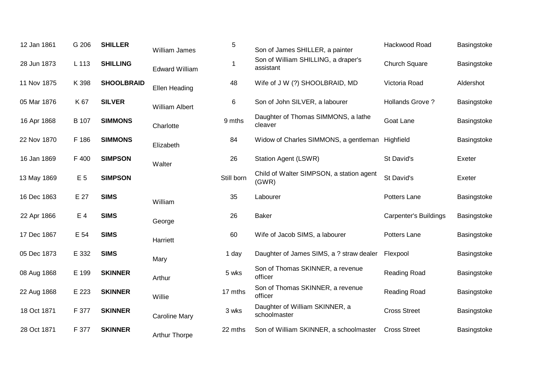| 12 Jan 1861 | G 206          | <b>SHILLER</b>    | William James         | 5          | Son of James SHILLER, a painter                   | Hackwood Road          | Basingstoke |
|-------------|----------------|-------------------|-----------------------|------------|---------------------------------------------------|------------------------|-------------|
| 28 Jun 1873 | L 113          | <b>SHILLING</b>   | <b>Edward William</b> | 1          | Son of William SHILLING, a draper's<br>assistant  | <b>Church Square</b>   | Basingstoke |
| 11 Nov 1875 | K 398          | <b>SHOOLBRAID</b> | Ellen Heading         | 48         | Wife of J W (?) SHOOLBRAID, MD                    | Victoria Road          | Aldershot   |
| 05 Mar 1876 | K 67           | <b>SILVER</b>     | <b>William Albert</b> | 6          | Son of John SILVER, a labourer                    | <b>Hollands Grove?</b> | Basingstoke |
| 16 Apr 1868 | B 107          | <b>SIMMONS</b>    | Charlotte             | 9 mths     | Daughter of Thomas SIMMONS, a lathe<br>cleaver    | Goat Lane              | Basingstoke |
| 22 Nov 1870 | F 186          | <b>SIMMONS</b>    | Elizabeth             | 84         | Widow of Charles SIMMONS, a gentleman Highfield   |                        | Basingstoke |
| 16 Jan 1869 | F 400          | <b>SIMPSON</b>    | Walter                | 26         | Station Agent (LSWR)                              | St David's             | Exeter      |
| 13 May 1869 | E <sub>5</sub> | <b>SIMPSON</b>    |                       | Still born | Child of Walter SIMPSON, a station agent<br>(GWR) | St David's             | Exeter      |
| 16 Dec 1863 | E 27           | <b>SIMS</b>       | William               | 35         | Labourer                                          | Potters Lane           | Basingstoke |
| 22 Apr 1866 | E 4            | <b>SIMS</b>       | George                | 26         | <b>Baker</b>                                      | Carpenter's Buildings  | Basingstoke |
| 17 Dec 1867 | E 54           | <b>SIMS</b>       | Harriett              | 60         | Wife of Jacob SIMS, a labourer                    | Potters Lane           | Basingstoke |
| 05 Dec 1873 | E 332          | <b>SIMS</b>       | Mary                  | 1 day      | Daughter of James SIMS, a ? straw dealer          | Flexpool               | Basingstoke |
| 08 Aug 1868 | E 199          | <b>SKINNER</b>    | Arthur                | 5 wks      | Son of Thomas SKINNER, a revenue<br>officer       | Reading Road           | Basingstoke |
| 22 Aug 1868 | E 223          | <b>SKINNER</b>    | Willie                | 17 mths    | Son of Thomas SKINNER, a revenue<br>officer       | Reading Road           | Basingstoke |
| 18 Oct 1871 | F 377          | <b>SKINNER</b>    | <b>Caroline Mary</b>  | 3 wks      | Daughter of William SKINNER, a<br>schoolmaster    | <b>Cross Street</b>    | Basingstoke |
| 28 Oct 1871 | F 377          | <b>SKINNER</b>    | <b>Arthur Thorpe</b>  | 22 mths    | Son of William SKINNER, a schoolmaster            | <b>Cross Street</b>    | Basingstoke |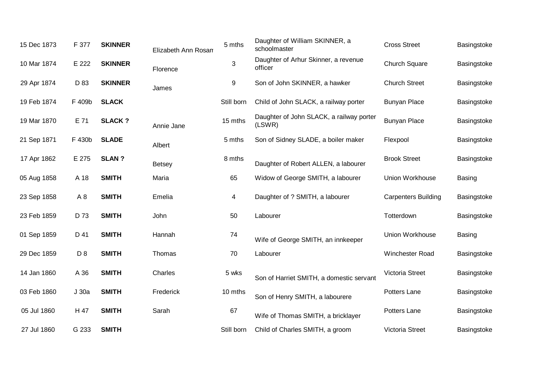| 15 Dec 1873 | F 377          | <b>SKINNER</b> | Elizabeth Ann Rosan | 5 mths     | Daughter of William SKINNER, a<br>schoolmaster     | <b>Cross Street</b>        | Basingstoke   |
|-------------|----------------|----------------|---------------------|------------|----------------------------------------------------|----------------------------|---------------|
| 10 Mar 1874 | E 222          | <b>SKINNER</b> | Florence            | 3          | Daughter of Arhur Skinner, a revenue<br>officer    | <b>Church Square</b>       | Basingstoke   |
| 29 Apr 1874 | D 83           | <b>SKINNER</b> | James               | 9          | Son of John SKINNER, a hawker                      | <b>Church Street</b>       | Basingstoke   |
| 19 Feb 1874 | F 409b         | <b>SLACK</b>   |                     | Still born | Child of John SLACK, a railway porter              | <b>Bunyan Place</b>        | Basingstoke   |
| 19 Mar 1870 | E 71           | <b>SLACK?</b>  | Annie Jane          | 15 mths    | Daughter of John SLACK, a railway porter<br>(LSWR) | <b>Bunyan Place</b>        | Basingstoke   |
| 21 Sep 1871 | F 430b         | <b>SLADE</b>   | Albert              | 5 mths     | Son of Sidney SLADE, a boiler maker                | Flexpool                   | Basingstoke   |
| 17 Apr 1862 | E 275          | <b>SLAN?</b>   | <b>Betsey</b>       | 8 mths     | Daughter of Robert ALLEN, a labourer               | <b>Brook Street</b>        | Basingstoke   |
| 05 Aug 1858 | A 18           | <b>SMITH</b>   | Maria               | 65         | Widow of George SMITH, a labourer                  | Union Workhouse            | <b>Basing</b> |
| 23 Sep 1858 | A <sub>8</sub> | <b>SMITH</b>   | Emelia              | 4          | Daughter of ? SMITH, a labourer                    | <b>Carpenters Building</b> | Basingstoke   |
| 23 Feb 1859 | D 73           | <b>SMITH</b>   | John                | 50         | Labourer                                           | Totterdown                 | Basingstoke   |
| 01 Sep 1859 | D 41           | <b>SMITH</b>   | Hannah              | 74         | Wife of George SMITH, an innkeeper                 | Union Workhouse            | Basing        |
| 29 Dec 1859 | D <sub>8</sub> | <b>SMITH</b>   | Thomas              | 70         | Labourer                                           | <b>Winchester Road</b>     | Basingstoke   |
| 14 Jan 1860 | A 36           | <b>SMITH</b>   | Charles             | 5 wks      | Son of Harriet SMITH, a domestic servant           | <b>Victoria Street</b>     | Basingstoke   |
| 03 Feb 1860 | J 30a          | <b>SMITH</b>   | Frederick           | 10 mths    | Son of Henry SMITH, a labourere                    | Potters Lane               | Basingstoke   |
| 05 Jul 1860 | H 47           | <b>SMITH</b>   | Sarah               | 67         | Wife of Thomas SMITH, a bricklayer                 | Potters Lane               | Basingstoke   |
| 27 Jul 1860 | G 233          | <b>SMITH</b>   |                     | Still born | Child of Charles SMITH, a groom                    | <b>Victoria Street</b>     | Basingstoke   |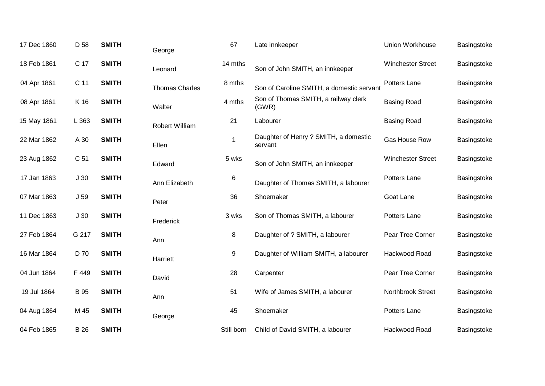| 17 Dec 1860 | D 58            | <b>SMITH</b> | George                | 67         | Late innkeeper                                   | Union Workhouse          | Basingstoke |
|-------------|-----------------|--------------|-----------------------|------------|--------------------------------------------------|--------------------------|-------------|
| 18 Feb 1861 | C 17            | <b>SMITH</b> | Leonard               | 14 mths    | Son of John SMITH, an innkeeper                  | <b>Winchester Street</b> | Basingstoke |
| 04 Apr 1861 | C 11            | <b>SMITH</b> | <b>Thomas Charles</b> | 8 mths     | Son of Caroline SMITH, a domestic servant        | Potters Lane             | Basingstoke |
| 08 Apr 1861 | K 16            | <b>SMITH</b> | Walter                | 4 mths     | Son of Thomas SMITH, a railway clerk<br>(GWR)    | <b>Basing Road</b>       | Basingstoke |
| 15 May 1861 | L 363           | <b>SMITH</b> | <b>Robert William</b> | 21         | Labourer                                         | <b>Basing Road</b>       | Basingstoke |
| 22 Mar 1862 | A 30            | <b>SMITH</b> | Ellen                 |            | Daughter of Henry ? SMITH, a domestic<br>servant | Gas House Row            | Basingstoke |
| 23 Aug 1862 | C <sub>51</sub> | <b>SMITH</b> | Edward                | 5 wks      | Son of John SMITH, an innkeeper                  | <b>Winchester Street</b> | Basingstoke |
| 17 Jan 1863 | J <sub>30</sub> | <b>SMITH</b> | Ann Elizabeth         | 6          | Daughter of Thomas SMITH, a labourer             | Potters Lane             | Basingstoke |
| 07 Mar 1863 | J <sub>59</sub> | <b>SMITH</b> | Peter                 | 36         | Shoemaker                                        | Goat Lane                | Basingstoke |
| 11 Dec 1863 | J <sub>30</sub> | <b>SMITH</b> | Frederick             | 3 wks      | Son of Thomas SMITH, a labourer                  | Potters Lane             | Basingstoke |
| 27 Feb 1864 | G 217           | <b>SMITH</b> | Ann                   | 8          | Daughter of ? SMITH, a labourer                  | Pear Tree Corner         | Basingstoke |
| 16 Mar 1864 | D 70            | <b>SMITH</b> | Harriett              | 9          | Daughter of William SMITH, a labourer            | Hackwood Road            | Basingstoke |
| 04 Jun 1864 | F 449           | <b>SMITH</b> | David                 | 28         | Carpenter                                        | Pear Tree Corner         | Basingstoke |
| 19 Jul 1864 | <b>B</b> 95     | <b>SMITH</b> | Ann                   | 51         | Wife of James SMITH, a labourer                  | Northbrook Street        | Basingstoke |
| 04 Aug 1864 | M 45            | <b>SMITH</b> | George                | 45         | Shoemaker                                        | Potters Lane             | Basingstoke |
| 04 Feb 1865 | <b>B</b> 26     | <b>SMITH</b> |                       | Still born | Child of David SMITH, a labourer                 | Hackwood Road            | Basingstoke |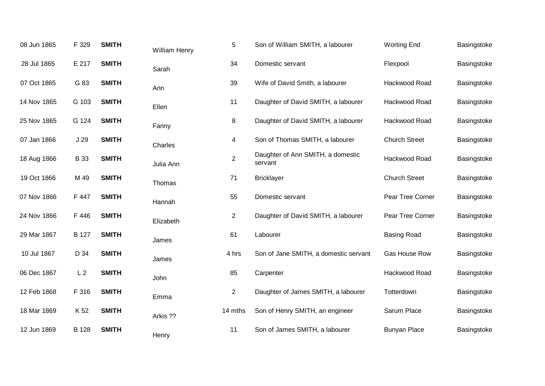| 08 Jun 1865 | F 329           | <b>SMITH</b> | William Henry | 5              | Son of William SMITH, a labourer             | <b>Worting End</b>   | Basingstoke |
|-------------|-----------------|--------------|---------------|----------------|----------------------------------------------|----------------------|-------------|
| 28 Jul 1865 | E 217           | <b>SMITH</b> | Sarah         | 34             | Domestic servant                             | Flexpool             | Basingstoke |
| 07 Oct 1865 | G 83            | <b>SMITH</b> | Ann           | 39             | Wife of David Smith, a labourer              | Hackwood Road        | Basingstoke |
| 14 Nov 1865 | G 103           | <b>SMITH</b> | Ellen         | 11             | Daughter of David SMITH, a labourer          | Hackwood Road        | Basingstoke |
| 25 Nov 1865 | G 124           | <b>SMITH</b> | Fanny         | 8              | Daughter of David SMITH, a labourer          | Hackwood Road        | Basingstoke |
| 07 Jan 1866 | J <sub>29</sub> | <b>SMITH</b> | Charles       | 4              | Son of Thomas SMITH, a labourer              | <b>Church Street</b> | Basingstoke |
| 18 Aug 1866 | <b>B</b> 33     | <b>SMITH</b> | Julia Ann     | $\overline{2}$ | Daughter of Ann SMITH, a domestic<br>servant | Hackwood Road        | Basingstoke |
| 19 Oct 1866 | M 49            | <b>SMITH</b> | Thomas        | 71             | <b>Bricklayer</b>                            | <b>Church Street</b> | Basingstoke |
| 07 Nov 1866 | F 447           | <b>SMITH</b> | Hannah        | 55             | Domestic servant                             | Pear Tree Corner     | Basingstoke |
| 24 Nov 1866 | F 446           | <b>SMITH</b> | Elizabeth     | $\overline{c}$ | Daughter of David SMITH, a labourer          | Pear Tree Corner     | Basingstoke |
| 29 Mar 1867 | B 127           | <b>SMITH</b> | James         | 61             | Labourer                                     | <b>Basing Road</b>   | Basingstoke |
| 10 Jul 1867 | D 34            | <b>SMITH</b> | James         | 4 hrs          | Son of Jane SMITH, a domestic servant        | Gas House Row        | Basingstoke |
| 06 Dec 1867 | L <sub>2</sub>  | <b>SMITH</b> | John          | 85             | Carpenter                                    | Hackwood Road        | Basingstoke |
| 12 Feb 1868 | F 316           | <b>SMITH</b> | Emma          | $\overline{2}$ | Daughter of James SMITH, a labourer          | Totterdown           | Basingstoke |
| 18 Mar 1869 | K 52            | <b>SMITH</b> | Arkis ??      | 14 mths        | Son of Henry SMITH, an engineer              | Sarum Place          | Basingstoke |
| 12 Jun 1869 | B 128           | <b>SMITH</b> | Henry         | 11             | Son of James SMITH, a labourer               | <b>Bunyan Place</b>  | Basingstoke |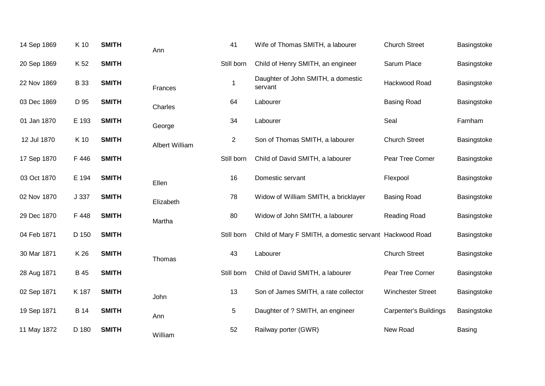| 14 Sep 1869 | K 10        | <b>SMITH</b> | Ann                   | 41             | Wife of Thomas SMITH, a labourer                        | <b>Church Street</b>     | Basingstoke |
|-------------|-------------|--------------|-----------------------|----------------|---------------------------------------------------------|--------------------------|-------------|
| 20 Sep 1869 | K 52        | <b>SMITH</b> |                       | Still born     | Child of Henry SMITH, an engineer                       | Sarum Place              | Basingstoke |
| 22 Nov 1869 | <b>B</b> 33 | <b>SMITH</b> | Frances               | 1              | Daughter of John SMITH, a domestic<br>servant           | Hackwood Road            | Basingstoke |
| 03 Dec 1869 | D 95        | <b>SMITH</b> | Charles               | 64             | Labourer                                                | <b>Basing Road</b>       | Basingstoke |
| 01 Jan 1870 | E 193       | <b>SMITH</b> | George                | 34             | Labourer                                                | Seal                     | Farnham     |
| 12 Jul 1870 | K 10        | <b>SMITH</b> | <b>Albert William</b> | $\overline{2}$ | Son of Thomas SMITH, a labourer                         | <b>Church Street</b>     | Basingstoke |
| 17 Sep 1870 | F 446       | <b>SMITH</b> |                       | Still born     | Child of David SMITH, a labourer                        | Pear Tree Corner         | Basingstoke |
| 03 Oct 1870 | E 194       | <b>SMITH</b> | Ellen                 | 16             | Domestic servant                                        | Flexpool                 | Basingstoke |
| 02 Nov 1870 | J 337       | <b>SMITH</b> | Elizabeth             | 78             | Widow of William SMITH, a bricklayer                    | <b>Basing Road</b>       | Basingstoke |
| 29 Dec 1870 | F 448       | <b>SMITH</b> | Martha                | 80             | Widow of John SMITH, a labourer                         | <b>Reading Road</b>      | Basingstoke |
| 04 Feb 1871 | D 150       | <b>SMITH</b> |                       | Still born     | Child of Mary F SMITH, a domestic servant Hackwood Road |                          | Basingstoke |
| 30 Mar 1871 | K 26        | <b>SMITH</b> | Thomas                | 43             | Labourer                                                | <b>Church Street</b>     | Basingstoke |
| 28 Aug 1871 | <b>B</b> 45 | <b>SMITH</b> |                       | Still born     | Child of David SMITH, a labourer                        | Pear Tree Corner         | Basingstoke |
| 02 Sep 1871 | K 187       | <b>SMITH</b> | John                  | 13             | Son of James SMITH, a rate collector                    | <b>Winchester Street</b> | Basingstoke |
| 19 Sep 1871 | <b>B</b> 14 | <b>SMITH</b> | Ann                   | 5              | Daughter of ? SMITH, an engineer                        | Carpenter's Buildings    | Basingstoke |
| 11 May 1872 | D 180       | <b>SMITH</b> | William               | 52             | Railway porter (GWR)                                    | New Road                 | Basing      |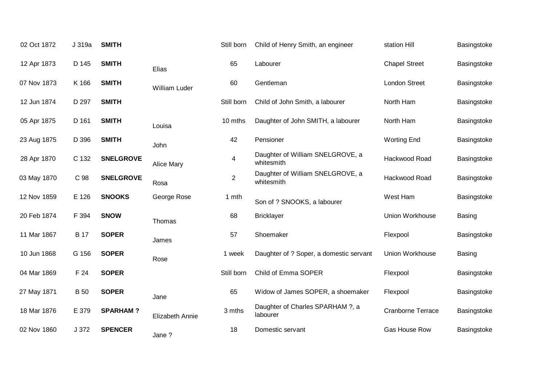| 02 Oct 1872 | J 319a      | <b>SMITH</b>     |                   | Still born     | Child of Henry Smith, an engineer              | station Hill         | Basingstoke   |
|-------------|-------------|------------------|-------------------|----------------|------------------------------------------------|----------------------|---------------|
| 12 Apr 1873 | D 145       | <b>SMITH</b>     | Elias             | 65             | Labourer                                       | <b>Chapel Street</b> | Basingstoke   |
| 07 Nov 1873 | K 166       | <b>SMITH</b>     | William Luder     | 60             | Gentleman                                      | <b>London Street</b> | Basingstoke   |
| 12 Jun 1874 | D 297       | <b>SMITH</b>     |                   | Still born     | Child of John Smith, a labourer                | North Ham            | Basingstoke   |
| 05 Apr 1875 | D 161       | <b>SMITH</b>     | Louisa            | 10 mths        | Daughter of John SMITH, a labourer             | North Ham            | Basingstoke   |
| 23 Aug 1875 | D 396       | <b>SMITH</b>     | John              | 42             | Pensioner                                      | <b>Worting End</b>   | Basingstoke   |
| 28 Apr 1870 | C 132       | <b>SNELGROVE</b> | <b>Alice Mary</b> | 4              | Daughter of William SNELGROVE, a<br>whitesmith | Hackwood Road        | Basingstoke   |
| 03 May 1870 | C 98        | <b>SNELGROVE</b> | Rosa              | $\overline{2}$ | Daughter of William SNELGROVE, a<br>whitesmith | Hackwood Road        | Basingstoke   |
| 12 Nov 1859 | E 126       | <b>SNOOKS</b>    | George Rose       | 1 mth          | Son of ? SNOOKS, a labourer                    | West Ham             | Basingstoke   |
| 20 Feb 1874 | F 394       | <b>SNOW</b>      | Thomas            | 68             | <b>Bricklayer</b>                              | Union Workhouse      | <b>Basing</b> |
| 11 Mar 1867 | <b>B</b> 17 | <b>SOPER</b>     | James             | 57             | Shoemaker                                      | Flexpool             | Basingstoke   |
| 10 Jun 1868 | G 156       | <b>SOPER</b>     | Rose              | 1 week         | Daughter of ? Soper, a domestic servant        | Union Workhouse      | Basing        |
| 04 Mar 1869 | F 24        | <b>SOPER</b>     |                   | Still born     | Child of Emma SOPER                            | Flexpool             | Basingstoke   |
| 27 May 1871 | <b>B</b> 50 | <b>SOPER</b>     | Jane              | 65             | Widow of James SOPER, a shoemaker              | Flexpool             | Basingstoke   |
| 18 Mar 1876 | E 379       | <b>SPARHAM?</b>  | Elizabeth Annie   | 3 mths         | Daughter of Charles SPARHAM ?, a<br>labourer   | Cranborne Terrace    | Basingstoke   |
| 02 Nov 1860 | J 372       | <b>SPENCER</b>   | Jane?             | 18             | Domestic servant                               | <b>Gas House Row</b> | Basingstoke   |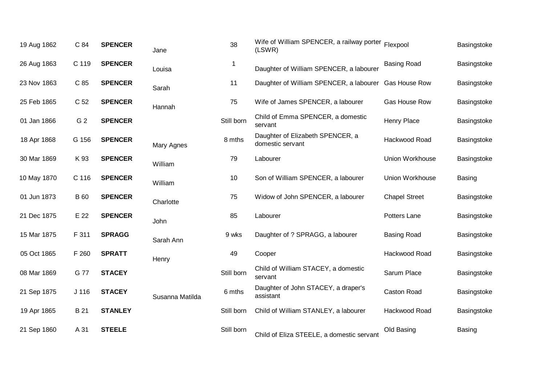| 19 Aug 1862 | C 84             | <b>SPENCER</b> | Jane            | 38         | Wife of William SPENCER, a railway porter Flexpool<br>(LSWR) |                      | Basingstoke   |
|-------------|------------------|----------------|-----------------|------------|--------------------------------------------------------------|----------------------|---------------|
| 26 Aug 1863 | C 119            | <b>SPENCER</b> | Louisa          |            | Daughter of William SPENCER, a labourer                      | <b>Basing Road</b>   | Basingstoke   |
| 23 Nov 1863 | C 85             | <b>SPENCER</b> | Sarah           | 11         | Daughter of William SPENCER, a labourer Gas House Row        |                      | Basingstoke   |
| 25 Feb 1865 | C 52             | <b>SPENCER</b> | Hannah          | 75         | Wife of James SPENCER, a labourer                            | <b>Gas House Row</b> | Basingstoke   |
| 01 Jan 1866 | G <sub>2</sub>   | <b>SPENCER</b> |                 | Still born | Child of Emma SPENCER, a domestic<br>servant                 | Henry Place          | Basingstoke   |
| 18 Apr 1868 | G 156            | <b>SPENCER</b> | Mary Agnes      | 8 mths     | Daughter of Elizabeth SPENCER, a<br>domestic servant         | Hackwood Road        | Basingstoke   |
| 30 Mar 1869 | K 93             | <b>SPENCER</b> | William         | 79         | Labourer                                                     | Union Workhouse      | Basingstoke   |
| 10 May 1870 | C 116            | <b>SPENCER</b> | William         | 10         | Son of William SPENCER, a labourer                           | Union Workhouse      | <b>Basing</b> |
| 01 Jun 1873 | <b>B</b> 60      | <b>SPENCER</b> | Charlotte       | 75         | Widow of John SPENCER, a labourer                            | <b>Chapel Street</b> | Basingstoke   |
| 21 Dec 1875 | E 22             | <b>SPENCER</b> | John            | 85         | Labourer                                                     | Potters Lane         | Basingstoke   |
| 15 Mar 1875 | F 311            | <b>SPRAGG</b>  | Sarah Ann       | 9 wks      | Daughter of ? SPRAGG, a labourer                             | <b>Basing Road</b>   | Basingstoke   |
| 05 Oct 1865 | F 260            | <b>SPRATT</b>  | Henry           | 49         | Cooper                                                       | Hackwood Road        | Basingstoke   |
| 08 Mar 1869 | G 77             | <b>STACEY</b>  |                 | Still born | Child of William STACEY, a domestic<br>servant               | Sarum Place          | Basingstoke   |
| 21 Sep 1875 | J <sub>116</sub> | <b>STACEY</b>  | Susanna Matilda | 6 mths     | Daughter of John STACEY, a draper's<br>assistant             | <b>Caston Road</b>   | Basingstoke   |
| 19 Apr 1865 | B 21             | <b>STANLEY</b> |                 | Still born | Child of William STANLEY, a labourer                         | Hackwood Road        | Basingstoke   |
| 21 Sep 1860 | A 31             | <b>STEELE</b>  |                 | Still born | Child of Eliza STEELE, a domestic servant                    | Old Basing           | <b>Basing</b> |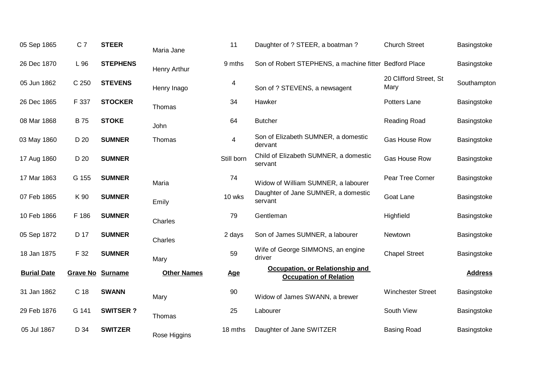| 05 Sep 1865        | C <sub>7</sub>  | <b>STEER</b>    | Maria Jane         | 11         | Daughter of ? STEER, a boatman ?                                 | <b>Church Street</b>           | Basingstoke    |
|--------------------|-----------------|-----------------|--------------------|------------|------------------------------------------------------------------|--------------------------------|----------------|
| 26 Dec 1870        | L 96            | <b>STEPHENS</b> | Henry Arthur       | 9 mths     | Son of Robert STEPHENS, a machine fitter Bedford Place           |                                | Basingstoke    |
| 05 Jun 1862        | C 250           | <b>STEVENS</b>  | Henry Inago        | 4          | Son of ? STEVENS, a newsagent                                    | 20 Clifford Street, St<br>Mary | Southampton    |
| 26 Dec 1865        | F 337           | <b>STOCKER</b>  | Thomas             | 34         | Hawker                                                           | Potters Lane                   | Basingstoke    |
| 08 Mar 1868        | <b>B</b> 75     | <b>STOKE</b>    | John               | 64         | <b>Butcher</b>                                                   | Reading Road                   | Basingstoke    |
| 03 May 1860        | D 20            | <b>SUMNER</b>   | Thomas             | 4          | Son of Elizabeth SUMNER, a domestic<br>dervant                   | Gas House Row                  | Basingstoke    |
| 17 Aug 1860        | D 20            | <b>SUMNER</b>   |                    | Still born | Child of Elizabeth SUMNER, a domestic<br>servant                 | Gas House Row                  | Basingstoke    |
| 17 Mar 1863        | G 155           | <b>SUMNER</b>   | Maria              | 74         | Widow of William SUMNER, a labourer                              | Pear Tree Corner               | Basingstoke    |
| 07 Feb 1865        | K 90            | <b>SUMNER</b>   | Emily              | 10 wks     | Daughter of Jane SUMNER, a domestic<br>servant                   | Goat Lane                      | Basingstoke    |
| 10 Feb 1866        | F 186           | <b>SUMNER</b>   | Charles            | 79         | Gentleman                                                        | Highfield                      | Basingstoke    |
| 05 Sep 1872        | D 17            | <b>SUMNER</b>   | Charles            | 2 days     | Son of James SUMNER, a labourer                                  | Newtown                        | Basingstoke    |
| 18 Jan 1875        | F 32            | <b>SUMNER</b>   | Mary               | 59         | Wife of George SIMMONS, an engine<br>driver                      | <b>Chapel Street</b>           | Basingstoke    |
| <b>Burial Date</b> | <b>Grave No</b> | <b>Surname</b>  | <b>Other Names</b> | <b>Age</b> | Occupation, or Relationship and<br><b>Occupation of Relation</b> |                                | <b>Address</b> |
| 31 Jan 1862        | C 18            | <b>SWANN</b>    | Mary               | 90         | Widow of James SWANN, a brewer                                   | <b>Winchester Street</b>       | Basingstoke    |
| 29 Feb 1876        | G 141           | <b>SWITSER?</b> | Thomas             | 25         | Labourer                                                         | South View                     | Basingstoke    |
| 05 Jul 1867        | D 34            | <b>SWITZER</b>  | Rose Higgins       | 18 mths    | Daughter of Jane SWITZER                                         | <b>Basing Road</b>             | Basingstoke    |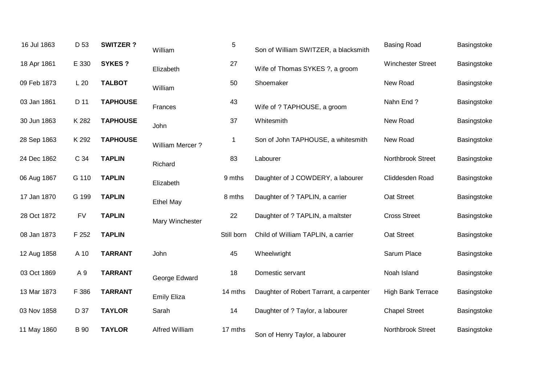| 16 Jul 1863 | D 53        | <b>SWITZER?</b> | William               | 5           | Son of William SWITZER, a blacksmith    | <b>Basing Road</b>       | Basingstoke |
|-------------|-------------|-----------------|-----------------------|-------------|-----------------------------------------|--------------------------|-------------|
| 18 Apr 1861 | E 330       | <b>SYKES?</b>   | Elizabeth             | 27          | Wife of Thomas SYKES ?, a groom         | <b>Winchester Street</b> | Basingstoke |
| 09 Feb 1873 | L20         | <b>TALBOT</b>   | William               | 50          | Shoemaker                               | New Road                 | Basingstoke |
| 03 Jan 1861 | D 11        | <b>TAPHOUSE</b> | Frances               | 43          | Wife of ? TAPHOUSE, a groom             | Nahn End?                | Basingstoke |
| 30 Jun 1863 | K 282       | <b>TAPHOUSE</b> | John                  | 37          | Whitesmith                              | New Road                 | Basingstoke |
| 28 Sep 1863 | K 292       | <b>TAPHOUSE</b> | William Mercer?       | $\mathbf 1$ | Son of John TAPHOUSE, a whitesmith      | New Road                 | Basingstoke |
| 24 Dec 1862 | C 34        | <b>TAPLIN</b>   | Richard               | 83          | Labourer                                | Northbrook Street        | Basingstoke |
| 06 Aug 1867 | G 110       | <b>TAPLIN</b>   | Elizabeth             | 9 mths      | Daughter of J COWDERY, a labourer       | Cliddesden Road          | Basingstoke |
| 17 Jan 1870 | G 199       | <b>TAPLIN</b>   | <b>Ethel May</b>      | 8 mths      | Daughter of ? TAPLIN, a carrier         | Oat Street               | Basingstoke |
| 28 Oct 1872 | <b>FV</b>   | <b>TAPLIN</b>   | Mary Winchester       | 22          | Daughter of ? TAPLIN, a maltster        | <b>Cross Street</b>      | Basingstoke |
| 08 Jan 1873 | F 252       | <b>TAPLIN</b>   |                       | Still born  | Child of William TAPLIN, a carrier      | Oat Street               | Basingstoke |
| 12 Aug 1858 | A 10        | <b>TARRANT</b>  | John                  | 45          | Wheelwright                             | Sarum Place              | Basingstoke |
| 03 Oct 1869 | A 9         | <b>TARRANT</b>  | George Edward         | 18          | Domestic servant                        | Noah Island              | Basingstoke |
| 13 Mar 1873 | F 386       | <b>TARRANT</b>  | <b>Emily Eliza</b>    | 14 mths     | Daughter of Robert Tarrant, a carpenter | High Bank Terrace        | Basingstoke |
| 03 Nov 1858 | D 37        | <b>TAYLOR</b>   | Sarah                 | 14          | Daughter of ? Taylor, a labourer        | <b>Chapel Street</b>     | Basingstoke |
| 11 May 1860 | <b>B</b> 90 | <b>TAYLOR</b>   | <b>Alfred William</b> | 17 mths     | Son of Henry Taylor, a labourer         | Northbrook Street        | Basingstoke |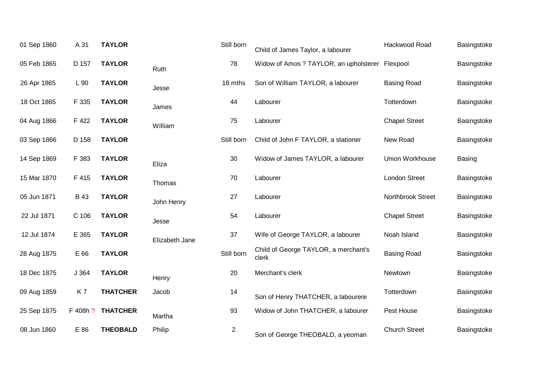| 01 Sep 1860 | A 31        | <b>TAYLOR</b>   |                | Still born     | Child of James Taylor, a labourer               | Hackwood Road        | Basingstoke   |
|-------------|-------------|-----------------|----------------|----------------|-------------------------------------------------|----------------------|---------------|
| 05 Feb 1865 | D 157       | <b>TAYLOR</b>   | Ruth           | 78             | Widow of Amos ? TAYLOR, an upholsterer Flexpool |                      | Basingstoke   |
| 26 Apr 1865 | L 90        | <b>TAYLOR</b>   | Jesse          | 18 mths        | Son of William TAYLOR, a labourer               | <b>Basing Road</b>   | Basingstoke   |
| 18 Oct 1865 | F 335       | <b>TAYLOR</b>   | James          | 44             | Labourer                                        | Totterdown           | Basingstoke   |
| 04 Aug 1866 | F 422       | <b>TAYLOR</b>   | William        | 75             | Labourer                                        | <b>Chapel Street</b> | Basingstoke   |
| 03 Sep 1866 | D 158       | <b>TAYLOR</b>   |                | Still born     | Child of John F TAYLOR, a stationer             | New Road             | Basingstoke   |
| 14 Sep 1869 | F 383       | <b>TAYLOR</b>   | Eliza          | 30             | Widow of James TAYLOR, a labourer               | Union Workhouse      | <b>Basing</b> |
| 15 Mar 1870 | F 415       | <b>TAYLOR</b>   | Thomas         | 70             | Labourer                                        | <b>London Street</b> | Basingstoke   |
| 05 Jun 1871 | <b>B</b> 43 | <b>TAYLOR</b>   | John Henry     | 27             | Labourer                                        | Northbrook Street    | Basingstoke   |
| 22 Jul 1871 | C 106       | <b>TAYLOR</b>   | Jesse          | 54             | Labourer                                        | <b>Chapel Street</b> | Basingstoke   |
| 12 Jul 1874 | E 365       | <b>TAYLOR</b>   | Elizabeth Jane | 37             | Wife of George TAYLOR, a labourer               | Noah Island          | Basingstoke   |
| 28 Aug 1875 | E 66        | <b>TAYLOR</b>   |                | Still born     | Child of George TAYLOR, a merchant's<br>clerk   | <b>Basing Road</b>   | Basingstoke   |
| 18 Dec 1875 | J 364       | <b>TAYLOR</b>   | Henry          | 20             | Merchant's clerk                                | Newtown              | Basingstoke   |
| 09 Aug 1859 | K7          | <b>THATCHER</b> | Jacob          | 14             | Son of Henry THATCHER, a labourere              | Totterdown           | Basingstoke   |
| 25 Sep 1875 | F 408h ?    | <b>THATCHER</b> | Martha         | 93             | Widow of John THATCHER, a labourer              | Pest House           | Basingstoke   |
| 08 Jun 1860 | E 86        | <b>THEOBALD</b> | Philip         | $\overline{2}$ | Son of George THEOBALD, a yeoman                | <b>Church Street</b> | Basingstoke   |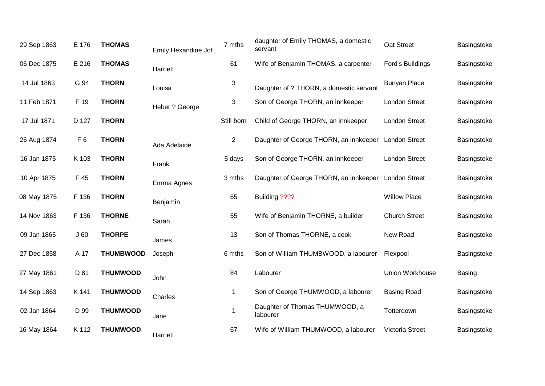| 29 Sep 1863 | E 176          | <b>THOMAS</b>    | Emily Hexandine Joh | 7 mths         | daughter of Emily THOMAS, a domestic<br>servant | Oat Street           | Basingstoke   |
|-------------|----------------|------------------|---------------------|----------------|-------------------------------------------------|----------------------|---------------|
| 06 Dec 1875 | E 216          | <b>THOMAS</b>    | Harriett            | 61             | Wife of Benjamin THOMAS, a carpenter            | Ford's Buildings     | Basingstoke   |
| 14 Jul 1863 | G 94           | <b>THORN</b>     | Louisa              | 3              | Daughter of ? THORN, a domestic servant         | <b>Bunyan Place</b>  | Basingstoke   |
| 11 Feb 1871 | F 19           | <b>THORN</b>     | Heber ? George      | 3              | Son of George THORN, an innkeeper               | <b>London Street</b> | Basingstoke   |
| 17 Jul 1871 | D 127          | <b>THORN</b>     |                     | Still born     | Child of George THORN, an innkeeper             | <b>London Street</b> | Basingstoke   |
| 26 Aug 1874 | F <sub>6</sub> | <b>THORN</b>     | Ada Adelaide        | $\overline{2}$ | Daughter of George THORN, an innkeeper          | <b>London Street</b> | Basingstoke   |
| 16 Jan 1875 | K 103          | <b>THORN</b>     | Frank               | 5 days         | Son of George THORN, an innkeeper               | <b>London Street</b> | Basingstoke   |
| 10 Apr 1875 | F 45           | <b>THORN</b>     | Emma Agnes          | 3 mths         | Daughter of George THORN, an innkeeper          | <b>London Street</b> | Basingstoke   |
| 08 May 1875 | F 136          | <b>THORN</b>     | Benjamin            | 65             | Building ????                                   | <b>Willow Place</b>  | Basingstoke   |
| 14 Nov 1863 | F 136          | <b>THORNE</b>    | Sarah               | 55             | Wife of Benjamin THORNE, a builder              | <b>Church Street</b> | Basingstoke   |
| 09 Jan 1865 | J60            | <b>THORPE</b>    | James               | 13             | Son of Thomas THORNE, a cook                    | New Road             | Basingstoke   |
| 27 Dec 1858 | A 17           | <b>THUMBWOOD</b> | Joseph              | 6 mths         | Son of William THUMBWOOD, a labourer            | Flexpool             | Basingstoke   |
| 27 May 1861 | D 81           | <b>THUMWOOD</b>  | John                | 84             | Labourer                                        | Union Workhouse      | <b>Basing</b> |
| 14 Sep 1863 | K 141          | <b>THUMWOOD</b>  | Charles             | -1             | Son of George THUMWOOD, a labourer              | <b>Basing Road</b>   | Basingstoke   |
| 02 Jan 1864 | D 99           | <b>THUMWOOD</b>  | Jane                |                | Daughter of Thomas THUMWOOD, a<br>labourer      | Totterdown           | Basingstoke   |
| 16 May 1864 | K 112          | <b>THUMWOOD</b>  | Harriett            | 67             | Wife of William THUMWOOD, a labourer            | Victoria Street      | Basingstoke   |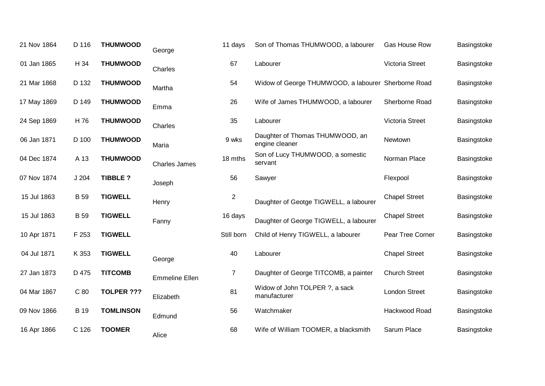| 21 Nov 1864 | D 116       | <b>THUMWOOD</b>   | George                | 11 days        | Son of Thomas THUMWOOD, a labourer                  | Gas House Row        | Basingstoke |
|-------------|-------------|-------------------|-----------------------|----------------|-----------------------------------------------------|----------------------|-------------|
| 01 Jan 1865 | H 34        | <b>THUMWOOD</b>   | Charles               | 67             | Labourer                                            | Victoria Street      | Basingstoke |
| 21 Mar 1868 | D 132       | <b>THUMWOOD</b>   | Martha                | 54             | Widow of George THUMWOOD, a labourer Sherborne Road |                      | Basingstoke |
| 17 May 1869 | D 149       | <b>THUMWOOD</b>   | Emma                  | 26             | Wife of James THUMWOOD, a labourer                  | Sherborne Road       | Basingstoke |
| 24 Sep 1869 | H 76        | <b>THUMWOOD</b>   | Charles               | 35             | Labourer                                            | Victoria Street      | Basingstoke |
| 06 Jan 1871 | D 100       | <b>THUMWOOD</b>   | Maria                 | 9 wks          | Daughter of Thomas THUMWOOD, an<br>engine cleaner   | Newtown              | Basingstoke |
| 04 Dec 1874 | A 13        | <b>THUMWOOD</b>   | <b>Charles James</b>  | 18 mths        | Son of Lucy THUMWOOD, a somestic<br>servant         | Norman Place         | Basingstoke |
| 07 Nov 1874 | J204        | <b>TIBBLE?</b>    | Joseph                | 56             | Sawyer                                              | Flexpool             | Basingstoke |
| 15 Jul 1863 | <b>B</b> 59 | <b>TIGWELL</b>    | Henry                 | $\overline{2}$ | Daughter of Geotge TIGWELL, a labourer              | <b>Chapel Street</b> | Basingstoke |
| 15 Jul 1863 | <b>B</b> 59 | <b>TIGWELL</b>    | Fanny                 | 16 days        | Daughter of George TIGWELL, a labourer              | <b>Chapel Street</b> | Basingstoke |
| 10 Apr 1871 | F 253       | <b>TIGWELL</b>    |                       | Still born     | Child of Henry TIGWELL, a labourer                  | Pear Tree Corner     | Basingstoke |
| 04 Jul 1871 | K 353       | <b>TIGWELL</b>    | George                | 40             | Labourer                                            | <b>Chapel Street</b> | Basingstoke |
| 27 Jan 1873 | D 475       | <b>TITCOMB</b>    | <b>Emmeline Ellen</b> | $\overline{7}$ | Daughter of George TITCOMB, a painter               | <b>Church Street</b> | Basingstoke |
| 04 Mar 1867 | C 80        | <b>TOLPER ???</b> | Elizabeth             | 81             | Widow of John TOLPER ?, a sack<br>manufacturer      | <b>London Street</b> | Basingstoke |
| 09 Nov 1866 | <b>B</b> 19 | <b>TOMLINSON</b>  | Edmund                | 56             | Watchmaker                                          | Hackwood Road        | Basingstoke |
| 16 Apr 1866 | C 126       | <b>TOOMER</b>     | Alice                 | 68             | Wife of William TOOMER, a blacksmith                | Sarum Place          | Basingstoke |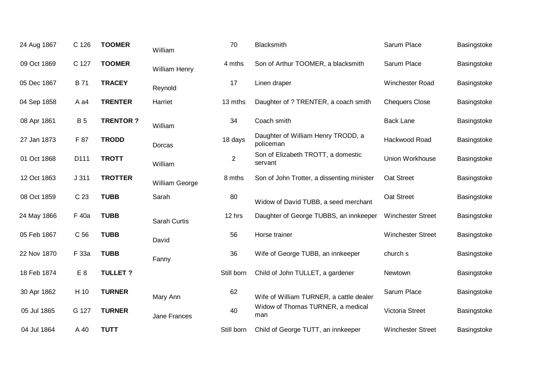| 24 Aug 1867 | C 126           | <b>TOOMER</b>   | William        | 70             | Blacksmith                                      | Sarum Place              | Basingstoke |
|-------------|-----------------|-----------------|----------------|----------------|-------------------------------------------------|--------------------------|-------------|
| 09 Oct 1869 | C 127           | <b>TOOMER</b>   | William Henry  | 4 mths         | Son of Arthur TOOMER, a blacksmith              | Sarum Place              | Basingstoke |
| 05 Dec 1867 | <b>B</b> 71     | <b>TRACEY</b>   | Reynold        | 17             | Linen draper                                    | <b>Winchester Road</b>   | Basingstoke |
| 04 Sep 1858 | A a4            | <b>TRENTER</b>  | Harriet        | 13 mths        | Daughter of ? TRENTER, a coach smith            | <b>Chequers Close</b>    | Basingstoke |
| 08 Apr 1861 | <b>B</b> 5      | <b>TRENTOR?</b> | William        | 34             | Coach smith                                     | <b>Back Lane</b>         | Basingstoke |
| 27 Jan 1873 | F 87            | <b>TRODD</b>    | Dorcas         | 18 days        | Daughter of William Henry TRODD, a<br>policeman | Hackwood Road            | Basingstoke |
| 01 Oct 1868 | D111            | <b>TROTT</b>    | William        | $\overline{2}$ | Son of Elizabeth TROTT, a domestic<br>servant   | Union Workhouse          | Basingstoke |
| 12 Oct 1863 | J311            | <b>TROTTER</b>  | William George | 8 mths         | Son of John Trotter, a dissenting minister      | Oat Street               | Basingstoke |
| 08 Oct 1859 | C <sub>23</sub> | <b>TUBB</b>     | Sarah          | 80             | Widow of David TUBB, a seed merchant            | Oat Street               | Basingstoke |
| 24 May 1866 | F 40a           | <b>TUBB</b>     | Sarah Curtis   | 12 hrs         | Daughter of George TUBBS, an innkeeper          | <b>Winchester Street</b> | Basingstoke |
| 05 Feb 1867 | C <sub>56</sub> | <b>TUBB</b>     | David          | 56             | Horse trainer                                   | <b>Winchester Street</b> | Basingstoke |
| 22 Nov 1870 | F 33a           | <b>TUBB</b>     | Fanny          | 36             | Wife of George TUBB, an innkeeper               | church s                 | Basingstoke |
| 18 Feb 1874 | E <sub>8</sub>  | <b>TULLET?</b>  |                | Still born     | Child of John TULLET, a gardener                | Newtown                  | Basingstoke |
| 30 Apr 1862 | H 10            | <b>TURNER</b>   | Mary Ann       | 62             | Wife of William TURNER, a cattle dealer         | Sarum Place              | Basingstoke |
| 05 Jul 1865 | G 127           | <b>TURNER</b>   | Jane Frances   | 40             | Widow of Thomas TURNER, a medical<br>man        | Victoria Street          | Basingstoke |
| 04 Jul 1864 | A 40            | <b>TUTT</b>     |                | Still born     | Child of George TUTT, an innkeeper              | <b>Winchester Street</b> | Basingstoke |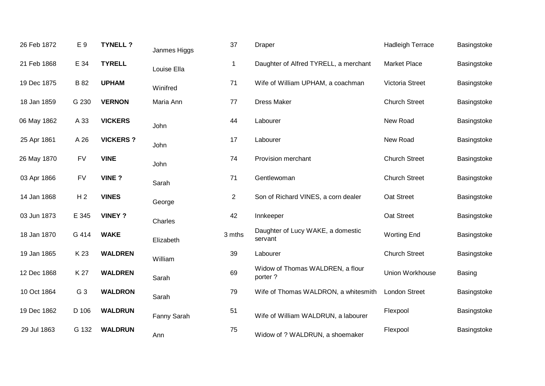| 26 Feb 1872 | E 9            | <b>TYNELL?</b>  | Janmes Higgs | 37             | <b>Draper</b>                                | <b>Hadleigh Terrace</b> | Basingstoke |
|-------------|----------------|-----------------|--------------|----------------|----------------------------------------------|-------------------------|-------------|
| 21 Feb 1868 | E 34           | <b>TYRELL</b>   | Louise Ella  | $\mathbf 1$    | Daughter of Alfred TYRELL, a merchant        | <b>Market Place</b>     | Basingstoke |
| 19 Dec 1875 | <b>B</b> 82    | <b>UPHAM</b>    | Winifred     | 71             | Wife of William UPHAM, a coachman            | Victoria Street         | Basingstoke |
| 18 Jan 1859 | G 230          | <b>VERNON</b>   | Maria Ann    | 77             | <b>Dress Maker</b>                           | <b>Church Street</b>    | Basingstoke |
| 06 May 1862 | A 33           | <b>VICKERS</b>  | John         | 44             | Labourer                                     | New Road                | Basingstoke |
| 25 Apr 1861 | A 26           | <b>VICKERS?</b> | John         | 17             | Labourer                                     | New Road                | Basingstoke |
| 26 May 1870 | <b>FV</b>      | <b>VINE</b>     | John         | 74             | Provision merchant                           | <b>Church Street</b>    | Basingstoke |
| 03 Apr 1866 | <b>FV</b>      | <b>VINE?</b>    | Sarah        | 71             | Gentlewoman                                  | <b>Church Street</b>    | Basingstoke |
| 14 Jan 1868 | H <sub>2</sub> | <b>VINES</b>    | George       | $\overline{2}$ | Son of Richard VINES, a corn dealer          | Oat Street              | Basingstoke |
| 03 Jun 1873 | E 345          | <b>VINEY ?</b>  | Charles      | 42             | Innkeeper                                    | Oat Street              | Basingstoke |
| 18 Jan 1870 | G 414          | <b>WAKE</b>     | Elizabeth    | 3 mths         | Daughter of Lucy WAKE, a domestic<br>servant | <b>Worting End</b>      | Basingstoke |
| 19 Jan 1865 | K 23           | <b>WALDREN</b>  | William      | 39             | Labourer                                     | <b>Church Street</b>    | Basingstoke |
| 12 Dec 1868 | K 27           | <b>WALDREN</b>  | Sarah        | 69             | Widow of Thomas WALDREN, a flour<br>porter?  | Union Workhouse         | Basing      |
| 10 Oct 1864 | G 3            | <b>WALDRON</b>  | Sarah        | 79             | Wife of Thomas WALDRON, a whitesmith         | <b>London Street</b>    | Basingstoke |
| 19 Dec 1862 | D 106          | <b>WALDRUN</b>  | Fanny Sarah  | 51             | Wife of William WALDRUN, a labourer          | Flexpool                | Basingstoke |
| 29 Jul 1863 | G 132          | <b>WALDRUN</b>  | Ann          | 75             | Widow of ? WALDRUN, a shoemaker              | Flexpool                | Basingstoke |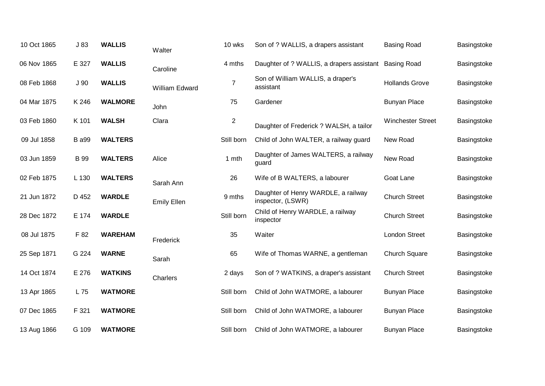| 10 Oct 1865 | J83             | <b>WALLIS</b>  | Walter             | 10 wks         | Son of ? WALLIS, a drapers assistant                     | <b>Basing Road</b>       | Basingstoke |
|-------------|-----------------|----------------|--------------------|----------------|----------------------------------------------------------|--------------------------|-------------|
| 06 Nov 1865 | E 327           | <b>WALLIS</b>  | Caroline           | 4 mths         | Daughter of ? WALLIS, a drapers assistant                | <b>Basing Road</b>       | Basingstoke |
| 08 Feb 1868 | J <sub>90</sub> | <b>WALLIS</b>  | William Edward     | $\overline{7}$ | Son of William WALLIS, a draper's<br>assistant           | <b>Hollands Grove</b>    | Basingstoke |
| 04 Mar 1875 | K 246           | <b>WALMORE</b> | John               | 75             | Gardener                                                 | <b>Bunyan Place</b>      | Basingstoke |
| 03 Feb 1860 | K 101           | <b>WALSH</b>   | Clara              | $\overline{c}$ | Daughter of Frederick ? WALSH, a tailor                  | <b>Winchester Street</b> | Basingstoke |
| 09 Jul 1858 | <b>B</b> a99    | <b>WALTERS</b> |                    | Still born     | Child of John WALTER, a railway guard                    | New Road                 | Basingstoke |
| 03 Jun 1859 | <b>B</b> 99     | <b>WALTERS</b> | Alice              | 1 mth          | Daughter of James WALTERS, a railway<br>guard            | New Road                 | Basingstoke |
| 02 Feb 1875 | L 130           | <b>WALTERS</b> | Sarah Ann          | 26             | Wife of B WALTERS, a labourer                            | Goat Lane                | Basingstoke |
| 21 Jun 1872 | D 452           | <b>WARDLE</b>  | <b>Emily Ellen</b> | 9 mths         | Daughter of Henry WARDLE, a railway<br>inspector, (LSWR) | <b>Church Street</b>     | Basingstoke |
| 28 Dec 1872 | E 174           | <b>WARDLE</b>  |                    | Still born     | Child of Henry WARDLE, a railway<br>inspector            | <b>Church Street</b>     | Basingstoke |
| 08 Jul 1875 | F 82            | <b>WAREHAM</b> | Frederick          | 35             | Waiter                                                   | <b>London Street</b>     | Basingstoke |
| 25 Sep 1871 | G 224           | <b>WARNE</b>   | Sarah              | 65             | Wife of Thomas WARNE, a gentleman                        | <b>Church Square</b>     | Basingstoke |
| 14 Oct 1874 | E 276           | <b>WATKINS</b> | Charlers           | 2 days         | Son of ? WATKINS, a draper's assistant                   | <b>Church Street</b>     | Basingstoke |
| 13 Apr 1865 | L 75            | <b>WATMORE</b> |                    | Still born     | Child of John WATMORE, a labourer                        | <b>Bunyan Place</b>      | Basingstoke |
| 07 Dec 1865 | F 321           | <b>WATMORE</b> |                    | Still born     | Child of John WATMORE, a labourer                        | <b>Bunyan Place</b>      | Basingstoke |
| 13 Aug 1866 | G 109           | <b>WATMORE</b> |                    | Still born     | Child of John WATMORE, a labourer                        | <b>Bunyan Place</b>      | Basingstoke |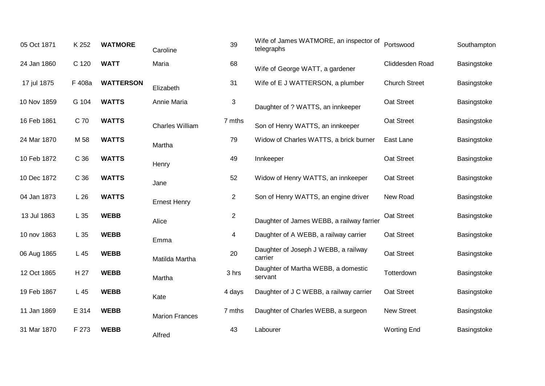| 05 Oct 1871 | K 252  | <b>WATMORE</b>   | Caroline               | 39             | Wife of James WATMORE, an inspector of<br>telegraphs | Portswood            | Southampton |
|-------------|--------|------------------|------------------------|----------------|------------------------------------------------------|----------------------|-------------|
| 24 Jan 1860 | C 120  | <b>WATT</b>      | Maria                  | 68             | Wife of George WATT, a gardener                      | Cliddesden Road      | Basingstoke |
| 17 jul 1875 | F 408a | <b>WATTERSON</b> | Elizabeth              | 31             | Wife of E J WATTERSON, a plumber                     | <b>Church Street</b> | Basingstoke |
| 10 Nov 1859 | G 104  | <b>WATTS</b>     | Annie Maria            | 3              | Daughter of ? WATTS, an innkeeper                    | Oat Street           | Basingstoke |
| 16 Feb 1861 | C 70   | <b>WATTS</b>     | <b>Charles William</b> | 7 mths         | Son of Henry WATTS, an innkeeper                     | Oat Street           | Basingstoke |
| 24 Mar 1870 | M 58   | <b>WATTS</b>     | Martha                 | 79             | Widow of Charles WATTS, a brick burner               | East Lane            | Basingstoke |
| 10 Feb 1872 | C 36   | <b>WATTS</b>     | Henry                  | 49             | Innkeeper                                            | Oat Street           | Basingstoke |
| 10 Dec 1872 | C 36   | <b>WATTS</b>     | Jane                   | 52             | Widow of Henry WATTS, an innkeeper                   | Oat Street           | Basingstoke |
| 04 Jan 1873 | L26    | <b>WATTS</b>     | <b>Ernest Henry</b>    | $\overline{2}$ | Son of Henry WATTS, an engine driver                 | New Road             | Basingstoke |
| 13 Jul 1863 | L 35   | <b>WEBB</b>      | Alice                  | $\overline{c}$ | Daughter of James WEBB, a railway farrier            | Oat Street           | Basingstoke |
| 10 nov 1863 | L 35   | <b>WEBB</b>      | Emma                   | 4              | Daughter of A WEBB, a railway carrier                | Oat Street           | Basingstoke |
| 06 Aug 1865 | L 45   | <b>WEBB</b>      | Matilda Martha         | 20             | Daughter of Joseph J WEBB, a railway<br>carrier      | Oat Street           | Basingstoke |
| 12 Oct 1865 | H 27   | <b>WEBB</b>      | Martha                 | 3 hrs          | Daughter of Martha WEBB, a domestic<br>servant       | Totterdown           | Basingstoke |
| 19 Feb 1867 | L 45   | <b>WEBB</b>      | Kate                   | 4 days         | Daughter of J C WEBB, a railway carrier              | Oat Street           | Basingstoke |
| 11 Jan 1869 | E 314  | <b>WEBB</b>      | <b>Marion Frances</b>  | 7 mths         | Daughter of Charles WEBB, a surgeon                  | <b>New Street</b>    | Basingstoke |
| 31 Mar 1870 | F 273  | <b>WEBB</b>      | Alfred                 | 43             | Labourer                                             | <b>Worting End</b>   | Basingstoke |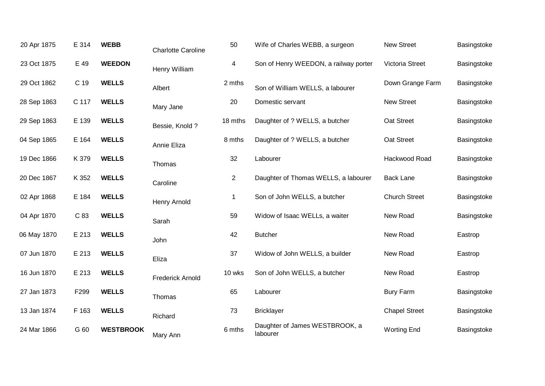| 20 Apr 1875 | E 314 | <b>WEBB</b>      | <b>Charlotte Caroline</b> | 50             | Wife of Charles WEBB, a surgeon            | <b>New Street</b>      | Basingstoke |
|-------------|-------|------------------|---------------------------|----------------|--------------------------------------------|------------------------|-------------|
| 23 Oct 1875 | E 49  | <b>WEEDON</b>    | Henry William             | 4              | Son of Henry WEEDON, a railway porter      | <b>Victoria Street</b> | Basingstoke |
| 29 Oct 1862 | C 19  | <b>WELLS</b>     | Albert                    | 2 mths         | Son of William WELLS, a labourer           | Down Grange Farm       | Basingstoke |
| 28 Sep 1863 | C 117 | <b>WELLS</b>     | Mary Jane                 | 20             | Domestic servant                           | <b>New Street</b>      | Basingstoke |
| 29 Sep 1863 | E 139 | <b>WELLS</b>     | Bessie, Knold?            | 18 mths        | Daughter of ? WELLS, a butcher             | Oat Street             | Basingstoke |
| 04 Sep 1865 | E 164 | <b>WELLS</b>     | Annie Eliza               | 8 mths         | Daughter of ? WELLS, a butcher             | Oat Street             | Basingstoke |
| 19 Dec 1866 | K 379 | <b>WELLS</b>     | Thomas                    | 32             | Labourer                                   | Hackwood Road          | Basingstoke |
| 20 Dec 1867 | K 352 | <b>WELLS</b>     | Caroline                  | $\overline{2}$ | Daughter of Thomas WELLS, a labourer       | <b>Back Lane</b>       | Basingstoke |
| 02 Apr 1868 | E 184 | <b>WELLS</b>     | Henry Arnold              | 1              | Son of John WELLS, a butcher               | <b>Church Street</b>   | Basingstoke |
| 04 Apr 1870 | C 83  | <b>WELLS</b>     | Sarah                     | 59             | Widow of Isaac WELLs, a waiter             | New Road               | Basingstoke |
| 06 May 1870 | E 213 | <b>WELLS</b>     | John                      | 42             | <b>Butcher</b>                             | New Road               | Eastrop     |
| 07 Jun 1870 | E 213 | <b>WELLS</b>     | Eliza                     | 37             | Widow of John WELLS, a builder             | New Road               | Eastrop     |
| 16 Jun 1870 | E 213 | <b>WELLS</b>     | <b>Frederick Arnold</b>   | 10 wks         | Son of John WELLS, a butcher               | New Road               | Eastrop     |
| 27 Jan 1873 | F299  | <b>WELLS</b>     | Thomas                    | 65             | Labourer                                   | <b>Bury Farm</b>       | Basingstoke |
| 13 Jan 1874 | F 163 | <b>WELLS</b>     | Richard                   | 73             | <b>Bricklayer</b>                          | <b>Chapel Street</b>   | Basingstoke |
| 24 Mar 1866 | G 60  | <b>WESTBROOK</b> | Mary Ann                  | 6 mths         | Daughter of James WESTBROOK, a<br>labourer | <b>Worting End</b>     | Basingstoke |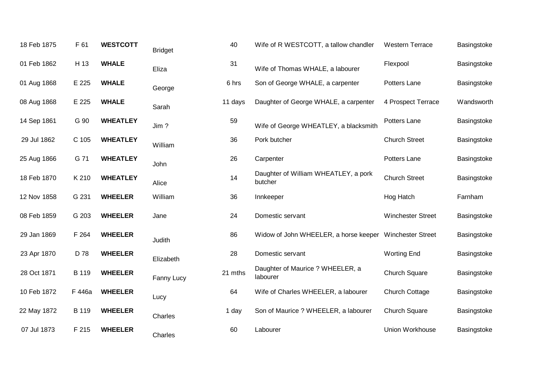| 18 Feb 1875 | F 61         | <b>WESTCOTT</b> | <b>Bridget</b> | 40      | Wife of R WESTCOTT, a tallow chandler                   | <b>Western Terrace</b>   | Basingstoke |
|-------------|--------------|-----------------|----------------|---------|---------------------------------------------------------|--------------------------|-------------|
| 01 Feb 1862 | H 13         | <b>WHALE</b>    | Eliza          | 31      | Wife of Thomas WHALE, a labourer                        | Flexpool                 | Basingstoke |
| 01 Aug 1868 | E 225        | <b>WHALE</b>    | George         | 6 hrs   | Son of George WHALE, a carpenter                        | Potters Lane             | Basingstoke |
| 08 Aug 1868 | E 225        | <b>WHALE</b>    | Sarah          | 11 days | Daughter of George WHALE, a carpenter                   | 4 Prospect Terrace       | Wandsworth  |
| 14 Sep 1861 | G 90         | <b>WHEATLEY</b> | Jim?           | 59      | Wife of George WHEATLEY, a blacksmith                   | Potters Lane             | Basingstoke |
| 29 Jul 1862 | C 105        | <b>WHEATLEY</b> | William        | 36      | Pork butcher                                            | <b>Church Street</b>     | Basingstoke |
| 25 Aug 1866 | G 71         | <b>WHEATLEY</b> | John           | 26      | Carpenter                                               | Potters Lane             | Basingstoke |
| 18 Feb 1870 | K 210        | <b>WHEATLEY</b> | Alice          | 14      | Daughter of William WHEATLEY, a pork<br>butcher         | <b>Church Street</b>     | Basingstoke |
| 12 Nov 1858 | G 231        | <b>WHEELER</b>  | William        | 36      | Innkeeper                                               | Hog Hatch                | Farnham     |
| 08 Feb 1859 | G 203        | <b>WHEELER</b>  | Jane           | 24      | Domestic servant                                        | <b>Winchester Street</b> | Basingstoke |
| 29 Jan 1869 | F 264        | <b>WHEELER</b>  | Judith         | 86      | Widow of John WHEELER, a horse keeper Winchester Street |                          | Basingstoke |
| 23 Apr 1870 | D 78         | <b>WHEELER</b>  | Elizabeth      | 28      | Domestic servant                                        | <b>Worting End</b>       | Basingstoke |
| 28 Oct 1871 | <b>B</b> 119 | <b>WHEELER</b>  | Fanny Lucy     | 21 mths | Daughter of Maurice ? WHEELER, a<br>labourer            | <b>Church Square</b>     | Basingstoke |
| 10 Feb 1872 | F 446a       | <b>WHEELER</b>  | Lucy           | 64      | Wife of Charles WHEELER, a labourer                     | <b>Church Cottage</b>    | Basingstoke |
| 22 May 1872 | B 119        | <b>WHEELER</b>  | Charles        | 1 day   | Son of Maurice ? WHEELER, a labourer                    | <b>Church Square</b>     | Basingstoke |
| 07 Jul 1873 | F 215        | <b>WHEELER</b>  | Charles        | 60      | Labourer                                                | Union Workhouse          | Basingstoke |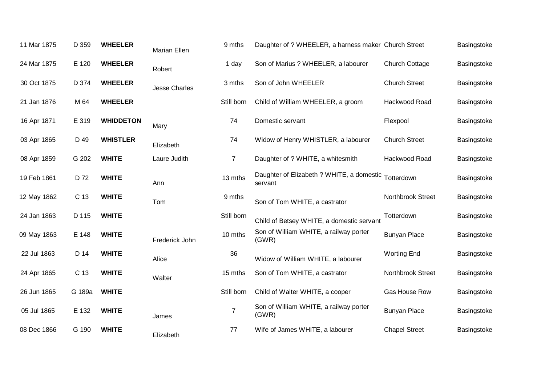| 11 Mar 1875 | D 359  | <b>WHEELER</b>   | Marian Ellen         | 9 mths         | Daughter of ? WHEELER, a harness maker Church Street |                       | Basingstoke |
|-------------|--------|------------------|----------------------|----------------|------------------------------------------------------|-----------------------|-------------|
| 24 Mar 1875 | E 120  | <b>WHEELER</b>   | Robert               | 1 day          | Son of Marius ? WHEELER, a labourer                  | <b>Church Cottage</b> | Basingstoke |
| 30 Oct 1875 | D 374  | <b>WHEELER</b>   | <b>Jesse Charles</b> | 3 mths         | Son of John WHEELER                                  | <b>Church Street</b>  | Basingstoke |
| 21 Jan 1876 | M 64   | <b>WHEELER</b>   |                      | Still born     | Child of William WHEELER, a groom                    | Hackwood Road         | Basingstoke |
| 16 Apr 1871 | E 319  | <b>WHIDDETON</b> | Mary                 | 74             | Domestic servant                                     | Flexpool              | Basingstoke |
| 03 Apr 1865 | D 49   | <b>WHISTLER</b>  | Elizabeth            | 74             | Widow of Henry WHISTLER, a labourer                  | <b>Church Street</b>  | Basingstoke |
| 08 Apr 1859 | G 202  | <b>WHITE</b>     | Laure Judith         | $\overline{7}$ | Daughter of ? WHITE, a whitesmith                    | Hackwood Road         | Basingstoke |
| 19 Feb 1861 | D 72   | <b>WHITE</b>     | Ann                  | 13 mths        | Daughter of Elizabeth ? WHITE, a domestic<br>servant | Totterdown            | Basingstoke |
| 12 May 1862 | C 13   | <b>WHITE</b>     | Tom                  | 9 mths         | Son of Tom WHITE, a castrator                        | Northbrook Street     | Basingstoke |
| 24 Jan 1863 | D 115  | <b>WHITE</b>     |                      | Still born     | Child of Betsey WHITE, a domestic servant            | Totterdown            | Basingstoke |
| 09 May 1863 | E 148  | <b>WHITE</b>     | Frederick John       | 10 mths        | Son of William WHITE, a railway porter<br>(GWR)      | <b>Bunyan Place</b>   | Basingstoke |
| 22 Jul 1863 | D 14   | <b>WHITE</b>     | Alice                | 36             | Widow of William WHITE, a labourer                   | <b>Worting End</b>    | Basingstoke |
| 24 Apr 1865 | C 13   | <b>WHITE</b>     | Walter               | 15 mths        | Son of Tom WHITE, a castrator                        | Northbrook Street     | Basingstoke |
| 26 Jun 1865 | G 189a | <b>WHITE</b>     |                      | Still born     | Child of Walter WHITE, a cooper                      | Gas House Row         | Basingstoke |
| 05 Jul 1865 | E 132  | <b>WHITE</b>     | James                | $\overline{7}$ | Son of William WHITE, a railway porter<br>(GWR)      | <b>Bunyan Place</b>   | Basingstoke |
| 08 Dec 1866 | G 190  | <b>WHITE</b>     | Elizabeth            | 77             | Wife of James WHITE, a labourer                      | <b>Chapel Street</b>  | Basingstoke |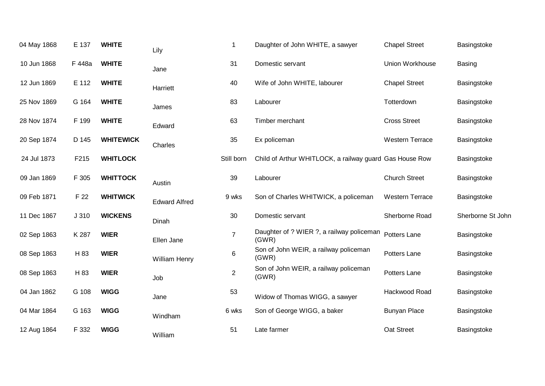| 04 May 1868 | E 137  | <b>WHITE</b>     | Lily                 | $\mathbf 1$    | Daughter of John WHITE, a sawyer                        | <b>Chapel Street</b>   | Basingstoke       |
|-------------|--------|------------------|----------------------|----------------|---------------------------------------------------------|------------------------|-------------------|
| 10 Jun 1868 | F 448a | <b>WHITE</b>     | Jane                 | 31             | Domestic servant                                        | Union Workhouse        | <b>Basing</b>     |
| 12 Jun 1869 | E 112  | <b>WHITE</b>     | Harriett             | 40             | Wife of John WHITE, labourer                            | <b>Chapel Street</b>   | Basingstoke       |
| 25 Nov 1869 | G 164  | <b>WHITE</b>     | James                | 83             | Labourer                                                | Totterdown             | Basingstoke       |
| 28 Nov 1874 | F 199  | <b>WHITE</b>     | Edward               | 63             | Timber merchant                                         | <b>Cross Street</b>    | Basingstoke       |
| 20 Sep 1874 | D 145  | <b>WHITEWICK</b> | Charles              | 35             | Ex policeman                                            | <b>Western Terrace</b> | Basingstoke       |
| 24 Jul 1873 | F215   | <b>WHITLOCK</b>  |                      | Still born     | Child of Arthur WHITLOCK, a railway guard Gas House Row |                        | Basingstoke       |
| 09 Jan 1869 | F 305  | <b>WHITTOCK</b>  | Austin               | 39             | Labourer                                                | <b>Church Street</b>   | Basingstoke       |
| 09 Feb 1871 | F 22   | <b>WHITWICK</b>  | <b>Edward Alfred</b> | 9 wks          | Son of Charles WHITWICK, a policeman                    | <b>Western Terrace</b> | Basingstoke       |
| 11 Dec 1867 | J 310  | <b>WICKENS</b>   | Dinah                | 30             | Domestic servant                                        | Sherborne Road         | Sherborne St John |
| 02 Sep 1863 | K 287  | <b>WIER</b>      | Ellen Jane           | $\overline{7}$ | Daughter of ? WIER ?, a railway policeman<br>(GWR)      | Potters Lane           | Basingstoke       |
| 08 Sep 1863 | H 83   | <b>WIER</b>      | William Henry        | $\,6$          | Son of John WEIR, a railway policeman<br>(GWR)          | Potters Lane           | Basingstoke       |
| 08 Sep 1863 | H 83   | <b>WIER</b>      | Job                  | $\overline{c}$ | Son of John WEIR, a railway policeman<br>(GWR)          | Potters Lane           | Basingstoke       |
| 04 Jan 1862 | G 108  | <b>WIGG</b>      | Jane                 | 53             | Widow of Thomas WIGG, a sawyer                          | Hackwood Road          | Basingstoke       |
| 04 Mar 1864 | G 163  | <b>WIGG</b>      | Windham              | 6 wks          | Son of George WIGG, a baker                             | <b>Bunyan Place</b>    | Basingstoke       |
| 12 Aug 1864 | F 332  | <b>WIGG</b>      | William              | 51             | Late farmer                                             | Oat Street             | Basingstoke       |
|             |        |                  |                      |                |                                                         |                        |                   |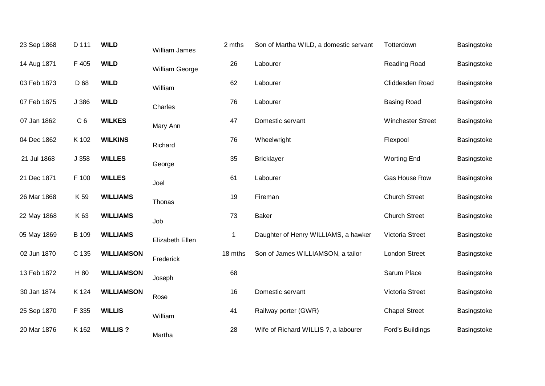| 23 Sep 1868 | D 111          | <b>WILD</b>       | <b>William James</b> | 2 mths      | Son of Martha WILD, a domestic servant | Totterdown           | Basingstoke |
|-------------|----------------|-------------------|----------------------|-------------|----------------------------------------|----------------------|-------------|
| 14 Aug 1871 | F 405          | <b>WILD</b>       | William George       | 26          | Labourer                               | Reading Road         | Basingstoke |
| 03 Feb 1873 | D 68           | <b>WILD</b>       | William              | 62          | Labourer                               | Cliddesden Road      | Basingstoke |
| 07 Feb 1875 | J 386          | <b>WILD</b>       | Charles              | 76          | Labourer                               | <b>Basing Road</b>   | Basingstoke |
| 07 Jan 1862 | C <sub>6</sub> | <b>WILKES</b>     | Mary Ann             | 47          | Domestic servant                       | Winchester Street    | Basingstoke |
| 04 Dec 1862 | K 102          | <b>WILKINS</b>    | Richard              | 76          | Wheelwright                            | Flexpool             | Basingstoke |
| 21 Jul 1868 | J 358          | <b>WILLES</b>     | George               | 35          | <b>Bricklayer</b>                      | <b>Worting End</b>   | Basingstoke |
| 21 Dec 1871 | F 100          | <b>WILLES</b>     | Joel                 | 61          | Labourer                               | Gas House Row        | Basingstoke |
| 26 Mar 1868 | K 59           | <b>WILLIAMS</b>   | Thonas               | 19          | Fireman                                | <b>Church Street</b> | Basingstoke |
| 22 May 1868 | K 63           | <b>WILLIAMS</b>   | Job                  | 73          | <b>Baker</b>                           | <b>Church Street</b> | Basingstoke |
| 05 May 1869 | <b>B</b> 109   | <b>WILLIAMS</b>   | Elizabeth Ellen      | $\mathbf 1$ | Daughter of Henry WILLIAMS, a hawker   | Victoria Street      | Basingstoke |
| 02 Jun 1870 | C 135          | <b>WILLIAMSON</b> | Frederick            | 18 mths     | Son of James WILLIAMSON, a tailor      | London Street        | Basingstoke |
| 13 Feb 1872 | H 80           | <b>WILLIAMSON</b> | Joseph               | 68          |                                        | Sarum Place          | Basingstoke |
| 30 Jan 1874 | K 124          | <b>WILLIAMSON</b> | Rose                 | 16          | Domestic servant                       | Victoria Street      | Basingstoke |
| 25 Sep 1870 | F 335          | <b>WILLIS</b>     | William              | 41          | Railway porter (GWR)                   | <b>Chapel Street</b> | Basingstoke |
| 20 Mar 1876 | K 162          | <b>WILLIS?</b>    | Martha               | 28          | Wife of Richard WILLIS ?, a labourer   | Ford's Buildings     | Basingstoke |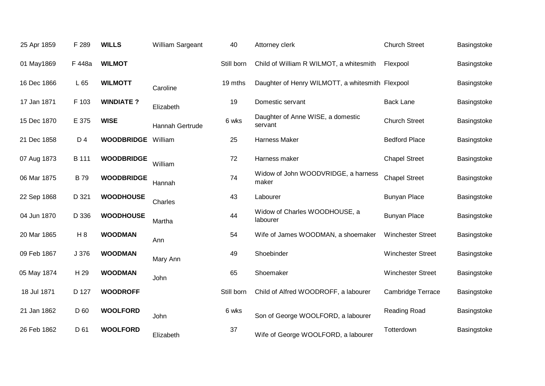| 25 Apr 1859 | F 289          | <b>WILLS</b>      | William Sargeant | 40         | Attorney clerk                                   | <b>Church Street</b>     | Basingstoke |
|-------------|----------------|-------------------|------------------|------------|--------------------------------------------------|--------------------------|-------------|
| 01 May1869  | F 448a         | <b>WILMOT</b>     |                  | Still born | Child of William R WILMOT, a whitesmith          | Flexpool                 | Basingstoke |
| 16 Dec 1866 | L 65           | <b>WILMOTT</b>    | Caroline         | 19 mths    | Daughter of Henry WILMOTT, a whitesmith Flexpool |                          | Basingstoke |
| 17 Jan 1871 | F 103          | <b>WINDIATE?</b>  | Elizabeth        | 19         | Domestic servant                                 | <b>Back Lane</b>         | Basingstoke |
| 15 Dec 1870 | E 375          | <b>WISE</b>       | Hannah Gertrude  | 6 wks      | Daughter of Anne WISE, a domestic<br>servant     | <b>Church Street</b>     | Basingstoke |
| 21 Dec 1858 | D 4            | <b>WOODBRIDGE</b> | William          | 25         | <b>Harness Maker</b>                             | <b>Bedford Place</b>     | Basingstoke |
| 07 Aug 1873 | B 111          | <b>WOODBRIDGE</b> | William          | 72         | Harness maker                                    | <b>Chapel Street</b>     | Basingstoke |
| 06 Mar 1875 | <b>B79</b>     | <b>WOODBRIDGE</b> | Hannah           | 74         | Widow of John WOODVRIDGE, a harness<br>maker     | <b>Chapel Street</b>     | Basingstoke |
| 22 Sep 1868 | D 321          | <b>WOODHOUSE</b>  | Charles          | 43         | Labourer                                         | <b>Bunyan Place</b>      | Basingstoke |
| 04 Jun 1870 | D 336          | <b>WOODHOUSE</b>  | Martha           | 44         | Widow of Charles WOODHOUSE, a<br>labourer        | <b>Bunyan Place</b>      | Basingstoke |
| 20 Mar 1865 | H <sub>8</sub> | <b>WOODMAN</b>    | Ann              | 54         | Wife of James WOODMAN, a shoemaker               | <b>Winchester Street</b> | Basingstoke |
| 09 Feb 1867 | J 376          | <b>WOODMAN</b>    | Mary Ann         | 49         | Shoebinder                                       | <b>Winchester Street</b> | Basingstoke |
| 05 May 1874 | H 29           | <b>WOODMAN</b>    | John             | 65         | Shoemaker                                        | <b>Winchester Street</b> | Basingstoke |
| 18 Jul 1871 | D 127          | <b>WOODROFF</b>   |                  | Still born | Child of Alfred WOODROFF, a labourer             | <b>Cambridge Terrace</b> | Basingstoke |
| 21 Jan 1862 | D 60           | <b>WOOLFORD</b>   | John             | 6 wks      | Son of George WOOLFORD, a labourer               | Reading Road             | Basingstoke |
| 26 Feb 1862 | D 61           | <b>WOOLFORD</b>   | Elizabeth        | 37         | Wife of George WOOLFORD, a labourer              | Totterdown               | Basingstoke |